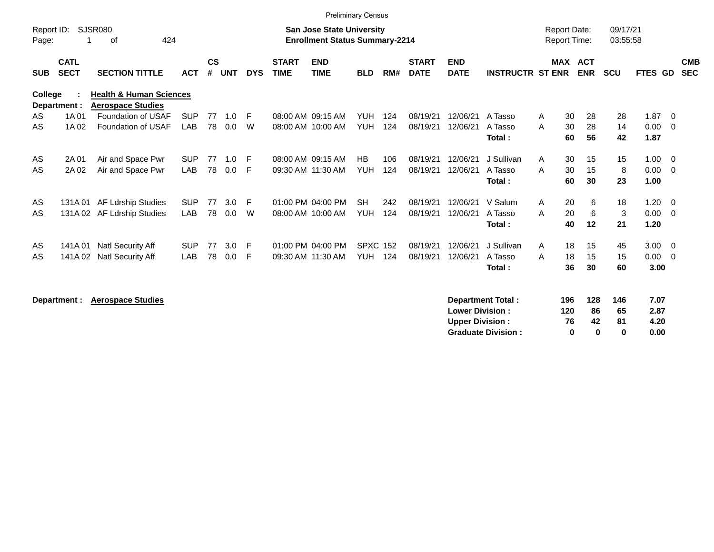|                     |                            |                                                                |            |                    |            |            |                             |                                                                           | <b>Preliminary Census</b> |     |                             |                           |                          |                                            |         |            |                      |            |                          |                          |
|---------------------|----------------------------|----------------------------------------------------------------|------------|--------------------|------------|------------|-----------------------------|---------------------------------------------------------------------------|---------------------------|-----|-----------------------------|---------------------------|--------------------------|--------------------------------------------|---------|------------|----------------------|------------|--------------------------|--------------------------|
| Report ID:<br>Page: |                            | SJSR080<br>424<br>оf                                           |            |                    |            |            |                             | <b>San Jose State University</b><br><b>Enrollment Status Summary-2214</b> |                           |     |                             |                           |                          | <b>Report Date:</b><br><b>Report Time:</b> |         |            | 09/17/21<br>03:55:58 |            |                          |                          |
| <b>SUB</b>          | <b>CATL</b><br><b>SECT</b> | <b>SECTION TITTLE</b>                                          | <b>ACT</b> | $\mathsf{cs}$<br># | <b>UNT</b> | <b>DYS</b> | <b>START</b><br><b>TIME</b> | <b>END</b><br><b>TIME</b>                                                 | <b>BLD</b>                | RM# | <b>START</b><br><b>DATE</b> | <b>END</b><br><b>DATE</b> | <b>INSTRUCTR ST ENR</b>  |                                            | MAX ACT | <b>ENR</b> | <b>SCU</b>           | FTES GD    |                          | <b>CMB</b><br><b>SEC</b> |
| College             | Department :               | <b>Health &amp; Human Sciences</b><br><b>Aerospace Studies</b> |            |                    |            |            |                             |                                                                           |                           |     |                             |                           |                          |                                            |         |            |                      |            |                          |                          |
| AS                  | 1A 01                      | Foundation of USAF                                             | <b>SUP</b> | 77                 | 1.0        | -F         |                             | 08:00 AM 09:15 AM                                                         | <b>YUH</b>                | 124 | 08/19/21                    | 12/06/21                  | A Tasso                  | A                                          | 30      | 28         | 28                   | 1.87       | - 0                      |                          |
| AS                  | 1A 02                      | <b>Foundation of USAF</b>                                      | LAB        | 78                 | 0.0        | W          |                             | 08:00 AM 10:00 AM                                                         | <b>YUH</b>                | 124 | 08/19/21                    | 12/06/21                  | A Tasso                  | A                                          | 30      | 28         | 14                   | 0.00       | $\overline{\phantom{0}}$ |                          |
|                     |                            |                                                                |            |                    |            |            |                             |                                                                           |                           |     |                             |                           | Total:                   |                                            | 60      | 56         | 42                   | 1.87       |                          |                          |
| AS                  | 2A 01                      | Air and Space Pwr                                              | <b>SUP</b> | 77                 | 1.0        | F          |                             | 08:00 AM 09:15 AM                                                         | HB                        | 106 | 08/19/21                    | 12/06/21                  | J Sullivan               | A                                          | 30      | 15         | 15                   | 1.00       | - 0                      |                          |
| AS                  | 2A 02                      | Air and Space Pwr                                              | <b>LAB</b> | 78                 | 0.0        | F          |                             | 09:30 AM 11:30 AM                                                         | <b>YUH</b>                | 124 | 08/19/21                    | 12/06/21                  | A Tasso                  | A                                          | 30      | 15         | 8                    | 0.00       | $\overline{\phantom{0}}$ |                          |
|                     |                            |                                                                |            |                    |            |            |                             |                                                                           |                           |     |                             |                           | Total:                   |                                            | 60      | 30         | 23                   | 1.00       |                          |                          |
| AS                  | 131A 01                    | <b>AF Ldrship Studies</b>                                      | <b>SUP</b> | 77                 | 3.0        | E          |                             | 01:00 PM 04:00 PM                                                         | <b>SH</b>                 | 242 | 08/19/21                    | 12/06/21                  | V Salum                  | A                                          | 20      | 6          | 18                   | 1.20       | $\overline{\mathbf{0}}$  |                          |
| AS                  |                            | 131A 02 AF Ldrship Studies                                     | <b>LAB</b> | 78                 | 0.0        | W          |                             | 08:00 AM 10:00 AM                                                         | <b>YUH</b>                | 124 | 08/19/21                    | 12/06/21                  | A Tasso                  | A                                          | 20      | 6          | 3                    | 0.00       | $\overline{0}$           |                          |
|                     |                            |                                                                |            |                    |            |            |                             |                                                                           |                           |     |                             |                           | Total:                   |                                            | 40      | 12         | 21                   | 1.20       |                          |                          |
| AS                  | 141A 01                    | Natl Security Aff                                              | <b>SUP</b> | 77                 | 3.0        | E          |                             | 01:00 PM 04:00 PM                                                         | <b>SPXC 152</b>           |     | 08/19/21                    | 12/06/21                  | J Sullivan               | A                                          | 18      | 15         | 45                   | $3.00 \ 0$ |                          |                          |
| AS                  | 141A 02                    | <b>Natl Security Aff</b>                                       | LAB        | 78                 | 0.0        | F          |                             | 09:30 AM 11:30 AM                                                         | <b>YUH</b>                | 124 | 08/19/21                    | 12/06/21                  | A Tasso                  | A                                          | 18      | 15         | 15                   | 0.00       | $\overline{\mathbf{0}}$  |                          |
|                     |                            |                                                                |            |                    |            |            |                             |                                                                           |                           |     |                             |                           | Total:                   |                                            | 36      | 30         | 60                   | 3.00       |                          |                          |
|                     | Department :               | <b>Aerospace Studies</b>                                       |            |                    |            |            |                             |                                                                           |                           |     |                             |                           | <b>Department Total:</b> |                                            | 196     | 128        | 146                  | 7.07       |                          |                          |
|                     |                            |                                                                |            |                    |            |            |                             |                                                                           |                           |     |                             |                           |                          |                                            |         |            |                      |            |                          |                          |

| <b>Lower Division:</b>    | 120 | 86           | 65 | 2.87 |
|---------------------------|-----|--------------|----|------|
| <b>Upper Division:</b>    | 76  | 42           | 81 | 4.20 |
| <b>Graduate Division:</b> | o   | $\mathbf{u}$ |    | 0.00 |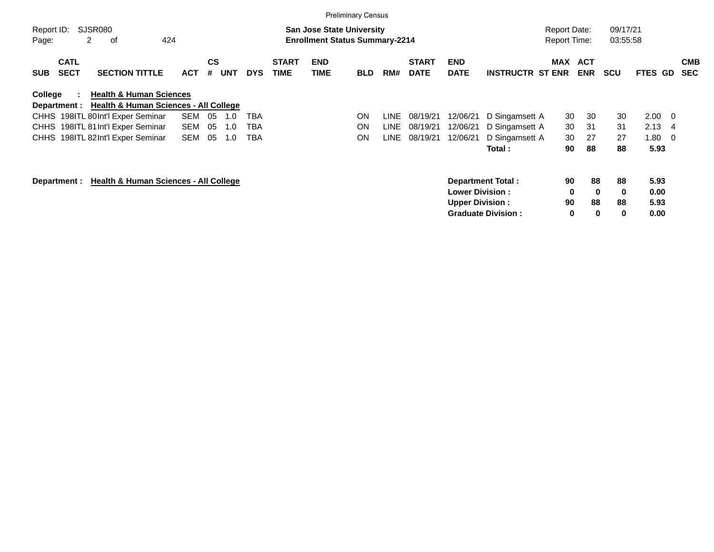|                     |                            |                                                                             |            |                |            |            |                             |                                                                           | <b>Preliminary Census</b> |       |                             |                           |                           |                                            |                          |                      |                |     |                          |
|---------------------|----------------------------|-----------------------------------------------------------------------------|------------|----------------|------------|------------|-----------------------------|---------------------------------------------------------------------------|---------------------------|-------|-----------------------------|---------------------------|---------------------------|--------------------------------------------|--------------------------|----------------------|----------------|-----|--------------------------|
| Report ID:<br>Page: |                            | SJSR080<br>2<br>424<br>оf                                                   |            |                |            |            |                             | <b>San Jose State University</b><br><b>Enrollment Status Summary-2214</b> |                           |       |                             |                           |                           | <b>Report Date:</b><br><b>Report Time:</b> |                          | 09/17/21<br>03:55:58 |                |     |                          |
| <b>SUB</b>          | <b>CATL</b><br><b>SECT</b> | <b>SECTION TITTLE</b>                                                       | <b>ACT</b> | <b>CS</b><br># | <b>UNT</b> | <b>DYS</b> | <b>START</b><br><b>TIME</b> | <b>END</b><br>TIME                                                        | <b>BLD</b>                | RM#   | <b>START</b><br><b>DATE</b> | <b>END</b><br><b>DATE</b> | <b>INSTRUCTR ST ENR</b>   | MAX                                        | <b>ACT</b><br><b>ENR</b> | <b>SCU</b>           | <b>FTES GD</b> |     | <b>CMB</b><br><b>SEC</b> |
| College             | Department :               | <b>Health &amp; Human Sciences</b><br>Health & Human Sciences - All College |            |                |            |            |                             |                                                                           |                           |       |                             |                           |                           |                                            |                          |                      |                |     |                          |
|                     |                            | CHHS 198ITL 80Int'l Exper Seminar                                           | SEM        | 05             | 1.0        | TBA        |                             |                                                                           | ON                        | LINE. | 08/19/21                    | 12/06/21                  | D Singamsett A            | 30                                         | 30                       | 30                   | 2.00           | - 0 |                          |
|                     |                            | CHHS 198ITL 81Int'l Exper Seminar                                           | SEM        | 05             | 1.0        | TBA        |                             |                                                                           | <b>ON</b>                 | LINE. | 08/19/21                    | 12/06/21                  | D Singamsett A            | 30                                         | 31                       | 31                   | 2.13           | -4  |                          |
|                     |                            | CHHS 198ITL 82Int'l Exper Seminar                                           | <b>SEM</b> | 05             | 1.0        | TBA        |                             |                                                                           | ON                        | LINE  | 08/19/21                    | 12/06/21                  | D Singamsett A            | 30                                         | 27                       | 27                   | 1.80           | -0  |                          |
|                     |                            |                                                                             |            |                |            |            |                             |                                                                           |                           |       |                             |                           | Total :                   | 90                                         | 88                       | 88                   | 5.93           |     |                          |
|                     | Department :               | <b>Health &amp; Human Sciences - All College</b>                            |            |                |            |            |                             |                                                                           |                           |       |                             |                           | <b>Department Total:</b>  | 90                                         | 88                       | 88                   | 5.93           |     |                          |
|                     |                            |                                                                             |            |                |            |            |                             |                                                                           |                           |       |                             | <b>Lower Division:</b>    |                           | $\mathbf 0$                                | $\bf{0}$                 | 0                    | 0.00           |     |                          |
|                     |                            |                                                                             |            |                |            |            |                             |                                                                           |                           |       |                             | <b>Upper Division:</b>    |                           | 90                                         | 88                       | 88                   | 5.93           |     |                          |
|                     |                            |                                                                             |            |                |            |            |                             |                                                                           |                           |       |                             |                           | <b>Graduate Division:</b> | 0                                          | 0                        | 0                    | 0.00           |     |                          |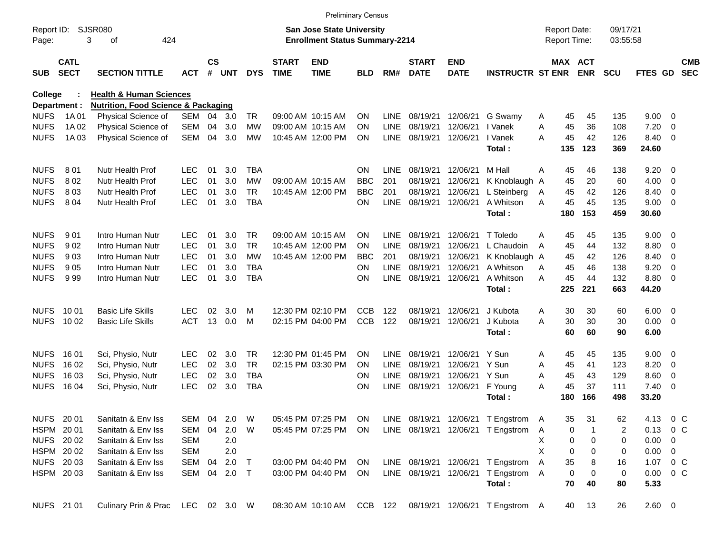|                |                            |                                                |              |               |       |            |                             | <b>Preliminary Census</b>             |            |             |                             |                           |                                                          |   |                     |            |            |            |                          |                          |
|----------------|----------------------------|------------------------------------------------|--------------|---------------|-------|------------|-----------------------------|---------------------------------------|------------|-------------|-----------------------------|---------------------------|----------------------------------------------------------|---|---------------------|------------|------------|------------|--------------------------|--------------------------|
| Report ID:     |                            | <b>SJSR080</b>                                 |              |               |       |            |                             | <b>San Jose State University</b>      |            |             |                             |                           |                                                          |   | <b>Report Date:</b> |            | 09/17/21   |            |                          |                          |
| Page:          |                            | 424<br>3<br>оf                                 |              |               |       |            |                             | <b>Enrollment Status Summary-2214</b> |            |             |                             |                           |                                                          |   | Report Time:        |            | 03:55:58   |            |                          |                          |
| <b>SUB</b>     | <b>CATL</b><br><b>SECT</b> | <b>SECTION TITTLE</b>                          | <b>ACT</b>   | $\mathsf{cs}$ | # UNT | <b>DYS</b> | <b>START</b><br><b>TIME</b> | <b>END</b><br><b>TIME</b>             | <b>BLD</b> | RM#         | <b>START</b><br><b>DATE</b> | <b>END</b><br><b>DATE</b> | <b>INSTRUCTR ST ENR</b>                                  |   | <b>MAX ACT</b>      | <b>ENR</b> | <b>SCU</b> | FTES GD    |                          | <b>CMB</b><br><b>SEC</b> |
| <b>College</b> |                            | <b>Health &amp; Human Sciences</b>             |              |               |       |            |                             |                                       |            |             |                             |                           |                                                          |   |                     |            |            |            |                          |                          |
| Department :   |                            | <b>Nutrition, Food Science &amp; Packaging</b> |              |               |       |            |                             |                                       |            |             |                             |                           |                                                          |   |                     |            |            |            |                          |                          |
| <b>NUFS</b>    | 1A 01                      | Physical Science of                            | SEM          | 04            | 3.0   | TR         |                             | 09:00 AM 10:15 AM                     | <b>ON</b>  | <b>LINE</b> | 08/19/21                    | 12/06/21                  | G Swamy                                                  | A | 45                  | 45         | 135        | 9.00       | - 0                      |                          |
| <b>NUFS</b>    | 1A 02                      | Physical Science of                            | <b>SEM</b>   | 04            | 3.0   | МW         |                             | 09:00 AM 10:15 AM                     | <b>ON</b>  | LINE        | 08/19/21                    | 12/06/21                  | I Vanek                                                  | A | 45                  | 36         | 108        | 7.20       | 0                        |                          |
| <b>NUFS</b>    | 1A 03                      | Physical Science of                            | <b>SEM</b>   | 04            | 3.0   | <b>MW</b>  |                             | 10:45 AM 12:00 PM                     | <b>ON</b>  | <b>LINE</b> | 08/19/21                    | 12/06/21                  | I Vanek                                                  | A | 45                  | 42         | 126        | 8.40       | $\overline{\mathbf{0}}$  |                          |
|                |                            |                                                |              |               |       |            |                             |                                       |            |             |                             |                           | Total:                                                   |   | 135                 | 123        | 369        | 24.60      |                          |                          |
| <b>NUFS</b>    | 801                        | <b>Nutr Health Prof</b>                        | <b>LEC</b>   | 01            | 3.0   | <b>TBA</b> |                             |                                       | <b>ON</b>  | LINE        | 08/19/21                    | 12/06/21                  | M Hall                                                   | A | 45                  | 46         | 138        | 9.20       | - 0                      |                          |
| <b>NUFS</b>    | 802                        | Nutr Health Prof                               | <b>LEC</b>   | 01            | 3.0   | <b>MW</b>  |                             | 09:00 AM 10:15 AM                     | <b>BBC</b> | 201         | 08/19/21                    | 12/06/21                  | K Knoblaugh A                                            |   | 45                  | 20         | 60         | 4.00       | - 0                      |                          |
| <b>NUFS</b>    | 803                        | Nutr Health Prof                               | <b>LEC</b>   | 01            | 3.0   | <b>TR</b>  |                             | 10:45 AM 12:00 PM                     | <b>BBC</b> | 201         | 08/19/21                    | 12/06/21                  | L Steinberg                                              | A | 45                  | 42         | 126        | 8.40       | 0                        |                          |
| <b>NUFS</b>    | 8 0 4                      | Nutr Health Prof                               | <b>LEC</b>   | 01            | 3.0   | <b>TBA</b> |                             |                                       | <b>ON</b>  | <b>LINE</b> | 08/19/21                    | 12/06/21                  | A Whitson                                                | A | 45                  | 45         | 135        | 9.00       | - 0                      |                          |
|                |                            |                                                |              |               |       |            |                             |                                       |            |             |                             |                           | Total:                                                   |   | 180                 | 153        | 459        | 30.60      |                          |                          |
| <b>NUFS</b>    | 901                        | Intro Human Nutr                               | LEC          | 01            | 3.0   | TR         |                             | 09:00 AM 10:15 AM                     | <b>ON</b>  | LINE        | 08/19/21                    | 12/06/21                  | T Toledo                                                 | A | 45                  | 45         | 135        | 9.00       | - 0                      |                          |
| <b>NUFS</b>    | 902                        | Intro Human Nutr                               | <b>LEC</b>   | 01            | 3.0   | <b>TR</b>  |                             | 10:45 AM 12:00 PM                     | <b>ON</b>  | LINE        | 08/19/21                    | 12/06/21                  | L Chaudoin                                               | A | 45                  | 44         | 132        | 8.80       | - 0                      |                          |
| <b>NUFS</b>    | 903                        | Intro Human Nutr                               | <b>LEC</b>   | 01            | 3.0   | <b>MW</b>  |                             | 10:45 AM 12:00 PM                     | <b>BBC</b> | 201         | 08/19/21                    | 12/06/21                  | K Knoblaugh A                                            |   | 45                  | 42         | 126        | 8.40       | 0                        |                          |
| <b>NUFS</b>    | 905                        | Intro Human Nutr                               | <b>LEC</b>   | 01            | 3.0   | <b>TBA</b> |                             |                                       | <b>ON</b>  | LINE        | 08/19/21                    | 12/06/21                  | A Whitson                                                | A | 45                  | 46         | 138        | 9.20       | - 0                      |                          |
| <b>NUFS</b>    | 999                        | Intro Human Nutr                               | <b>LEC</b>   | 01            | 3.0   | <b>TBA</b> |                             |                                       | <b>ON</b>  | <b>LINE</b> | 08/19/21                    | 12/06/21                  | A Whitson                                                | A | 45                  | 44         | 132        | 8.80       | - 0                      |                          |
|                |                            |                                                |              |               |       |            |                             |                                       |            |             |                             |                           | Total:                                                   |   | 225                 | 221        | 663        | 44.20      |                          |                          |
| <b>NUFS</b>    | 10 01                      | <b>Basic Life Skills</b>                       | LEC          | 02            | 3.0   | м          |                             | 12:30 PM 02:10 PM                     | <b>CCB</b> | 122         | 08/19/21                    | 12/06/21                  | J Kubota                                                 | A | 30                  | 30         | 60         | 6.00       | $\overline{\phantom{0}}$ |                          |
| <b>NUFS</b>    | 10 02                      | <b>Basic Life Skills</b>                       | <b>ACT</b>   | 13            | 0.0   | M          |                             | 02:15 PM 04:00 PM                     | <b>CCB</b> | 122         | 08/19/21                    | 12/06/21                  | J Kubota                                                 | A | 30                  | 30         | 30         | 0.00       | $\overline{\phantom{0}}$ |                          |
|                |                            |                                                |              |               |       |            |                             |                                       |            |             |                             |                           | Total:                                                   |   | 60                  | 60         | 90         | 6.00       |                          |                          |
| <b>NUFS</b>    | 16 01                      | Sci, Physio, Nutr                              | LEC          | 02            | 3.0   | <b>TR</b>  |                             | 12:30 PM 01:45 PM                     | <b>ON</b>  | LINE        | 08/19/21                    | 12/06/21                  | Y Sun                                                    | A | 45                  | 45         | 135        | 9.00       | $\overline{\mathbf{0}}$  |                          |
| <b>NUFS</b>    | 16 02                      | Sci, Physio, Nutr                              | <b>LEC</b>   | 02            | 3.0   | <b>TR</b>  |                             | 02:15 PM 03:30 PM                     | <b>ON</b>  | <b>LINE</b> | 08/19/21                    | 12/06/21                  | Y Sun                                                    | A | 45                  | 41         | 123        | 8.20       | - 0                      |                          |
| <b>NUFS</b>    | 16 03                      | Sci, Physio, Nutr                              | <b>LEC</b>   | 02            | 3.0   | <b>TBA</b> |                             |                                       | <b>ON</b>  | <b>LINE</b> | 08/19/21                    | 12/06/21                  | Y Sun                                                    | A | 45                  | 43         | 129        | 8.60       | 0                        |                          |
| <b>NUFS</b>    | 16 04                      | Sci, Physio, Nutr                              | <b>LEC</b>   | 02            | 3.0   | <b>TBA</b> |                             |                                       | <b>ON</b>  | <b>LINE</b> | 08/19/21                    | 12/06/21                  | F Young                                                  | A | 45                  | 37         | 111        | 7.40       | - 0                      |                          |
|                |                            |                                                |              |               |       |            |                             |                                       |            |             |                             |                           | Total:                                                   |   | 180                 | 166        | 498        | 33.20      |                          |                          |
| NUFS 20 01     |                            | Sanitatn & Env Iss                             | SEM 04       |               | 2.0   | W          |                             | 05:45 PM 07:25 PM                     | ON         |             |                             |                           | LINE 08/19/21 12/06/21 T Engstrom                        | A | 35                  | 31         | 62         | 4.13       | $0\,$ C                  |                          |
| HSPM 2001      |                            | Sanitatn & Env Iss                             | SEM          | 04            | 2.0   | W          |                             | 05:45 PM 07:25 PM                     | ON         |             |                             |                           | LINE 08/19/21 12/06/21 T Engstrom                        | A | 0                   | -1         | 2          | $0.13$ 0 C |                          |                          |
| NUFS 2002      |                            | Sanitatn & Env Iss                             | <b>SEM</b>   |               | 2.0   |            |                             |                                       |            |             |                             |                           |                                                          | X | 0                   | 0          | 0          | 0.00       | 0                        |                          |
| HSPM 2002      |                            | Sanitatn & Env Iss                             | <b>SEM</b>   |               | 2.0   |            |                             |                                       |            |             |                             |                           |                                                          | X | $\mathbf 0$         | 0          | 0          | 0.00       | 0                        |                          |
| NUFS 2003      |                            | Sanitatn & Env Iss                             | SEM          | 04            | 2.0   | $\top$     |                             | 03:00 PM 04:40 PM                     | ON         |             |                             |                           | LINE 08/19/21 12/06/21 T Engstrom                        | Α | 35                  | 8          | 16         | 1.07       | $0\,$ C                  |                          |
| HSPM 2003      |                            | Sanitatn & Env Iss                             | SEM 04 2.0 T |               |       |            |                             | 03:00 PM 04:40 PM                     | ON         |             | LINE 08/19/21 12/06/21      |                           | T Engstrom                                               | Α | $\mathbf 0$         | 0          | 0          | 0.00       | $0\,C$                   |                          |
|                |                            |                                                |              |               |       |            |                             |                                       |            |             |                             |                           | Total:                                                   |   | 70                  | 40         | 80         | 5.33       |                          |                          |
| NUFS 21 01     |                            | Culinary Prin & Prac LEC 02 3.0 W              |              |               |       |            |                             |                                       |            |             |                             |                           | 08:30 AM 10:10 AM CCB 122 08/19/21 12/06/21 T Engstrom A |   | 40                  | 13         | 26         | 2.60 0     |                          |                          |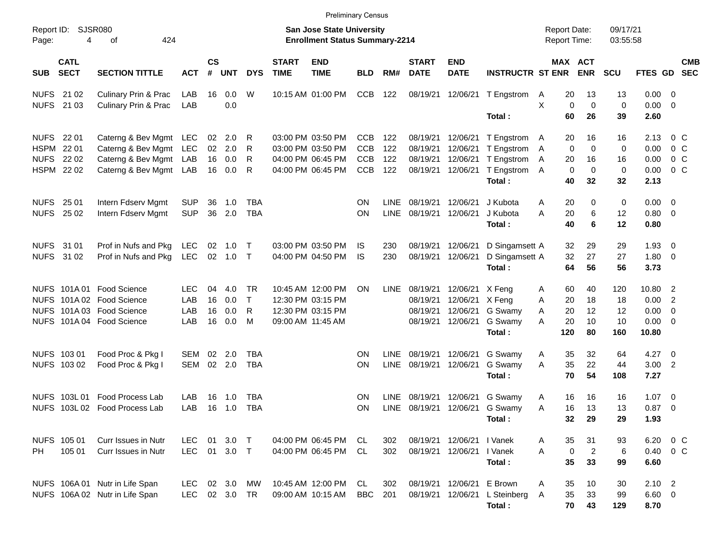|                                                         |                            |                                                                                                                  |                           |                      |                          |                                     |                             | <b>Preliminary Census</b>                                                        |                                 |                            |                                              |                                              |                                                                    |                                                 |                                              |                              |                                                 |                                                     |
|---------------------------------------------------------|----------------------------|------------------------------------------------------------------------------------------------------------------|---------------------------|----------------------|--------------------------|-------------------------------------|-----------------------------|----------------------------------------------------------------------------------|---------------------------------|----------------------------|----------------------------------------------|----------------------------------------------|--------------------------------------------------------------------|-------------------------------------------------|----------------------------------------------|------------------------------|-------------------------------------------------|-----------------------------------------------------|
| Page:                                                   | Report ID: SJSR080<br>4    | 424<br>οf                                                                                                        |                           |                      |                          |                                     |                             | <b>San Jose State University</b><br><b>Enrollment Status Summary-2214</b>        |                                 |                            |                                              |                                              |                                                                    | <b>Report Date:</b><br><b>Report Time:</b>      |                                              | 09/17/21<br>03:55:58         |                                                 |                                                     |
| <b>SUB</b>                                              | <b>CATL</b><br><b>SECT</b> | <b>SECTION TITTLE</b>                                                                                            | <b>ACT</b>                | <b>CS</b><br>$\#$    | <b>UNT</b>               | <b>DYS</b>                          | <b>START</b><br><b>TIME</b> | <b>END</b><br><b>TIME</b>                                                        | <b>BLD</b>                      | RM#                        | <b>START</b><br><b>DATE</b>                  | <b>END</b><br><b>DATE</b>                    | <b>INSTRUCTR ST ENR</b>                                            |                                                 | MAX ACT<br><b>ENR</b>                        | SCU                          | <b>FTES GD</b>                                  | <b>CMB</b><br><b>SEC</b>                            |
| <b>NUFS</b><br><b>NUFS</b>                              | 21 02<br>21 03             | Culinary Prin & Prac<br><b>Culinary Prin &amp; Prac</b>                                                          | LAB<br>LAB                | 16                   | 0.0<br>0.0               | W                                   |                             | 10:15 AM 01:00 PM                                                                | <b>CCB</b>                      | 122                        | 08/19/21 12/06/21                            |                                              | T Engstrom<br>Total:                                               | 20<br>A<br>X<br>$\mathbf 0$<br>60               | 13<br>$\mathbf 0$<br>26                      | 13<br>$\mathbf 0$<br>39      | $0.00 \t 0$<br>$0.00 \t 0$<br>2.60              |                                                     |
| <b>NUFS</b><br><b>HSPM</b><br><b>NUFS</b><br>HSPM 22 02 | 22 01<br>22 01<br>22 02    | Caterng & Bev Mgmt LEC<br>Caterng & Bev Mgmt LEC<br>Caterng & Bev Mgmt LAB<br>Caterng & Bev Mgmt LAB             |                           | 02<br>02<br>16<br>16 | 2.0<br>2.0<br>0.0<br>0.0 | R<br>R<br>R<br>R                    |                             | 03:00 PM 03:50 PM<br>03:00 PM 03:50 PM<br>04:00 PM 06:45 PM<br>04:00 PM 06:45 PM | CCB<br>CCB<br>CCB<br><b>CCB</b> | 122<br>122<br>122<br>122   | 08/19/21<br>08/19/21<br>08/19/21<br>08/19/21 | 12/06/21<br>12/06/21<br>12/06/21<br>12/06/21 | T Engstrom A<br>T Engstrom<br>T Engstrom<br>T Engstrom A<br>Total: | 20<br>0<br>A<br>20<br>Α<br>0<br>40              | 16<br>$\mathbf 0$<br>16<br>$\mathbf 0$<br>32 | 16<br>0<br>16<br>0<br>32     | 2.13<br>0.00<br>0.00<br>0.00<br>2.13            | $0\,C$<br>$0\,$ C<br>$0\,C$<br>$0\,C$               |
| <b>NUFS</b><br><b>NUFS</b>                              | 25 01<br>25 02             | Intern Fdserv Mgmt<br>Intern Fdserv Mgmt                                                                         | <b>SUP</b><br><b>SUP</b>  | 36<br>36             | 1.0<br>2.0               | <b>TBA</b><br><b>TBA</b>            |                             |                                                                                  | ΟN<br>ON                        | <b>LINE</b><br><b>LINE</b> | 08/19/21<br>08/19/21                         | 12/06/21<br>12/06/21                         | J Kubota<br>J Kubota<br>Total:                                     | Α<br>20<br>A<br>20<br>40                        | 0<br>6<br>6                                  | 0<br>12<br>12                | $0.00 \t 0$<br>0.80 0<br>0.80                   |                                                     |
| NUFS 31 01<br><b>NUFS</b>                               | 31 02                      | Prof in Nufs and Pkg<br>Prof in Nufs and Pkg                                                                     | <b>LEC</b><br><b>LEC</b>  | 02<br>02             | 1.0<br>1.0               | $\top$<br>$\top$                    |                             | 03:00 PM 03:50 PM<br>04:00 PM 04:50 PM                                           | IS<br><b>IS</b>                 | 230<br>230                 | 08/19/21<br>08/19/21                         | 12/06/21<br>12/06/21                         | D Singamsett A<br>D Singamsett A<br>Total:                         | 32<br>32<br>64                                  | 29<br>27<br>56                               | 29<br>27<br>56               | $1.93 \ 0$<br>1.80 0<br>3.73                    |                                                     |
|                                                         |                            | NUFS 101A 01 Food Science<br>NUFS 101A 02 Food Science<br>NUFS 101A 03 Food Science<br>NUFS 101A 04 Food Science | LEC.<br>LAB<br>LAB<br>LAB | 04<br>16<br>16<br>16 | 4.0<br>0.0<br>0.0<br>0.0 | <b>TR</b><br>$\mathsf{T}$<br>R<br>M | 09:00 AM 11:45 AM           | 10:45 AM 12:00 PM<br>12:30 PM 03:15 PM<br>12:30 PM 03:15 PM                      | <b>ON</b>                       | <b>LINE</b>                | 08/19/21<br>08/19/21<br>08/19/21<br>08/19/21 | 12/06/21<br>12/06/21<br>12/06/21<br>12/06/21 | X Feng<br>X Feng<br>G Swamy<br>G Swamy<br>Total:                   | Α<br>60<br>Α<br>20<br>20<br>A<br>20<br>A<br>120 | 40<br>18<br>12<br>10<br>80                   | 120<br>18<br>12<br>10<br>160 | 10.80 2<br>0.00<br>0.00<br>$0.00 \t 0$<br>10.80 | $\overline{2}$<br>$\overline{\mathbf{0}}$           |
|                                                         | NUFS 103 01<br>NUFS 103 02 | Food Proc & Pkg I<br>Food Proc & Pkg I                                                                           | SEM<br>SEM                | 02<br>02             | 2.0<br>2.0               | <b>TBA</b><br><b>TBA</b>            |                             |                                                                                  | ΟN<br>ON                        | <b>LINE</b><br><b>LINE</b> | 08/19/21<br>08/19/21                         | 12/06/21<br>12/06/21                         | G Swamy<br>G Swamy<br>Total:                                       | 35<br>Α<br>35<br>A<br>70                        | 32<br>22<br>54                               | 64<br>44<br>108              | 4.27<br>$3.00$ 2<br>7.27                        | $\overline{\phantom{0}}$                            |
| <b>NUFS</b>                                             | 103L01                     | <b>Food Process Lab</b><br>NUFS 103L 02 Food Process Lab                                                         | LAB<br>LAB                | 16<br>16             | 1.0<br>1.0               | <b>TBA</b><br><b>TBA</b>            |                             |                                                                                  | ΟN<br>ON                        | <b>LINE</b><br><b>LINE</b> | 08/19/21<br>08/19/21                         | 12/06/21<br>12/06/21                         | G Swamy<br>G Swamy<br>Total:                                       | 16<br>Α<br>16<br>A<br>32                        | 16<br>13<br>29                               | 16<br>13<br>29               | 1.07<br>0.87<br>1.93                            | $\overline{\phantom{0}}$<br>$\overline{\mathbf{0}}$ |
| PH                                                      | NUFS 105 01<br>105 01      | Curr Issues in Nutr<br>Curr Issues in Nutr                                                                       | <b>LEC</b><br><b>LEC</b>  | 01                   | 3.0<br>01 3.0 T          | $\top$                              |                             | 04:00 PM 06:45 PM<br>04:00 PM 06:45 PM                                           | CL<br>CL                        | 302<br>302                 | 08/19/21                                     | 08/19/21 12/06/21<br>12/06/21   Vanek        | I Vanek<br>Total:                                                  | 35<br>A<br>0<br>A<br>35                         | 31<br>$\overline{c}$<br>33                   | 93<br>6<br>99                | 6.20<br>6.60                                    | $0\,$ C<br>$0.40 \quad 0 \quad C$                   |
|                                                         |                            | NUFS 106A 01 Nutr in Life Span<br>NUFS 106A 02 Nutr in Life Span                                                 | <b>LEC</b><br><b>LEC</b>  |                      | 02 3.0<br>02 3.0         | MW<br>TR                            |                             | 10:45 AM 12:00 PM<br>09:00 AM 10:15 AM                                           | CL<br><b>BBC</b>                | 302<br>201                 | 08/19/21 12/06/21<br>08/19/21                | 12/06/21                                     | E Brown<br>L Steinberg<br>Total:                                   | Α<br>35<br>35<br>A<br>70                        | 10<br>33<br>43                               | 30<br>99<br>129              | $2.10$ 2<br>6.60 0<br>8.70                      |                                                     |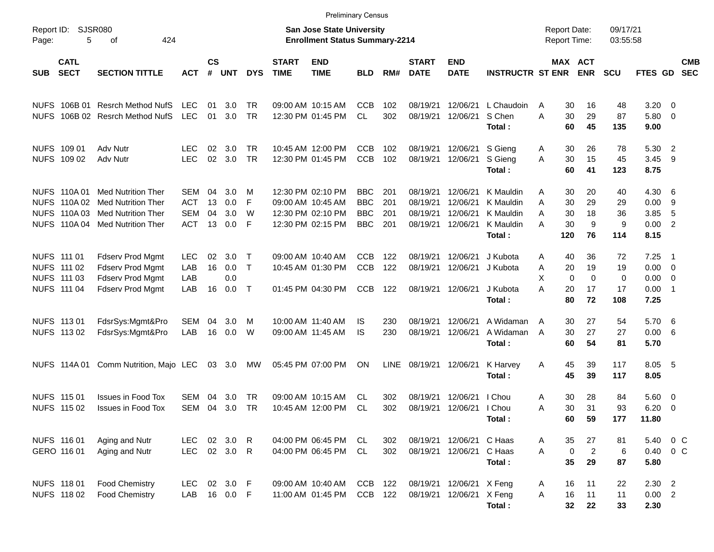|                     |                                                                   |                                                                                                                  |                                                      |                      |                          |                            |                             | <b>Preliminary Census</b>                                                        |                                                      |                          |                                              |                                              |                                                            |                                            |                                                            |                                      |                                      |                                                         |
|---------------------|-------------------------------------------------------------------|------------------------------------------------------------------------------------------------------------------|------------------------------------------------------|----------------------|--------------------------|----------------------------|-----------------------------|----------------------------------------------------------------------------------|------------------------------------------------------|--------------------------|----------------------------------------------|----------------------------------------------|------------------------------------------------------------|--------------------------------------------|------------------------------------------------------------|--------------------------------------|--------------------------------------|---------------------------------------------------------|
| Report ID:<br>Page: | 5                                                                 | SJSR080<br>424<br>οf                                                                                             |                                                      |                      |                          |                            |                             | <b>San Jose State University</b><br><b>Enrollment Status Summary-2214</b>        |                                                      |                          |                                              |                                              |                                                            | <b>Report Date:</b><br><b>Report Time:</b> |                                                            | 09/17/21<br>03:55:58                 |                                      |                                                         |
| <b>SUB</b>          | <b>CATL</b><br><b>SECT</b>                                        | <b>SECTION TITTLE</b>                                                                                            | <b>ACT</b>                                           | $\mathsf{cs}$<br>#   | <b>UNT</b>               | <b>DYS</b>                 | <b>START</b><br><b>TIME</b> | <b>END</b><br><b>TIME</b>                                                        | <b>BLD</b>                                           | RM#                      | <b>START</b><br><b>DATE</b>                  | <b>END</b><br><b>DATE</b>                    | <b>INSTRUCTR ST ENR</b>                                    |                                            | MAX ACT<br><b>ENR</b>                                      | <b>SCU</b>                           | FTES GD                              | <b>CMB</b><br><b>SEC</b>                                |
| <b>NUFS</b>         | 106B 01                                                           | <b>Resrch Method NufS</b><br>NUFS 106B 02 Resrch Method NufS                                                     | <b>LEC</b><br><b>LEC</b>                             | 01<br>01             | 3.0<br>3.0               | TR<br><b>TR</b>            |                             | 09:00 AM 10:15 AM<br>12:30 PM 01:45 PM                                           | <b>CCB</b><br>CL.                                    | 102<br>302               | 08/19/21<br>08/19/21                         | 12/06/21<br>12/06/21                         | L Chaudoin<br>S Chen<br>Total:                             | A<br>A                                     | 30<br>16<br>29<br>30<br>60<br>45                           | 48<br>87<br>135                      | 3.20<br>5.80<br>9.00                 | $\overline{0}$<br>$\overline{0}$                        |
|                     | NUFS 109 01<br>NUFS 109 02                                        | Adv Nutr<br>Adv Nutr                                                                                             | <b>LEC</b><br><b>LEC</b>                             | 02<br>02             | 3.0<br>3.0               | TR<br><b>TR</b>            |                             | 10:45 AM 12:00 PM<br>12:30 PM 01:45 PM                                           | <b>CCB</b><br><b>CCB</b>                             | 102<br>102               | 08/19/21<br>08/19/21                         | 12/06/21<br>12/06/21                         | S Gieng<br>S Gieng<br>Total:                               | A<br>A                                     | 30<br>26<br>30<br>15<br>60<br>41                           | 78<br>45<br>123                      | 5.30<br>3.45<br>8.75                 | $\overline{2}$<br>-9                                    |
|                     | NUFS 110A 01<br>NUFS 110A 02<br>NUFS 110A03<br><b>NUFS 110A04</b> | <b>Med Nutrition Ther</b><br><b>Med Nutrition Ther</b><br><b>Med Nutrition Ther</b><br><b>Med Nutrition Ther</b> | <b>SEM</b><br><b>ACT</b><br><b>SEM</b><br><b>ACT</b> | 04<br>13<br>04<br>13 | 3.0<br>0.0<br>3.0<br>0.0 | M<br>F<br>W<br>-F          |                             | 12:30 PM 02:10 PM<br>09:00 AM 10:45 AM<br>12:30 PM 02:10 PM<br>12:30 PM 02:15 PM | <b>BBC</b><br><b>BBC</b><br><b>BBC</b><br><b>BBC</b> | 201<br>201<br>201<br>201 | 08/19/21<br>08/19/21<br>08/19/21<br>08/19/21 | 12/06/21<br>12/06/21<br>12/06/21<br>12/06/21 | K Mauldin<br>K Mauldin<br>K Mauldin<br>K Mauldin<br>Total: | A<br>Α<br>Α<br>Α<br>120                    | 30<br>20<br>29<br>30<br>30<br>18<br>9<br>30<br>76          | 40<br>29<br>36<br>9<br>114           | 4.30<br>0.00<br>3.85<br>0.00<br>8.15 | -6<br>9<br>5<br>$\overline{2}$                          |
|                     | NUFS 111 01<br>NUFS 111 02<br>NUFS 111 03<br>NUFS 111 04          | Fdserv Prod Mgmt<br>Fdserv Prod Mgmt<br>Fdserv Prod Mgmt<br>Fdserv Prod Mgmt                                     | <b>LEC</b><br>LAB<br>LAB<br>LAB                      | 02<br>16<br>16       | 3.0<br>0.0<br>0.0<br>0.0 | $\top$<br>$\top$<br>$\top$ |                             | 09:00 AM 10:40 AM<br>10:45 AM 01:30 PM<br>01:45 PM 04:30 PM                      | <b>CCB</b><br><b>CCB</b><br><b>CCB</b>               | 122<br>122<br>122        | 08/19/21<br>08/19/21<br>08/19/21             | 12/06/21<br>12/06/21<br>12/06/21             | J Kubota<br>J Kubota<br>J Kubota<br>Total:                 | A<br>Α<br>Χ<br>Α<br>20                     | 40<br>36<br>20<br>19<br>$\mathbf 0$<br>0<br>17<br>72<br>80 | 72<br>19<br>$\mathbf 0$<br>17<br>108 | 7.25<br>0.00<br>0.00<br>0.00<br>7.25 | $\overline{1}$<br>$\overline{0}$<br>0<br>$\overline{1}$ |
|                     | NUFS 113 01<br>NUFS 113 02                                        | FdsrSys:Mgmt&Pro<br>FdsrSys:Mgmt&Pro                                                                             | <b>SEM</b><br>LAB                                    | 04<br>16             | 3.0<br>0.0               | M<br>W                     |                             | 10:00 AM 11:40 AM<br>09:00 AM 11:45 AM                                           | IS.<br>IS                                            | 230<br>230               | 08/19/21<br>08/19/21                         | 12/06/21<br>12/06/21                         | A Widaman<br>A Widaman<br>Total:                           | A<br>A                                     | 27<br>30<br>30<br>27<br>54<br>60                           | 54<br>27<br>81                       | 5.70<br>0.00<br>5.70                 | - 6<br>-6                                               |
|                     | <b>NUFS 114A01</b>                                                | Comm Nutrition, Majo LEC                                                                                         |                                                      |                      | 03 3.0                   | МW                         |                             | 05:45 PM 07:00 PM                                                                | ON                                                   | <b>LINE</b>              | 08/19/21                                     | 12/06/21                                     | K Harvey<br>Total:                                         | A                                          | 45<br>39<br>45<br>39                                       | 117<br>117                           | 8.05<br>8.05                         | - 5                                                     |
|                     | NUFS 115 01<br>NUFS 115 02                                        | <b>Issues in Food Tox</b><br><b>Issues in Food Tox</b>                                                           | <b>SEM</b><br><b>SEM</b>                             | 04<br>04             | 3.0<br>3.0               | TR<br>TR                   |                             | 09:00 AM 10:15 AM<br>10:45 AM 12:00 PM                                           | CL.<br>CL                                            | 302<br>302               | 08/19/21<br>08/19/21                         | 12/06/21<br>12/06/21                         | I Chou<br>I Chou<br>Total:                                 | A<br>A                                     | 28<br>30<br>30<br>31<br>59<br>60                           | 84<br>93<br>177                      | 5.60<br>6.20<br>11.80                | - 0<br>0                                                |
|                     | NUFS 116 01<br>GERO 116 01                                        | Aging and Nutr<br>Aging and Nutr                                                                                 | LEC.<br><b>LEC</b>                                   |                      | 02 3.0 R<br>02 3.0 R     |                            |                             | 04:00 PM 06:45 PM<br>04:00 PM 06:45 PM                                           | CL<br>CL                                             | 302<br>302               | 08/19/21<br>08/19/21                         | 12/06/21<br>12/06/21                         | C Haas<br>C Haas<br>Total:                                 | A<br>A                                     | 35<br>27<br>$\overline{2}$<br>$\pmb{0}$<br>35<br>29        | 81<br>$\,6$<br>87                    | 5.40<br>0.40<br>5.80                 | 0 C<br>$0\,C$                                           |
|                     | NUFS 118 01<br>NUFS 118 02                                        | <b>Food Chemistry</b><br><b>Food Chemistry</b>                                                                   | <b>LEC</b><br>LAB                                    |                      | 02 3.0 F<br>16  0.0  F   |                            |                             | 09:00 AM 10:40 AM<br>11:00 AM 01:45 PM                                           | CCB<br>CCB                                           | 122<br>122               | 08/19/21<br>08/19/21                         | 12/06/21 X Feng<br>12/06/21 X Feng           | Total:                                                     | A<br>A                                     | 11<br>16<br>16<br>11<br>32<br>22                           | 22<br>11<br>33                       | 2.30 2<br>$0.00$ 2<br>2.30           |                                                         |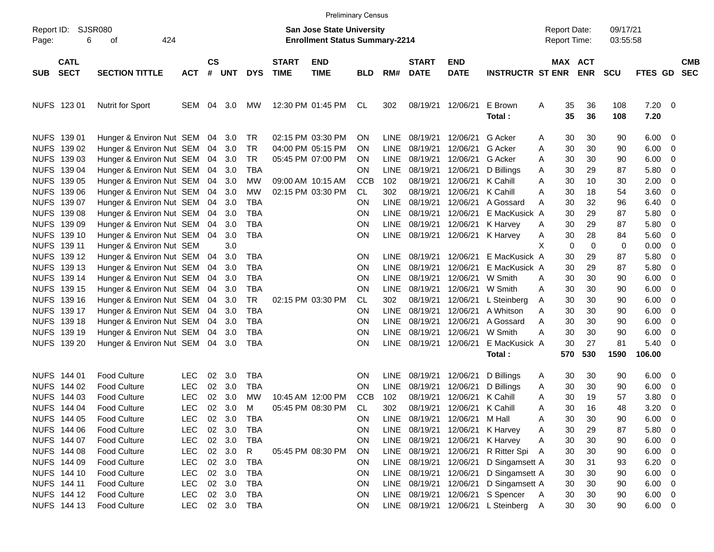|                     |                            |                          |            |                    |            |              |                             | <b>Preliminary Census</b>                                                 |            |             |                             |                           |                         |                                            |             |                       |                      |                     |                          |                          |
|---------------------|----------------------------|--------------------------|------------|--------------------|------------|--------------|-----------------------------|---------------------------------------------------------------------------|------------|-------------|-----------------------------|---------------------------|-------------------------|--------------------------------------------|-------------|-----------------------|----------------------|---------------------|--------------------------|--------------------------|
| Report ID:<br>Page: | <b>SJSR080</b><br>6        | 424<br>οf                |            |                    |            |              |                             | <b>San Jose State University</b><br><b>Enrollment Status Summary-2214</b> |            |             |                             |                           |                         | <b>Report Date:</b><br><b>Report Time:</b> |             |                       | 09/17/21<br>03:55:58 |                     |                          |                          |
| <b>SUB</b>          | <b>CATL</b><br><b>SECT</b> | <b>SECTION TITTLE</b>    | <b>ACT</b> | $\mathsf{cs}$<br># | <b>UNT</b> | <b>DYS</b>   | <b>START</b><br><b>TIME</b> | <b>END</b><br><b>TIME</b>                                                 | <b>BLD</b> | RM#         | <b>START</b><br><b>DATE</b> | <b>END</b><br><b>DATE</b> | <b>INSTRUCTR ST ENR</b> |                                            |             | MAX ACT<br><b>ENR</b> | <b>SCU</b>           | FTES GD             |                          | <b>CMB</b><br><b>SEC</b> |
|                     | NUFS 123 01                | <b>Nutrit for Sport</b>  | SEM        | 04                 | 3.0        | MW           |                             | 12:30 PM 01:45 PM                                                         | CL         | 302         | 08/19/21                    | 12/06/21                  | E Brown<br>Total:       | A                                          | 35<br>35    | 36<br>36              | 108<br>108           | $7.20 \t 0$<br>7.20 |                          |                          |
|                     | NUFS 139 01                | Hunger & Environ Nut SEM |            | 04                 | 3.0        | <b>TR</b>    |                             | 02:15 PM 03:30 PM                                                         | <b>ON</b>  | <b>LINE</b> | 08/19/21                    | 12/06/21                  | G Acker                 | A                                          | 30          | 30                    | 90                   | 6.00                | - 0                      |                          |
| <b>NUFS</b>         | 139 02                     | Hunger & Environ Nut SEM |            | 04                 | 3.0        | <b>TR</b>    |                             | 04:00 PM 05:15 PM                                                         | <b>ON</b>  | <b>LINE</b> | 08/19/21                    | 12/06/21                  | G Acker                 | A                                          | 30          | 30                    | 90                   | 6.00                | - 0                      |                          |
| <b>NUFS</b>         | 139 03                     | Hunger & Environ Nut SEM |            | 04                 | 3.0        | <b>TR</b>    |                             | 05:45 PM 07:00 PM                                                         | <b>ON</b>  | <b>LINE</b> | 08/19/21                    | 12/06/21                  | G Acker                 | A                                          | 30          | 30                    | 90                   | 6.00                | - 0                      |                          |
| <b>NUFS</b>         | 139 04                     | Hunger & Environ Nut SEM |            | 04                 | 3.0        | <b>TBA</b>   |                             |                                                                           | <b>ON</b>  | <b>LINE</b> | 08/19/21                    | 12/06/21                  | D Billings              | Α                                          | 30          | 29                    | 87                   | 5.80                | - 0                      |                          |
| <b>NUFS</b>         | 139 05                     | Hunger & Environ Nut SEM |            | 04                 | 3.0        | MW           |                             | 09:00 AM 10:15 AM                                                         | <b>CCB</b> | 102         | 08/19/21                    | 12/06/21                  | K Cahill                | A                                          | 30          | 10                    | 30                   | 2.00                | - 0                      |                          |
| <b>NUFS</b>         | 139 06                     | Hunger & Environ Nut SEM |            | 04                 | 3.0        | <b>MW</b>    |                             | 02:15 PM 03:30 PM                                                         | CL         | 302         | 08/19/21                    | 12/06/21                  | K Cahill                | A                                          | 30          | 18                    | 54                   | 3.60                | - 0                      |                          |
| <b>NUFS</b>         | 139 07                     | Hunger & Environ Nut SEM |            | 04                 | 3.0        | <b>TBA</b>   |                             |                                                                           | <b>ON</b>  | <b>LINE</b> | 08/19/21                    | 12/06/21                  | A Gossard               | A                                          | 30          | 32                    | 96                   | 6.40                | - 0                      |                          |
| <b>NUFS</b>         | 139 08                     | Hunger & Environ Nut SEM |            | 04                 | 3.0        | <b>TBA</b>   |                             |                                                                           | <b>ON</b>  | <b>LINE</b> | 08/19/21                    | 12/06/21                  | E MacKusick A           |                                            | 30          | 29                    | 87                   | 5.80                | - 0                      |                          |
| <b>NUFS</b>         | 139 09                     | Hunger & Environ Nut SEM |            | 04                 | 3.0        | <b>TBA</b>   |                             |                                                                           | ON         | <b>LINE</b> | 08/19/21                    | 12/06/21                  | K Harvey                | A                                          | 30          | 29                    | 87                   | 5.80                | - 0                      |                          |
| <b>NUFS</b>         | 139 10                     | Hunger & Environ Nut SEM |            | 04                 | 3.0        | <b>TBA</b>   |                             |                                                                           | ON         | <b>LINE</b> | 08/19/21                    | 12/06/21                  | K Harvey                | Α                                          | 30          | 28                    | 84                   | 5.60                | - 0                      |                          |
| <b>NUFS</b>         | 139 11                     | Hunger & Environ Nut SEM |            |                    | 3.0        |              |                             |                                                                           |            |             |                             |                           |                         | X                                          | $\mathbf 0$ | $\mathbf 0$           | 0                    | 0.00                | - 0                      |                          |
| <b>NUFS</b>         | 139 12                     | Hunger & Environ Nut SEM |            | 04                 | 3.0        | <b>TBA</b>   |                             |                                                                           | ON         | <b>LINE</b> | 08/19/21                    | 12/06/21                  | E MacKusick A           |                                            | 30          | 29                    | 87                   | 5.80                | - 0                      |                          |
| <b>NUFS</b>         | 139 13                     | Hunger & Environ Nut SEM |            | 04                 | 3.0        | <b>TBA</b>   |                             |                                                                           | ON         | <b>LINE</b> | 08/19/21                    | 12/06/21                  | E MacKusick A           |                                            | 30          | 29                    | 87                   | 5.80                | - 0                      |                          |
| <b>NUFS</b>         | 139 14                     | Hunger & Environ Nut SEM |            | 04                 | 3.0        | <b>TBA</b>   |                             |                                                                           | <b>ON</b>  | <b>LINE</b> | 08/19/21                    | 12/06/21                  | W Smith                 | A                                          | 30          | 30                    | 90                   | 6.00                | - 0                      |                          |
| <b>NUFS</b>         | 139 15                     | Hunger & Environ Nut SEM |            | 04                 | 3.0        | <b>TBA</b>   |                             |                                                                           | <b>ON</b>  | <b>LINE</b> | 08/19/21                    | 12/06/21                  | W Smith                 | A                                          | 30          | 30                    | 90                   | 6.00                | - 0                      |                          |
| <b>NUFS</b>         | 139 16                     | Hunger & Environ Nut SEM |            | 04                 | 3.0        | <b>TR</b>    |                             | 02:15 PM 03:30 PM                                                         | <b>CL</b>  | 302         | 08/19/21                    | 12/06/21                  | L Steinberg             | Α                                          | 30          | 30                    | 90                   | 6.00                | - 0                      |                          |
| <b>NUFS</b>         | 139 17                     | Hunger & Environ Nut SEM |            | 04                 | 3.0        | <b>TBA</b>   |                             |                                                                           | <b>ON</b>  | <b>LINE</b> | 08/19/21                    | 12/06/21                  | A Whitson               | A                                          | 30          | 30                    | 90                   | 6.00                | - 0                      |                          |
| <b>NUFS</b>         | 139 18                     | Hunger & Environ Nut SEM |            | 04                 | 3.0        | <b>TBA</b>   |                             |                                                                           | <b>ON</b>  | <b>LINE</b> | 08/19/21                    | 12/06/21                  | A Gossard               | A                                          | 30          | 30                    | 90                   | 6.00                | - 0                      |                          |
| <b>NUFS</b>         | 139 19                     | Hunger & Environ Nut SEM |            | 04                 | 3.0        | <b>TBA</b>   |                             |                                                                           | ON         | <b>LINE</b> | 08/19/21                    | 12/06/21                  | W Smith                 | A                                          | 30          | 30                    | 90                   | 6.00                | - 0                      |                          |
| <b>NUFS</b>         | 139 20                     | Hunger & Environ Nut SEM |            | 04                 | 3.0        | <b>TBA</b>   |                             |                                                                           | ON         | <b>LINE</b> | 08/19/21                    | 12/06/21                  | E MacKusick A           |                                            | 30          | 27                    | 81                   | 5.40                | - 0                      |                          |
|                     |                            |                          |            |                    |            |              |                             |                                                                           |            |             |                             |                           | Total:                  |                                            | 570         | 530                   | 1590                 | 106.00              |                          |                          |
|                     | NUFS 144 01                | <b>Food Culture</b>      | <b>LEC</b> | 02                 | 3.0        | <b>TBA</b>   |                             |                                                                           | ON         | <b>LINE</b> | 08/19/21                    | 12/06/21                  | D Billings              | A                                          | 30          | 30                    | 90                   | 6.00                | - 0                      |                          |
| <b>NUFS</b>         | 144 02                     | Food Culture             | <b>LEC</b> | 02                 | 3.0        | <b>TBA</b>   |                             |                                                                           | <b>ON</b>  | <b>LINE</b> | 08/19/21                    | 12/06/21                  | D Billings              | Α                                          | 30          | 30                    | 90                   | 6.00                | - 0                      |                          |
| <b>NUFS</b>         | 144 03                     | <b>Food Culture</b>      | <b>LEC</b> | 02                 | 3.0        | МW           |                             | 10:45 AM 12:00 PM                                                         | <b>CCB</b> | 102         | 08/19/21                    | 12/06/21                  | K Cahill                | A                                          | 30          | 19                    | 57                   | 3.80                | - 0                      |                          |
|                     | NUFS 144 04                | <b>Food Culture</b>      | <b>LEC</b> | 02                 | 3.0        | м            |                             | 05:45 PM 08:30 PM                                                         | <b>CL</b>  | 302         | 08/19/21                    | 12/06/21                  | K Cahill                | A                                          | 30          | 16                    | 48                   | 3.20                | -0                       |                          |
|                     | NUFS 144 05                | Food Culture             | LEC        | 02                 | 3.0        | <b>TBA</b>   |                             |                                                                           | ON         |             | LINE 08/19/21               | 12/06/21                  | M Hall                  | Α                                          | 30          | 30                    | 90                   | 6.00                | $\overline{\mathbf{0}}$  |                          |
|                     | NUFS 144 06                | Food Culture             | <b>LEC</b> |                    | 02 3.0     | <b>TBA</b>   |                             |                                                                           | ON         |             | LINE 08/19/21               | 12/06/21                  | K Harvey                | A                                          | 30          | 29                    | 87                   | 5.80                | $\overline{\phantom{0}}$ |                          |
|                     | NUFS 144 07                | Food Culture             | <b>LEC</b> |                    | 02 3.0     | <b>TBA</b>   |                             |                                                                           | ON         |             | LINE 08/19/21               | 12/06/21                  | K Harvey                | A                                          | 30          | 30                    | 90                   | 6.00                | $\overline{\phantom{0}}$ |                          |
|                     | NUFS 144 08                | <b>Food Culture</b>      | <b>LEC</b> |                    | 02 3.0     | $\mathsf{R}$ |                             | 05:45 PM 08:30 PM                                                         | <b>ON</b>  |             | LINE 08/19/21               | 12/06/21                  | R Ritter Spi A          |                                            | 30          | 30                    | 90                   | 6.00                | $\overline{\mathbf{0}}$  |                          |
|                     | NUFS 144 09                | <b>Food Culture</b>      | <b>LEC</b> |                    | 02 3.0     | <b>TBA</b>   |                             |                                                                           | <b>ON</b>  |             | LINE 08/19/21               | 12/06/21                  | D Singamsett A          |                                            | 30          | 31                    | 93                   | 6.20                | $\overline{\phantom{0}}$ |                          |
|                     | NUFS 144 10                | <b>Food Culture</b>      | <b>LEC</b> |                    | 02 3.0     | <b>TBA</b>   |                             |                                                                           | ON         |             | LINE 08/19/21               | 12/06/21                  | D Singamsett A          |                                            | 30          | 30                    | 90                   | 6.00                | $\overline{\mathbf{0}}$  |                          |
|                     | NUFS 144 11                | <b>Food Culture</b>      | <b>LEC</b> |                    | 02 3.0     | <b>TBA</b>   |                             |                                                                           | ON         |             | LINE 08/19/21               | 12/06/21                  | D Singamsett A          |                                            | 30          | 30                    | 90                   | 6.00                | $\overline{\phantom{0}}$ |                          |
|                     | NUFS 144 12                | <b>Food Culture</b>      | LEC        |                    | 02 3.0     | <b>TBA</b>   |                             |                                                                           | ON         |             | LINE 08/19/21               | 12/06/21                  | S Spencer               | <b>A</b>                                   | $30\,$      | 30                    | 90                   | 6.00                | $\overline{\phantom{0}}$ |                          |
|                     | NUFS 144 13                | Food Culture             | <b>LEC</b> |                    | 02 3.0     | TBA          |                             |                                                                           | ON         |             | LINE 08/19/21 12/06/21      |                           | L Steinberg A           |                                            | 30          | 30                    | 90                   | $6.00 \t 0$         |                          |                          |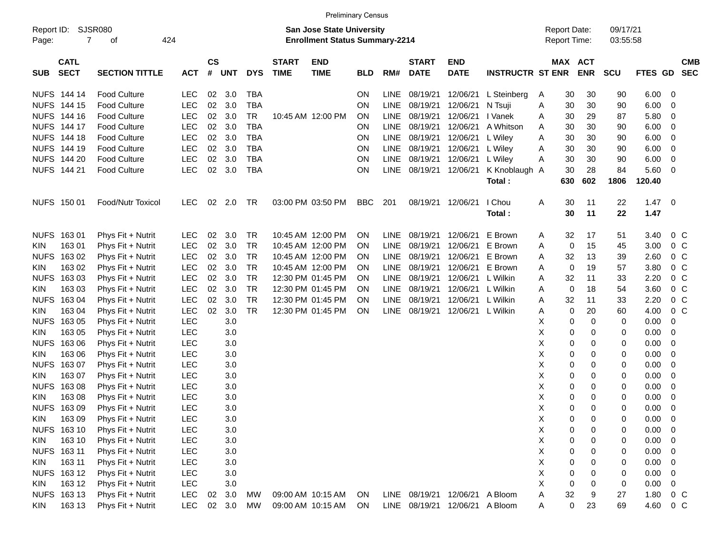|                     |                            |                          |            |                    |            |            |                             | <b>Preliminary Census</b>                                                 |            |             |                             |                           |                         |   |                                            |                              |                      |            |                |            |
|---------------------|----------------------------|--------------------------|------------|--------------------|------------|------------|-----------------------------|---------------------------------------------------------------------------|------------|-------------|-----------------------------|---------------------------|-------------------------|---|--------------------------------------------|------------------------------|----------------------|------------|----------------|------------|
| Report ID:<br>Page: | SJSR080<br>$\overline{7}$  | 424<br>οf                |            |                    |            |            |                             | <b>San Jose State University</b><br><b>Enrollment Status Summary-2214</b> |            |             |                             |                           |                         |   | <b>Report Date:</b><br><b>Report Time:</b> |                              | 09/17/21<br>03:55:58 |            |                |            |
| <b>SUB</b>          | <b>CATL</b><br><b>SECT</b> | <b>SECTION TITTLE</b>    | <b>ACT</b> | $\mathsf{cs}$<br># | <b>UNT</b> | <b>DYS</b> | <b>START</b><br><b>TIME</b> | <b>END</b><br><b>TIME</b>                                                 | <b>BLD</b> | RM#         | <b>START</b><br><b>DATE</b> | <b>END</b><br><b>DATE</b> | <b>INSTRUCTR ST ENR</b> |   |                                            | <b>MAX ACT</b><br><b>ENR</b> | SCU                  | FTES GD    | <b>SEC</b>     | <b>CMB</b> |
|                     | <b>NUFS 144 14</b>         | <b>Food Culture</b>      | <b>LEC</b> | 02                 | 3.0        | <b>TBA</b> |                             |                                                                           | <b>ON</b>  | LINE        | 08/19/21                    | 12/06/21                  | L Steinberg             | A | 30                                         | 30                           | 90                   | 6.00       | 0              |            |
|                     | NUFS 144 15                | <b>Food Culture</b>      | LEC        | 02                 | 3.0        | <b>TBA</b> |                             |                                                                           | <b>ON</b>  | <b>LINE</b> | 08/19/21                    | 12/06/21                  | N Tsuji                 | Α | 30                                         | 30                           | 90                   | 6.00       | 0              |            |
|                     | NUFS 144 16                | <b>Food Culture</b>      | <b>LEC</b> | 02                 | 3.0        | <b>TR</b>  |                             | 10:45 AM 12:00 PM                                                         | <b>ON</b>  | <b>LINE</b> | 08/19/21                    | 12/06/21                  | I Vanek                 | A | 30                                         | 29                           | 87                   | 5.80       | 0              |            |
|                     | NUFS 144 17                | <b>Food Culture</b>      | <b>LEC</b> | 02                 | 3.0        | <b>TBA</b> |                             |                                                                           | <b>ON</b>  | <b>LINE</b> | 08/19/21                    | 12/06/21                  | A Whitson               | A | 30                                         | 30                           | 90                   | 6.00       | 0              |            |
|                     | NUFS 144 18                | <b>Food Culture</b>      | LEC        | 02                 | 3.0        | <b>TBA</b> |                             |                                                                           | <b>ON</b>  | <b>LINE</b> | 08/19/21                    | 12/06/21                  | L Wiley                 | A | 30                                         | 30                           | 90                   | 6.00       | 0              |            |
|                     | NUFS 144 19                | <b>Food Culture</b>      | <b>LEC</b> | 02                 | 3.0        | <b>TBA</b> |                             |                                                                           | <b>ON</b>  | <b>LINE</b> | 08/19/21                    | 12/06/21                  | L Wiley                 | A | 30                                         | 30                           | 90                   | 6.00       | 0              |            |
|                     | NUFS 144 20                | <b>Food Culture</b>      | <b>LEC</b> | 02                 | 3.0        | <b>TBA</b> |                             |                                                                           | <b>ON</b>  | <b>LINE</b> | 08/19/21                    | 12/06/21                  | L Wiley                 | Α | 30                                         | 30                           | 90                   | 6.00       | 0              |            |
|                     | NUFS 144 21                | <b>Food Culture</b>      | LEC        | 02                 | 3.0        | <b>TBA</b> |                             |                                                                           | <b>ON</b>  | <b>LINE</b> | 08/19/21                    | 12/06/21                  | K Knoblaugh A           |   | 30                                         | 28                           | 84                   | 5.60       | 0              |            |
|                     |                            |                          |            |                    |            |            |                             |                                                                           |            |             |                             |                           | Total:                  |   | 630                                        | 602                          | 1806                 | 120.40     |                |            |
|                     | NUFS 150 01                | <b>Food/Nutr Toxicol</b> | <b>LEC</b> | 02                 | 2.0        | TR         |                             | 03:00 PM 03:50 PM                                                         | <b>BBC</b> | 201         | 08/19/21                    | 12/06/21                  | I Chou                  | Α | 30                                         | 11                           | 22                   | $1.47 \ 0$ |                |            |
|                     |                            |                          |            |                    |            |            |                             |                                                                           |            |             |                             |                           | Total:                  |   | 30                                         | 11                           | 22                   | 1.47       |                |            |
| <b>NUFS</b>         | 16301                      | Phys Fit + Nutrit        | <b>LEC</b> | 02                 | 3.0        | TR         |                             | 10:45 AM 12:00 PM                                                         | ON         | <b>LINE</b> | 08/19/21                    | 12/06/21                  | E Brown                 | A | 32                                         | 17                           | 51                   | 3.40       | 0 <sup>C</sup> |            |
| KIN.                | 16301                      | Phys Fit + Nutrit        | <b>LEC</b> | 02                 | 3.0        | <b>TR</b>  |                             | 10:45 AM 12:00 PM                                                         | <b>ON</b>  | <b>LINE</b> | 08/19/21                    | 12/06/21                  | E Brown                 | A | 0                                          | 15                           | 45                   | 3.00       | $0\,C$         |            |
| <b>NUFS</b>         | 16302                      | Phys Fit + Nutrit        | <b>LEC</b> | 02                 | 3.0        | TR         |                             | 10:45 AM 12:00 PM                                                         | <b>ON</b>  | <b>LINE</b> | 08/19/21                    | 12/06/21                  | E Brown                 | A | 32                                         | 13                           | 39                   | 2.60       | 0 <sup>C</sup> |            |
| KIN.                | 163 02                     | Phys Fit + Nutrit        | <b>LEC</b> | 02                 | 3.0        | <b>TR</b>  |                             | 10:45 AM 12:00 PM                                                         | <b>ON</b>  | <b>LINE</b> | 08/19/21                    | 12/06/21                  | E Brown                 | A | 0                                          | 19                           | 57                   | 3.80       | $0\,C$         |            |
| <b>NUFS</b>         | 16303                      | Phys Fit + Nutrit        | <b>LEC</b> | 02                 | 3.0        | <b>TR</b>  |                             | 12:30 PM 01:45 PM                                                         | ON         | <b>LINE</b> | 08/19/21                    | 12/06/21                  | L Wilkin                | A | 32                                         | 11                           | 33                   | 2.20       | 0 <sup>C</sup> |            |
| KIN.                | 163 03                     | Phys Fit + Nutrit        | <b>LEC</b> | 02                 | 3.0        | <b>TR</b>  |                             | 12:30 PM 01:45 PM                                                         | <b>ON</b>  | <b>LINE</b> | 08/19/21                    | 12/06/21                  | L Wilkin                | A | 0                                          | 18                           | 54                   | 3.60       | 0 <sup>C</sup> |            |
| <b>NUFS</b>         | 16304                      | Phys Fit + Nutrit        | <b>LEC</b> | 02                 | 3.0        | <b>TR</b>  |                             | 12:30 PM 01:45 PM                                                         | <b>ON</b>  | <b>LINE</b> | 08/19/21                    | 12/06/21                  | L Wilkin                | A | 32                                         | 11                           | 33                   | 2.20       | 0 <sup>C</sup> |            |
| KIN.                | 163 04                     | Phys Fit + Nutrit        | <b>LEC</b> | 02                 | 3.0        | <b>TR</b>  |                             | 12:30 PM 01:45 PM                                                         | ON         | LINE        | 08/19/21                    | 12/06/21 L Wilkin         |                         | A | 0                                          | 20                           | 60                   | 4.00       | 0 <sup>C</sup> |            |
| <b>NUFS</b>         | 16305                      | Phys Fit + Nutrit        | <b>LEC</b> |                    | 3.0        |            |                             |                                                                           |            |             |                             |                           |                         | X | 0                                          | 0                            | 0                    | 0.00       | 0              |            |
| KIN.                | 163 05                     | Phys Fit + Nutrit        | <b>LEC</b> |                    | 3.0        |            |                             |                                                                           |            |             |                             |                           |                         | х | 0                                          | 0                            | 0                    | 0.00       | 0              |            |
| <b>NUFS</b>         | 16306                      | Phys Fit + Nutrit        | <b>LEC</b> |                    | 3.0        |            |                             |                                                                           |            |             |                             |                           |                         | х | 0                                          | 0                            | 0                    | 0.00       | 0              |            |
| KIN.                | 163 06                     | Phys Fit + Nutrit        | <b>LEC</b> |                    | 3.0        |            |                             |                                                                           |            |             |                             |                           |                         | х | 0                                          | 0                            | 0                    | 0.00       | 0              |            |
| <b>NUFS</b>         | 16307                      | Phys Fit + Nutrit        | <b>LEC</b> |                    | 3.0        |            |                             |                                                                           |            |             |                             |                           |                         | х | 0                                          | 0                            | 0                    | 0.00       | 0              |            |
| KIN                 | 163 07                     | Phys Fit + Nutrit        | <b>LEC</b> |                    | 3.0        |            |                             |                                                                           |            |             |                             |                           |                         | х | 0                                          | 0                            | 0                    | 0.00       | 0              |            |
| <b>NUFS</b>         | 16308                      | Phys Fit + Nutrit        | <b>LEC</b> |                    | 3.0        |            |                             |                                                                           |            |             |                             |                           |                         | х | 0                                          | 0                            | 0                    | 0.00       | 0              |            |
| KIN                 | 16308                      | Phys Fit + Nutrit        | <b>LEC</b> |                    | 3.0        |            |                             |                                                                           |            |             |                             |                           |                         | х | 0                                          | 0                            | 0                    | 0.00       | 0              |            |
|                     | NUFS 163 09                | Phys Fit + Nutrit        | <b>LEC</b> |                    | 3.0        |            |                             |                                                                           |            |             |                             |                           |                         | X | 0                                          | $\Omega$                     | 0                    | 0.00       | $\mathbf 0$    |            |
| <b>KIN</b>          | 16309                      | Phys Fit + Nutrit        | LEC        |                    | 3.0        |            |                             |                                                                           |            |             |                             |                           |                         | X | 0                                          | 0                            | 0                    | 0.00       | $\overline{0}$ |            |
|                     | NUFS 163 10                | Phys Fit + Nutrit        | LEC        |                    | 3.0        |            |                             |                                                                           |            |             |                             |                           |                         | X | 0                                          | 0                            | 0                    | 0.00       | - 0            |            |
| <b>KIN</b>          | 163 10                     | Phys Fit + Nutrit        | LEC        |                    | 3.0        |            |                             |                                                                           |            |             |                             |                           |                         | х | 0                                          | 0                            | 0                    | 0.00       | 0              |            |
|                     | NUFS 163 11                | Phys Fit + Nutrit        | LEC        |                    | 3.0        |            |                             |                                                                           |            |             |                             |                           |                         | Χ | 0                                          | 0                            | 0                    | 0.00       | 0              |            |
| <b>KIN</b>          | 163 11                     | Phys Fit + Nutrit        | LEC        |                    | 3.0        |            |                             |                                                                           |            |             |                             |                           |                         | х | 0                                          | 0                            | 0                    | 0.00       | 0              |            |
|                     | NUFS 163 12                | Phys Fit + Nutrit        | LEC        |                    | 3.0        |            |                             |                                                                           |            |             |                             |                           |                         | X | 0                                          | 0                            | 0                    | 0.00       | 0              |            |
| <b>KIN</b>          | 163 12                     | Phys Fit + Nutrit        | <b>LEC</b> |                    | 3.0        |            |                             |                                                                           |            |             |                             |                           |                         | Χ | 0                                          | 0                            | 0                    | 0.00       | 0              |            |
|                     | NUFS 163 13                | Phys Fit + Nutrit        | LEC        | 02 <sub>o</sub>    | 3.0        | МW         |                             | 09:00 AM 10:15 AM                                                         | ON         |             | LINE 08/19/21               | 12/06/21                  | A Bloom                 | Α | 32                                         | 9                            | 27                   | 1.80       | 0 C            |            |
| KIN                 | 163 13                     | Phys Fit + Nutrit        | <b>LEC</b> |                    | 02 3.0     | MW         |                             | 09:00 AM 10:15 AM                                                         | ON         |             |                             | LINE 08/19/21 12/06/21    | A Bloom                 | A | $\mathbf 0$                                | 23                           | 69                   | 4.60       | $0\,C$         |            |
|                     |                            |                          |            |                    |            |            |                             |                                                                           |            |             |                             |                           |                         |   |                                            |                              |                      |            |                |            |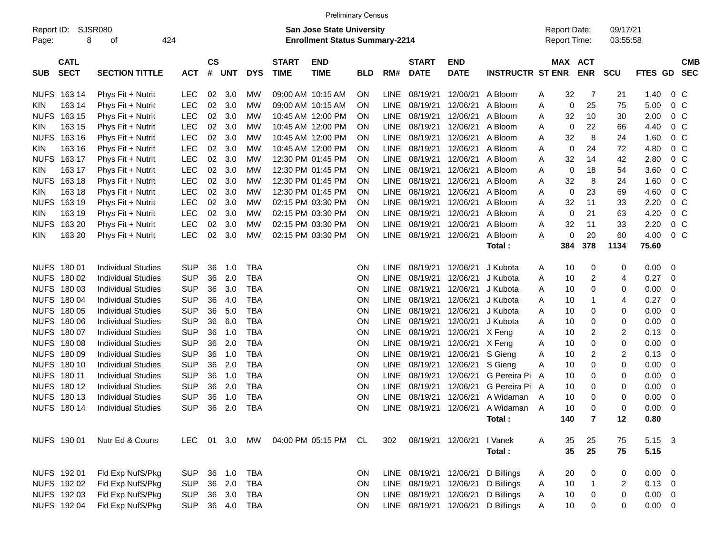|                     |                            |                           |            |                    |            |            |                             |                                                                           | <b>Preliminary Census</b> |             |                             |                           |                         |   |                                            |              |                      |                |                |                          |
|---------------------|----------------------------|---------------------------|------------|--------------------|------------|------------|-----------------------------|---------------------------------------------------------------------------|---------------------------|-------------|-----------------------------|---------------------------|-------------------------|---|--------------------------------------------|--------------|----------------------|----------------|----------------|--------------------------|
| Report ID:<br>Page: | 8                          | SJSR080<br>οf             | 424        |                    |            |            |                             | <b>San Jose State University</b><br><b>Enrollment Status Summary-2214</b> |                           |             |                             |                           |                         |   | <b>Report Date:</b><br><b>Report Time:</b> |              | 09/17/21<br>03:55:58 |                |                |                          |
| <b>SUB</b>          | <b>CATL</b><br><b>SECT</b> | <b>SECTION TITTLE</b>     | <b>ACT</b> | $\mathsf{cs}$<br># | <b>UNT</b> | <b>DYS</b> | <b>START</b><br><b>TIME</b> | <b>END</b><br><b>TIME</b>                                                 | <b>BLD</b>                | RM#         | <b>START</b><br><b>DATE</b> | <b>END</b><br><b>DATE</b> | <b>INSTRUCTR ST ENR</b> |   | MAX ACT                                    | <b>ENR</b>   | <b>SCU</b>           | <b>FTES GD</b> |                | <b>CMB</b><br><b>SEC</b> |
| <b>NUFS</b>         | 163 14                     | Phys Fit + Nutrit         | <b>LEC</b> | 02                 | 3.0        | МW         |                             | 09:00 AM 10:15 AM                                                         | ON                        | <b>LINE</b> | 08/19/21                    | 12/06/21                  | A Bloom                 | A | 32                                         | 7            | 21                   | 1.40           | 0 <sup>C</sup> |                          |
| KIN.                | 163 14                     | Phys Fit + Nutrit         | <b>LEC</b> | 02                 | 3.0        | МW         |                             | 09:00 AM 10:15 AM                                                         | <b>ON</b>                 | <b>LINE</b> | 08/19/21                    | 12/06/21                  | A Bloom                 | A | 0                                          | 25           | 75                   | 5.00           | 0 <sup>C</sup> |                          |
| <b>NUFS</b>         | 163 15                     | Phys Fit + Nutrit         | <b>LEC</b> | 02                 | 3.0        | МW         |                             | 10:45 AM 12:00 PM                                                         | <b>ON</b>                 | <b>LINE</b> | 08/19/21                    | 12/06/21                  | A Bloom                 | A | 32                                         | 10           | 30                   | 2.00           | 0 <sup>C</sup> |                          |
| KIN.                | 163 15                     | Phys Fit + Nutrit         | <b>LEC</b> | 02                 | 3.0        | МW         |                             | 10:45 AM 12:00 PM                                                         | <b>ON</b>                 | <b>LINE</b> | 08/19/21                    | 12/06/21                  | A Bloom                 | A | 0                                          | 22           | 66                   | 4.40           | 0 <sup>C</sup> |                          |
| <b>NUFS</b>         | 163 16                     | Phys Fit + Nutrit         | <b>LEC</b> | 02                 | 3.0        | МW         |                             | 10:45 AM 12:00 PM                                                         | <b>ON</b>                 | <b>LINE</b> | 08/19/21                    | 12/06/21                  | A Bloom                 | A | 32                                         | 8            | 24                   | 1.60           | 0 <sup>C</sup> |                          |
| KIN.                | 163 16                     | Phys Fit + Nutrit         | <b>LEC</b> | 02                 | 3.0        | МW         |                             | 10:45 AM 12:00 PM                                                         | <b>ON</b>                 | <b>LINE</b> | 08/19/21                    | 12/06/21                  | A Bloom                 | Α | 0                                          | 24           | 72                   | 4.80           | 0 <sup>C</sup> |                          |
| <b>NUFS</b>         | 163 17                     | Phys Fit + Nutrit         | <b>LEC</b> | 02                 | 3.0        | МW         |                             | 12:30 PM 01:45 PM                                                         | <b>ON</b>                 | <b>LINE</b> | 08/19/21                    | 12/06/21                  | A Bloom                 | Α | 32                                         | 14           | 42                   | 2.80           | 0 <sup>C</sup> |                          |
| KIN.                | 163 17                     | Phys Fit + Nutrit         | <b>LEC</b> | 02                 | 3.0        | МW         |                             | 12:30 PM 01:45 PM                                                         | <b>ON</b>                 | <b>LINE</b> | 08/19/21                    | 12/06/21                  | A Bloom                 | A | $\mathbf 0$                                | 18           | 54                   | 3.60           | 0 <sup>C</sup> |                          |
| <b>NUFS</b>         | 163 18                     | Phys Fit + Nutrit         | <b>LEC</b> | 02                 | 3.0        | МW         |                             | 12:30 PM 01:45 PM                                                         | <b>ON</b>                 | <b>LINE</b> | 08/19/21                    | 12/06/21                  | A Bloom                 | Α | 32                                         | 8            | 24                   | 1.60           | 0 <sup>C</sup> |                          |
| KIN.                | 163 18                     | Phys Fit + Nutrit         | <b>LEC</b> | 02                 | 3.0        | МW         |                             | 12:30 PM 01:45 PM                                                         | <b>ON</b>                 | <b>LINE</b> | 08/19/21                    | 12/06/21                  | A Bloom                 | Α | $\mathbf 0$                                | 23           | 69                   | 4.60           | 0 <sup>C</sup> |                          |
| <b>NUFS</b>         | 163 19                     | Phys Fit + Nutrit         | <b>LEC</b> | 02                 | 3.0        | МW         |                             | 02:15 PM 03:30 PM                                                         | <b>ON</b>                 | <b>LINE</b> | 08/19/21                    | 12/06/21                  | A Bloom                 | Α | 32                                         | 11           | 33                   | 2.20           | 0 <sup>C</sup> |                          |
| KIN.                | 163 19                     | Phys Fit + Nutrit         | <b>LEC</b> | 02                 | 3.0        | МW         |                             | 02:15 PM 03:30 PM                                                         | <b>ON</b>                 | <b>LINE</b> | 08/19/21                    | 12/06/21                  | A Bloom                 | A | $\mathbf 0$                                | 21           | 63                   | 4.20           | 0 <sup>C</sup> |                          |
| NUFS.               | 163 20                     | Phys Fit + Nutrit         | <b>LEC</b> | 02                 | 3.0        | МW         |                             | 02:15 PM 03:30 PM                                                         | ON                        | <b>LINE</b> | 08/19/21                    | 12/06/21                  | A Bloom                 | Α | 32                                         | 11           | 33                   | 2.20           | 0 <sup>C</sup> |                          |
| KIN.                | 163 20                     | Phys Fit + Nutrit         | <b>LEC</b> | 02                 | 3.0        | <b>MW</b>  |                             | 02:15 PM 03:30 PM                                                         | ON                        | LINE        | 08/19/21                    | 12/06/21                  | A Bloom                 | A | 0                                          | 20           | 60                   | 4.00           | 0 <sup>C</sup> |                          |
|                     |                            |                           |            |                    |            |            |                             |                                                                           |                           |             |                             |                           | Total:                  |   | 384                                        | 378          | 1134                 | 75.60          |                |                          |
|                     |                            |                           |            |                    |            |            |                             |                                                                           |                           |             |                             |                           |                         |   |                                            |              |                      |                |                |                          |
| <b>NUFS</b>         | 180 01                     | <b>Individual Studies</b> | <b>SUP</b> | 36                 | 1.0        | <b>TBA</b> |                             |                                                                           | ON                        | <b>LINE</b> | 08/19/21                    | 12/06/21                  | J Kubota                | A | 10                                         | 0            | 0                    | 0.00           | - 0            |                          |
| <b>NUFS</b>         | 180 02                     | <b>Individual Studies</b> | <b>SUP</b> | 36                 | 2.0        | <b>TBA</b> |                             |                                                                           | ON                        | <b>LINE</b> | 08/19/21                    | 12/06/21                  | J Kubota                | Α | 10                                         | 2            | 4                    | 0.27           | 0              |                          |
| <b>NUFS</b>         | 180 03                     | <b>Individual Studies</b> | <b>SUP</b> | 36                 | 3.0        | <b>TBA</b> |                             |                                                                           | ON                        | <b>LINE</b> | 08/19/21                    | 12/06/21                  | J Kubota                | Α | 10                                         | 0            | 0                    | 0.00           | 0              |                          |
| <b>NUFS</b>         | 180 04                     | <b>Individual Studies</b> | <b>SUP</b> | 36                 | 4.0        | <b>TBA</b> |                             |                                                                           | ON                        | <b>LINE</b> | 08/19/21                    | 12/06/21                  | J Kubota                | Α | 10                                         | -1           | 4                    | 0.27           | 0              |                          |
| <b>NUFS</b>         | 180 05                     | <b>Individual Studies</b> | <b>SUP</b> | 36                 | 5.0        | <b>TBA</b> |                             |                                                                           | ON                        | <b>LINE</b> | 08/19/21                    | 12/06/21                  | J Kubota                | Α | 10                                         | 0            | 0                    | 0.00           | 0              |                          |
| <b>NUFS</b>         | 180 06                     | <b>Individual Studies</b> | <b>SUP</b> | 36                 | 6.0        | <b>TBA</b> |                             |                                                                           | ON                        | <b>LINE</b> | 08/19/21                    | 12/06/21                  | J Kubota                | Α | 10                                         | 0            | 0                    | 0.00           | 0              |                          |
| <b>NUFS</b>         | 180 07                     | <b>Individual Studies</b> | <b>SUP</b> | 36                 | 1.0        | <b>TBA</b> |                             |                                                                           | ON                        | <b>LINE</b> | 08/19/21                    | 12/06/21                  | X Feng                  | Α | 10                                         | 2            | $\overline{c}$       | 0.13           | 0              |                          |
| <b>NUFS</b>         | 18008                      | <b>Individual Studies</b> | <b>SUP</b> | 36                 | 2.0        | <b>TBA</b> |                             |                                                                           | ON                        | <b>LINE</b> | 08/19/21                    | 12/06/21                  | X Feng                  | Α | 10                                         | 0            | $\mathbf 0$          | 0.00           | 0              |                          |
| <b>NUFS</b>         | 18009                      | <b>Individual Studies</b> | <b>SUP</b> | 36                 | 1.0        | <b>TBA</b> |                             |                                                                           | ON                        | <b>LINE</b> | 08/19/21                    | 12/06/21                  | S Gieng                 | Α | 10                                         | 2            | $\overline{c}$       | 0.13           | 0              |                          |
| <b>NUFS</b>         | 180 10                     | <b>Individual Studies</b> | <b>SUP</b> | 36                 | 2.0        | <b>TBA</b> |                             |                                                                           | ON                        | <b>LINE</b> | 08/19/21                    | 12/06/21                  | S Gieng                 | Α | 10                                         | 0            | $\mathbf 0$          | 0.00           | 0              |                          |
| <b>NUFS</b>         | 180 11                     | <b>Individual Studies</b> | <b>SUP</b> | 36                 | 1.0        | <b>TBA</b> |                             |                                                                           | ON                        | <b>LINE</b> | 08/19/21                    | 12/06/21                  | G Pereira Pi            | A | 10                                         | 0            | 0                    | 0.00           | 0              |                          |
| <b>NUFS</b>         | 180 12                     | <b>Individual Studies</b> | <b>SUP</b> | 36                 | 2.0        | <b>TBA</b> |                             |                                                                           | ON                        | <b>LINE</b> | 08/19/21                    | 12/06/21                  | G Pereira Pi A          |   | 10                                         | 0            | 0                    | 0.00           | 0              |                          |
| <b>NUFS</b>         | 180 13                     | <b>Individual Studies</b> | <b>SUP</b> | 36                 | 1.0        | <b>TBA</b> |                             |                                                                           | ON                        | <b>LINE</b> | 08/19/21                    | 12/06/21                  | A Widaman               | A | 10                                         | 0            | 0                    | 0.00           | 0              |                          |
|                     | <b>NUFS 18014</b>          | <b>Individual Studies</b> | <b>SUP</b> | 36                 | 2.0        | <b>TBA</b> |                             |                                                                           | <b>ON</b>                 | <b>LINE</b> | 08/19/21                    | 12/06/21                  | A Widaman               | A | 10                                         | 0            | $\mathbf 0$          | 0.00           | $\mathbf 0$    |                          |
|                     |                            |                           |            |                    |            |            |                             |                                                                           |                           |             |                             |                           | Total :                 |   | 140                                        | 7            | 12                   | 0.80           |                |                          |
|                     | NUFS 190 01                | Nutr Ed & Couns           | LEC.       |                    |            | 01 3.0 MW  |                             | 04:00 PM 05:15 PM CL                                                      |                           | 302         |                             | 08/19/21 12/06/21         | I Vanek                 | A | 35                                         | 25           | 75                   | 5.15 3         |                |                          |
|                     |                            |                           |            |                    |            |            |                             |                                                                           |                           |             |                             |                           | Total:                  |   | 35                                         | 25           | 75                   | 5.15           |                |                          |
|                     |                            |                           |            |                    |            |            |                             |                                                                           |                           |             |                             |                           |                         |   |                                            |              |                      |                |                |                          |
|                     | NUFS 192 01                | Fld Exp NufS/Pkg          | <b>SUP</b> | 36                 | 1.0        | <b>TBA</b> |                             |                                                                           | <b>ON</b>                 |             | LINE 08/19/21 12/06/21      |                           | D Billings              | A | 20                                         | 0            | 0                    | $0.00 \t 0$    |                |                          |
|                     | NUFS 192 02                | Fld Exp NufS/Pkg          | <b>SUP</b> | 36                 | 2.0        | TBA        |                             |                                                                           | ON                        |             | LINE 08/19/21               | 12/06/21                  | D Billings              | Α | 10                                         | $\mathbf{1}$ | 2                    | $0.13 \ 0$     |                |                          |
|                     | NUFS 192 03                | Fld Exp NufS/Pkg          | <b>SUP</b> | 36                 | 3.0        | TBA        |                             |                                                                           | <b>ON</b>                 |             | LINE 08/19/21 12/06/21      |                           | D Billings              | Α | 10                                         | 0            | $\pmb{0}$            | $0.00 \t 0$    |                |                          |
|                     | NUFS 192 04                | Fld Exp NufS/Pkg          | <b>SUP</b> |                    | 36 4.0     | TBA        |                             |                                                                           | ON                        |             | LINE 08/19/21 12/06/21      |                           | D Billings              | A | 10                                         | 0            | 0                    | $0.00 \t 0$    |                |                          |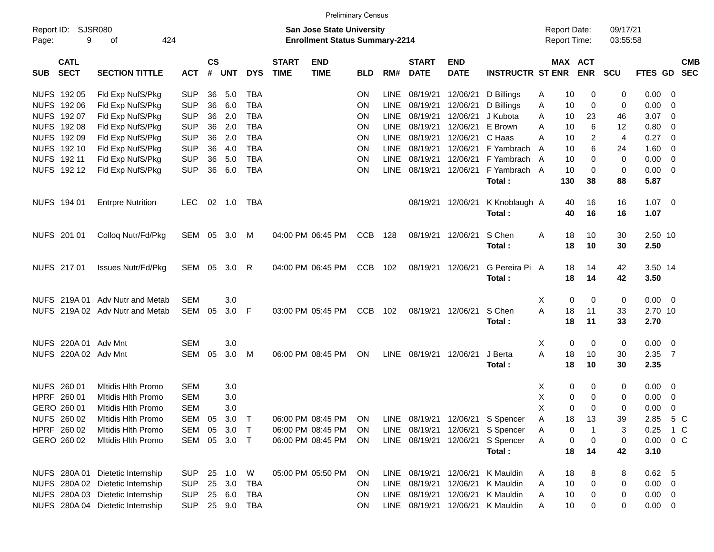|            |                            |                                  |               |                    |            |            |                             | <b>Preliminary Census</b>                                                 |            |             |                             |                           |                          |                     |                       |                      |                     |                          |                          |
|------------|----------------------------|----------------------------------|---------------|--------------------|------------|------------|-----------------------------|---------------------------------------------------------------------------|------------|-------------|-----------------------------|---------------------------|--------------------------|---------------------|-----------------------|----------------------|---------------------|--------------------------|--------------------------|
| Page:      | Report ID: SJSR080<br>9    | 424<br>οf                        |               |                    |            |            |                             | <b>San Jose State University</b><br><b>Enrollment Status Summary-2214</b> |            |             |                             |                           |                          | <b>Report Date:</b> | <b>Report Time:</b>   | 09/17/21<br>03:55:58 |                     |                          |                          |
| <b>SUB</b> | <b>CATL</b><br><b>SECT</b> | <b>SECTION TITTLE</b>            | <b>ACT</b>    | $\mathsf{cs}$<br># | <b>UNT</b> | <b>DYS</b> | <b>START</b><br><b>TIME</b> | <b>END</b><br><b>TIME</b>                                                 | <b>BLD</b> | RM#         | <b>START</b><br><b>DATE</b> | <b>END</b><br><b>DATE</b> | <b>INSTRUCTR ST ENR</b>  |                     | MAX ACT<br><b>ENR</b> | <b>SCU</b>           | FTES GD             |                          | <b>CMB</b><br><b>SEC</b> |
|            | NUFS 192 05                | Fld Exp NufS/Pkg                 | <b>SUP</b>    | 36                 | 5.0        | <b>TBA</b> |                             |                                                                           | ΟN         | LINE        | 08/19/21                    | 12/06/21                  | D Billings               | Α                   | 10<br>0               | 0                    | 0.00                | - 0                      |                          |
|            | NUFS 192 06                | Fld Exp NufS/Pkg                 | <b>SUP</b>    | 36                 | 6.0        | <b>TBA</b> |                             |                                                                           | ΟN         | LINE        | 08/19/21                    | 12/06/21                  | D Billings               | Α                   | 0<br>10               | 0                    | 0.00                | -0                       |                          |
|            | NUFS 192 07                | Fld Exp NufS/Pkg                 | <b>SUP</b>    | 36                 | 2.0        | <b>TBA</b> |                             |                                                                           | ON         | <b>LINE</b> | 08/19/21                    | 12/06/21                  | J Kubota                 | Α                   | 10<br>23              | 46                   | 3.07                | - 0                      |                          |
|            | NUFS 192 08                | Fld Exp NufS/Pkg                 | <b>SUP</b>    | 36                 | 2.0        | <b>TBA</b> |                             |                                                                           | ΟN         | <b>LINE</b> | 08/19/21                    | 12/06/21                  | E Brown                  | Α                   | 10                    | 6<br>12              | 0.80                | - 0                      |                          |
|            | NUFS 192 09                | Fld Exp NufS/Pkg                 | <b>SUP</b>    | 36                 | 2.0        | <b>TBA</b> |                             |                                                                           | ΟN         | <b>LINE</b> | 08/19/21                    | 12/06/21                  | C Haas                   | Α                   | 10                    | 2<br>4               | 0.27                | -0                       |                          |
|            | NUFS 192 10                | Fld Exp NufS/Pkg                 | <b>SUP</b>    | 36                 | 4.0        | <b>TBA</b> |                             |                                                                           | ON         | LINE        | 08/19/21                    | 12/06/21                  | F Yambrach               | A                   | 10                    | 6<br>24              | 1.60                | - 0                      |                          |
|            | NUFS 192 11                | Fld Exp NufS/Pkg                 | <b>SUP</b>    | 36                 | 5.0        | <b>TBA</b> |                             |                                                                           | ON         | <b>LINE</b> | 08/19/21                    | 12/06/21                  | F Yambrach A             |                     | 10                    | 0<br>$\mathbf 0$     | 0.00                | - 0                      |                          |
|            | NUFS 192 12                | Fld Exp NufS/Pkg                 | <b>SUP</b>    | 36                 | 6.0        | <b>TBA</b> |                             |                                                                           | ΟN         |             | LINE 08/19/21               | 12/06/21                  | F Yambrach A<br>Total:   | 130                 | 10<br>38              | 0<br>0<br>88         | 0.00<br>5.87        | - 0                      |                          |
|            | NUFS 194 01                | <b>Entrpre Nutrition</b>         | LEC.          |                    | 02 1.0     | TBA        |                             |                                                                           |            |             | 08/19/21 12/06/21           |                           | K Knoblaugh A<br>Total:  |                     | 16<br>40<br>40<br>16  | 16<br>16             | $1.07 \t 0$<br>1.07 |                          |                          |
|            | NUFS 201 01                | Colloq Nutr/Fd/Pkg               | SEM 05        |                    | 3.0        | M          |                             | 04:00 PM 06:45 PM                                                         | <b>CCB</b> | 128         | 08/19/21                    | 12/06/21                  | S Chen<br>Total:         | Α                   | 10<br>18<br>18<br>10  | 30<br>30             | 2.50 10<br>2.50     |                          |                          |
|            | NUFS 217 01                | <b>Issues Nutr/Fd/Pkg</b>        | <b>SEM 05</b> |                    | 3.0        | R          |                             | 04:00 PM 06:45 PM                                                         | <b>CCB</b> | 102         | 08/19/21                    | 12/06/21                  | G Pereira Pi A<br>Total: |                     | 18<br>14<br>18<br>14  | 42<br>42             | 3.50 14<br>3.50     |                          |                          |
|            |                            | NUFS 219A 01 Adv Nutr and Metab  | <b>SEM</b>    |                    | 3.0        |            |                             |                                                                           |            |             |                             |                           |                          | X                   | 0<br>0                | 0                    | $0.00 \t 0$         |                          |                          |
|            |                            | NUFS 219A 02 Adv Nutr and Metab  | SEM           | 05                 | 3.0        | F          |                             | 03:00 PM 05:45 PM                                                         | <b>CCB</b> | 102         | 08/19/21                    | 12/06/21                  | S Chen                   | A                   | 18<br>11              | 33                   | 2.70 10             |                          |                          |
|            |                            |                                  |               |                    |            |            |                             |                                                                           |            |             |                             |                           | Total:                   |                     | 11<br>18              | 33                   | 2.70                |                          |                          |
|            | NUFS 220A 01 Adv Mnt       |                                  | <b>SEM</b>    |                    | 3.0        |            |                             |                                                                           |            |             |                             |                           |                          | X                   | 0                     | 0<br>0               | 0.00                | $\overline{\phantom{0}}$ |                          |
|            | NUFS 220A 02 Adv Mnt       |                                  | SEM           | 05                 | 3.0        | M          |                             | 06:00 PM 08:45 PM                                                         | ON         |             | LINE 08/19/21               | 12/06/21                  | J Berta                  | A                   | 18<br>10              | 30                   | 2.35                | $\overline{7}$           |                          |
|            |                            |                                  |               |                    |            |            |                             |                                                                           |            |             |                             |                           | Total:                   |                     | 18<br>10              | 30                   | 2.35                |                          |                          |
|            | NUFS 260 01                | <b>Mitidis Hith Promo</b>        | SEM           |                    | 3.0        |            |                             |                                                                           |            |             |                             |                           |                          | X                   | 0                     | 0<br>0               | 0.00                | $\overline{\phantom{0}}$ |                          |
| HPRF       | 260 01                     | Mitidis Hith Promo               | <b>SEM</b>    |                    | 3.0        |            |                             |                                                                           |            |             |                             |                           |                          | X                   | 0                     | 0<br>0               | 0.00                | - 0                      |                          |
|            | GERO 260 01                | <b>Mitidis Hith Promo</b>        | <b>SEM</b>    |                    | 3.0        |            |                             |                                                                           |            |             |                             |                           |                          | X                   | 0<br>$\mathbf 0$      | 0                    | 0.00                | 0                        |                          |
|            | NUFS 260 02                | Mitidis Hith Promo               | SEM 05        |                    | 3.0        |            |                             | 06:00 PM 08:45 PM                                                         | ON         |             | LINE 08/19/21 12/06/21      |                           | S Spencer                | A                   | 13<br>18              | 39                   | 2.85                | 5 C                      |                          |
|            | HPRF 260 02                | <b>Mitidis Hith Promo</b>        | SEM           | 05                 | 3.0        | $\top$     |                             | 06:00 PM 08:45 PM                                                         | <b>ON</b>  |             | LINE 08/19/21 12/06/21      |                           | S Spencer                | Α                   | 0<br>-1               | 3                    | 0.25                | 1 C                      |                          |
|            | GERO 260 02                | <b>Mitidis Hith Promo</b>        | SEM 05 3.0 T  |                    |            |            |                             | 06:00 PM 08:45 PM                                                         | ON.        |             | LINE 08/19/21 12/06/21      |                           | S Spencer                | Α                   | 0<br>$\boldsymbol{0}$ | $\mathbf 0$          | 0.00                | $0\,$ C                  |                          |
|            |                            |                                  |               |                    |            |            |                             |                                                                           |            |             |                             |                           | Total:                   |                     | 18<br>14              | 42                   | 3.10                |                          |                          |
|            |                            | NUFS 280A 01 Dietetic Internship | SUP.          |                    | 25 1.0     | W          |                             | 05:00 PM 05:50 PM                                                         | <b>ON</b>  |             | LINE 08/19/21               | 12/06/21                  | K Mauldin                | A                   | 18                    | 8<br>8               | $0.62$ 5            |                          |                          |
|            |                            | NUFS 280A 02 Dietetic Internship | <b>SUP</b>    | 25                 | 3.0        | TBA        |                             |                                                                           | ON.        |             | LINE 08/19/21               | 12/06/21                  | K Mauldin                | Α                   | 10<br>0               | 0                    | $0.00 \ 0$          |                          |                          |
|            |                            | NUFS 280A 03 Dietetic Internship | <b>SUP</b>    |                    | 25 6.0     | TBA        |                             |                                                                           | ON.        |             | LINE 08/19/21               | 12/06/21                  | K Mauldin                | Α                   | 10<br>0               | 0                    | $0.00 \t 0$         |                          |                          |
|            |                            | NUFS 280A 04 Dietetic Internship | <b>SUP</b>    |                    | 25 9.0     | TBA        |                             |                                                                           | <b>ON</b>  |             | LINE 08/19/21 12/06/21      |                           | K Mauldin                | Α                   | 10                    | 0<br>0               | $0.00 \t 0$         |                          |                          |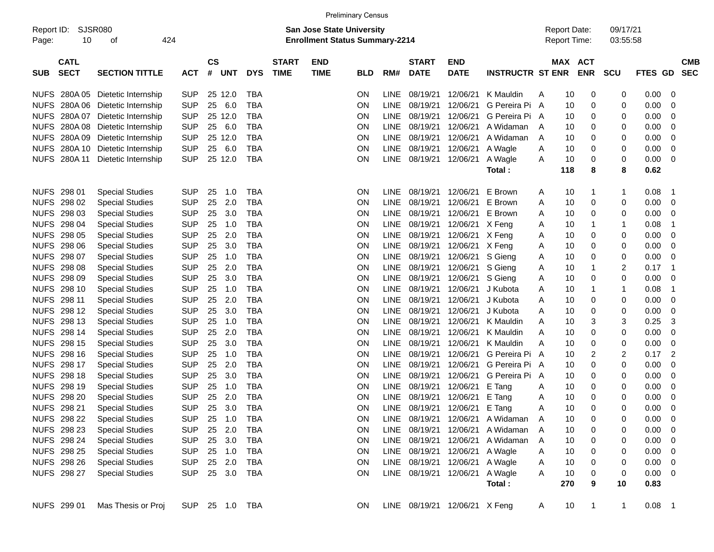|                     |                            |                        |                |                    |            |            |                             |                                                                           | <b>Preliminary Census</b> |             |                             |                               |                             |                                            |     |                       |                      |         |                            |
|---------------------|----------------------------|------------------------|----------------|--------------------|------------|------------|-----------------------------|---------------------------------------------------------------------------|---------------------------|-------------|-----------------------------|-------------------------------|-----------------------------|--------------------------------------------|-----|-----------------------|----------------------|---------|----------------------------|
| Report ID:<br>Page: | 10                         | SJSR080<br>424<br>οf   |                |                    |            |            |                             | <b>San Jose State University</b><br><b>Enrollment Status Summary-2214</b> |                           |             |                             |                               |                             | <b>Report Date:</b><br><b>Report Time:</b> |     |                       | 09/17/21<br>03:55:58 |         |                            |
| <b>SUB</b>          | <b>CATL</b><br><b>SECT</b> | <b>SECTION TITTLE</b>  | <b>ACT</b>     | $\mathsf{cs}$<br># | <b>UNT</b> | <b>DYS</b> | <b>START</b><br><b>TIME</b> | <b>END</b><br><b>TIME</b>                                                 | <b>BLD</b>                | RM#         | <b>START</b><br><b>DATE</b> | <b>END</b><br><b>DATE</b>     | <b>INSTRUCTR ST ENR</b>     |                                            |     | MAX ACT<br><b>ENR</b> | <b>SCU</b>           | FTES GD | <b>CMB</b><br><b>SEC</b>   |
| <b>NUFS</b>         | 280A 05                    | Dietetic Internship    | <b>SUP</b>     | 25                 | 12.0       | <b>TBA</b> |                             |                                                                           | ΟN                        | <b>LINE</b> | 08/19/21                    | 12/06/21                      | K Mauldin                   | A                                          | 10  | 0                     | 0                    | 0.00    | 0                          |
| <b>NUFS</b>         | 280A06                     | Dietetic Internship    | <b>SUP</b>     | 25                 | 6.0        | <b>TBA</b> |                             |                                                                           | ON                        | LINE        | 08/19/21                    | 12/06/21                      | G Pereira Pi A              |                                            | 10  | 0                     | 0                    | 0.00    | 0                          |
| <b>NUFS</b>         | 280A07                     | Dietetic Internship    | <b>SUP</b>     | 25                 | 12.0       | <b>TBA</b> |                             |                                                                           | ON                        | LINE        | 08/19/21                    | 12/06/21                      | G Pereira Pi A              |                                            | 10  | 0                     | 0                    | 0.00    | 0                          |
| <b>NUFS</b>         | 280A08                     | Dietetic Internship    | <b>SUP</b>     | 25                 | 6.0        | <b>TBA</b> |                             |                                                                           | ON                        | <b>LINE</b> | 08/19/21                    | 12/06/21                      | A Widaman                   | A                                          | 10  | 0                     | 0                    | 0.00    | 0                          |
| <b>NUFS</b>         | 280A09                     | Dietetic Internship    | <b>SUP</b>     | 25                 | 12.0       | <b>TBA</b> |                             |                                                                           | ON                        | <b>LINE</b> | 08/19/21                    | 12/06/21                      | A Widaman                   | A                                          | 10  | 0                     | 0                    | 0.00    | 0                          |
| <b>NUFS</b>         | 280A 10                    | Dietetic Internship    | <b>SUP</b>     | 25                 | 6.0        | <b>TBA</b> |                             |                                                                           | ON                        | <b>LINE</b> | 08/19/21                    | 12/06/21                      | A Wagle                     | Α                                          | 10  | 0                     | 0                    | 0.00    | 0                          |
| <b>NUFS</b>         | 280A 11                    | Dietetic Internship    | <b>SUP</b>     | 25                 | 12.0       | <b>TBA</b> |                             |                                                                           | ON                        | <b>LINE</b> | 08/19/21                    | 12/06/21                      | A Wagle                     | A                                          | 10  | 0                     | 0                    | 0.00    | 0                          |
|                     |                            |                        |                |                    |            |            |                             |                                                                           |                           |             |                             |                               | Total:                      |                                            | 118 | 8                     | 8                    | 0.62    |                            |
| <b>NUFS</b>         | 298 01                     | <b>Special Studies</b> | <b>SUP</b>     | 25                 | 1.0        | <b>TBA</b> |                             |                                                                           | ON                        | <b>LINE</b> | 08/19/21                    | 12/06/21                      | E Brown                     | A                                          | 10  | 1                     | 1                    | 0.08    | $\mathbf 1$                |
| <b>NUFS</b>         | 298 02                     | <b>Special Studies</b> | <b>SUP</b>     | 25                 | 2.0        | <b>TBA</b> |                             |                                                                           | ON                        | LINE        | 08/19/21                    | 12/06/21                      | E Brown                     | Α                                          | 10  | 0                     | 0                    | 0.00    | 0                          |
| <b>NUFS</b>         | 298 03                     | <b>Special Studies</b> | <b>SUP</b>     | 25                 | 3.0        | <b>TBA</b> |                             |                                                                           | ON                        | <b>LINE</b> | 08/19/21                    | 12/06/21                      | E Brown                     | Α                                          | 10  | 0                     | 0                    | 0.00    | 0                          |
| <b>NUFS</b>         | 298 04                     | <b>Special Studies</b> | <b>SUP</b>     | 25                 | 1.0        | <b>TBA</b> |                             |                                                                           | ON                        | <b>LINE</b> | 08/19/21                    | 12/06/21                      | X Feng                      | A                                          | 10  | 1                     |                      | 0.08    | 1                          |
| <b>NUFS</b>         | 298 05                     | <b>Special Studies</b> | <b>SUP</b>     | 25                 | 2.0        | <b>TBA</b> |                             |                                                                           | ON                        | <b>LINE</b> | 08/19/21                    | 12/06/21                      | X Feng                      | Α                                          | 10  | 0                     | 0                    | 0.00    | 0                          |
| <b>NUFS</b>         | 298 06                     | <b>Special Studies</b> | <b>SUP</b>     | 25                 | 3.0        | <b>TBA</b> |                             |                                                                           | ON                        | <b>LINE</b> | 08/19/21                    | 12/06/21                      | X Feng                      | Α                                          | 10  | 0                     | 0                    | 0.00    | 0                          |
| <b>NUFS</b>         | 298 07                     | <b>Special Studies</b> | <b>SUP</b>     | 25                 | 1.0        | <b>TBA</b> |                             |                                                                           | ON                        | <b>LINE</b> | 08/19/21                    | 12/06/21                      | S Gieng                     | Α                                          | 10  | 0                     | 0                    | 0.00    | 0                          |
| <b>NUFS</b>         | 298 08                     | <b>Special Studies</b> | <b>SUP</b>     | 25                 | 2.0        | <b>TBA</b> |                             |                                                                           | ON                        | <b>LINE</b> | 08/19/21                    | 12/06/21                      | S Gieng                     | Α                                          | 10  | 1                     | 2                    | 0.17    | 1                          |
| <b>NUFS</b>         | 298 09                     | <b>Special Studies</b> | <b>SUP</b>     | 25                 | 3.0        | <b>TBA</b> |                             |                                                                           | ON                        | <b>LINE</b> | 08/19/21                    | 12/06/21                      | S Gieng                     | Α                                          | 10  | 0                     | 0                    | 0.00    | 0                          |
| <b>NUFS</b>         | 298 10                     | <b>Special Studies</b> | <b>SUP</b>     | 25                 | 1.0        | <b>TBA</b> |                             |                                                                           | ON                        | LINE        | 08/19/21                    | 12/06/21                      | J Kubota                    | Α                                          | 10  | 1                     | 1                    | 0.08    | 1                          |
| <b>NUFS</b>         | 298 11                     | <b>Special Studies</b> | <b>SUP</b>     | 25                 | 2.0        | <b>TBA</b> |                             |                                                                           | ON                        | LINE        | 08/19/21                    | 12/06/21                      | J Kubota                    | A                                          | 10  | 0                     | 0                    | 0.00    | 0                          |
| <b>NUFS</b>         | 298 12                     | <b>Special Studies</b> | <b>SUP</b>     | 25                 | 3.0        | <b>TBA</b> |                             |                                                                           | ON                        | <b>LINE</b> | 08/19/21                    | 12/06/21                      | J Kubota                    | A                                          | 10  | 0                     | 0                    | 0.00    | 0                          |
| <b>NUFS</b>         | 298 13                     | <b>Special Studies</b> | <b>SUP</b>     | 25                 | 1.0        | <b>TBA</b> |                             |                                                                           | ON                        | <b>LINE</b> | 08/19/21                    | 12/06/21                      | K Mauldin                   | A                                          | 10  | 3                     | 3                    | 0.25    | 3                          |
| <b>NUFS</b>         | 298 14                     | <b>Special Studies</b> | <b>SUP</b>     | 25                 | 2.0        | <b>TBA</b> |                             |                                                                           | ON                        | LINE        | 08/19/21                    | 12/06/21                      | K Mauldin                   | A                                          | 10  | 0                     | 0                    | 0.00    | 0                          |
| <b>NUFS</b>         | 298 15                     | <b>Special Studies</b> | <b>SUP</b>     | 25                 | 3.0        | <b>TBA</b> |                             |                                                                           | ON                        | <b>LINE</b> | 08/19/21                    | 12/06/21                      | K Mauldin                   | A                                          | 10  | 0                     | 0                    | 0.00    | 0                          |
| <b>NUFS</b>         | 298 16                     | <b>Special Studies</b> | <b>SUP</b>     | 25                 | 1.0        | <b>TBA</b> |                             |                                                                           | ON                        | LINE        | 08/19/21                    | 12/06/21                      | G Pereira Pi A              |                                            | 10  | 2                     | 2                    | 0.17    | 2                          |
| <b>NUFS</b>         | 298 17                     | <b>Special Studies</b> | <b>SUP</b>     | 25                 | 2.0        | <b>TBA</b> |                             |                                                                           | ON                        | LINE        | 08/19/21                    | 12/06/21                      | G Pereira Pi A              |                                            | 10  | 0                     | 0                    | 0.00    | 0                          |
| <b>NUFS</b>         | 298 18                     | <b>Special Studies</b> | <b>SUP</b>     | 25                 | 3.0        | <b>TBA</b> |                             |                                                                           | ON                        | <b>LINE</b> | 08/19/21                    | 12/06/21                      | G Pereira Pi A              |                                            | 10  | 0                     | 0                    | 0.00    | 0                          |
| <b>NUFS</b>         | 298 19                     | <b>Special Studies</b> | <b>SUP</b>     | 25                 | 1.0        | <b>TBA</b> |                             |                                                                           | ON                        | LINE        | 08/19/21                    | 12/06/21                      | E Tang                      | Α                                          | 10  | 0                     | 0                    | 0.00    | 0                          |
| <b>NUFS</b>         | 298 20                     | <b>Special Studies</b> | <b>SUP</b>     | 25                 | 2.0        | <b>TBA</b> |                             |                                                                           | ON                        | LINE        | 08/19/21                    | 12/06/21                      | E Tang                      | Α                                          | 10  | 0                     | 0                    | 0.00    | 0                          |
| <b>NUFS</b>         | 298 21                     | <b>Special Studies</b> | <b>SUP</b>     | 25                 | 3.0        | <b>TBA</b> |                             |                                                                           | ΟN                        | <b>LINE</b> | 08/19/21                    | 12/06/21                      | E Tang                      | A                                          | 10  | 0                     | 0                    | 0.00    | 0                          |
|                     | NUFS 298 22                | <b>Special Studies</b> | <b>SUP</b>     | 25                 | 1.0        | TBA        |                             |                                                                           | <b>ON</b>                 | LINE        |                             |                               | 08/19/21 12/06/21 A Widaman | A                                          | 10  | 0                     | 0                    | 0.00    | 0                          |
|                     | NUFS 298 23                | <b>Special Studies</b> | <b>SUP</b>     | 25                 | 2.0        | <b>TBA</b> |                             |                                                                           | <b>ON</b>                 | <b>LINE</b> | 08/19/21 12/06/21           |                               | A Widaman                   | $\mathsf{A}$                               | 10  | 0                     | 0                    | 0.00    | 0                          |
|                     | NUFS 298 24                | <b>Special Studies</b> | <b>SUP</b>     |                    | 25 3.0     | <b>TBA</b> |                             |                                                                           | <b>ON</b>                 | LINE        | 08/19/21 12/06/21           |                               | A Widaman                   | A                                          | 10  | 0                     | 0                    | 0.00    | 0                          |
|                     | <b>NUFS 298 25</b>         | <b>Special Studies</b> | <b>SUP</b>     |                    | 25 1.0     | <b>TBA</b> |                             |                                                                           | <b>ON</b>                 |             | LINE 08/19/21 12/06/21      |                               | A Wagle                     | Α                                          | 10  | 0                     | 0                    | 0.00    | 0                          |
|                     | NUFS 298 26                | <b>Special Studies</b> | <b>SUP</b>     |                    | 25 2.0     | <b>TBA</b> |                             |                                                                           | <b>ON</b>                 |             |                             | LINE 08/19/21 12/06/21        | A Wagle                     | A                                          | 10  | 0                     | 0                    | 0.00    | 0                          |
|                     | NUFS 298 27                | <b>Special Studies</b> | <b>SUP</b>     |                    | 25 3.0     | TBA        |                             |                                                                           | <b>ON</b>                 |             |                             | LINE 08/19/21 12/06/21        | A Wagle                     | Α                                          | 10  | 0                     | 0                    | 0.00    | 0                          |
|                     |                            |                        |                |                    |            |            |                             |                                                                           |                           |             |                             |                               | Total:                      |                                            | 270 | 9                     | 10                   | 0.83    |                            |
|                     | NUFS 299 01                | Mas Thesis or Proj     | SUP 25 1.0 TBA |                    |            |            |                             |                                                                           | ON.                       |             |                             | LINE 08/19/21 12/06/21 X Feng |                             | A                                          | 10  | $\mathbf{1}$          | 1                    | 0.08    | $\overline{\phantom{0}}$ 1 |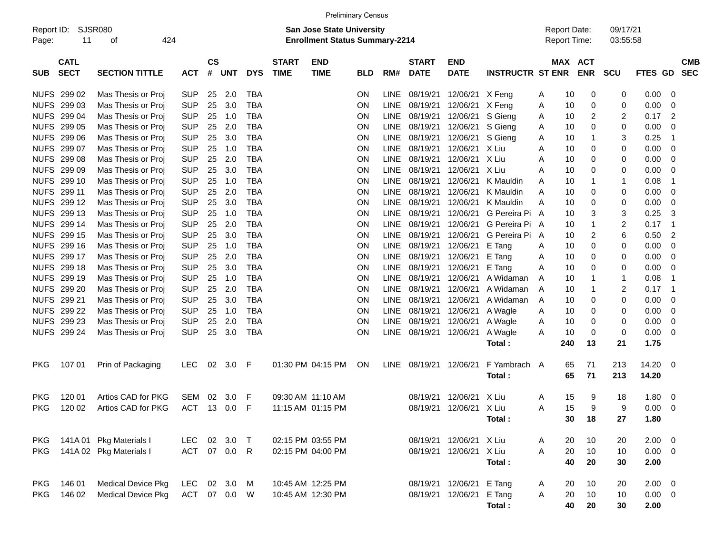|                     |                            |                           |              |                |            |            |                             | <b>Preliminary Census</b>                                                 |            |             |                             |                           |                         |                                            |                       |                      |                |                          |
|---------------------|----------------------------|---------------------------|--------------|----------------|------------|------------|-----------------------------|---------------------------------------------------------------------------|------------|-------------|-----------------------------|---------------------------|-------------------------|--------------------------------------------|-----------------------|----------------------|----------------|--------------------------|
| Report ID:<br>Page: | 11                         | SJSR080<br>424<br>οf      |              |                |            |            |                             | <b>San Jose State University</b><br><b>Enrollment Status Summary-2214</b> |            |             |                             |                           |                         | <b>Report Date:</b><br><b>Report Time:</b> |                       | 09/17/21<br>03:55:58 |                |                          |
| <b>SUB</b>          | <b>CATL</b><br><b>SECT</b> | <b>SECTION TITTLE</b>     | <b>ACT</b>   | <b>CS</b><br># | <b>UNT</b> | <b>DYS</b> | <b>START</b><br><b>TIME</b> | <b>END</b><br><b>TIME</b>                                                 | <b>BLD</b> | RM#         | <b>START</b><br><b>DATE</b> | <b>END</b><br><b>DATE</b> | <b>INSTRUCTR ST ENR</b> |                                            | MAX ACT<br><b>ENR</b> | <b>SCU</b>           | FTES GD        | <b>CMB</b><br><b>SEC</b> |
|                     | NUFS 299 02                | Mas Thesis or Proj        | <b>SUP</b>   | 25             | 2.0        | TBA        |                             |                                                                           | ON         | LINE        | 08/19/21                    | 12/06/21                  | X Feng                  | 10<br>A                                    | 0                     | 0                    | 0.00           | 0                        |
|                     | NUFS 299 03                | Mas Thesis or Proj        | <b>SUP</b>   | 25             | 3.0        | <b>TBA</b> |                             |                                                                           | ON         | <b>LINE</b> | 08/19/21                    | 12/06/21                  | X Feng                  | 10<br>A                                    | 0                     | 0                    | 0.00           | 0                        |
|                     | NUFS 299 04                | Mas Thesis or Proj        | <b>SUP</b>   | 25             | 1.0        | <b>TBA</b> |                             |                                                                           | ΟN         | <b>LINE</b> | 08/19/21                    | 12/06/21                  | S Gieng                 | 10<br>Α                                    | 2                     | 2                    | 0.17           | 2                        |
|                     | NUFS 299 05                | Mas Thesis or Proj        | <b>SUP</b>   | 25             | 2.0        | <b>TBA</b> |                             |                                                                           | ΟN         | <b>LINE</b> | 08/19/21                    | 12/06/21                  | S Gieng                 | 10<br>Α                                    | 0                     | 0                    | 0.00           | 0                        |
|                     | NUFS 299 06                | Mas Thesis or Proj        | <b>SUP</b>   | 25             | 3.0        | <b>TBA</b> |                             |                                                                           | ON         | <b>LINE</b> | 08/19/21                    | 12/06/21                  | S Gieng                 | 10<br>Α                                    | -1                    | 3                    | 0.25           | $\mathbf 1$              |
|                     | NUFS 299 07                | Mas Thesis or Proj        | <b>SUP</b>   | 25             | 1.0        | <b>TBA</b> |                             |                                                                           | ON         | <b>LINE</b> | 08/19/21                    | 12/06/21                  | X Liu                   | 10<br>A                                    | 0                     | 0                    | 0.00           | 0                        |
|                     | NUFS 299 08                | Mas Thesis or Proj        | <b>SUP</b>   | 25             | 2.0        | <b>TBA</b> |                             |                                                                           | ON         | <b>LINE</b> | 08/19/21                    | 12/06/21                  | X Liu                   | 10<br>A                                    | 0                     | 0                    | 0.00           | 0                        |
|                     | NUFS 299 09                | Mas Thesis or Proj        | <b>SUP</b>   | 25             | 3.0        | <b>TBA</b> |                             |                                                                           | ON         | <b>LINE</b> | 08/19/21                    | 12/06/21                  | X Liu                   | 10<br>A                                    | 0                     | 0                    | 0.00           | 0                        |
|                     | NUFS 299 10                | Mas Thesis or Proj        | <b>SUP</b>   | 25             | 1.0        | <b>TBA</b> |                             |                                                                           | ON         | <b>LINE</b> | 08/19/21                    | 12/06/21                  | K Mauldin               | 10<br>A                                    | -1                    | 1                    | 0.08           | $\mathbf 1$              |
|                     | NUFS 299 11                | Mas Thesis or Proj        | <b>SUP</b>   | 25             | 2.0        | <b>TBA</b> |                             |                                                                           | ON         | <b>LINE</b> | 08/19/21                    | 12/06/21                  | K Mauldin               | 10<br>A                                    | 0                     | 0                    | 0.00           | 0                        |
|                     | NUFS 299 12                | Mas Thesis or Proj        | <b>SUP</b>   | 25             | 3.0        | <b>TBA</b> |                             |                                                                           | ON         | <b>LINE</b> | 08/19/21                    | 12/06/21                  | K Mauldin               | 10<br>A                                    | 0                     | 0                    | 0.00           | 0                        |
|                     | NUFS 299 13                | Mas Thesis or Proj        | <b>SUP</b>   | 25             | 1.0        | <b>TBA</b> |                             |                                                                           | ON         | <b>LINE</b> | 08/19/21                    | 12/06/21                  | G Pereira Pi            | 10<br>$\mathsf{A}$                         | 3                     | 3                    | 0.25           | 3                        |
|                     | NUFS 299 14                | Mas Thesis or Proj        | <b>SUP</b>   | 25             | 2.0        | <b>TBA</b> |                             |                                                                           | ON         | <b>LINE</b> | 08/19/21                    | 12/06/21                  | G Pereira Pi A          | 10                                         | 1                     | 2                    | 0.17           | $\overline{1}$           |
|                     | NUFS 299 15                | Mas Thesis or Proj        | <b>SUP</b>   | 25             | 3.0        | <b>TBA</b> |                             |                                                                           | ON         | <b>LINE</b> | 08/19/21                    | 12/06/21                  | G Pereira Pi A          | 10                                         | 2                     | 6                    | 0.50           | $\overline{c}$           |
|                     | NUFS 299 16                | Mas Thesis or Proj        | <b>SUP</b>   | 25             | 1.0        | <b>TBA</b> |                             |                                                                           | ΟN         | <b>LINE</b> | 08/19/21                    | 12/06/21                  | E Tang                  | 10<br>Α                                    | 0                     | 0                    | 0.00           | 0                        |
|                     | NUFS 299 17                | Mas Thesis or Proj        | <b>SUP</b>   | 25             | 2.0        | <b>TBA</b> |                             |                                                                           | ON         | <b>LINE</b> | 08/19/21                    | 12/06/21                  | E Tang                  | 10<br>Α                                    | 0                     | 0                    | 0.00           | 0                        |
|                     | NUFS 299 18                | Mas Thesis or Proj        | <b>SUP</b>   | 25             | 3.0        | <b>TBA</b> |                             |                                                                           | ON         | <b>LINE</b> | 08/19/21                    | 12/06/21                  | E Tang                  | 10<br>Α                                    | 0                     | 0                    | 0.00           | 0                        |
|                     | NUFS 299 19                | Mas Thesis or Proj        | <b>SUP</b>   | 25             | 1.0        | <b>TBA</b> |                             |                                                                           | ΟN         | <b>LINE</b> | 08/19/21                    | 12/06/21                  | A Widaman               | 10<br>A                                    | -1                    | $\mathbf{1}$         | 0.08           | -1                       |
|                     | NUFS 299 20                | Mas Thesis or Proj        | <b>SUP</b>   | 25             | 2.0        | <b>TBA</b> |                             |                                                                           | ON         | <b>LINE</b> | 08/19/21                    | 12/06/21                  | A Widaman               | A<br>10                                    | -1                    | 2                    | 0.17           | $\overline{1}$           |
|                     | NUFS 299 21                | Mas Thesis or Proj        | <b>SUP</b>   | 25             | 3.0        | <b>TBA</b> |                             |                                                                           | ON         | <b>LINE</b> | 08/19/21                    | 12/06/21                  | A Widaman               | A<br>10                                    | 0                     | 0                    | 0.00           | 0                        |
|                     | NUFS 299 22                | Mas Thesis or Proj        | <b>SUP</b>   | 25             | 1.0        | <b>TBA</b> |                             |                                                                           | ΟN         | <b>LINE</b> | 08/19/21                    | 12/06/21                  | A Wagle                 | 10<br>Α                                    | 0                     | 0                    | 0.00           | 0                        |
|                     | NUFS 299 23                | Mas Thesis or Proj        | <b>SUP</b>   | 25             | 2.0        | <b>TBA</b> |                             |                                                                           | ΟN         | <b>LINE</b> | 08/19/21                    | 12/06/21                  | A Wagle                 | 10<br>A                                    | 0                     | 0                    | 0.00           | 0                        |
|                     | NUFS 299 24                | Mas Thesis or Proj        | <b>SUP</b>   | 25             | 3.0        | <b>TBA</b> |                             |                                                                           | ON         | <b>LINE</b> | 08/19/21                    | 12/06/21                  | A Wagle                 | 10<br>A                                    | 0                     | 0                    | 0.00           | 0                        |
|                     |                            |                           |              |                |            |            |                             |                                                                           |            |             |                             |                           | Total:                  | 240                                        | 13                    | 21                   | 1.75           |                          |
| <b>PKG</b>          | 107 01                     | Prin of Packaging         | <b>LEC</b>   | 02             | 3.0        | F          |                             | 01:30 PM 04:15 PM                                                         | ON         |             | LINE 08/19/21               | 12/06/21                  | F Yambrach<br>Total :   | 65<br>A<br>65                              | 71<br>71              | 213<br>213           | 14.20<br>14.20 | 0                        |
| PKG                 | 120 01                     | Artios CAD for PKG        | SEM          | 02             | 3.0        | F          |                             | 09:30 AM 11:10 AM                                                         |            |             | 08/19/21                    | 12/06/21                  | X Liu                   | 15<br>Α                                    | 9                     | 18                   | 1.80           | 0                        |
| <b>PKG</b>          | 120 02                     | Artios CAD for PKG        | <b>ACT</b>   | 13             | $0.0\,$    | F          |                             | 11:15 AM 01:15 PM                                                         |            |             | 08/19/21                    | 12/06/21 X Liu            |                         | 15<br>Α                                    | 9                     | 9                    | 0.00           | 0                        |
|                     |                            |                           |              |                |            |            |                             |                                                                           |            |             |                             |                           | Total:                  |                                            | 30<br>18              | 27                   | 1.80           |                          |
| <b>PKG</b>          |                            | 141A 01 Pkg Materials I   | LEC 02 3.0 T |                |            |            |                             | 02:15 PM 03:55 PM                                                         |            |             |                             | 08/19/21 12/06/21 X Liu   |                         | 20<br>A                                    | 10                    | 20                   | $2.00 \t 0$    |                          |
| <b>PKG</b>          |                            | 141A 02 Pkg Materials I   | ACT 07 0.0 R |                |            |            |                             | 02:15 PM 04:00 PM                                                         |            |             |                             | 08/19/21 12/06/21 X Liu   |                         | Α<br>20                                    | 10                    | 10                   | $0.00 \t 0$    |                          |
|                     |                            |                           |              |                |            |            |                             |                                                                           |            |             |                             |                           | Total:                  | 40                                         | 20                    | 30                   | 2.00           |                          |
| <b>PKG</b>          | 146 01                     | <b>Medical Device Pkg</b> | LEC 02 3.0 M |                |            |            |                             | 10:45 AM 12:25 PM                                                         |            |             |                             | 08/19/21 12/06/21         | E Tang                  | A<br>20                                    | 10                    | 20                   | 2.00           | $\overline{\mathbf{0}}$  |
| <b>PKG</b>          | 146 02                     | <b>Medical Device Pkg</b> | ACT 07 0.0 W |                |            |            |                             | 10:45 AM 12:30 PM                                                         |            |             |                             | 08/19/21 12/06/21         | E Tang                  | 20<br>A                                    | 10                    | 10                   | $0.00 \t 0$    |                          |
|                     |                            |                           |              |                |            |            |                             |                                                                           |            |             |                             |                           | Total:                  |                                            | 40<br>20              | 30                   | 2.00           |                          |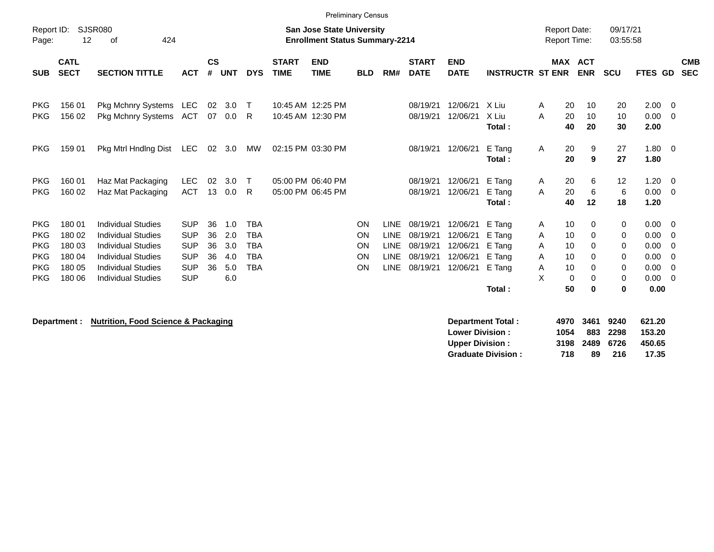|                                                                                  |                                                          | <b>Preliminary Census</b><br><b>SJSR080</b><br><b>San Jose State University</b>                                                                                            |                                                                                  |                            |                                        |                                                             |                             |                                        |                            |                                                                  |                                                          |                                                          |                                                          |                            |                                            |                                 |                                                                                                   |                                                                                |                          |
|----------------------------------------------------------------------------------|----------------------------------------------------------|----------------------------------------------------------------------------------------------------------------------------------------------------------------------------|----------------------------------------------------------------------------------|----------------------------|----------------------------------------|-------------------------------------------------------------|-----------------------------|----------------------------------------|----------------------------|------------------------------------------------------------------|----------------------------------------------------------|----------------------------------------------------------|----------------------------------------------------------|----------------------------|--------------------------------------------|---------------------------------|---------------------------------------------------------------------------------------------------|--------------------------------------------------------------------------------|--------------------------|
| Report ID:<br>Page:                                                              | 12                                                       | 424<br>οf                                                                                                                                                                  |                                                                                  |                            |                                        |                                                             |                             | <b>Enrollment Status Summary-2214</b>  |                            |                                                                  |                                                          |                                                          |                                                          |                            | <b>Report Date:</b><br><b>Report Time:</b> |                                 | 09/17/21<br>03:55:58                                                                              |                                                                                |                          |
| <b>SUB</b>                                                                       | <b>CATL</b><br><b>SECT</b>                               | <b>SECTION TITTLE</b>                                                                                                                                                      | <b>ACT</b>                                                                       | $\mathsf{cs}$<br>#         | <b>UNT</b>                             | <b>DYS</b>                                                  | <b>START</b><br><b>TIME</b> | <b>END</b><br><b>TIME</b>              | <b>BLD</b>                 | RM#                                                              | <b>START</b><br><b>DATE</b>                              | <b>END</b><br><b>DATE</b>                                | <b>INSTRUCTR ST ENR</b>                                  | <b>MAX</b>                 | <b>ACT</b><br><b>ENR</b>                   | SCU                             | <b>FTES GD</b>                                                                                    |                                                                                | <b>CMB</b><br><b>SEC</b> |
| <b>PKG</b><br><b>PKG</b>                                                         | 156 01<br>156 02                                         | <b>Pkg Mchnry Systems</b><br><b>Pkg Mchnry Systems</b>                                                                                                                     | LEC<br>ACT                                                                       | 02<br>07                   | 3.0<br>0.0                             | $\top$<br>R.                                                |                             | 10:45 AM 12:25 PM<br>10:45 AM 12:30 PM |                            |                                                                  | 08/19/21<br>08/19/21                                     | 12/06/21<br>12/06/21                                     | X Liu<br>X Liu<br>Total:                                 | A<br>A                     | 20<br>10<br>20<br>10<br>20<br>40           | 20<br>10<br>30                  | 2.00<br>0.00<br>2.00                                                                              | $\Omega$<br>$\mathbf{0}$                                                       |                          |
| <b>PKG</b>                                                                       | 159 01                                                   | Pkg Mtrl Hndlng Dist                                                                                                                                                       | <b>LEC</b>                                                                       | 02                         | 3.0                                    | MW                                                          |                             | 02:15 PM 03:30 PM                      |                            |                                                                  | 08/19/21                                                 | 12/06/21                                                 | E Tang<br>Total:                                         | A                          | 20<br>20                                   | 9<br>27<br>9<br>27              | 1.80<br>1.80                                                                                      | $\overline{0}$                                                                 |                          |
| <b>PKG</b><br><b>PKG</b>                                                         | 160 01<br>160 02                                         | Haz Mat Packaging<br>Haz Mat Packaging                                                                                                                                     | <b>LEC</b><br><b>ACT</b>                                                         | 02<br>13                   | 3.0<br>0.0                             | $\top$<br>R.                                                |                             | 05:00 PM 06:40 PM<br>05:00 PM 06:45 PM |                            |                                                                  | 08/19/21<br>08/19/21                                     | 12/06/21<br>12/06/21                                     | E Tang<br>E Tang<br>Total:                               | A<br>A                     | 20<br>20<br>12<br>40                       | 6<br>12<br>6<br>18              | 1.20<br>0.00<br>6<br>1.20                                                                         | $\overline{0}$<br>$\mathbf{0}$                                                 |                          |
| <b>PKG</b><br><b>PKG</b><br><b>PKG</b><br><b>PKG</b><br><b>PKG</b><br><b>PKG</b> | 180 01<br>180 02<br>180 03<br>180 04<br>180 05<br>180 06 | <b>Individual Studies</b><br><b>Individual Studies</b><br><b>Individual Studies</b><br><b>Individual Studies</b><br><b>Individual Studies</b><br><b>Individual Studies</b> | <b>SUP</b><br><b>SUP</b><br><b>SUP</b><br><b>SUP</b><br><b>SUP</b><br><b>SUP</b> | 36<br>36<br>36<br>36<br>36 | 1.0<br>2.0<br>3.0<br>4.0<br>5.0<br>6.0 | <b>TBA</b><br>TBA<br><b>TBA</b><br><b>TBA</b><br><b>TBA</b> |                             |                                        | ON<br>ON<br>ON<br>ON<br>ON | <b>LINE</b><br><b>LINE</b><br>LINE<br><b>LINE</b><br><b>LINE</b> | 08/19/21<br>08/19/21<br>08/19/21<br>08/19/21<br>08/19/21 | 12/06/21<br>12/06/21<br>12/06/21<br>12/06/21<br>12/06/21 | E Tang<br>E Tang<br>E Tang<br>E Tang<br>E Tang<br>Total: | A<br>Α<br>Α<br>A<br>Α<br>X | 10<br>10<br>10<br>10<br>10<br>0<br>50      | 0<br>0<br>0<br>0<br>0<br>0<br>0 | 0.00<br>0<br>0.00<br>0<br>0.00<br>0<br>0.00<br>0<br>0.00<br>0<br>0.00<br>0<br>0.00<br>$\mathbf 0$ | $\overline{0}$<br>0<br>0<br>$\overline{0}$<br>$\overline{0}$<br>$\overline{0}$ |                          |
|                                                                                  |                                                          |                                                                                                                                                                            |                                                                                  |                            |                                        |                                                             |                             |                                        |                            |                                                                  |                                                          |                                                          |                                                          |                            |                                            |                                 |                                                                                                   |                                                                                |                          |

**Department : Nutrition, Food Science & Packaging** 

| Department Total:         |      | 4970 3461 9240 |          | 621.20 |
|---------------------------|------|----------------|----------|--------|
| <b>Lower Division :</b>   | 1054 |                | 883 2298 | 153.20 |
| <b>Upper Division:</b>    |      | 3198 2489 6726 |          | 450.65 |
| <b>Graduate Division:</b> | 718  | 89             | 216      | 17.35  |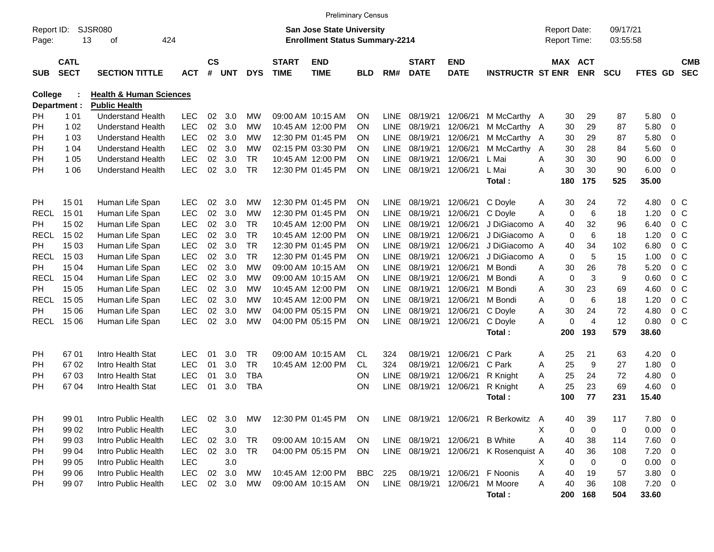|                     |                            |                                                      |                          |                |            |                        |                             | <b>Preliminary Census</b>                                                 |                        |                            |                             |                           |                                       |                                     |             |                       |                      |              |                          |                          |
|---------------------|----------------------------|------------------------------------------------------|--------------------------|----------------|------------|------------------------|-----------------------------|---------------------------------------------------------------------------|------------------------|----------------------------|-----------------------------|---------------------------|---------------------------------------|-------------------------------------|-------------|-----------------------|----------------------|--------------|--------------------------|--------------------------|
| Report ID:<br>Page: | 13                         | SJSR080<br>424<br>οf                                 |                          |                |            |                        |                             | <b>San Jose State University</b><br><b>Enrollment Status Summary-2214</b> |                        |                            |                             |                           |                                       | <b>Report Date:</b><br>Report Time: |             |                       | 09/17/21<br>03:55:58 |              |                          |                          |
| <b>SUB</b>          | <b>CATL</b><br><b>SECT</b> | <b>SECTION TITTLE</b>                                | <b>ACT</b>               | <b>CS</b><br># | <b>UNT</b> | <b>DYS</b>             | <b>START</b><br><b>TIME</b> | <b>END</b><br><b>TIME</b>                                                 | <b>BLD</b>             | RM#                        | <b>START</b><br><b>DATE</b> | <b>END</b><br><b>DATE</b> | <b>INSTRUCTR ST ENR</b>               |                                     |             | MAX ACT<br><b>ENR</b> | <b>SCU</b>           | FTES GD      |                          | <b>CMB</b><br><b>SEC</b> |
| <b>College</b>      |                            | <b>Health &amp; Human Sciences</b>                   |                          |                |            |                        |                             |                                                                           |                        |                            |                             |                           |                                       |                                     |             |                       |                      |              |                          |                          |
| Department :        |                            | <b>Public Health</b>                                 |                          |                |            |                        |                             |                                                                           |                        |                            |                             |                           |                                       |                                     |             |                       |                      |              |                          |                          |
| PH                  | 1 0 1                      | <b>Understand Health</b>                             | <b>LEC</b>               | 02             | 3.0        | <b>MW</b>              |                             | 09:00 AM 10:15 AM                                                         | <b>ON</b>              | <b>LINE</b>                | 08/19/21                    | 12/06/21                  | M McCarthy A                          |                                     | 30          | 29                    | 87                   | 5.80         | - 0                      |                          |
| PH                  | 1 0 2                      | <b>Understand Health</b>                             | <b>LEC</b>               | 02             | 3.0        | <b>MW</b>              |                             | 10:45 AM 12:00 PM                                                         | <b>ON</b>              | <b>LINE</b>                | 08/19/21                    | 12/06/21                  | M McCarthy A                          |                                     | 30          | 29                    | 87                   | 5.80         | $\overline{0}$           |                          |
| <b>PH</b>           | 1 0 3                      | <b>Understand Health</b>                             | <b>LEC</b><br><b>LEC</b> | 02<br>02       | 3.0        | <b>MW</b><br><b>MW</b> |                             | 12:30 PM 01:45 PM                                                         | <b>ON</b>              | <b>LINE</b>                | 08/19/21                    | 12/06/21                  | M McCarthy A                          |                                     | 30          | 29<br>28              | 87                   | 5.80<br>5.60 | $\overline{0}$           |                          |
| PH                  | 1 04                       | <b>Understand Health</b>                             | <b>LEC</b>               | 02             | 3.0<br>3.0 | <b>TR</b>              |                             | 02:15 PM 03:30 PM<br>10:45 AM 12:00 PM                                    | <b>ON</b>              | <b>LINE</b><br><b>LINE</b> | 08/19/21                    | 12/06/21                  | M McCarthy A<br>L Mai                 |                                     | 30<br>30    | 30                    | 84<br>90             |              | $\overline{0}$           |                          |
| PH<br><b>PH</b>     | 1 0 5<br>1 0 6             | <b>Understand Health</b><br><b>Understand Health</b> | <b>LEC</b>               | 02             | 3.0        | <b>TR</b>              |                             | 12:30 PM 01:45 PM                                                         | <b>ON</b><br><b>ON</b> | LINE                       | 08/19/21<br>08/19/21        | 12/06/21<br>12/06/21      | L Mai                                 | A<br>A                              | 30          | 30                    | 90                   | 6.00<br>6.00 | $\overline{0}$<br>0      |                          |
|                     |                            |                                                      |                          |                |            |                        |                             |                                                                           |                        |                            |                             |                           | Total:                                |                                     | 180         | 175                   | 525                  | 35.00        |                          |                          |
|                     |                            |                                                      |                          |                |            |                        |                             |                                                                           |                        |                            |                             |                           |                                       |                                     |             |                       |                      |              |                          |                          |
| PH                  | 15 01                      | Human Life Span                                      | <b>LEC</b>               | 02             | 3.0        | <b>MW</b>              |                             | 12:30 PM 01:45 PM                                                         | <b>ON</b>              | <b>LINE</b>                | 08/19/21                    | 12/06/21                  | C Doyle                               | Α                                   | 30          | 24                    | 72                   | 4.80         | 0 <sup>C</sup>           |                          |
| <b>RECL</b>         | 15 01                      | Human Life Span                                      | <b>LEC</b>               | 02             | 3.0        | <b>MW</b>              |                             | 12:30 PM 01:45 PM                                                         | <b>ON</b>              | <b>LINE</b>                | 08/19/21                    | 12/06/21                  | C Doyle                               | A                                   | $\mathbf 0$ | $\,6\,$               | 18                   | 1.20         | $0\,C$                   |                          |
| PH                  | 15 02                      | Human Life Span                                      | <b>LEC</b>               | 02             | 3.0        | <b>TR</b>              |                             | 10:45 AM 12:00 PM                                                         | <b>ON</b>              | <b>LINE</b>                | 08/19/21                    | 12/06/21                  | J DiGiacomo A                         |                                     | 40          | 32                    | 96                   | 6.40         | $0\,C$                   |                          |
| <b>RECL</b>         | 15 02                      | Human Life Span                                      | <b>LEC</b>               | 02             | 3.0        | <b>TR</b>              |                             | 10:45 AM 12:00 PM                                                         | <b>ON</b>              | <b>LINE</b>                | 08/19/21                    | 12/06/21                  | J DiGiacomo A                         |                                     | $\mathbf 0$ | 6                     | 18                   | 1.20         | $0\,C$                   |                          |
| PH                  | 15 03                      | Human Life Span                                      | <b>LEC</b>               | 02             | 3.0        | <b>TR</b>              |                             | 12:30 PM 01:45 PM                                                         | <b>ON</b>              | <b>LINE</b>                | 08/19/21                    | 12/06/21                  | J DiGiacomo A                         |                                     | 40          | 34                    | 102                  | 6.80         | $0\,C$                   |                          |
| <b>RECL</b>         | 15 03                      | Human Life Span                                      | <b>LEC</b>               | 02             | 3.0        | <b>TR</b>              |                             | 12:30 PM 01:45 PM                                                         | <b>ON</b>              | <b>LINE</b>                | 08/19/21                    | 12/06/21                  | J DiGiacomo A                         |                                     | $\mathbf 0$ | $\overline{5}$        | 15                   | 1.00         | $0\,C$                   |                          |
| PH                  | 15 04                      | Human Life Span                                      | <b>LEC</b>               | 02             | 3.0        | <b>MW</b>              |                             | 09:00 AM 10:15 AM                                                         | <b>ON</b>              | <b>LINE</b>                | 08/19/21                    | 12/06/21                  | M Bondi                               | A                                   | 30          | 26                    | 78                   | 5.20         | $0\,C$                   |                          |
| <b>RECL</b>         | 15 04                      | Human Life Span                                      | <b>LEC</b>               | 02             | 3.0        | <b>MW</b>              |                             | 09:00 AM 10:15 AM                                                         | <b>ON</b>              | <b>LINE</b>                | 08/19/21                    | 12/06/21                  | M Bondi                               | A                                   | $\mathbf 0$ | $\mathbf{3}$          | 9                    | 0.60         | $0\,C$                   |                          |
| PH                  | 15 05                      | Human Life Span                                      | <b>LEC</b>               | 02             | 3.0        | <b>MW</b>              |                             | 10:45 AM 12:00 PM                                                         | <b>ON</b>              | <b>LINE</b>                | 08/19/21                    | 12/06/21                  | M Bondi                               | A                                   | 30          | 23                    | 69                   | 4.60         | $0\,C$                   |                          |
| <b>RECL</b>         | 15 05                      | Human Life Span                                      | <b>LEC</b>               | 02             | 3.0        | <b>MW</b>              |                             | 10:45 AM 12:00 PM                                                         | <b>ON</b>              | <b>LINE</b>                | 08/19/21                    | 12/06/21                  | M Bondi                               | A                                   | $\mathbf 0$ | 6                     | 18                   | 1.20         | $0\,C$                   |                          |
| PH                  | 15 06                      | Human Life Span                                      | <b>LEC</b>               | 02             | 3.0        | <b>MW</b>              |                             | 04:00 PM 05:15 PM                                                         | <b>ON</b>              | <b>LINE</b>                | 08/19/21                    | 12/06/21                  | C Doyle                               | A                                   | 30          | 24                    | 72                   | 4.80         | $0\,C$                   |                          |
| <b>RECL</b>         | 15 06                      | Human Life Span                                      | <b>LEC</b>               | 02             | 3.0        | <b>MW</b>              |                             | 04:00 PM 05:15 PM                                                         | <b>ON</b>              | <b>LINE</b>                | 08/19/21                    | 12/06/21                  | C Doyle                               | A                                   | $\Omega$    | $\overline{4}$        | 12                   | 0.80         | $0\,C$                   |                          |
|                     |                            |                                                      |                          |                |            |                        |                             |                                                                           |                        |                            |                             |                           | Total:                                |                                     | 200         | 193                   | 579                  | 38.60        |                          |                          |
|                     |                            |                                                      |                          |                |            |                        |                             |                                                                           |                        |                            |                             |                           |                                       |                                     |             |                       |                      |              |                          |                          |
| PH                  | 6701                       | Intro Health Stat                                    | <b>LEC</b>               | 01             | 3.0        | <b>TR</b>              |                             | 09:00 AM 10:15 AM                                                         | CL                     | 324                        | 08/19/21                    | 12/06/21                  | C Park                                | Α                                   | 25          | 21                    | 63                   | 4.20         | 0                        |                          |
| PH                  | 67 02                      | Intro Health Stat                                    | <b>LEC</b>               | 01             | 3.0        | <b>TR</b>              |                             | 10:45 AM 12:00 PM                                                         | <b>CL</b>              | 324                        | 08/19/21                    | 12/06/21                  | C Park                                | A                                   | 25          | 9                     | 27                   | 1.80         | $\overline{0}$           |                          |
| PH                  | 6703                       | Intro Health Stat                                    | <b>LEC</b>               | 01             | 3.0        | <b>TBA</b>             |                             |                                                                           | <b>ON</b>              | <b>LINE</b>                | 08/19/21                    | 12/06/21                  | R Knight                              | A                                   | 25          | 24                    | 72                   | 4.80         | $\overline{0}$           |                          |
| <b>PH</b>           | 67 04                      | Intro Health Stat                                    | <b>LEC</b>               | 01             | 3.0        | <b>TBA</b>             |                             |                                                                           | <b>ON</b>              | <b>LINE</b>                | 08/19/21                    | 12/06/21                  | R Knight                              | A                                   | 25          | 23                    | 69                   | 4.60         | 0                        |                          |
|                     |                            |                                                      |                          |                |            |                        |                             |                                                                           |                        |                            |                             |                           | Total:                                |                                     | 100         | 77                    | 231                  | 15.40        |                          |                          |
|                     |                            |                                                      |                          |                |            |                        |                             |                                                                           |                        |                            |                             |                           |                                       |                                     |             |                       |                      |              |                          |                          |
| PH                  | 99 01                      | Intro Public Health                                  | LEC                      | 02             | 3.0        | МW                     |                             | 12:30 PM 01:45 PM ON                                                      |                        |                            |                             |                           | LINE 08/19/21 12/06/21 R Berkowitz A  |                                     | 40          | 39                    | 117                  | 7.80 0       |                          |                          |
| PH                  | 99 02                      | Intro Public Health                                  | <b>LEC</b>               |                | 3.0        |                        |                             |                                                                           |                        |                            |                             |                           |                                       | Χ                                   | 0           | 0                     | 0                    | 0.00         | $\overline{\phantom{0}}$ |                          |
| PH                  | 99 03                      | Intro Public Health                                  | <b>LEC</b>               | 02             | 3.0        | TR                     |                             | 09:00 AM 10:15 AM                                                         | <b>ON</b>              |                            | LINE 08/19/21 12/06/21      |                           | <b>B</b> White                        | Α                                   | 40          | 38                    | 114                  | $7.60$ 0     |                          |                          |
| PH                  | 99 04                      | Intro Public Health                                  | LEC                      |                | 02 3.0     | <b>TR</b>              |                             | 04:00 PM 05:15 PM                                                         | -ON                    |                            |                             |                           | LINE 08/19/21 12/06/21 K Rosenquist A |                                     | 40          | 36                    | 108                  | $7.20 \t 0$  |                          |                          |
| PH                  | 99 05                      | Intro Public Health                                  | <b>LEC</b>               |                | 3.0        |                        |                             |                                                                           |                        |                            |                             |                           |                                       | X.                                  | 0           | 0                     | 0                    | $0.00 \t 0$  |                          |                          |
| PH                  | 99 06                      | Intro Public Health                                  | <b>LEC</b>               | 02             | 3.0        | МW                     |                             | 10:45 AM 12:00 PM                                                         | BBC                    | 225                        |                             | 08/19/21 12/06/21         | F Noonis                              | Α                                   | 40          | 19                    | 57                   | $3.80\ 0$    |                          |                          |
| <b>PH</b>           | 99 07                      | Intro Public Health                                  | <b>LEC</b>               |                | 02 3.0     | MW                     |                             | 09:00 AM 10:15 AM                                                         | ON.                    |                            | LINE 08/19/21 12/06/21      |                           | M Moore                               | A                                   | 40          | 36                    | 108                  | $7.20 \t 0$  |                          |                          |
|                     |                            |                                                      |                          |                |            |                        |                             |                                                                           |                        |                            |                             |                           | Total:                                |                                     | 200         | 168                   | 504                  | 33.60        |                          |                          |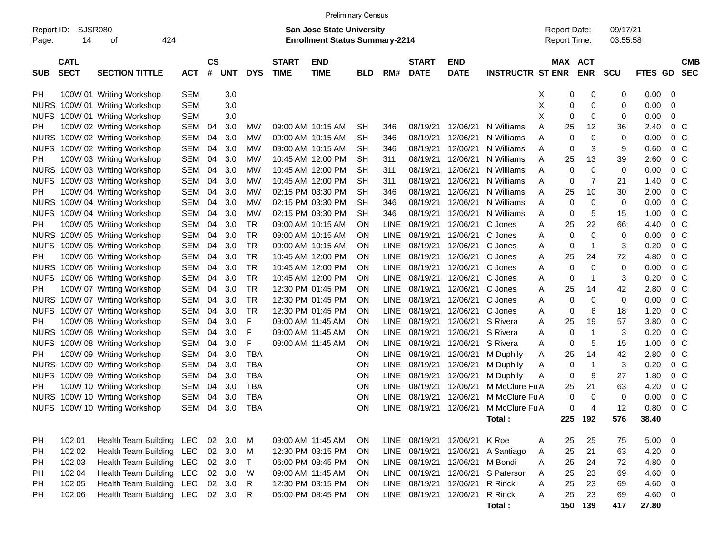|                                          |               |                               |            |                |            |              |                             | <b>Preliminary Census</b>                                                 |            |             |                                |                           |                         |                                     |            |                      |             |                |                          |
|------------------------------------------|---------------|-------------------------------|------------|----------------|------------|--------------|-----------------------------|---------------------------------------------------------------------------|------------|-------------|--------------------------------|---------------------------|-------------------------|-------------------------------------|------------|----------------------|-------------|----------------|--------------------------|
| Report ID:<br>Page:                      | SJSR080<br>14 | 424<br>οf                     |            |                |            |              |                             | <b>San Jose State University</b><br><b>Enrollment Status Summary-2214</b> |            |             |                                |                           |                         | <b>Report Date:</b><br>Report Time: |            | 09/17/21<br>03:55:58 |             |                |                          |
| <b>CATL</b><br><b>SECT</b><br><b>SUB</b> |               | <b>SECTION TITTLE</b>         | <b>ACT</b> | <b>CS</b><br># | <b>UNT</b> | <b>DYS</b>   | <b>START</b><br><b>TIME</b> | <b>END</b><br><b>TIME</b>                                                 | <b>BLD</b> | RM#         | <b>START</b><br><b>DATE</b>    | <b>END</b><br><b>DATE</b> | <b>INSTRUCTR ST ENR</b> | MAX ACT                             | <b>ENR</b> | <b>SCU</b>           | FTES GD     |                | <b>CMB</b><br><b>SEC</b> |
| <b>PH</b>                                |               | 100W 01 Writing Workshop      | <b>SEM</b> |                | 3.0        |              |                             |                                                                           |            |             |                                |                           |                         | х<br>0                              | 0          | 0                    | 0.00        | - 0            |                          |
| <b>NURS</b>                              |               | 100W 01 Writing Workshop      | <b>SEM</b> |                | 3.0        |              |                             |                                                                           |            |             |                                |                           |                         | Χ<br>0                              | 0          | 0                    | 0.00        | 0              |                          |
| <b>NUFS</b>                              |               | 100W 01 Writing Workshop      | <b>SEM</b> |                | 3.0        |              |                             |                                                                           |            |             |                                |                           |                         | X<br>0                              | 0          | 0                    | 0.00        | 0              |                          |
| <b>PH</b>                                |               | 100W 02 Writing Workshop      | SEM        | 04             | 3.0        | MW           |                             | 09:00 AM 10:15 AM                                                         | <b>SH</b>  | 346         | 08/19/21                       | 12/06/21                  | N Williams              | 25<br>Α                             | 12         | 36                   | 2.40        | $0\,$ C        |                          |
|                                          |               | NURS 100W 02 Writing Workshop | SEM        | 04             | 3.0        | <b>MW</b>    |                             | 09:00 AM 10:15 AM                                                         | <b>SH</b>  | 346         | 08/19/21                       | 12/06/21                  | N Williams              | 0<br>Α                              | 0          | 0                    | 0.00        | 0 <sup>o</sup> |                          |
|                                          |               | NUFS 100W 02 Writing Workshop | SEM        | 04             | 3.0        | <b>MW</b>    |                             | 09:00 AM 10:15 AM                                                         | <b>SH</b>  | 346         | 08/19/21                       | 12/06/21                  | N Williams              | 0<br>Α                              | 3          | 9                    | 0.60        | 0 <sup>o</sup> |                          |
| <b>PH</b>                                |               | 100W 03 Writing Workshop      | <b>SEM</b> | 04             | 3.0        | <b>MW</b>    |                             | 10:45 AM 12:00 PM                                                         | <b>SH</b>  | 311         | 08/19/21                       | 12/06/21                  | N Williams              | 25<br>Α                             | 13         | 39                   | 2.60        | 0 <sup>o</sup> |                          |
|                                          |               | NURS 100W 03 Writing Workshop | <b>SEM</b> | 04             | 3.0        | <b>MW</b>    |                             | 10:45 AM 12:00 PM                                                         | <b>SH</b>  | 311         | 08/19/21                       | 12/06/21                  | N Williams              | 0<br>Α                              | 0          | 0                    | 0.00        | 0 <sup>o</sup> |                          |
|                                          |               | NUFS 100W 03 Writing Workshop | <b>SEM</b> | 04             | 3.0        | <b>MW</b>    |                             | 10:45 AM 12:00 PM                                                         | <b>SH</b>  | 311         | 08/19/21                       | 12/06/21                  | N Williams              | 0<br>Α                              | 7          | 21                   | 1.40        | 0 <sup>o</sup> |                          |
| <b>PH</b>                                |               | 100W 04 Writing Workshop      | <b>SEM</b> | 04             | 3.0        | <b>MW</b>    |                             | 02:15 PM 03:30 PM                                                         | <b>SH</b>  | 346         | 08/19/21                       | 12/06/21                  | N Williams              | 25<br>Α                             | 10         | 30                   | 2.00        | 0 <sup>o</sup> |                          |
|                                          |               | NURS 100W 04 Writing Workshop | <b>SEM</b> | 04             | 3.0        | <b>MW</b>    |                             | 02:15 PM 03:30 PM                                                         | <b>SH</b>  | 346         | 08/19/21                       | 12/06/21                  | N Williams              | 0<br>Α                              | 0          | 0                    | 0.00        | 0 <sup>o</sup> |                          |
|                                          |               | NUFS 100W 04 Writing Workshop | <b>SEM</b> | 04             | 3.0        | <b>MW</b>    |                             | 02:15 PM 03:30 PM                                                         | <b>SH</b>  | 346         | 08/19/21                       | 12/06/21                  | N Williams              | 0<br>Α                              | 5          | 15                   | 1.00        | 0 <sup>o</sup> |                          |
| <b>PH</b>                                |               | 100W 05 Writing Workshop      | <b>SEM</b> | 04             | 3.0        | <b>TR</b>    |                             | 09:00 AM 10:15 AM                                                         | ON         | <b>LINE</b> | 08/19/21                       | 12/06/21                  | C Jones                 | 25<br>Α                             | 22         | 66                   | 4.40        | 0 <sup>o</sup> |                          |
|                                          |               | NURS 100W 05 Writing Workshop | <b>SEM</b> | 04             | 3.0        | <b>TR</b>    |                             | 09:00 AM 10:15 AM                                                         | ON         | <b>LINE</b> | 08/19/21                       | 12/06/21                  | C Jones                 | 0<br>Α                              | $\Omega$   | 0                    | 0.00        | 0 <sup>o</sup> |                          |
|                                          |               | NUFS 100W 05 Writing Workshop | <b>SEM</b> | 04             | 3.0        | <b>TR</b>    |                             | 09:00 AM 10:15 AM                                                         | ON         | <b>LINE</b> | 08/19/21                       | 12/06/21                  | C Jones                 | 0<br>Α                              | 1          | 3                    | 0.20        | 0 <sup>o</sup> |                          |
| <b>PH</b>                                |               | 100W 06 Writing Workshop      | <b>SEM</b> | 04             | 3.0        | <b>TR</b>    |                             | 10:45 AM 12:00 PM                                                         | ON         | <b>LINE</b> | 08/19/21                       | 12/06/21                  | C Jones                 | 25<br>Α                             | 24         | 72                   | 4.80        | 0 <sup>o</sup> |                          |
|                                          |               | NURS 100W 06 Writing Workshop | <b>SEM</b> | 04             | 3.0        | <b>TR</b>    |                             | 10:45 AM 12:00 PM                                                         | ON         | <b>LINE</b> | 08/19/21                       | 12/06/21                  | C Jones                 | 0<br>Α                              | 0          | 0                    | 0.00        | 0 <sup>o</sup> |                          |
|                                          |               | NUFS 100W 06 Writing Workshop | <b>SEM</b> | 04             | 3.0        | <b>TR</b>    |                             | 10:45 AM 12:00 PM                                                         | ON         | <b>LINE</b> | 08/19/21                       | 12/06/21                  | C Jones                 | 0<br>Α                              | 1          | 3                    | 0.20        | 0 <sup>o</sup> |                          |
| <b>PH</b>                                |               | 100W 07 Writing Workshop      | <b>SEM</b> | 04             | 3.0        | <b>TR</b>    |                             | 12:30 PM 01:45 PM                                                         | ON         | <b>LINE</b> | 08/19/21                       | 12/06/21                  | C Jones                 | 25<br>Α                             | 14         | 42                   | 2.80        | 0 <sup>o</sup> |                          |
|                                          |               | NURS 100W 07 Writing Workshop | <b>SEM</b> | 04             | 3.0        | <b>TR</b>    |                             | 12:30 PM 01:45 PM                                                         | ON         | <b>LINE</b> | 08/19/21                       | 12/06/21                  | C Jones                 | 0<br>Α                              | 0          | 0                    | 0.00        | 0 <sup>o</sup> |                          |
|                                          |               | NUFS 100W 07 Writing Workshop | <b>SEM</b> | 04             | 3.0        | <b>TR</b>    |                             | 12:30 PM 01:45 PM                                                         | ON         | <b>LINE</b> | 08/19/21                       | 12/06/21                  | C Jones                 | 0<br>Α                              | 6          | 18                   | 1.20        | 0 <sup>o</sup> |                          |
| <b>PH</b>                                |               | 100W 08 Writing Workshop      | <b>SEM</b> | 04             | 3.0        | F            |                             | 09:00 AM 11:45 AM                                                         | ON         | <b>LINE</b> | 08/19/21                       | 12/06/21                  | S Rivera                | 25<br>Α                             | 19         | 57                   | 3.80        | 0 <sup>o</sup> |                          |
|                                          |               | NURS 100W 08 Writing Workshop | <b>SEM</b> | 04             | 3.0        | F            |                             | 09:00 AM 11:45 AM                                                         | ΟN         | <b>LINE</b> | 08/19/21                       | 12/06/21                  | S Rivera                | 0<br>Α                              | 1          | 3                    | 0.20        | 0 <sup>o</sup> |                          |
|                                          |               | NUFS 100W 08 Writing Workshop | <b>SEM</b> | 04             | 3.0        | F            |                             | 09:00 AM 11:45 AM                                                         | ON         | <b>LINE</b> | 08/19/21                       | 12/06/21                  | S Rivera                | 0<br>Α                              | 5          | 15                   | 1.00        | 0 <sup>o</sup> |                          |
| <b>PH</b>                                |               | 100W 09 Writing Workshop      | <b>SEM</b> | 04             | 3.0        | <b>TBA</b>   |                             |                                                                           | ON         | <b>LINE</b> | 08/19/21                       | 12/06/21                  | M Duphily               | 25<br>Α                             | 14         | 42                   | 2.80        | 0 <sup>C</sup> |                          |
|                                          |               | NURS 100W 09 Writing Workshop | SEM        | 04             | 3.0        | <b>TBA</b>   |                             |                                                                           | ON         | <b>LINE</b> | 08/19/21                       | 12/06/21                  | M Duphily               | 0<br>Α                              | -1         | 3                    | 0.20        | 0 <sup>C</sup> |                          |
|                                          |               | NUFS 100W 09 Writing Workshop | SEM        | 04             | 3.0        | <b>TBA</b>   |                             |                                                                           | ON         | <b>LINE</b> | 08/19/21                       | 12/06/21                  | M Duphily               | 0<br>Α                              | 9          | 27                   | 1.80        | 0 <sup>o</sup> |                          |
| PН                                       |               | 100W 10 Writing Workshop      | SEM        | 04             | 3.0        | <b>TBA</b>   |                             |                                                                           | ON         | <b>LINE</b> | 08/19/21                       | 12/06/21                  | M McClure Fu A          | 25                                  | 21         | 63                   | 4.20        | 0 <sup>o</sup> |                          |
|                                          |               | NURS 100W 10 Writing Workshop | <b>SEM</b> | 04             | 3.0        | <b>TBA</b>   |                             |                                                                           | ON         | <b>LINE</b> | 08/19/21                       | 12/06/21                  | M McClure Fu A          | 0                                   | 0          | 0                    | 0.00        | 0 <sup>o</sup> |                          |
|                                          |               | NUFS 100W 10 Writing Workshop | SEM        | 04             | 3.0        | <b>TBA</b>   |                             |                                                                           | ON         | <b>LINE</b> | 08/19/21                       | 12/06/21                  | M McClure Fu A          | 0                                   | 4          | 12                   | 0.80        | 0 <sup>o</sup> |                          |
|                                          |               |                               |            |                |            |              |                             |                                                                           |            |             |                                |                           | Total:                  |                                     | 225 192    | 576                  | 38.40       |                |                          |
| PH                                       | 102 01        | Health Team Building LEC      |            | 02             | 3.0        | M            |                             | 09:00 AM 11:45 AM                                                         | ON         | LINE        | 08/19/21                       | 12/06/21 K Roe            |                         | 25<br>A                             | 25         | 75                   | $5.00 \t 0$ |                |                          |
| PH                                       | 102 02        | Health Team Building LEC      |            |                | 02 3.0     | M            |                             | 12:30 PM 03:15 PM                                                         | ON         | LINE        | 08/19/21                       |                           | 12/06/21 A Santiago     | 25<br>A                             | 21         | 63                   | $4.20 \ 0$  |                |                          |
| PH                                       | 102 03        | Health Team Building LEC      |            |                | 02 3.0     | $\top$       |                             | 06:00 PM 08:45 PM                                                         | ON         | LINE        | 08/19/21                       | 12/06/21                  | M Bondi                 | 25<br>Α                             | 24         | 72                   | 4.80 0      |                |                          |
| PH                                       | 102 04        | Health Team Building LEC      |            | 02             | 3.0        | W            |                             | 09:00 AM 11:45 AM                                                         | ON         | LINE        | 08/19/21                       | 12/06/21                  | S Paterson              | 25<br>A                             | 23         | 69                   | 4.60 0      |                |                          |
| <b>PH</b>                                | 102 05        | Health Team Building LEC      |            |                | 02 3.0     | $\mathsf{R}$ |                             | 12:30 PM 03:15 PM                                                         | ON         | LINE        | 08/19/21                       | 12/06/21                  | R Rinck                 | 25<br>Α                             | 23         | 69                   | 4.60 0      |                |                          |
| <b>PH</b>                                | 102 06        | Health Team Building LEC      |            |                | 02 3.0 R   |              |                             | 06:00 PM 08:45 PM                                                         | <b>ON</b>  |             | LINE 08/19/21 12/06/21 R Rinck |                           |                         | 25<br>Α                             | 23         | 69                   | 4.60 0      |                |                          |
|                                          |               |                               |            |                |            |              |                             |                                                                           |            |             |                                |                           | Total:                  |                                     | 150 139    | 417                  | 27.80       |                |                          |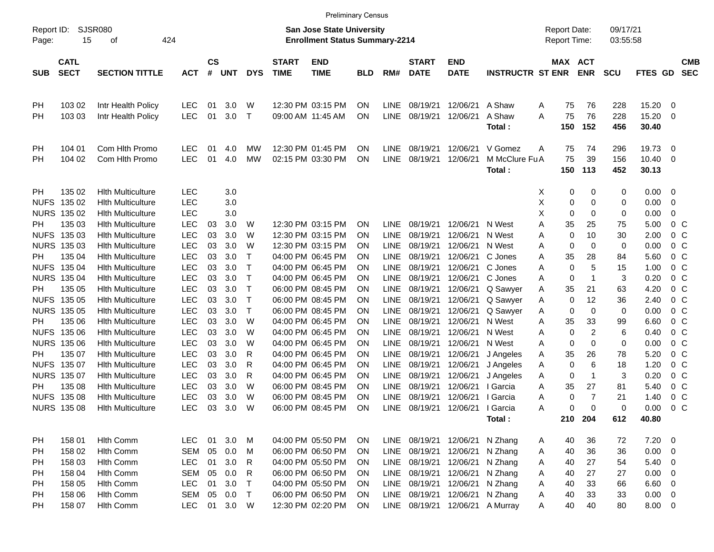|                     |                            |                                                      |                          |                    |            |              |                             | <b>Preliminary Census</b>                                                 |            |             |                             |                           |                          |        |                                     |             |                      |                |                         |                          |
|---------------------|----------------------------|------------------------------------------------------|--------------------------|--------------------|------------|--------------|-----------------------------|---------------------------------------------------------------------------|------------|-------------|-----------------------------|---------------------------|--------------------------|--------|-------------------------------------|-------------|----------------------|----------------|-------------------------|--------------------------|
| Report ID:<br>Page: | 15                         | <b>SJSR080</b><br>424<br>οf                          |                          |                    |            |              |                             | <b>San Jose State University</b><br><b>Enrollment Status Summary-2214</b> |            |             |                             |                           |                          |        | <b>Report Date:</b><br>Report Time: |             | 09/17/21<br>03:55:58 |                |                         |                          |
| <b>SUB</b>          | <b>CATL</b><br><b>SECT</b> | <b>SECTION TITTLE</b>                                | <b>ACT</b>               | $\mathsf{cs}$<br># | <b>UNT</b> | <b>DYS</b>   | <b>START</b><br><b>TIME</b> | <b>END</b><br><b>TIME</b>                                                 | <b>BLD</b> | RM#         | <b>START</b><br><b>DATE</b> | <b>END</b><br><b>DATE</b> | <b>INSTRUCTR ST ENR</b>  |        | MAX ACT                             | <b>ENR</b>  | <b>SCU</b>           | FTES GD        |                         | <b>CMB</b><br><b>SEC</b> |
| PH                  | 103 02                     | Intr Health Policy                                   | <b>LEC</b>               | 01                 | 3.0        | W            |                             | 12:30 PM 03:15 PM                                                         | ΟN         | <b>LINE</b> | 08/19/21                    | 12/06/21                  | A Shaw                   | Α      | 75                                  | 76          | 228                  | 15.20          | 0                       |                          |
| PН                  | 103 03                     | Intr Health Policy                                   | <b>LEC</b>               | 01                 | 3.0        | $\mathsf T$  | 09:00 AM 11:45 AM           |                                                                           | ON         | <b>LINE</b> | 08/19/21                    | 12/06/21                  | A Shaw<br>Total:         | A      | 75<br>150                           | 76<br>152   | 228<br>456           | 15.20<br>30.40 | 0                       |                          |
| PH                  | 104 01                     | Com Hlth Promo                                       | <b>LEC</b>               | 01                 | 4.0        | МW           |                             | 12:30 PM 01:45 PM                                                         | <b>ON</b>  | <b>LINE</b> | 08/19/21                    | 12/06/21                  | V Gomez                  | A      | 75                                  | 74          | 296                  | 19.73          | 0                       |                          |
| PН                  | 104 02                     | Com Hith Promo                                       | <b>LEC</b>               | 01                 | 4.0        | MW           |                             | 02:15 PM 03:30 PM                                                         | ON         | <b>LINE</b> | 08/19/21                    | 12/06/21                  | M McClure Fu A<br>Total: |        | 75<br>150                           | 39<br>113   | 156<br>452           | 10.40<br>30.13 | 0                       |                          |
| PH.                 | 135 02                     | <b>Hith Multiculture</b>                             | <b>LEC</b>               |                    | 3.0        |              |                             |                                                                           |            |             |                             |                           |                          | X      | 0                                   | 0           | 0                    | 0.00           | 0                       |                          |
| <b>NUFS</b>         | 135 02<br>NURS 135 02      | <b>Hith Multiculture</b><br><b>Hith Multiculture</b> | <b>LEC</b><br><b>LEC</b> |                    | 3.0<br>3.0 |              |                             |                                                                           |            |             |                             |                           |                          | Χ<br>Χ | 0<br>0                              | 0<br>0      | 0<br>0               | 0.00<br>0.00   | 0<br>0                  |                          |
| PH                  | 135 03                     | <b>Hith Multiculture</b>                             | <b>LEC</b>               | 03                 | 3.0        | W            |                             | 12:30 PM 03:15 PM                                                         | <b>ON</b>  | LINE.       | 08/19/21                    | 12/06/21                  | N West                   | Α      | 35                                  | 25          | 75                   | 5.00           |                         | 0 <sup>o</sup>           |
| <b>NUFS</b>         | 135 03                     | <b>Hith Multiculture</b>                             | <b>LEC</b>               | 03                 | 3.0        | W            |                             | 12:30 PM 03:15 PM                                                         | ΟN         | <b>LINE</b> | 08/19/21                    | 12/06/21                  | N West                   | Α      | 0                                   | 10          | 30                   | 2.00           |                         | 0 <sup>o</sup>           |
|                     | NURS 135 03                | <b>Hith Multiculture</b>                             | <b>LEC</b>               | 03                 | 3.0        | W            |                             | 12:30 PM 03:15 PM                                                         | ON         | <b>LINE</b> | 08/19/21                    | 12/06/21                  | N West                   | Α      | 0                                   | 0           | 0                    | 0.00           |                         | 0 <sup>o</sup>           |
| PH                  | 135 04                     | <b>Hith Multiculture</b>                             | <b>LEC</b>               | 03                 | 3.0        | Т            |                             | 04:00 PM 06:45 PM                                                         | ON         | <b>LINE</b> | 08/19/21                    | 12/06/21                  | C Jones                  | A      | 35                                  | 28          | 84                   | 5.60           |                         | 0 <sup>o</sup>           |
| <b>NUFS</b>         | 135 04                     | <b>Hith Multiculture</b>                             | <b>LEC</b>               | 03                 | 3.0        | Т            |                             | 04:00 PM 06:45 PM                                                         | ΟN         | <b>LINE</b> | 08/19/21                    | 12/06/21                  | C Jones                  | Α      | 0                                   | 5           | 15                   | 1.00           |                         | 0 <sup>o</sup>           |
|                     | <b>NURS 135 04</b>         | <b>Hith Multiculture</b>                             | <b>LEC</b>               | 03                 | 3.0        | $\mathsf{T}$ |                             | 04:00 PM 06:45 PM                                                         | ΟN         | <b>LINE</b> | 08/19/21                    | 12/06/21                  | C Jones                  | A      | 0                                   | $\mathbf 1$ | 3                    | 0.20           |                         | 0 <sup>o</sup>           |
| PH                  | 135 05                     | <b>Hith Multiculture</b>                             | <b>LEC</b>               | 03                 | 3.0        | $\mathsf{T}$ |                             | 06:00 PM 08:45 PM                                                         | ON         | <b>LINE</b> | 08/19/21                    | 12/06/21                  | Q Sawyer                 | A      | 35                                  | 21          | 63                   | 4.20           |                         | 0 <sup>o</sup>           |
| <b>NUFS</b>         | 135 05                     | <b>Hith Multiculture</b>                             | <b>LEC</b>               | 03                 | 3.0        | $\mathsf{T}$ |                             | 06:00 PM 08:45 PM                                                         | ON         | <b>LINE</b> | 08/19/21                    | 12/06/21                  | Q Sawyer                 | A      | 0                                   | 12          | 36                   | 2.40           |                         | 0 <sup>o</sup>           |
|                     | <b>NURS 135 05</b>         | <b>Hith Multiculture</b>                             | <b>LEC</b>               | 03                 | 3.0        | $\mathsf{T}$ |                             | 06:00 PM 08:45 PM                                                         | ON         | <b>LINE</b> | 08/19/21                    | 12/06/21                  | Q Sawyer                 | A      | 0                                   | 0           | 0                    | 0.00           |                         | 0 <sup>o</sup>           |
| PH.                 | 135 06                     | <b>Hith Multiculture</b>                             | <b>LEC</b>               | 03                 | 3.0        | W            |                             | 04:00 PM 06:45 PM                                                         | ΟN         | <b>LINE</b> | 08/19/21                    | 12/06/21                  | N West                   | A      | 35                                  | 33          | 99                   | 6.60           |                         | 0 <sup>o</sup>           |
| <b>NUFS</b>         | 135 06                     | <b>Hith Multiculture</b>                             | <b>LEC</b>               | 03                 | 3.0        | W            |                             | 04:00 PM 06:45 PM                                                         | ΟN         | <b>LINE</b> | 08/19/21                    | 12/06/21                  | N West                   | Α      | 0                                   | 2           | 6                    | 0.40           |                         | 0 <sup>o</sup>           |
|                     | <b>NURS 135 06</b>         | <b>Hith Multiculture</b>                             | <b>LEC</b>               | 03                 | 3.0        | W            |                             | 04:00 PM 06:45 PM                                                         | ON         | <b>LINE</b> | 08/19/21                    | 12/06/21                  | N West                   | Α      | 0                                   | 0           | 0                    | 0.00           |                         | 0 <sup>o</sup>           |
| PH                  | 135 07                     | <b>Hith Multiculture</b>                             | <b>LEC</b>               | 03                 | 3.0        | R            |                             | 04:00 PM 06:45 PM                                                         | ON         | <b>LINE</b> | 08/19/21                    | 12/06/21                  | J Angeles                | A      | 35                                  | 26          | 78                   | 5.20           |                         | 0 <sup>o</sup>           |
| <b>NUFS</b>         | 135 07                     | <b>Hith Multiculture</b>                             | <b>LEC</b>               | 03                 | 3.0        | R            |                             | 04:00 PM 06:45 PM                                                         | 0N         | <b>LINE</b> | 08/19/21                    | 12/06/21                  | J Angeles                | A      | 0                                   | 6           | 18                   | 1.20           |                         | 0 <sup>o</sup>           |
|                     | <b>NURS 135 07</b>         | <b>Hith Multiculture</b>                             | <b>LEC</b>               | 03                 | 3.0        | R            |                             | 04:00 PM 06:45 PM                                                         | 0N         | LINE        | 08/19/21                    | 12/06/21                  | J Angeles                | A      | 0                                   | $\mathbf 1$ | 3                    | 0.20           |                         | 0 <sup>o</sup>           |
| PН                  | 135 08                     | <b>Hith Multiculture</b>                             | <b>LEC</b>               | 03                 | 3.0        | W            |                             | 06:00 PM 08:45 PM                                                         | ΟN         | <b>LINE</b> | 08/19/21                    | 12/06/21                  | I Garcia                 | Α      | 35                                  | 27          | 81                   | 5.40           |                         | 0 <sup>o</sup>           |
| <b>NUFS</b>         | 135 08                     | <b>Hith Multiculture</b>                             | <b>LEC</b>               | 03                 | 3.0        | W            |                             | 06:00 PM 08:45 PM                                                         | ΟN         | <b>LINE</b> | 08/19/21                    | 12/06/21                  | I Garcia                 | Α      | 0                                   | 7           | 21                   | 1.40           |                         | 0 <sup>o</sup>           |
|                     | <b>NURS 135 08</b>         | <b>Hith Multiculture</b>                             | <b>LEC</b>               | 03                 | 3.0        | W            |                             | 06:00 PM 08:45 PM                                                         | ON         | <b>LINE</b> | 08/19/21                    | 12/06/21                  | I Garcia                 | Α      | 0                                   | $\mathbf 0$ | 0                    | 0.00           | 0 <sup>o</sup>          |                          |
|                     |                            |                                                      |                          |                    |            |              |                             |                                                                           |            |             |                             |                           | Total:                   |        |                                     | 210 204     | 612                  | 40.80          |                         |                          |
| PH                  | 158 01                     | Hlth Comm                                            | <b>LEC</b>               | 01                 | 3.0        | M            |                             | 04:00 PM 05:50 PM                                                         | ON.        |             | LINE 08/19/21 12/06/21      |                           | N Zhang                  | A      | 40                                  | 36          | 72                   | $7.20 \t 0$    |                         |                          |
| PH                  | 158 02                     | Hlth Comm                                            | SEM                      | 05                 | 0.0        | M            |                             | 06:00 PM 06:50 PM                                                         | ON.        |             | LINE 08/19/21               | 12/06/21                  | N Zhang                  | A      | 40                                  | 36          | 36                   | $0.00 \t 0$    |                         |                          |
| PH                  | 158 03                     | Hlth Comm                                            | <b>LEC</b>               | 01                 | 3.0        | R            |                             | 04:00 PM 05:50 PM                                                         | ON.        |             | LINE 08/19/21               | 12/06/21                  | N Zhang                  | A      | 40                                  | 27          | 54                   | 5.40           | $\overline{\mathbf{0}}$ |                          |
| PH                  | 158 04                     | Hlth Comm                                            | SEM                      | 05                 | 0.0        | R            |                             | 06:00 PM 06:50 PM                                                         | <b>ON</b>  |             | LINE 08/19/21               | 12/06/21                  | N Zhang                  | A      | 40                                  | 27          | 27                   | 0.00           | - 0                     |                          |
| PH                  | 158 05                     | Hlth Comm                                            | <b>LEC</b>               | 01                 | 3.0        | $\top$       |                             | 04:00 PM 05:50 PM                                                         | <b>ON</b>  |             | LINE 08/19/21               | 12/06/21                  | N Zhang                  | A      | 40                                  | 33          | 66                   | 6.60           | $\overline{\mathbf{0}}$ |                          |
| PH                  | 158 06                     | Hlth Comm                                            | SEM                      | 05                 | 0.0        | $\top$       |                             | 06:00 PM 06:50 PM                                                         | ON.        |             | LINE 08/19/21 12/06/21      |                           | N Zhang                  | A      | 40                                  | 33          | 33                   | $0.00 \t 0$    |                         |                          |
| PH                  | 158 07                     | Hlth Comm                                            | <b>LEC</b>               |                    | 01 3.0 W   |              |                             | 12:30 PM 02:20 PM                                                         | ON         |             | LINE 08/19/21 12/06/21      |                           | A Murray                 | A      | 40                                  | 40          | 80                   | 8.00 0         |                         |                          |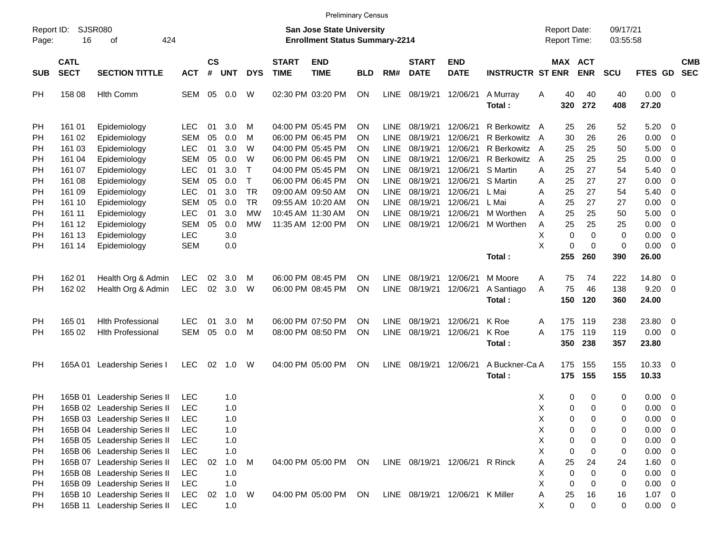|                                    |                                      |                                                                                                                                                      |                                                      |                      |                                 |                                            |                             | <b>Preliminary Census</b>                                                        |                      |                                                          |                                              |                                              |                                                                |                       |                                     |                       |                              |                                      |                                                                                                                             |                          |
|------------------------------------|--------------------------------------|------------------------------------------------------------------------------------------------------------------------------------------------------|------------------------------------------------------|----------------------|---------------------------------|--------------------------------------------|-----------------------------|----------------------------------------------------------------------------------|----------------------|----------------------------------------------------------|----------------------------------------------|----------------------------------------------|----------------------------------------------------------------|-----------------------|-------------------------------------|-----------------------|------------------------------|--------------------------------------|-----------------------------------------------------------------------------------------------------------------------------|--------------------------|
| Report ID:<br>Page:                | 16                                   | SJSR080<br>424<br>оf                                                                                                                                 |                                                      |                      |                                 |                                            |                             | <b>San Jose State University</b><br><b>Enrollment Status Summary-2214</b>        |                      |                                                          |                                              |                                              |                                                                |                       | <b>Report Date:</b><br>Report Time: |                       | 09/17/21<br>03:55:58         |                                      |                                                                                                                             |                          |
| <b>SUB</b>                         | <b>CATL</b><br><b>SECT</b>           | <b>SECTION TITTLE</b>                                                                                                                                | <b>ACT</b>                                           | <b>CS</b><br>#       | <b>UNT</b>                      | <b>DYS</b>                                 | <b>START</b><br><b>TIME</b> | <b>END</b><br><b>TIME</b>                                                        | <b>BLD</b>           | RM#                                                      | <b>START</b><br><b>DATE</b>                  | <b>END</b><br><b>DATE</b>                    | <b>INSTRUCTR ST ENR</b>                                        |                       | MAX ACT                             | <b>ENR</b>            | SCU                          | FTES GD                              |                                                                                                                             | <b>CMB</b><br><b>SEC</b> |
| РH                                 | 158 08                               | <b>Hlth Comm</b>                                                                                                                                     | SEM                                                  | 05                   | 0.0                             | W                                          |                             | 02:30 PM 03:20 PM                                                                | ΟN                   | <b>LINE</b>                                              | 08/19/21                                     | 12/06/21                                     | A Murray<br>Total:                                             | Α                     | 40<br>320                           | 40<br>272             | 40<br>408                    | 0.00<br>27.20                        | - 0                                                                                                                         |                          |
| <b>PH</b><br>PH<br>РH<br>РH        | 161 01<br>161 02<br>161 03<br>161 04 | Epidemiology<br>Epidemiology<br>Epidemiology<br>Epidemiology                                                                                         | <b>LEC</b><br><b>SEM</b><br><b>LEC</b><br><b>SEM</b> | 01<br>05<br>01<br>05 | 3.0<br>0.0<br>3.0<br>0.0        | м<br>M<br>W<br>W                           |                             | 04:00 PM 05:45 PM<br>06:00 PM 06:45 PM<br>04:00 PM 05:45 PM<br>06:00 PM 06:45 PM | ΟN<br>ΟN<br>ΟN<br>ΟN | <b>LINE</b><br><b>LINE</b><br><b>LINE</b><br><b>LINE</b> | 08/19/21<br>08/19/21<br>08/19/21<br>08/19/21 | 12/06/21<br>12/06/21<br>12/06/21<br>12/06/21 | R Berkowitz A<br>R Berkowitz A<br>R Berkowitz A<br>R Berkowitz | $\overline{A}$        | 25<br>30<br>25<br>25                | 26<br>26<br>25<br>25  | 52<br>26<br>50<br>25         | 5.20<br>0.00<br>5.00<br>0.00         | - 0<br>$\overline{0}$<br>$\overline{0}$<br>$\overline{0}$                                                                   |                          |
| PH<br>PH<br>PH<br>РH               | 161 07<br>161 08<br>161 09<br>161 10 | Epidemiology<br>Epidemiology<br>Epidemiology<br>Epidemiology                                                                                         | <b>LEC</b><br><b>SEM</b><br><b>LEC</b><br><b>SEM</b> | 01<br>05<br>01<br>05 | 3.0<br>0.0<br>3.0<br>0.0        | $\top$<br>$\top$<br><b>TR</b><br><b>TR</b> |                             | 04:00 PM 05:45 PM<br>06:00 PM 06:45 PM<br>09:00 AM 09:50 AM<br>09:55 AM 10:20 AM | ΟN<br>ΟN<br>ΟN<br>ΟN | <b>LINE</b><br><b>LINE</b><br><b>LINE</b><br><b>LINE</b> | 08/19/21<br>08/19/21<br>08/19/21<br>08/19/21 | 12/06/21<br>12/06/21<br>12/06/21<br>12/06/21 | S Martin<br>S Martin<br>L Mai<br>L Mai                         | Α<br>Α<br>Α<br>A      | 25<br>25<br>25<br>25                | 27<br>27<br>27<br>27  | 54<br>27<br>54<br>27         | 5.40<br>0.00<br>5.40<br>0.00         | 0<br>$\overline{0}$<br>$\overline{0}$<br>$\overline{0}$                                                                     |                          |
| PH<br>PH<br>РH<br>РH               | 161 11<br>161 12<br>161 13<br>161 14 | Epidemiology<br>Epidemiology<br>Epidemiology<br>Epidemiology                                                                                         | <b>LEC</b><br>SEM<br><b>LEC</b><br><b>SEM</b>        | 01<br>05             | 3.0<br>0.0<br>3.0<br>0.0        | <b>MW</b><br><b>MW</b>                     |                             | 10:45 AM 11:30 AM<br>11:35 AM 12:00 PM                                           | ΟN<br>ΟN             | <b>LINE</b><br><b>LINE</b>                               | 08/19/21<br>08/19/21                         | 12/06/21<br>12/06/21                         | M Worthen<br>M Worthen                                         | A<br>Α<br>Χ<br>X      | 25<br>25<br>0<br>0                  | 25<br>25<br>0<br>0    | 50<br>25<br>0<br>$\mathbf 0$ | 5.00<br>0.00<br>0.00<br>0.00         | $\overline{0}$<br>$\overline{0}$<br>$\overline{0}$<br>0                                                                     |                          |
|                                    |                                      |                                                                                                                                                      |                                                      |                      |                                 |                                            |                             |                                                                                  |                      |                                                          |                                              |                                              | Total:                                                         |                       | 255                                 | 260                   | 390                          | 26.00                                |                                                                                                                             |                          |
| PН<br>РH                           | 162 01<br>162 02                     | Health Org & Admin<br>Health Org & Admin                                                                                                             | <b>LEC</b><br><b>LEC</b>                             | 02<br>02             | 3.0<br>3.0                      | M<br>W                                     |                             | 06:00 PM 08:45 PM<br>06:00 PM 08:45 PM                                           | ΟN<br>ΟN             | <b>LINE</b><br><b>LINE</b>                               | 08/19/21<br>08/19/21                         | 12/06/21<br>12/06/21                         | M Moore<br>A Santiago<br>Total:                                | Α<br>A                | 75<br>75<br>150                     | 74<br>46<br>120       | 222<br>138<br>360            | 14.80<br>9.20<br>24.00               | $\overline{\mathbf{0}}$<br>0                                                                                                |                          |
| <b>PH</b><br>РH                    | 165 01<br>165 02                     | <b>Hith Professional</b><br><b>Hlth Professional</b>                                                                                                 | <b>LEC</b><br>SEM                                    | 01<br>05             | 3.0<br>0.0                      | M<br>M                                     |                             | 06:00 PM 07:50 PM<br>08:00 PM 08:50 PM                                           | ΟN<br>ΟN             | <b>LINE</b><br><b>LINE</b>                               | 08/19/21<br>08/19/21                         | 12/06/21<br>12/06/21                         | K Roe<br>K Roe<br>Total:                                       | A<br>A                | 175<br>175<br>350                   | 119<br>119<br>238     | 238<br>119<br>357            | 23.80<br>0.00<br>23.80               | $\overline{\mathbf{0}}$<br>$\overline{\mathbf{0}}$                                                                          |                          |
| РH                                 | 165A01                               | Leadership Series I                                                                                                                                  | <b>LEC</b>                                           | 02                   | 1.0                             | W                                          |                             | 04:00 PM 05:00 PM                                                                | ΟN                   | LINE                                                     | 08/19/21 12/06/21                            |                                              | A Buckner-Ca A<br>Total:                                       |                       | 175<br>175                          | 155<br>155            | 155<br>155                   | 10.33<br>10.33                       | $\overline{\phantom{0}}$                                                                                                    |                          |
| <b>PH</b><br>РH<br>PH<br>PH<br>PH  | 165B 01                              | Leadership Series II<br>165B 02 Leadership Series II<br>165B 03 Leadership Series II<br>165B 04 Leadership Series II<br>165B 05 Leadership Series II | LEC<br><b>LEC</b><br><b>LEC</b><br>LEC<br><b>LEC</b> |                      | 1.0<br>1.0<br>1.0<br>1.0<br>1.0 |                                            |                             |                                                                                  |                      |                                                          |                                              |                                              |                                                                | X<br>X<br>Χ<br>Χ<br>Χ | 0<br>0<br>0<br>0<br>0               | 0<br>0<br>0<br>0<br>0 | 0<br>0<br>0<br>0<br>0        | 0.00<br>0.00<br>0.00<br>0.00<br>0.00 | $\overline{\mathbf{0}}$<br>$\overline{0}$<br>$\overline{\mathbf{0}}$<br>$\overline{\phantom{0}}$<br>$\overline{\mathbf{0}}$ |                          |
| <b>PH</b><br>PH<br>PH<br><b>PH</b> |                                      | 165B 06 Leadership Series II<br>165B 07 Leadership Series II<br>165B 08 Leadership Series II<br>165B 09 Leadership Series II                         | <b>LEC</b><br><b>LEC</b><br><b>LEC</b><br><b>LEC</b> | 02                   | 1.0<br>1.0<br>1.0<br>1.0        | M                                          |                             | 04:00 PM 05:00 PM                                                                | ON                   |                                                          | LINE 08/19/21 12/06/21                       |                                              | R Rinck                                                        | X<br>Α<br>X<br>X      | 0<br>25<br>0<br>0                   | 0<br>24<br>0<br>0     | 0<br>24<br>0<br>0            | 0.00<br>1.60<br>0.00<br>0.00         | $\overline{\mathbf{0}}$<br>$\overline{\phantom{0}}$<br>$\overline{\mathbf{0}}$<br>$\overline{\mathbf{0}}$                   |                          |
| <b>PH</b><br>PH                    |                                      | 165B 10 Leadership Series II<br>165B 11 Leadership Series II                                                                                         | <b>LEC</b><br>LEC                                    | 02                   | 1.0<br>1.0                      | W                                          |                             | 04:00 PM 05:00 PM                                                                | ON                   |                                                          | LINE 08/19/21 12/06/21 K Miller              |                                              |                                                                | Α<br>X                | 25<br>0                             | 16<br>0               | 16<br>0                      | 1.07<br>$0.00 \t 0$                  | $\overline{\phantom{0}}$                                                                                                    |                          |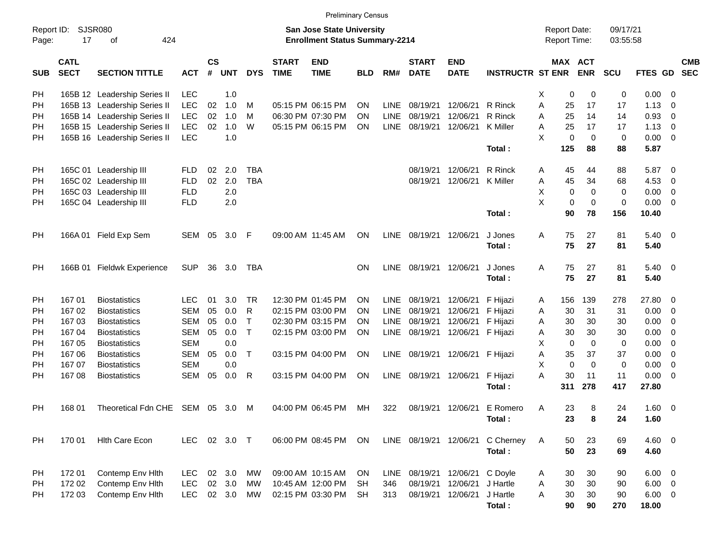|                     |                            |                                                                                                   |            |                    |            |            |                             | <b>Preliminary Census</b> |            |             |                             |                           |                         |   |             |                                     |                      |             |                          |                          |
|---------------------|----------------------------|---------------------------------------------------------------------------------------------------|------------|--------------------|------------|------------|-----------------------------|---------------------------|------------|-------------|-----------------------------|---------------------------|-------------------------|---|-------------|-------------------------------------|----------------------|-------------|--------------------------|--------------------------|
| Report ID:<br>Page: | 17                         | SJSR080<br><b>San Jose State University</b><br>424<br><b>Enrollment Status Summary-2214</b><br>οf |            |                    |            |            |                             |                           |            |             |                             |                           |                         |   |             | <b>Report Date:</b><br>Report Time: | 09/17/21<br>03:55:58 |             |                          |                          |
| <b>SUB</b>          | <b>CATL</b><br><b>SECT</b> | <b>SECTION TITTLE</b>                                                                             | <b>ACT</b> | $\mathsf{cs}$<br># | <b>UNT</b> | <b>DYS</b> | <b>START</b><br><b>TIME</b> | <b>END</b><br><b>TIME</b> | <b>BLD</b> | RM#         | <b>START</b><br><b>DATE</b> | <b>END</b><br><b>DATE</b> | <b>INSTRUCTR ST ENR</b> |   | MAX ACT     | <b>ENR</b>                          | <b>SCU</b>           | FTES GD     |                          | <b>CMB</b><br><b>SEC</b> |
| <b>PH</b>           |                            | 165B 12 Leadership Series II                                                                      | <b>LEC</b> |                    | 1.0        |            |                             |                           |            |             |                             |                           |                         | X | 0           | 0                                   | 0                    | 0.00        | - 0                      |                          |
| PH                  |                            | 165B 13 Leadership Series II                                                                      | <b>LEC</b> | 02                 | 1.0        | м          |                             | 05:15 PM 06:15 PM         | <b>ON</b>  | <b>LINE</b> | 08/19/21                    | 12/06/21                  | R Rinck                 | A | 25          | 17                                  | 17                   | 1.13        | $\mathbf 0$              |                          |
| PH                  |                            | 165B 14 Leadership Series II                                                                      | <b>LEC</b> | 02                 | 1.0        | м          |                             | 06:30 PM 07:30 PM         | <b>ON</b>  | <b>LINE</b> | 08/19/21                    | 12/06/21                  | R Rinck                 | A | 25          | 14                                  | 14                   | 0.93        | 0                        |                          |
| PH                  |                            | 165B 15 Leadership Series II                                                                      | <b>LEC</b> | 02                 | 1.0        | W          |                             | 05:15 PM 06:15 PM         | ON         | <b>LINE</b> | 08/19/21                    | 12/06/21                  | K Miller                | A | 25          | 17                                  | 17                   | 1.13        | $\mathbf 0$              |                          |
| PH                  |                            | 165B 16 Leadership Series II                                                                      | <b>LEC</b> |                    | 1.0        |            |                             |                           |            |             |                             |                           |                         | X | 0           | $\overline{0}$                      | 0                    | 0.00        | $\overline{\mathbf{0}}$  |                          |
|                     |                            |                                                                                                   |            |                    |            |            |                             |                           |            |             |                             |                           | Total:                  |   | 125         | 88                                  | 88                   | 5.87        |                          |                          |
| PH                  |                            | 165C 01 Leadership III                                                                            | <b>FLD</b> | 02                 | 2.0        | <b>TBA</b> |                             |                           |            |             | 08/19/21                    | 12/06/21                  | R Rinck                 | Α | 45          | 44                                  | 88                   | 5.87        | $\overline{\mathbf{0}}$  |                          |
| PH                  |                            | 165C 02 Leadership III                                                                            | <b>FLD</b> | 02                 | 2.0        | <b>TBA</b> |                             |                           |            |             | 08/19/21                    | 12/06/21                  | <b>K</b> Miller         | Α | 45          | 34                                  | 68                   | 4.53        | 0                        |                          |
| PH                  |                            | 165C 03 Leadership III                                                                            | <b>FLD</b> |                    | 2.0        |            |                             |                           |            |             |                             |                           |                         | X | 0           | 0                                   | 0                    | 0.00        | $\mathbf 0$              |                          |
| PH                  |                            | 165C 04 Leadership III                                                                            | <b>FLD</b> |                    | 2.0        |            |                             |                           |            |             |                             |                           |                         | X | 0           | $\mathbf 0$                         | 0                    | 0.00        | $\overline{0}$           |                          |
|                     |                            |                                                                                                   |            |                    |            |            |                             |                           |            |             |                             |                           | Total:                  |   | 90          | 78                                  | 156                  | 10.40       |                          |                          |
| PH                  |                            | 166A 01 Field Exp Sem                                                                             | SEM        | 05                 | 3.0        | -F         |                             | 09:00 AM 11:45 AM         | ON         | LINE        | 08/19/21                    | 12/06/21                  | J Jones                 | A | 75          | 27                                  | 81                   | 5.40        | $\overline{\mathbf{0}}$  |                          |
|                     |                            |                                                                                                   |            |                    |            |            |                             |                           |            |             |                             |                           | Total:                  |   | 75          | 27                                  | 81                   | 5.40        |                          |                          |
| PH                  |                            | 166B 01 Fieldwk Experience                                                                        | <b>SUP</b> | 36                 | 3.0        | TBA        |                             |                           | <b>ON</b>  | LINE        | 08/19/21                    | 12/06/21                  | J Jones                 | A | 75          | 27                                  | 81                   | 5.40        | $\overline{\phantom{0}}$ |                          |
|                     |                            |                                                                                                   |            |                    |            |            |                             |                           |            |             |                             |                           | Total:                  |   | 75          | 27                                  | 81                   | 5.40        |                          |                          |
| PH                  | 167 01                     | <b>Biostatistics</b>                                                                              | <b>LEC</b> | 01                 | 3.0        | <b>TR</b>  |                             | 12:30 PM 01:45 PM         | <b>ON</b>  | <b>LINE</b> | 08/19/21                    | 12/06/21                  | F Hijazi                | A | 156         | 139                                 | 278                  | 27.80       | $\overline{\mathbf{0}}$  |                          |
| PH                  | 167 02                     | <b>Biostatistics</b>                                                                              | <b>SEM</b> | 05                 | 0.0        | R          |                             | 02:15 PM 03:00 PM         | <b>ON</b>  | <b>LINE</b> | 08/19/21                    | 12/06/21                  | F Hijazi                | A | 30          | 31                                  | 31                   | 0.00        | $\overline{\mathbf{0}}$  |                          |
| PH                  | 16703                      | <b>Biostatistics</b>                                                                              | <b>SEM</b> | 05                 | 0.0        | Τ          |                             | 02:30 PM 03:15 PM         | <b>ON</b>  | <b>LINE</b> | 08/19/21                    | 12/06/21                  | F Hijazi                | A | 30          | 30                                  | 30                   | 0.00        | 0                        |                          |
| PH                  | 167 04                     | <b>Biostatistics</b>                                                                              | <b>SEM</b> | 05                 | 0.0        | T          |                             | 02:15 PM 03:00 PM         | ON         | <b>LINE</b> | 08/19/21                    | 12/06/21                  | F Hijazi                | Α | 30          | 30                                  | 30                   | 0.00        | 0                        |                          |
| PH                  | 167 05                     | <b>Biostatistics</b>                                                                              | <b>SEM</b> |                    | 0.0        |            |                             |                           |            |             |                             |                           |                         | X | $\mathbf 0$ | $\mathbf 0$                         | 0                    | 0.00        | 0                        |                          |
| PH                  | 167 06                     | <b>Biostatistics</b>                                                                              | <b>SEM</b> | 05                 | 0.0        | T          |                             | 03:15 PM 04:00 PM         | ON         | <b>LINE</b> | 08/19/21                    | 12/06/21                  | F Hijazi                | Α | 35          | 37                                  | 37                   | 0.00        | $\mathbf 0$              |                          |
| PH                  | 167 07                     | <b>Biostatistics</b>                                                                              | <b>SEM</b> |                    | 0.0        |            |                             |                           |            |             |                             |                           |                         | X | $\mathbf 0$ | $\mathbf 0$                         | 0                    | 0.00        | $\mathbf 0$              |                          |
| PН                  | 16708                      | <b>Biostatistics</b>                                                                              | <b>SEM</b> | 05                 | 0.0        | R          |                             | 03:15 PM 04:00 PM         | ON         | <b>LINE</b> | 08/19/21                    | 12/06/21                  | F Hijazi                | A | 30          | 11                                  | 11                   | 0.00        | $\overline{\mathbf{0}}$  |                          |
|                     |                            |                                                                                                   |            |                    |            |            |                             |                           |            |             |                             |                           | Total:                  |   | 311         | 278                                 | 417                  | 27.80       |                          |                          |
| PH                  | 168 01                     | Theoretical Fdn CHE SEM 05                                                                        |            |                    | 3.0        | M          |                             | 04:00 PM 06:45 PM         | MН         | 322         |                             | 08/19/21 12/06/21         | E Romero                | A | 23          | 8                                   | 24                   | 1.60        | $\overline{\phantom{0}}$ |                          |
|                     |                            |                                                                                                   |            |                    |            |            |                             |                           |            |             |                             |                           | Total:                  |   | 23          | 8                                   | 24                   | 1.60        |                          |                          |
| PH                  | 170 01                     | <b>Hith Care Econ</b>                                                                             | <b>LEC</b> |                    | 02 3.0 T   |            |                             | 06:00 PM 08:45 PM         | ON         |             |                             | LINE 08/19/21 12/06/21    | C Cherney               | A | 50          | 23                                  | 69                   | $4.60$ 0    |                          |                          |
|                     |                            |                                                                                                   |            |                    |            |            |                             |                           |            |             |                             |                           | Total:                  |   | 50          | 23                                  | 69                   | 4.60        |                          |                          |
| PH                  | 17201                      | Contemp Env Hith                                                                                  | <b>LEC</b> |                    | 02 3.0     | MW         |                             | 09:00 AM 10:15 AM         | ON         | LINE        | 08/19/21 12/06/21           |                           | C Doyle                 | Α | 30          | 30                                  | 90                   | $6.00 \t 0$ |                          |                          |
| PH                  | 172 02                     | Contemp Env Hith                                                                                  | <b>LEC</b> |                    | 02 3.0     | MW         |                             | 10:45 AM 12:00 PM         | <b>SH</b>  | 346         | 08/19/21                    | 12/06/21                  | J Hartle                | Α | 30          | $30\,$                              | 90                   | $6.00 \t 0$ |                          |                          |
| PH                  | 172 03                     | Contemp Env Hlth                                                                                  | <b>LEC</b> |                    | 02 3.0     | MW         |                             | 02:15 PM 03:30 PM         | <b>SH</b>  | 313         |                             | 08/19/21 12/06/21         | J Hartle                | Α | 30          | 30                                  | 90                   | $6.00 \t 0$ |                          |                          |
|                     |                            |                                                                                                   |            |                    |            |            |                             |                           |            |             |                             |                           | Total:                  |   | 90          | 90                                  | 270                  | 18.00       |                          |                          |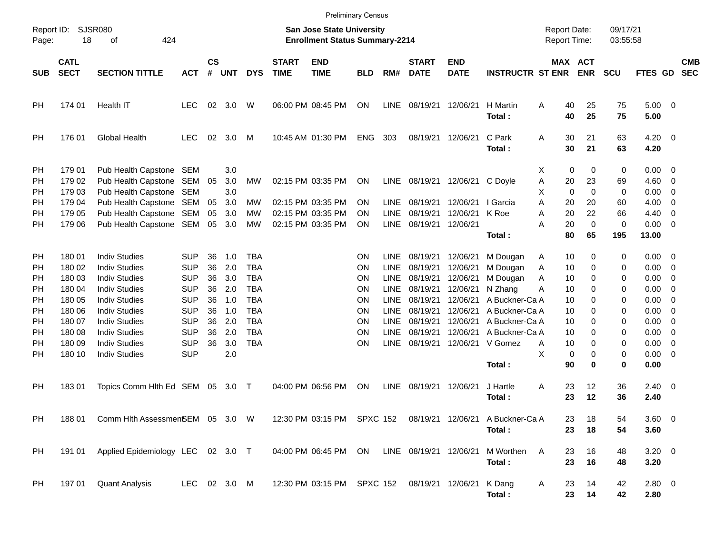|                       |                            |                                                                               |                          |                             |                   |                          |                             | <b>Preliminary Census</b>                                                 |                        |                            |                             |                           |                                                                       |                                            |                       |                         |                      |                                                    |                          |
|-----------------------|----------------------------|-------------------------------------------------------------------------------|--------------------------|-----------------------------|-------------------|--------------------------|-----------------------------|---------------------------------------------------------------------------|------------------------|----------------------------|-----------------------------|---------------------------|-----------------------------------------------------------------------|--------------------------------------------|-----------------------|-------------------------|----------------------|----------------------------------------------------|--------------------------|
| Report ID:<br>Page:   | 18                         | <b>SJSR080</b><br>424<br>οf                                                   |                          |                             |                   |                          |                             | <b>San Jose State University</b><br><b>Enrollment Status Summary-2214</b> |                        |                            |                             |                           |                                                                       | <b>Report Date:</b><br><b>Report Time:</b> |                       | 09/17/21<br>03:55:58    |                      |                                                    |                          |
| <b>SUB</b>            | <b>CATL</b><br><b>SECT</b> | <b>SECTION TITTLE</b>                                                         | <b>ACT</b>               | $\mathsf{cs}$<br>$\pmb{\#}$ | <b>UNT</b>        | <b>DYS</b>               | <b>START</b><br><b>TIME</b> | <b>END</b><br><b>TIME</b>                                                 | <b>BLD</b>             | RM#                        | <b>START</b><br><b>DATE</b> | <b>END</b><br><b>DATE</b> | <b>INSTRUCTR ST ENR</b>                                               |                                            | MAX ACT<br><b>ENR</b> | <b>SCU</b>              | <b>FTES GD</b>       |                                                    | <b>CMB</b><br><b>SEC</b> |
| PH                    | 174 01                     | Health IT                                                                     | <b>LEC</b>               | 02                          | 3.0               | W                        |                             | 06:00 PM 08:45 PM                                                         | <b>ON</b>              | <b>LINE</b>                | 08/19/21                    | 12/06/21                  | H Martin<br>Total:                                                    | A<br>40<br>40                              | 25<br>25              | 75<br>75                | $5.00 \t 0$<br>5.00  |                                                    |                          |
| PH                    | 176 01                     | <b>Global Health</b>                                                          | <b>LEC</b>               | 02                          | 3.0               | M                        |                             | 10:45 AM 01:30 PM                                                         | <b>ENG</b>             | 303                        | 08/19/21                    | 12/06/21                  | C Park<br>Total:                                                      | A<br>30<br>30                              | 21<br>21              | 63<br>63                | 4.20<br>4.20         | $\overline{\phantom{0}}$                           |                          |
| PH<br>PH              | 179 01<br>179 02           | Pub Health Capstone<br>Pub Health Capstone                                    | SEM<br>SEM               | 05                          | 3.0<br>3.0        | MW                       |                             | 02:15 PM 03:35 PM                                                         | <b>ON</b>              | LINE                       | 08/19/21                    | 12/06/21 C Doyle          |                                                                       | X<br>Α<br>20                               | 0<br>0<br>23          | $\mathbf 0$<br>69       | 0.00<br>4.60         | - 0<br>$\overline{0}$                              |                          |
| РH<br>РH<br><b>PH</b> | 179 03<br>179 04<br>179 05 | Pub Health Capstone SEM<br>Pub Health Capstone SEM<br>Pub Health Capstone SEM |                          | 05<br>05                    | 3.0<br>3.0<br>3.0 | MW<br>МW                 |                             | 02:15 PM 03:35 PM<br>02:15 PM 03:35 PM                                    | <b>ON</b><br><b>ON</b> | <b>LINE</b><br><b>LINE</b> | 08/19/21<br>08/19/21        | 12/06/21<br>12/06/21      | I Garcia<br>K Roe                                                     | X<br>$\mathbf 0$<br>A<br>20<br>20<br>A     | 0<br>20<br>22         | $\mathbf 0$<br>60<br>66 | 0.00<br>4.00<br>4.40 | $\overline{0}$<br>$\overline{0}$<br>$\overline{0}$ |                          |
| РH                    | 179 06                     | Pub Health Capstone SEM                                                       |                          | 05                          | 3.0               | МW                       |                             | 02:15 PM 03:35 PM                                                         | <b>ON</b>              | <b>LINE</b>                | 08/19/21                    | 12/06/21                  | Total:                                                                | A<br>20<br>80                              | $\mathbf 0$<br>65     | $\mathbf 0$<br>195      | 0.00<br>13.00        | $\overline{0}$                                     |                          |
| PH                    | 180 01                     | <b>Indiv Studies</b>                                                          | <b>SUP</b>               | 36                          | 1.0               | <b>TBA</b>               |                             |                                                                           | <b>ON</b>              | LINE                       | 08/19/21                    | 12/06/21                  | M Dougan                                                              | Α<br>10                                    | 0                     | 0                       | 0.00                 | - 0                                                |                          |
| PH                    | 180 02                     | <b>Indiv Studies</b>                                                          | <b>SUP</b>               | 36                          | 2.0               | <b>TBA</b>               |                             |                                                                           | <b>ON</b>              | <b>LINE</b>                | 08/19/21                    | 12/06/21                  | M Dougan                                                              | A<br>10                                    | 0                     | 0                       | 0.00                 | $\overline{\mathbf{0}}$                            |                          |
| РH<br>РH              | 180 03<br>180 04           | <b>Indiv Studies</b><br><b>Indiv Studies</b>                                  | <b>SUP</b><br><b>SUP</b> | 36<br>36                    | 3.0<br>2.0        | <b>TBA</b><br><b>TBA</b> |                             |                                                                           | ON<br><b>ON</b>        | LINE<br><b>LINE</b>        | 08/19/21<br>08/19/21        | 12/06/21<br>12/06/21      | M Dougan<br>N Zhang                                                   | A<br>10<br>A<br>10                         | 0<br>0                | 0<br>0                  | 0.00<br>0.00         | $\overline{0}$<br>$\overline{0}$                   |                          |
| РH                    | 180 05                     | <b>Indiv Studies</b>                                                          | <b>SUP</b>               | 36                          | 1.0               | <b>TBA</b>               |                             |                                                                           | <b>ON</b>              | <b>LINE</b>                | 08/19/21                    | 12/06/21                  | A Buckner-Ca A                                                        | 10                                         | 0                     | 0                       | 0.00                 | $\overline{0}$                                     |                          |
| РH                    | 180 06                     | <b>Indiv Studies</b>                                                          | <b>SUP</b>               | 36                          | 1.0               | <b>TBA</b>               |                             |                                                                           | <b>ON</b>              | <b>LINE</b>                | 08/19/21                    | 12/06/21                  | A Buckner-Ca A                                                        | 10                                         | 0                     | 0                       | 0.00                 | $\overline{0}$                                     |                          |
| РH                    | 180 07                     | <b>Indiv Studies</b>                                                          | <b>SUP</b>               | 36                          | 2.0               | <b>TBA</b>               |                             |                                                                           | <b>ON</b>              | <b>LINE</b>                | 08/19/21                    | 12/06/21                  | A Buckner-Ca A                                                        | 10                                         | 0                     | 0                       | 0.00                 | $\overline{0}$                                     |                          |
| РH                    | 180 08                     | <b>Indiv Studies</b>                                                          | <b>SUP</b>               | 36                          | 2.0               | <b>TBA</b>               |                             |                                                                           | <b>ON</b>              | <b>LINE</b>                | 08/19/21                    | 12/06/21                  | A Buckner-Ca A                                                        | 10                                         | 0                     | 0                       | 0.00                 | $\overline{0}$                                     |                          |
| РH                    | 180 09                     | <b>Indiv Studies</b>                                                          | <b>SUP</b>               | 36                          | 3.0               | <b>TBA</b>               |                             |                                                                           | <b>ON</b>              | <b>LINE</b>                | 08/19/21                    | 12/06/21                  | V Gomez                                                               | Α<br>10                                    | 0                     | 0                       | 0.00                 | $\overline{0}$                                     |                          |
| PН                    | 180 10                     | <b>Indiv Studies</b>                                                          | <b>SUP</b>               |                             | 2.0               |                          |                             |                                                                           |                        |                            |                             |                           |                                                                       | X                                          | 0<br>0                | $\mathbf 0$             | 0.00                 | $\overline{0}$                                     |                          |
|                       |                            |                                                                               |                          |                             |                   |                          |                             |                                                                           |                        |                            |                             |                           | Total:                                                                | 90                                         | 0                     | 0                       | 0.00                 |                                                    |                          |
| PH                    | 18301                      | Topics Comm Hlth Ed SEM                                                       |                          | 05                          | 3.0               | $\top$                   |                             | 04:00 PM 06:56 PM                                                         | <b>ON</b>              | <b>LINE</b>                | 08/19/21                    | 12/06/21                  | J Hartle<br>Total:                                                    | A<br>23<br>23                              | 12<br>12              | 36<br>36                | $2.40 \ 0$<br>2.40   |                                                    |                          |
| PH                    | 188 01                     | Comm Hith AssessmenSEM 05 3.0 W                                               |                          |                             |                   |                          |                             |                                                                           |                        |                            |                             |                           | 12:30 PM 03:15 PM SPXC 152 08/19/21 12/06/21 A Buckner-Ca A<br>Total: | 23<br>23                                   | 18<br>18              | 54<br>54                | 3.60 0<br>3.60       |                                                    |                          |
| PH                    |                            | 191 01 Applied Epidemiology LEC 02 3.0 T                                      |                          |                             |                   |                          |                             | 04:00 PM 06:45 PM ON                                                      |                        |                            |                             |                           | LINE 08/19/21 12/06/21 M Worthen<br>Total:                            | A<br>23<br>23                              | 16<br>16              | 48<br>48                | $3.20 \ 0$<br>3.20   |                                                    |                          |
| PH                    | 197 01                     | <b>Quant Analysis</b>                                                         | LEC 02 3.0 M             |                             |                   |                          |                             | 12:30 PM 03:15 PM SPXC 152 08/19/21 12/06/21 K Dang                       |                        |                            |                             |                           | Total:                                                                | A<br>23<br>23                              | 14<br>14              | 42<br>42                | 2.80 0<br>2.80       |                                                    |                          |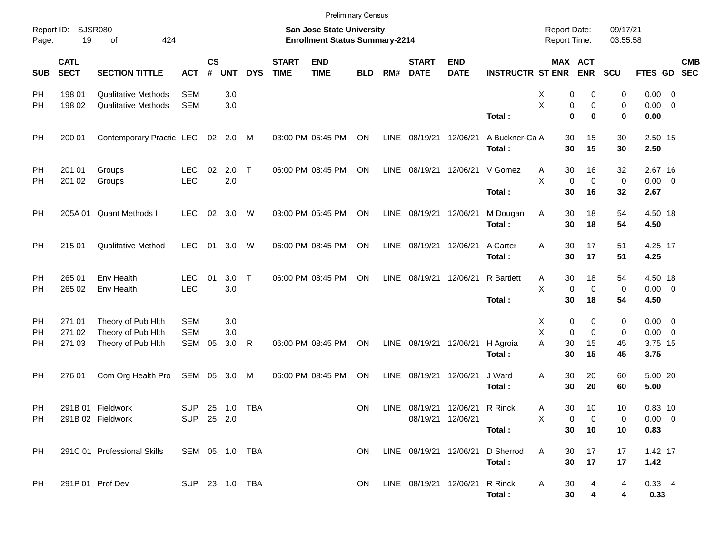|                     |                            |                                          |                          |                |            |            |                             | <b>Preliminary Census</b>                                          |            |      |                             |                           |                          |                                     |                              |                      |                            |            |
|---------------------|----------------------------|------------------------------------------|--------------------------|----------------|------------|------------|-----------------------------|--------------------------------------------------------------------|------------|------|-----------------------------|---------------------------|--------------------------|-------------------------------------|------------------------------|----------------------|----------------------------|------------|
| Report ID:<br>Page: | 19                         | SJSR080<br>424<br>οf                     |                          |                |            |            |                             | San Jose State University<br><b>Enrollment Status Summary-2214</b> |            |      |                             |                           |                          | <b>Report Date:</b><br>Report Time: |                              | 09/17/21<br>03:55:58 |                            |            |
| <b>SUB</b>          | <b>CATL</b><br><b>SECT</b> | <b>SECTION TITTLE</b>                    | <b>ACT</b>               | <b>CS</b><br># | <b>UNT</b> | <b>DYS</b> | <b>START</b><br><b>TIME</b> | <b>END</b><br><b>TIME</b>                                          | <b>BLD</b> | RM#  | <b>START</b><br><b>DATE</b> | <b>END</b><br><b>DATE</b> | <b>INSTRUCTR ST ENR</b>  |                                     | <b>MAX ACT</b><br><b>ENR</b> | <b>SCU</b>           | FTES GD SEC                | <b>CMB</b> |
| PH                  | 198 01                     | <b>Qualitative Methods</b>               | <b>SEM</b>               |                | 3.0        |            |                             |                                                                    |            |      |                             |                           |                          | х                                   | 0<br>0                       | 0                    | $0.00 \t 0$                |            |
| PH                  | 198 02                     | <b>Qualitative Methods</b>               | <b>SEM</b>               |                | 3.0        |            |                             |                                                                    |            |      |                             |                           | Total:                   | X                                   | 0<br>0<br>$\mathbf 0$<br>0   | 0<br>0               | $0.00 \t 0$<br>0.00        |            |
| PH                  | 200 01                     | Contemporary Practic LEC 02 2.0          |                          |                |            | M          |                             | 03:00 PM 05:45 PM                                                  | ON         | LINE | 08/19/21                    | 12/06/21                  | A Buckner-Ca A<br>Total: |                                     | 30<br>15<br>30<br>15         | 30<br>30             | 2.50 15<br>2.50            |            |
| PH<br>PH            | 201 01<br>201 02           | Groups<br>Groups                         | <b>LEC</b><br><b>LEC</b> | 02             | 2.0<br>2.0 | $\top$     |                             | 06:00 PM 08:45 PM                                                  | ON         | LINE | 08/19/21                    | 12/06/21                  | V Gomez                  | A<br>X                              | 30<br>16<br>$\mathbf 0$<br>0 | 32<br>0              | 2.67 16<br>$0.00 \t 0$     |            |
|                     |                            |                                          |                          |                |            |            |                             |                                                                    |            |      |                             |                           | Total:                   | 30                                  | 16                           | 32                   | 2.67                       |            |
| PH                  |                            | 205A 01 Quant Methods I                  | <b>LEC</b>               | 02             | 3.0        | W          |                             | 03:00 PM 05:45 PM                                                  | ON         | LINE | 08/19/21                    | 12/06/21                  | M Dougan<br>Total:       | Α<br>30                             | 30<br>18<br>18               | 54<br>54             | 4.50 18<br>4.50            |            |
| PH                  | 215 01                     | <b>Qualitative Method</b>                | <b>LEC</b>               | 01             | 3.0        | W          |                             | 06:00 PM 08:45 PM                                                  | ON         | LINE | 08/19/21                    | 12/06/21                  | A Carter<br>Total:       | 30<br>Α<br>30                       | 17<br>17                     | 51<br>51             | 4.25 17<br>4.25            |            |
| PH<br>PH            | 265 01<br>265 02           | Env Health<br>Env Health                 | <b>LEC</b><br><b>LEC</b> | 01             | 3.0<br>3.0 | $\top$     |                             | 06:00 PM 08:45 PM                                                  | ON         | LINE | 08/19/21                    | 12/06/21                  | <b>R</b> Bartlett        | Α<br>X                              | 30<br>18<br>0<br>0           | 54<br>0              | 4.50 18<br>$0.00 \t 0$     |            |
|                     |                            |                                          |                          |                |            |            |                             |                                                                    |            |      |                             |                           | Total:                   | 30                                  | 18                           | 54                   | 4.50                       |            |
| PH<br>PH            | 271 01<br>271 02           | Theory of Pub Hith<br>Theory of Pub Hith | <b>SEM</b><br><b>SEM</b> |                | 3.0<br>3.0 |            |                             |                                                                    |            |      |                             |                           |                          | Х<br>Χ                              | 0<br>0<br>0<br>0             | 0<br>0               | $0.00 \t 0$<br>$0.00 \t 0$ |            |
| PH                  | 271 03                     | Theory of Pub Hith                       | SEM                      | 05             | 3.0        | R          |                             | 06:00 PM 08:45 PM                                                  | ON         | LINE | 08/19/21                    | 12/06/21                  | H Agroia<br>Total:       | A<br>30<br>30                       | 15<br>15                     | 45<br>45             | 3.75 15<br>3.75            |            |
| PH                  | 276 01                     | Com Org Health Pro                       | SEM 05 3.0               |                |            | M          |                             | 06:00 PM 08:45 PM                                                  | ON         | LINE | 08/19/21                    | 12/06/21                  | J Ward<br>Total:         | Α<br>30                             | 30<br>20<br>20               | 60<br>60             | 5.00 20<br>5.00            |            |
| PH                  |                            | 291B 01 Fieldwork                        | <b>SUP</b>               |                | 25 1.0     | TBA        |                             |                                                                    | ΟN         | LINE |                             | 08/19/21 12/06/21 R Rinck |                          | Α                                   | 30<br>10                     | 10                   | $0.83$ 10                  |            |
| PH                  |                            | 291B 02 Fieldwork                        | SUP 25 2.0               |                |            |            |                             |                                                                    |            |      | 08/19/21 12/06/21           |                           | Total:                   | Х                                   | 0<br>0<br>30<br>10           | 0<br>10              | $0.00 \t 0$<br>0.83        |            |
| PH                  |                            | 291C 01 Professional Skills              | SEM 05 1.0 TBA           |                |            |            |                             |                                                                    | ON.        |      | LINE 08/19/21 12/06/21      |                           | D Sherrod<br>Total:      | Α                                   | 17<br>30<br>30<br>17         | 17<br>17             | 1.42 17<br>1.42            |            |
| PH                  |                            | 291P 01 Prof Dev                         | SUP 23 1.0 TBA           |                |            |            |                             |                                                                    | ON.        |      | LINE 08/19/21 12/06/21      |                           | R Rinck<br>Total:        | A                                   | 30<br>4<br>30<br>4           | 4<br>4               | $0.33 + 4$<br>0.33         |            |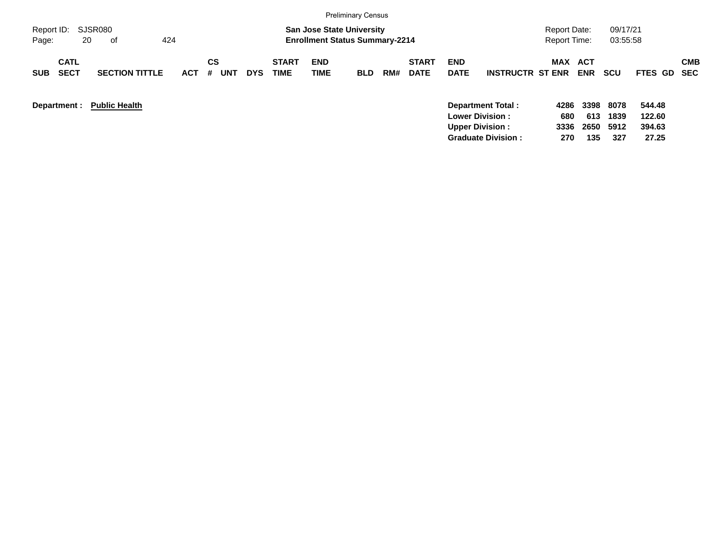|                                          |                       |                       |                          |                             |                                                                           | <b>Preliminary Census</b> |     |                             |                           |                         |                                            |             |                      |                  |            |
|------------------------------------------|-----------------------|-----------------------|--------------------------|-----------------------------|---------------------------------------------------------------------------|---------------------------|-----|-----------------------------|---------------------------|-------------------------|--------------------------------------------|-------------|----------------------|------------------|------------|
| Report ID:<br>20<br>Page:                | SJSR080<br>424<br>of  |                       |                          |                             | <b>San Jose State University</b><br><b>Enrollment Status Summary-2214</b> |                           |     |                             |                           |                         | <b>Report Date:</b><br><b>Report Time:</b> |             | 09/17/21<br>03:55:58 |                  |            |
| <b>CATL</b><br><b>SECT</b><br><b>SUB</b> | <b>SECTION TITTLE</b> | СS<br><b>ACT</b><br># | <b>UNT</b><br><b>DYS</b> | <b>START</b><br><b>TIME</b> | <b>END</b><br><b>TIME</b>                                                 | <b>BLD</b>                | RM# | <b>START</b><br><b>DATE</b> | <b>END</b><br><b>DATE</b> | <b>INSTRUCTR ST ENR</b> | MAX ACT                                    | <b>ENR</b>  | <b>SCU</b>           | FTES GD SEC      | <b>CMB</b> |
| Department :                             | <b>Public Health</b>  |                       |                          |                             |                                                                           |                           |     |                             | <b>Lower Division:</b>    | Department Total:       | 4286<br>680                                | 3398<br>613 | 8078<br>1839         | 544.48<br>122.60 |            |

**Upper Division : 3336 2650 5912 394.63 Graduate Division : 270 135 327 27.25**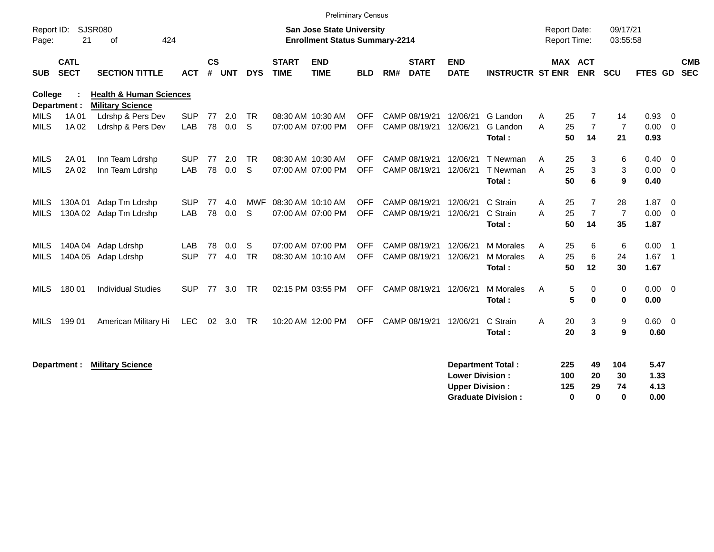|                     |                            |                                                               |            |                    |            |            |                             | <b>Preliminary Census</b>                                                 |            |     |                             |                           |                           |                                            |     |                       |                      |                |                            |            |
|---------------------|----------------------------|---------------------------------------------------------------|------------|--------------------|------------|------------|-----------------------------|---------------------------------------------------------------------------|------------|-----|-----------------------------|---------------------------|---------------------------|--------------------------------------------|-----|-----------------------|----------------------|----------------|----------------------------|------------|
| Report ID:<br>Page: | 21                         | SJSR080<br>424<br>οf                                          |            |                    |            |            |                             | <b>San Jose State University</b><br><b>Enrollment Status Summary-2214</b> |            |     |                             |                           |                           | <b>Report Date:</b><br><b>Report Time:</b> |     |                       | 09/17/21<br>03:55:58 |                |                            |            |
| <b>SUB</b>          | <b>CATL</b><br><b>SECT</b> | <b>SECTION TITTLE</b>                                         | <b>ACT</b> | $\mathsf{cs}$<br># | <b>UNT</b> | <b>DYS</b> | <b>START</b><br><b>TIME</b> | <b>END</b><br><b>TIME</b>                                                 | <b>BLD</b> | RM# | <b>START</b><br><b>DATE</b> | <b>END</b><br><b>DATE</b> | <b>INSTRUCTR ST ENR</b>   |                                            |     | MAX ACT<br><b>ENR</b> | SCU                  | FTES GD SEC    |                            | <b>CMB</b> |
| College             | Department :               | <b>Health &amp; Human Sciences</b><br><b>Military Science</b> |            |                    |            |            |                             |                                                                           |            |     |                             |                           |                           |                                            |     |                       |                      |                |                            |            |
| <b>MILS</b>         | 1A 01                      | Ldrshp & Pers Dev                                             | <b>SUP</b> | 77                 | 2.0        | <b>TR</b>  |                             | 08:30 AM 10:30 AM                                                         | <b>OFF</b> |     | CAMP 08/19/21               | 12/06/21                  | G Landon                  | A                                          | 25  | 7                     | 14                   | 0.93           | $\overline{\mathbf{0}}$    |            |
| <b>MILS</b>         | 1A 02                      | Ldrshp & Pers Dev                                             | LAB        | 78                 | 0.0        | S          |                             | 07:00 AM 07:00 PM                                                         | <b>OFF</b> |     | CAMP 08/19/21               | 12/06/21                  | G Landon                  | A                                          | 25  | $\overline{7}$        | $\overline{7}$       | 0.00           | $\overline{0}$             |            |
|                     |                            |                                                               |            |                    |            |            |                             |                                                                           |            |     |                             |                           | Total:                    |                                            | 50  | 14                    | 21                   | 0.93           |                            |            |
| MILS                | 2A 01                      | Inn Team Ldrshp                                               | <b>SUP</b> | 77                 | 2.0        | <b>TR</b>  |                             | 08:30 AM 10:30 AM                                                         | <b>OFF</b> |     | CAMP 08/19/21               | 12/06/21                  | T Newman                  | A                                          | 25  | 3                     | 6                    | 0.40           | $\overline{0}$             |            |
| <b>MILS</b>         | 2A 02                      | Inn Team Ldrshp                                               | LAB        | 78                 | 0.0        | S          |                             | 07:00 AM 07:00 PM                                                         | <b>OFF</b> |     | CAMP 08/19/21               | 12/06/21                  | T Newman                  | A                                          | 25  | 3                     | 3                    | 0.00           | $\overline{0}$             |            |
|                     |                            |                                                               |            |                    |            |            |                             |                                                                           |            |     |                             |                           | Total:                    |                                            | 50  | 6                     | 9                    | 0.40           |                            |            |
| MILS                | 130A 01                    | Adap Tm Ldrshp                                                | <b>SUP</b> | 77                 | 4.0        | MWF        |                             | 08:30 AM 10:10 AM                                                         | <b>OFF</b> |     | CAMP 08/19/21               | 12/06/21                  | C Strain                  | Α                                          | 25  | 7                     | 28                   | 1.87           | $\overline{0}$             |            |
| <b>MILS</b>         |                            | 130A 02 Adap Tm Ldrshp                                        | LAB        | 78                 | 0.0        | S.         |                             | 07:00 AM 07:00 PM                                                         | <b>OFF</b> |     | CAMP 08/19/21               | 12/06/21                  | C Strain                  | A                                          | 25  | $\overline{7}$        | $\overline{7}$       | 0.00           | $\overline{\mathbf{0}}$    |            |
|                     |                            |                                                               |            |                    |            |            |                             |                                                                           |            |     |                             |                           | Total:                    |                                            | 50  | 14                    | 35                   | 1.87           |                            |            |
| MILS                |                            | 140A 04 Adap Ldrshp                                           | LAB        | 78                 | 0.0        | S          |                             | 07:00 AM 07:00 PM                                                         | <b>OFF</b> |     | CAMP 08/19/21               | 12/06/21                  | <b>M</b> Morales          | A                                          | 25  | 6                     | 6                    | 0.00           | - 1                        |            |
| <b>MILS</b>         |                            | 140A 05 Adap Ldrshp                                           | <b>SUP</b> | 77                 | 4.0        | <b>TR</b>  |                             | 08:30 AM 10:10 AM                                                         | <b>OFF</b> |     | CAMP 08/19/21               | 12/06/21                  | M Morales                 | A                                          | 25  | 6                     | 24                   | 1.67           | $\overline{\phantom{0}}$ 1 |            |
|                     |                            |                                                               |            |                    |            |            |                             |                                                                           |            |     |                             |                           | Total:                    |                                            | 50  | 12                    | 30                   | 1.67           |                            |            |
| <b>MILS</b>         | 180 01                     | <b>Individual Studies</b>                                     | <b>SUP</b> | 77                 | 3.0        | <b>TR</b>  |                             | 02:15 PM 03:55 PM                                                         | <b>OFF</b> |     | CAMP 08/19/21               | 12/06/21                  | <b>M</b> Morales          | A                                          | 5   | 0                     | 0                    | 0.00           | $\overline{0}$             |            |
|                     |                            |                                                               |            |                    |            |            |                             |                                                                           |            |     |                             |                           | Total:                    |                                            | 5   | 0                     | $\bf{0}$             | 0.00           |                            |            |
| <b>MILS</b>         | 199 01                     | American Military Hi                                          | LEC        |                    | 02 3.0     | TR         |                             | 10:20 AM 12:00 PM                                                         | <b>OFF</b> |     | CAMP 08/19/21               | 12/06/21                  | C Strain                  | A                                          | 20  | 3                     | 9                    | $0.60 \quad 0$ |                            |            |
|                     |                            |                                                               |            |                    |            |            |                             |                                                                           |            |     |                             |                           | Total:                    |                                            | 20  | 3                     | 9                    | 0.60           |                            |            |
|                     |                            |                                                               |            |                    |            |            |                             |                                                                           |            |     |                             |                           |                           |                                            |     |                       |                      |                |                            |            |
|                     | Department :               | <b>Military Science</b>                                       |            |                    |            |            |                             |                                                                           |            |     |                             |                           | <b>Department Total:</b>  |                                            | 225 | 49                    | 104                  | 5.47           |                            |            |
|                     |                            |                                                               |            |                    |            |            |                             |                                                                           |            |     |                             | <b>Lower Division:</b>    |                           |                                            | 100 | 20                    | 30                   | 1.33           |                            |            |
|                     |                            |                                                               |            |                    |            |            |                             |                                                                           |            |     |                             | <b>Upper Division:</b>    |                           |                                            | 125 | 29                    | 74                   | 4.13           |                            |            |
|                     |                            |                                                               |            |                    |            |            |                             |                                                                           |            |     |                             |                           | <b>Graduate Division:</b> |                                            | 0   | 0                     | $\bf{0}$             | 0.00           |                            |            |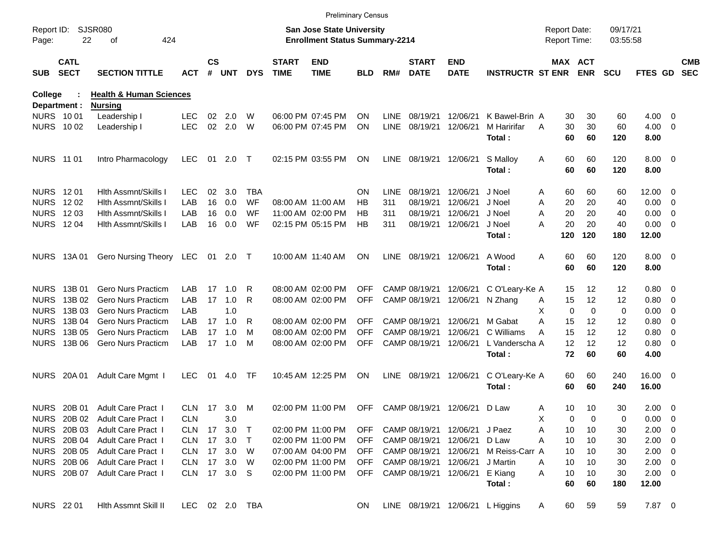|                     |                            |                                    |                |               |         |            |                             |                                                                           | <b>Preliminary Census</b> |             |                             |                           |                                  |                                            |                       |             |                      |                     |                          |                          |
|---------------------|----------------------------|------------------------------------|----------------|---------------|---------|------------|-----------------------------|---------------------------------------------------------------------------|---------------------------|-------------|-----------------------------|---------------------------|----------------------------------|--------------------------------------------|-----------------------|-------------|----------------------|---------------------|--------------------------|--------------------------|
| Report ID:<br>Page: | 22                         | <b>SJSR080</b><br>424<br>οf        |                |               |         |            |                             | <b>San Jose State University</b><br><b>Enrollment Status Summary-2214</b> |                           |             |                             |                           |                                  | <b>Report Date:</b><br><b>Report Time:</b> |                       |             | 09/17/21<br>03:55:58 |                     |                          |                          |
| <b>SUB</b>          | <b>CATL</b><br><b>SECT</b> | <b>SECTION TITTLE</b>              | ACT            | $\mathsf{cs}$ | # UNT   | <b>DYS</b> | <b>START</b><br><b>TIME</b> | <b>END</b><br><b>TIME</b>                                                 | <b>BLD</b>                | RM#         | <b>START</b><br><b>DATE</b> | <b>END</b><br><b>DATE</b> | <b>INSTRUCTR ST ENR</b>          |                                            | MAX ACT<br><b>ENR</b> |             | <b>SCU</b>           | <b>FTES GD</b>      |                          | <b>CMB</b><br><b>SEC</b> |
| <b>College</b>      |                            | <b>Health &amp; Human Sciences</b> |                |               |         |            |                             |                                                                           |                           |             |                             |                           |                                  |                                            |                       |             |                      |                     |                          |                          |
| Department :        |                            | <b>Nursing</b>                     |                |               |         |            |                             |                                                                           |                           |             |                             |                           |                                  |                                            |                       |             |                      |                     |                          |                          |
| <b>NURS 1001</b>    |                            | Leadership I                       | <b>LEC</b>     | 02            | 2.0     | W          |                             | 06:00 PM 07:45 PM                                                         | <b>ON</b>                 | LINE        | 08/19/21                    | 12/06/21                  | K Bawel-Brin A                   |                                            | 30                    | 30          | 60                   | 4.00                | $\overline{\phantom{0}}$ |                          |
| NURS 1002           |                            | Leadership I                       | <b>LEC</b>     | 02            | 2.0     | W          |                             | 06:00 PM 07:45 PM                                                         | <b>ON</b>                 | <b>LINE</b> | 08/19/21                    | 12/06/21                  | M Haririfar<br>Total:            | A                                          | 30<br>60              | 30<br>60    | 60<br>120            | 4.00<br>8.00        | $\overline{\phantom{0}}$ |                          |
| <b>NURS 11 01</b>   |                            | Intro Pharmacology                 | <b>LEC</b>     | 01            | 2.0     | $\top$     |                             | 02:15 PM 03:55 PM                                                         | ON                        | <b>LINE</b> | 08/19/21 12/06/21           |                           | S Malloy                         | A                                          | 60                    | 60          | 120                  | $8.00 \t 0$         |                          |                          |
|                     |                            |                                    |                |               |         |            |                             |                                                                           |                           |             |                             |                           | Total:                           |                                            | 60                    | 60          | 120                  | 8.00                |                          |                          |
| NURS 1201           |                            | <b>Hith Assmnt/Skills I</b>        | LEC            | 02            | 3.0     | <b>TBA</b> |                             |                                                                           | ON                        | LINE        | 08/19/21                    | 12/06/21                  | J Noel                           | A                                          | 60                    | 60          | 60                   | 12.00               | - 0                      |                          |
| <b>NURS</b>         | 1202                       | Hith Assmnt/Skills I               | LAB            | 16            | 0.0     | WF         |                             | 08:00 AM 11:00 AM                                                         | НB                        | 311         | 08/19/21                    | 12/06/21                  | J Noel                           | Α                                          | 20                    | 20          | 40                   | 0.00                | $\overline{\phantom{0}}$ |                          |
| <b>NURS</b>         | 12 03                      | Hith Assmnt/Skills I               | LAB            | 16            | 0.0     | WF         |                             | 11:00 AM 02:00 PM                                                         | НB                        | 311         | 08/19/21                    | 12/06/21                  | J Noel                           | A                                          | 20                    | 20          | 40                   | 0.00                | $\overline{\phantom{0}}$ |                          |
| <b>NURS 1204</b>    |                            | <b>Hith Assmnt/Skills I</b>        | LAB            | 16            | 0.0     | WF         |                             | 02:15 PM 05:15 PM                                                         | HB                        | 311         |                             | 08/19/21 12/06/21         | J Noel<br>Total:                 | Α                                          | 20<br>120             | 20<br>120   | 40<br>180            | 0.00<br>12.00       | $\overline{\phantom{0}}$ |                          |
|                     | NURS 13A 01                | <b>Gero Nursing Theory</b>         | LEC            | 01            | $2.0$ T |            |                             | 10:00 AM 11:40 AM                                                         | ON                        | <b>LINE</b> | 08/19/21 12/06/21           |                           | A Wood<br>Total:                 | Α                                          | 60<br>60              | 60<br>60    | 120<br>120           | $8.00 \t 0$<br>8.00 |                          |                          |
|                     |                            |                                    |                |               |         |            |                             |                                                                           |                           |             |                             |                           |                                  |                                            |                       |             |                      |                     |                          |                          |
| <b>NURS</b>         | 13B 01                     | <b>Gero Nurs Practicm</b>          | LAB            | 17            | 1.0     | R          |                             | 08:00 AM 02:00 PM                                                         | <b>OFF</b>                |             | CAMP 08/19/21               | 12/06/21                  | C O'Leary-Ke A                   |                                            | 15                    | 12          | 12                   | 0.80 0              |                          |                          |
| <b>NURS</b>         | 13B 02                     | <b>Gero Nurs Practicm</b>          | LAB            | 17            | 1.0     | R          |                             | 08:00 AM 02:00 PM                                                         | <b>OFF</b>                |             | CAMP 08/19/21               | 12/06/21                  | N Zhang                          | A                                          | 15                    | 12          | 12                   | 0.80                | $\overline{\phantom{0}}$ |                          |
| <b>NURS</b>         | 13B 03                     | <b>Gero Nurs Practicm</b>          | LAB            |               | 1.0     |            |                             |                                                                           |                           |             |                             |                           |                                  | X                                          | 0                     | $\mathbf 0$ | 0                    | 0.00                | $\overline{\phantom{0}}$ |                          |
| <b>NURS</b>         | 13B 04                     | <b>Gero Nurs Practicm</b>          | LAB            | 17            | 1.0     | R          |                             | 08:00 AM 02:00 PM                                                         | <b>OFF</b>                |             | CAMP 08/19/21               | 12/06/21                  | M Gabat                          | Α                                          | 15                    | 12          | 12                   | 0.80                | 0                        |                          |
| <b>NURS</b>         | 13B 05                     | <b>Gero Nurs Practicm</b>          | LAB            | 17            | 1.0     | м          |                             | 08:00 AM 02:00 PM                                                         | <b>OFF</b>                |             | CAMP 08/19/21               | 12/06/21                  | C Williams                       | Α                                          | 15                    | 12          | 12                   | 0.80                | $\overline{\mathbf{0}}$  |                          |
| <b>NURS</b>         | 13B 06                     | <b>Gero Nurs Practicm</b>          | LAB.           | 17            | 1.0     | м          |                             | 08:00 AM 02:00 PM                                                         | <b>OFF</b>                |             | CAMP 08/19/21               | 12/06/21                  | L Vanderscha A                   |                                            | 12                    | 12          | 12                   | 0.80 0              |                          |                          |
|                     |                            |                                    |                |               |         |            |                             |                                                                           |                           |             |                             |                           | Total:                           |                                            | 72                    | 60          | 60                   | 4.00                |                          |                          |
|                     | NURS 20A 01                | Adult Care Mgmt I                  | <b>LEC</b>     | 01            | 4.0     | TF         |                             | 10:45 AM 12:25 PM                                                         | ON                        | <b>LINE</b> | 08/19/21 12/06/21           |                           | C O'Leary-Ke A                   |                                            | 60                    | 60          | 240                  | 16.00 0             |                          |                          |
|                     |                            |                                    |                |               |         |            |                             |                                                                           |                           |             |                             |                           | Total:                           |                                            | 60                    | 60          | 240                  | 16.00               |                          |                          |
|                     | NURS 20B 01                | <b>Adult Care Pract I</b>          | CLN.           |               | 17 3.0  | M          |                             | 02:00 PM 11:00 PM                                                         | <b>OFF</b>                |             | CAMP 08/19/21 12/06/21      |                           | D Law                            | Α                                          | 10                    | 10          | 30                   | $2.00 \t 0$         |                          |                          |
|                     | NURS 20B 02                | <b>Adult Care Pract 1</b>          | <b>CLN</b>     |               | 3.0     |            |                             |                                                                           |                           |             |                             |                           |                                  | Х                                          | 0                     | 0           | 0                    | $0.00 \t 0$         |                          |                          |
|                     | <b>NURS 20B03</b>          | Adult Care Pract I                 | CLN 17 3.0     |               |         | $\top$     |                             | 02:00 PM 11:00 PM                                                         | OFF                       |             |                             | CAMP 08/19/21 12/06/21    | J Paez                           | Α                                          | 10                    | 10          | 30                   | $2.00 \t 0$         |                          |                          |
|                     | <b>NURS 20B 04</b>         | Adult Care Pract I                 | CLN 17 3.0     |               |         | $\top$     |                             | 02:00 PM 11:00 PM                                                         | OFF                       |             | CAMP 08/19/21 12/06/21      |                           | D Law                            | Α                                          | 10                    | 10          | 30                   | $2.00 \t 0$         |                          |                          |
|                     | <b>NURS 20B 05</b>         | Adult Care Pract I                 | CLN 17 3.0     |               |         | W          |                             | 07:00 AM 04:00 PM                                                         | OFF                       |             | CAMP 08/19/21 12/06/21      |                           | M Reiss-Carr A                   |                                            | 10                    | 10          | 30                   | $2.00 \t 0$         |                          |                          |
|                     | <b>NURS 20B 06</b>         | Adult Care Pract I                 | CLN 17 3.0     |               |         | W          |                             | 02:00 PM 11:00 PM                                                         | <b>OFF</b>                |             | CAMP 08/19/21 12/06/21      |                           | J Martin                         | Α                                          | 10                    | 10          | 30                   | $2.00 \t 0$         |                          |                          |
|                     | <b>NURS 20B 07</b>         | Adult Care Pract I                 | CLN 17 3.0 S   |               |         |            |                             | 02:00 PM 11:00 PM                                                         | <b>OFF</b>                |             | CAMP 08/19/21 12/06/21      |                           | E Kiang                          | A                                          | 10                    | 10          | 30                   | $2.00 \t 0$         |                          |                          |
|                     |                            |                                    |                |               |         |            |                             |                                                                           |                           |             |                             |                           | Total:                           |                                            | 60                    | 60          | 180                  | 12.00               |                          |                          |
| <b>NURS</b> 22 01   |                            | Hlth Assmnt Skill II               | LEC 02 2.0 TBA |               |         |            |                             |                                                                           | ON.                       |             |                             |                           | LINE 08/19/21 12/06/21 L Higgins | A                                          | 60                    | 59          | 59                   | 7.87 0              |                          |                          |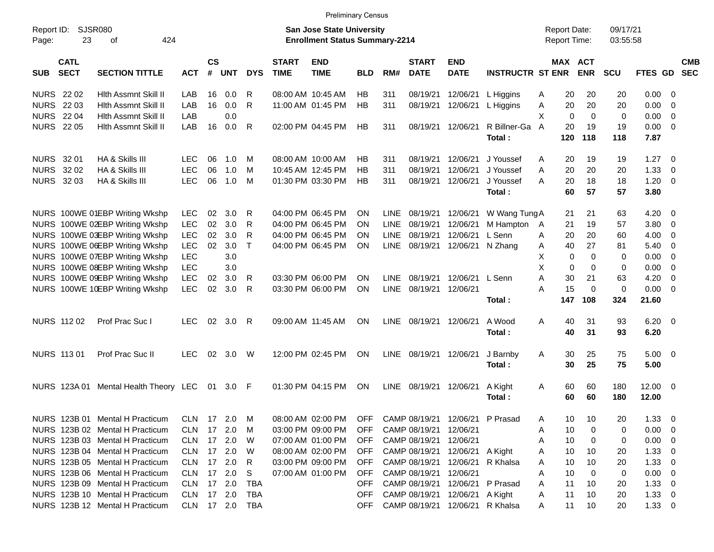|                     |                            |                                       |            |                    |            |                |                             | <b>Preliminary Census</b>                                                 |            |             |                             |                           |                                 |                                     |                       |                      |                       |                          |                          |
|---------------------|----------------------------|---------------------------------------|------------|--------------------|------------|----------------|-----------------------------|---------------------------------------------------------------------------|------------|-------------|-----------------------------|---------------------------|---------------------------------|-------------------------------------|-----------------------|----------------------|-----------------------|--------------------------|--------------------------|
| Report ID:<br>Page: | 23                         | SJSR080<br>424<br>οf                  |            |                    |            |                |                             | <b>San Jose State University</b><br><b>Enrollment Status Summary-2214</b> |            |             |                             |                           |                                 | <b>Report Date:</b><br>Report Time: |                       | 09/17/21<br>03:55:58 |                       |                          |                          |
| <b>SUB</b>          | <b>CATL</b><br><b>SECT</b> | <b>SECTION TITTLE</b>                 | <b>ACT</b> | $\mathsf{cs}$<br># | <b>UNT</b> | <b>DYS</b>     | <b>START</b><br><b>TIME</b> | <b>END</b><br><b>TIME</b>                                                 | <b>BLD</b> | RM#         | <b>START</b><br><b>DATE</b> | <b>END</b><br><b>DATE</b> | <b>INSTRUCTR ST ENR</b>         |                                     | MAX ACT<br><b>ENR</b> | <b>SCU</b>           | <b>FTES GD</b>        |                          | <b>CMB</b><br><b>SEC</b> |
| <b>NURS</b> 22 02   |                            | Hith Assmnt Skill II                  | LAB        | 16                 | 0.0        | R              |                             | 08:00 AM 10:45 AM                                                         | HB         | 311         | 08/19/21                    | 12/06/21                  | L Higgins                       | 20<br>A                             | 20                    | 20                   | $0.00 \t 0$           |                          |                          |
| <b>NURS 2203</b>    |                            | Hith Assmnt Skill II                  | LAB        | 16                 | 0.0        | R              |                             | 11:00 AM 01:45 PM                                                         | HB         | 311         | 08/19/21                    | 12/06/21                  | L Higgins                       | Α<br>20                             | 20                    | 20                   | 0.00                  | - 0                      |                          |
| <b>NURS 2204</b>    |                            | Hith Assmnt Skill II                  | LAB        |                    | 0.0        |                |                             |                                                                           |            |             |                             |                           |                                 | X<br>$\Omega$                       | $\Omega$              | 0                    | 0.00                  | - 0                      |                          |
| <b>NURS</b> 22 05   |                            | Hith Assmnt Skill II                  | LAB        | 16                 | 0.0        | R              |                             | 02:00 PM 04:45 PM                                                         | HB         | 311         |                             | 08/19/21 12/06/21         | R Billner-Ga                    | 20<br>A                             | 19                    | 19                   | $0.00 \t 0$           |                          |                          |
|                     |                            |                                       |            |                    |            |                |                             |                                                                           |            |             |                             |                           | Total:                          | 120                                 | 118                   | 118                  | 7.87                  |                          |                          |
| NURS 32 01          |                            | HA & Skills III                       | <b>LEC</b> | 06                 | 1.0        | M              |                             | 08:00 AM 10:00 AM                                                         | НB         | 311         | 08/19/21                    | 12/06/21                  | J Youssef                       | 20<br>A                             | 19                    | 19                   | $1.27 \t 0$           |                          |                          |
| NURS 32 02          |                            | HA & Skills III                       | <b>LEC</b> | 06                 | 1.0        | м              |                             | 10:45 AM 12:45 PM                                                         | <b>HB</b>  | 311         | 08/19/21                    | 12/06/21                  | J Youssef                       | 20<br>A                             | 20                    | 20                   | 1.33                  | - 0                      |                          |
| NURS 32 03          |                            | HA & Skills III                       | <b>LEC</b> | 06                 | 1.0        | M              |                             | 01:30 PM 03:30 PM                                                         | НB         | 311         | 08/19/21                    | 12/06/21                  | J Youssef                       | 20<br>A                             | 18                    | 18                   | 1.20                  | $\overline{\phantom{0}}$ |                          |
|                     |                            |                                       |            |                    |            |                |                             |                                                                           |            |             |                             |                           | Total:                          | 60                                  | 57                    | 57                   | 3.80                  |                          |                          |
|                     |                            | NURS 100WE 01EBP Writing Wkshp        | <b>LEC</b> | 02                 | 3.0        | R              |                             | 04:00 PM 06:45 PM                                                         | ON.        | <b>LINE</b> | 08/19/21                    | 12/06/21                  | W Wang Tung A                   | 21                                  | 21                    | 63                   | $4.20 \ 0$            |                          |                          |
|                     |                            | NURS 100WE 02EBP Writing Wkshp        | <b>LEC</b> | 02                 | 3.0        | R              |                             | 04:00 PM 06:45 PM                                                         | <b>ON</b>  | <b>LINE</b> | 08/19/21                    | 12/06/21                  | M Hampton                       | 21<br>A                             | 19                    | 57                   | 3.80                  | $\overline{\phantom{0}}$ |                          |
|                     |                            | NURS 100WE 03EBP Writing Wkshp        | <b>LEC</b> | 02                 | 3.0        | R              |                             | 04:00 PM 06:45 PM                                                         | ON         | <b>LINE</b> | 08/19/21                    | 12/06/21                  | L Senn                          | 20<br>A                             | 20                    | 60                   | 4.00                  | - 0                      |                          |
|                     |                            | NURS 100WE 06EBP Writing Wkshp        | <b>LEC</b> | 02                 | 3.0        | $\top$         |                             | 04:00 PM 06:45 PM                                                         | ON.        | <b>LINE</b> | 08/19/21                    |                           | 12/06/21 N Zhang                | 40<br>A                             | 27                    | 81                   | 5.40                  | - 0                      |                          |
|                     |                            | NURS 100WE 07EBP Writing Wkshp        | <b>LEC</b> |                    | 3.0        |                |                             |                                                                           |            |             |                             |                           |                                 | X<br>$\mathbf 0$                    | $\Omega$              | 0                    | 0.00                  | - 0                      |                          |
|                     |                            | NURS 100WE 08EBP Writing Wkshp        | <b>LEC</b> |                    | 3.0        |                |                             |                                                                           |            |             |                             |                           |                                 | X<br>$\Omega$                       | $\Omega$              | 0                    | 0.00                  | - 0                      |                          |
|                     |                            | NURS 100WE 09EBP Writing Wkshp        | <b>LEC</b> | 02                 | 3.0        | R              |                             | 03:30 PM 06:00 PM                                                         | ON.        | LINE        | 08/19/21                    | 12/06/21 L Senn           |                                 | A<br>30                             | 21                    | 63                   | 4.20                  | - 0                      |                          |
|                     |                            | NURS 100WE 10EBP Writing Wkshp        | <b>LEC</b> | 02                 | 3.0        | $\mathsf{R}$   |                             | 03:30 PM 06:00 PM                                                         | ON         | <b>LINE</b> | 08/19/21                    | 12/06/21                  |                                 | A<br>15                             | $\Omega$              | $\mathbf 0$          | $0.00 \t 0$           |                          |                          |
|                     |                            |                                       |            |                    |            |                |                             |                                                                           |            |             |                             |                           | Total:                          | 147                                 | 108                   | 324                  | 21.60                 |                          |                          |
|                     | NURS 112 02                | Prof Prac Suc I                       | <b>LEC</b> | 02 <sub>o</sub>    | 3.0        | - R            |                             | 09:00 AM 11:45 AM                                                         | ON.        | <b>LINE</b> | 08/19/21                    | 12/06/21                  | A Wood                          | 40<br>Α                             | 31                    | 93                   | $6.20 \quad 0$        |                          |                          |
|                     |                            |                                       |            |                    |            |                |                             |                                                                           |            |             |                             |                           | Total:                          | 40                                  | 31                    | 93                   | 6.20                  |                          |                          |
| NURS 11301          |                            | Prof Prac Suc II                      | <b>LEC</b> | 02                 | 3.0        | W              |                             | 12:00 PM 02:45 PM                                                         | ON.        | <b>LINE</b> | 08/19/21                    | 12/06/21                  | J Barnby                        | Α<br>30                             | 25                    | 75                   | $5.00 \t 0$           |                          |                          |
|                     |                            |                                       |            |                    |            |                |                             |                                                                           |            |             |                             |                           | Total:                          | 30                                  | 25                    | 75                   | 5.00                  |                          |                          |
|                     |                            |                                       |            |                    |            |                |                             |                                                                           |            |             |                             |                           |                                 |                                     |                       |                      |                       |                          |                          |
|                     |                            | NURS 123A 01 Mental Health Theory LEC |            | 01                 | 3.0 F      |                |                             | 01:30 PM 04:15 PM                                                         | ON         | <b>LINE</b> | 08/19/21                    | 12/06/21                  | A Kight<br>Total:               | Α<br>60<br>60                       | 60<br>60              | 180<br>180           | $12.00 \t 0$<br>12.00 |                          |                          |
|                     |                            |                                       |            |                    |            |                |                             |                                                                           |            |             |                             |                           |                                 |                                     |                       |                      |                       |                          |                          |
|                     |                            | NURS 123B 01 Mental H Practicum       | <b>CLN</b> |                    | 17  2.0  M |                |                             | 08:00 AM 02:00 PM                                                         | <b>OFF</b> |             |                             |                           | CAMP 08/19/21 12/06/21 P Prasad | 10<br>А                             | 10                    | 20                   | 1.33                  | - 0                      |                          |
|                     |                            | NURS 123B 02 Mental H Practicum       | <b>CLN</b> |                    | 17 2.0     | M              |                             | 03:00 PM 09:00 PM                                                         | <b>OFF</b> |             | CAMP 08/19/21               | 12/06/21                  |                                 | 10<br>А                             | 0                     | 0                    | $0.00 \t 0$           |                          |                          |
|                     |                            | NURS 123B 03 Mental H Practicum       | <b>CLN</b> |                    | 17 2.0     | - W            |                             | 07:00 AM 01:00 PM                                                         | OFF.       |             | CAMP 08/19/21               | 12/06/21                  |                                 | 10<br>Α                             | 0                     | 0                    | $0.00 \t 0$           |                          |                          |
|                     |                            | NURS 123B 04 Mental H Practicum       | <b>CLN</b> |                    | 17 2.0     | - W            |                             | 08:00 AM 02:00 PM                                                         | OFF.       |             | CAMP 08/19/21               | 12/06/21 A Kight          |                                 | 10<br>Α                             | 10                    | 20                   | $1.33 \ 0$            |                          |                          |
|                     |                            | NURS 123B 05 Mental H Practicum       | <b>CLN</b> |                    | 17 2.0     | R              |                             | 03:00 PM 09:00 PM                                                         | OFF.       |             | CAMP 08/19/21               |                           | 12/06/21 R Khalsa               | 10<br>Α                             | 10                    | 20                   | $1.33 \ 0$            |                          |                          |
|                     |                            | NURS 123B 06 Mental H Practicum       | <b>CLN</b> |                    | 17 2.0     | - S            |                             | 07:00 AM 01:00 PM                                                         | <b>OFF</b> |             | CAMP 08/19/21               | 12/06/21                  |                                 | 10<br>Α                             | 0                     | 0                    | $0.00 \t 0$           |                          |                          |
|                     |                            | NURS 123B 09 Mental H Practicum       | <b>CLN</b> |                    | 17 2.0     | TBA            |                             |                                                                           | OFF.       |             | CAMP 08/19/21               |                           | 12/06/21 P Prasad               | 11<br>A                             | 10                    | 20                   | $1.33 \ 0$            |                          |                          |
|                     |                            | NURS 123B 10 Mental H Practicum       | <b>CLN</b> |                    | 17 2.0     | TBA            |                             |                                                                           | <b>OFF</b> |             | CAMP 08/19/21               | 12/06/21 A Kight          |                                 | 11<br>A                             | 10                    | 20                   | $1.33 \ 0$            |                          |                          |
|                     |                            | NURS 123B 12 Mental H Practicum       |            |                    |            | CLN 17 2.0 TBA |                             |                                                                           | <b>OFF</b> |             | CAMP 08/19/21               |                           | 12/06/21 R Khalsa               | 11<br>A                             | 10                    | 20                   | $1.33 \ 0$            |                          |                          |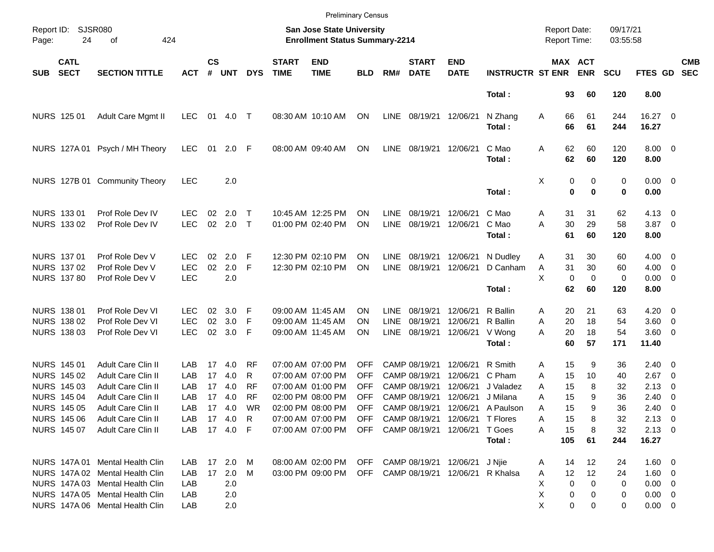|                     |                                                                                                                     |                                                                                                                                                                                           |                                        |                            |                                                             |                                                |                             | <b>Preliminary Census</b>                                                                                                                       |                                 |                                           |                                                                                   |                                                                                                                          |                                                                  |                                                                           |                                       |                                        |                                                                                |                                                                                                            |                          |
|---------------------|---------------------------------------------------------------------------------------------------------------------|-------------------------------------------------------------------------------------------------------------------------------------------------------------------------------------------|----------------------------------------|----------------------------|-------------------------------------------------------------|------------------------------------------------|-----------------------------|-------------------------------------------------------------------------------------------------------------------------------------------------|---------------------------------|-------------------------------------------|-----------------------------------------------------------------------------------|--------------------------------------------------------------------------------------------------------------------------|------------------------------------------------------------------|---------------------------------------------------------------------------|---------------------------------------|----------------------------------------|--------------------------------------------------------------------------------|------------------------------------------------------------------------------------------------------------|--------------------------|
| Report ID:<br>Page: | 24                                                                                                                  | <b>SJSR080</b><br>of<br>424                                                                                                                                                               |                                        |                            |                                                             |                                                |                             | <b>San Jose State University</b><br><b>Enrollment Status Summary-2214</b>                                                                       |                                 |                                           |                                                                                   |                                                                                                                          |                                                                  | <b>Report Date:</b><br>Report Time:                                       |                                       | 09/17/21<br>03:55:58                   |                                                                                |                                                                                                            |                          |
| <b>SUB</b>          | <b>CATL</b><br><b>SECT</b>                                                                                          | <b>SECTION TITTLE</b>                                                                                                                                                                     | <b>ACT</b>                             | $\mathsf{cs}$<br>#         | <b>UNT</b>                                                  | <b>DYS</b>                                     | <b>START</b><br><b>TIME</b> | <b>END</b><br><b>TIME</b>                                                                                                                       | <b>BLD</b>                      | RM#                                       | <b>START</b><br><b>DATE</b>                                                       | <b>END</b><br><b>DATE</b>                                                                                                | <b>INSTRUCTR ST ENR</b>                                          |                                                                           | MAX ACT<br><b>ENR</b>                 | <b>SCU</b>                             | FTES GD                                                                        |                                                                                                            | <b>CMB</b><br><b>SEC</b> |
|                     |                                                                                                                     |                                                                                                                                                                                           |                                        |                            |                                                             |                                                |                             |                                                                                                                                                 |                                 |                                           |                                                                                   |                                                                                                                          | Total:                                                           | 93                                                                        | 60                                    | 120                                    | 8.00                                                                           |                                                                                                            |                          |
|                     | NURS 125 01                                                                                                         | Adult Care Mgmt II                                                                                                                                                                        | <b>LEC</b>                             | 01                         | 4.0                                                         | $\top$                                         |                             | 08:30 AM 10:10 AM                                                                                                                               | ON                              | LINE                                      | 08/19/21                                                                          | 12/06/21                                                                                                                 | N Zhang<br>Total:                                                | 66<br>Α<br>66                                                             | 61<br>61                              | 244<br>244                             | 16.27 0<br>16.27                                                               |                                                                                                            |                          |
|                     | NURS 127A01                                                                                                         | Psych / MH Theory                                                                                                                                                                         | <b>LEC</b>                             | 01                         | 2.0                                                         | F                                              |                             | 08:00 AM 09:40 AM                                                                                                                               | ON                              | <b>LINE</b>                               | 08/19/21                                                                          | 12/06/21                                                                                                                 | C Mao<br>Total:                                                  | 62<br>Α<br>62                                                             | 60<br>60                              | 120<br>120                             | $8.00 \t 0$<br>8.00                                                            |                                                                                                            |                          |
|                     |                                                                                                                     | NURS 127B 01 Community Theory                                                                                                                                                             | <b>LEC</b>                             |                            | 2.0                                                         |                                                |                             |                                                                                                                                                 |                                 |                                           |                                                                                   |                                                                                                                          | Total:                                                           | Χ<br>0                                                                    | 0<br>$\bf{0}$<br>$\bf{0}$             | 0<br>0                                 | $0.00 \t 0$<br>0.00                                                            |                                                                                                            |                          |
|                     | NURS 133 01<br>NURS 133 02                                                                                          | Prof Role Dev IV<br>Prof Role Dev IV                                                                                                                                                      | LEC<br><b>LEC</b>                      | 02<br>02                   | 2.0<br>2.0                                                  | Т<br>$\top$                                    |                             | 10:45 AM 12:25 PM<br>01:00 PM 02:40 PM                                                                                                          | ΟN<br>ΟN                        | <b>LINE</b><br><b>LINE</b>                | 08/19/21<br>08/19/21                                                              | 12/06/21<br>12/06/21                                                                                                     | C Mao<br>C Mao<br>Total:                                         | 31<br>Α<br>30<br>A<br>61                                                  | 31<br>29<br>60                        | 62<br>58<br>120                        | $4.13 \quad 0$<br>3.87 0<br>8.00                                               |                                                                                                            |                          |
|                     | NURS 137 01<br>NURS 137 02<br><b>NURS 137 80</b>                                                                    | Prof Role Dev V<br>Prof Role Dev V<br>Prof Role Dev V                                                                                                                                     | LEC.<br><b>LEC</b><br><b>LEC</b>       | 02<br>02                   | 2.0<br>2.0<br>2.0                                           | F<br>F                                         |                             | 12:30 PM 02:10 PM<br>12:30 PM 02:10 PM                                                                                                          | ON<br>ON                        | <b>LINE</b><br><b>LINE</b>                | 08/19/21<br>08/19/21                                                              | 12/06/21<br>12/06/21                                                                                                     | N Dudley<br>D Canham                                             | 31<br>A<br>Α<br>31<br>X<br>0                                              | 30<br>30<br>$\mathbf 0$<br>60         | 60<br>60<br>0                          | $4.00 \ 0$<br>$4.00 \ 0$<br>$0.00 \t 0$                                        |                                                                                                            |                          |
|                     | <b>NURS 138 01</b><br>NURS 138 02<br>NURS 138 03                                                                    | Prof Role Dev VI<br>Prof Role Dev VI<br>Prof Role Dev VI                                                                                                                                  | LEC.<br><b>LEC</b><br><b>LEC</b>       | 02<br>02<br>02             | 3.0<br>3.0<br>3.0                                           | F<br>F<br>F                                    |                             | 09:00 AM 11:45 AM<br>09:00 AM 11:45 AM<br>09:00 AM 11:45 AM                                                                                     | OΝ<br>OΝ<br>ΟN                  | <b>LINE</b><br><b>LINE</b><br><b>LINE</b> | 08/19/21<br>08/19/21<br>08/19/21                                                  | 12/06/21<br>12/06/21<br>12/06/21                                                                                         | Total:<br>R Ballin<br>R Ballin<br>V Wong<br>Total:               | 62<br>20<br>Α<br>20<br>Α<br>20<br>A<br>60                                 | 21<br>18<br>18<br>57                  | 120<br>63<br>54<br>54<br>171           | 8.00<br>$4.20 \ 0$<br>3.60 0<br>3.60 0<br>11.40                                |                                                                                                            |                          |
|                     | NURS 145 01<br>NURS 145 02<br>NURS 145 03<br><b>NURS 145 04</b><br><b>NURS 145 05</b><br>NURS 145 06<br>NURS 145 07 | <b>Adult Care Clin II</b><br><b>Adult Care Clin II</b><br><b>Adult Care Clin II</b><br><b>Adult Care Clin II</b><br><b>Adult Care Clin II</b><br>Adult Care Clin II<br>Adult Care Clin II | LAB<br>LAB<br>LAB<br>LAB<br>LAB<br>LAB | 17<br>17<br>17<br>17<br>17 | 4.0<br>4.0<br>4.0<br>4.0<br>4.0<br>17 4.0 R<br>LAB 17 4.0 F | RF<br>R<br><b>RF</b><br><b>RF</b><br><b>WR</b> |                             | 07:00 AM 07:00 PM<br>07:00 AM 07:00 PM<br>07:00 AM 01:00 PM<br>02:00 PM 08:00 PM<br>02:00 PM 08:00 PM<br>07:00 AM 07:00 PM<br>07:00 AM 07:00 PM | OFF<br>OFF<br>OFF<br>OFF<br>OFF |                                           | CAMP 08/19/21<br>CAMP 08/19/21<br>CAMP 08/19/21<br>CAMP 08/19/21<br>CAMP 08/19/21 | 12/06/21<br>12/06/21<br>12/06/21<br>12/06/21<br>OFF CAMP 08/19/21 12/06/21 T Flores<br>OFF CAMP 08/19/21 12/06/21 T Goes | R Smith<br>C Pham<br>J Valadez<br>J Milana<br>12/06/21 A Paulson | 15<br>Α<br>15<br>A<br>15<br>A<br>15<br>А<br>15<br>Α<br>15<br>A<br>15<br>A | 9<br>10<br>8<br>9<br>9<br>8<br>8      | 36<br>40<br>32<br>36<br>36<br>32<br>32 | $2.40 \quad 0$<br>2.67<br>2.13<br>2.40<br>2.40<br>$2.13 \quad 0$<br>$2.13 \ 0$ | $\overline{\phantom{0}}$<br>$\overline{\mathbf{0}}$<br>$\overline{\mathbf{0}}$<br>$\overline{\phantom{0}}$ |                          |
|                     |                                                                                                                     | NURS 147A 01 Mental Health Clin                                                                                                                                                           |                                        |                            | LAB 17 2.0 M                                                |                                                |                             | 08:00 AM 02:00 PM                                                                                                                               | OFF                             |                                           |                                                                                   | CAMP 08/19/21 12/06/21 J Njie                                                                                            | Total:                                                           | 105<br>14<br>A                                                            | 61<br>12                              | 244<br>24                              | 16.27<br>1.60 0                                                                |                                                                                                            |                          |
|                     |                                                                                                                     | NURS 147A 02 Mental Health Clin<br>NURS 147A 03 Mental Health Clin<br>NURS 147A 05 Mental Health Clin<br>NURS 147A 06 Mental Health Clin                                                  | LAB<br>LAB<br>LAB<br>LAB               |                            | 17 2.0<br>2.0<br>2.0<br>2.0                                 | M                                              |                             | 03:00 PM 09:00 PM                                                                                                                               |                                 |                                           |                                                                                   | OFF CAMP 08/19/21 12/06/21 R Khalsa                                                                                      |                                                                  | 12<br>A<br>$\mathbf 0$<br>X<br>Χ<br>0<br>X.                               | $12 \overline{ }$<br>0<br>0<br>0<br>0 | 24<br>0<br>0<br>0                      | $1.60 \t 0$<br>$0.00 \t 0$<br>$0.00 \t 0$<br>$0.00 \t 0$                       |                                                                                                            |                          |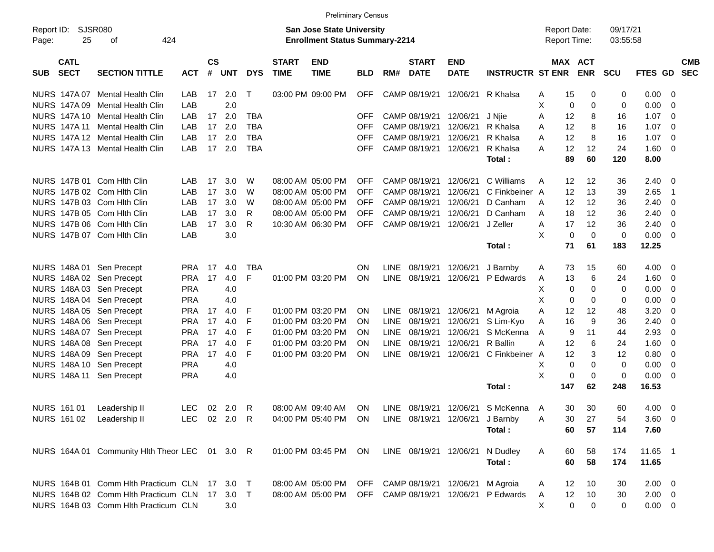|                                   |                                                |              |                    |            |            |                             | <b>Preliminary Census</b>                                                 |            |             |                             |                           |                                  |                                     |            |                      |                |                         |                          |
|-----------------------------------|------------------------------------------------|--------------|--------------------|------------|------------|-----------------------------|---------------------------------------------------------------------------|------------|-------------|-----------------------------|---------------------------|----------------------------------|-------------------------------------|------------|----------------------|----------------|-------------------------|--------------------------|
| Report ID:<br>25<br>Page:         | <b>SJSR080</b><br>424<br>οf                    |              |                    |            |            |                             | <b>San Jose State University</b><br><b>Enrollment Status Summary-2214</b> |            |             |                             |                           |                                  | <b>Report Date:</b><br>Report Time: |            | 09/17/21<br>03:55:58 |                |                         |                          |
| <b>CATL</b><br><b>SECT</b><br>SUB | <b>SECTION TITTLE</b>                          | <b>ACT</b>   | $\mathsf{cs}$<br># | <b>UNT</b> | <b>DYS</b> | <b>START</b><br><b>TIME</b> | <b>END</b><br><b>TIME</b>                                                 | <b>BLD</b> | RM#         | <b>START</b><br><b>DATE</b> | <b>END</b><br><b>DATE</b> | <b>INSTRUCTR ST ENR</b>          | MAX ACT                             | <b>ENR</b> | <b>SCU</b>           | <b>FTES GD</b> |                         | <b>CMB</b><br><b>SEC</b> |
| NURS 147A 07                      | Mental Health Clin                             | LAB          | 17                 | 2.0        | $\top$     |                             | 03:00 PM 09:00 PM                                                         | <b>OFF</b> |             | CAMP 08/19/21               | 12/06/21                  | R Khalsa                         | 15<br>Α                             | 0          | 0                    | 0.00           | 0                       |                          |
| NURS 147A 09                      | <b>Mental Health Clin</b>                      | LAB          |                    | 2.0        |            |                             |                                                                           |            |             |                             |                           |                                  | х<br>0                              | 0          | 0                    | 0.00           | 0                       |                          |
| NURS 147A 10                      | Mental Health Clin                             | LAB          | 17                 | 2.0        | <b>TBA</b> |                             |                                                                           | OFF        |             | CAMP 08/19/21               | 12/06/21                  | J Njie                           | 12<br>Α                             | 8          | 16                   | 1.07           | 0                       |                          |
|                                   | NURS 147A 11 Mental Health Clin                | LAB          | 17                 | 2.0        | <b>TBA</b> |                             |                                                                           | OFF        |             | CAMP 08/19/21               | 12/06/21                  | R Khalsa                         | 12<br>A                             | 8          | 16                   | 1.07           | 0                       |                          |
|                                   | NURS 147A 12 Mental Health Clin                | LAB          | 17                 | 2.0        | <b>TBA</b> |                             |                                                                           | OFF        |             | CAMP 08/19/21               | 12/06/21                  | R Khalsa                         | 12<br>Α                             | 8          | 16                   | 1.07           | 0                       |                          |
|                                   | NURS 147A 13 Mental Health Clin                | LAB          | 17                 | 2.0        | <b>TBA</b> |                             |                                                                           | <b>OFF</b> |             | CAMP 08/19/21               | 12/06/21                  | R Khalsa                         | А<br>12                             | 12         | 24                   | 1.60           | 0                       |                          |
|                                   |                                                |              |                    |            |            |                             |                                                                           |            |             |                             |                           | Total:                           | 89                                  | 60         | 120                  | 8.00           |                         |                          |
| NURS 147B 01 Com Hith Clin        |                                                | LAB          | 17                 | 3.0        | W          |                             | 08:00 AM 05:00 PM                                                         | <b>OFF</b> |             | CAMP 08/19/21               | 12/06/21                  | C Williams                       | 12<br>Α                             | 12         | 36                   | 2.40           | - 0                     |                          |
| NURS 147B 02 Com Hith Clin        |                                                | LAB          | 17                 | 3.0        | W          |                             | 08:00 AM 05:00 PM                                                         | <b>OFF</b> |             | CAMP 08/19/21               | 12/06/21                  | C Finkbeiner A                   | 12                                  | 13         | 39                   | 2.65           | -1                      |                          |
| NURS 147B 03 Com Hith Clin        |                                                | LAB          | 17                 | 3.0        | W          |                             | 08:00 AM 05:00 PM                                                         | OFF        |             | CAMP 08/19/21               | 12/06/21                  | D Canham                         | 12<br>A                             | 12         | 36                   | 2.40           | 0                       |                          |
| NURS 147B 05 Com Hith Clin        |                                                | LAB          | 17                 | 3.0        | R          |                             | 08:00 AM 05:00 PM                                                         | <b>OFF</b> |             | CAMP 08/19/21               | 12/06/21                  | D Canham                         | 18<br>A                             | 12         | 36                   | 2.40           | 0                       |                          |
| NURS 147B 06 Com Hith Clin        |                                                | LAB          | 17                 | 3.0        | R          |                             | 10:30 AM 06:30 PM                                                         | <b>OFF</b> |             | CAMP 08/19/21               | 12/06/21                  | J Zeller                         | 17<br>Α                             | 12         | 36                   | 2.40           | 0                       |                          |
| NURS 147B 07 Com Hith Clin        |                                                | LAB          |                    | 3.0        |            |                             |                                                                           |            |             |                             |                           |                                  | X<br>0                              | $\Omega$   | $\mathbf 0$          | 0.00           | 0                       |                          |
|                                   |                                                |              |                    |            |            |                             |                                                                           |            |             |                             |                           | Total:                           | 71                                  | 61         | 183                  | 12.25          |                         |                          |
|                                   |                                                |              |                    |            |            |                             |                                                                           |            |             |                             |                           |                                  |                                     |            |                      |                |                         |                          |
| NURS 148A 01 Sen Precept          |                                                | <b>PRA</b>   | 17                 | 4.0        | <b>TBA</b> |                             |                                                                           | ON         | LINE        | 08/19/21                    | 12/06/21                  | J Barnby                         | 73<br>Α                             | 15         | 60                   | 4.00           | $\overline{0}$          |                          |
| NURS 148A 02 Sen Precept          |                                                | <b>PRA</b>   | 17                 | 4.0        | F          |                             | 01:00 PM 03:20 PM                                                         | ON         | LINE        | 08/19/21                    | 12/06/21                  | P Edwards                        | 13<br>A                             | 6          | 24                   | 1.60           | 0                       |                          |
| NURS 148A 03 Sen Precept          |                                                | <b>PRA</b>   |                    | 4.0        |            |                             |                                                                           |            |             |                             |                           |                                  | х<br>0                              | 0          | 0                    | 0.00           | 0                       |                          |
| NURS 148A 04 Sen Precept          |                                                | <b>PRA</b>   |                    | 4.0        |            |                             |                                                                           |            |             |                             |                           |                                  | X<br>0                              | 0          | 0                    | 0.00           | 0                       |                          |
| NURS 148A 05                      | Sen Precept                                    | <b>PRA</b>   | 17                 | 4.0        | F          |                             | 01:00 PM 03:20 PM                                                         | ΟN         | LINE        | 08/19/21                    | 12/06/21                  | M Agroia                         | Α<br>12                             | 12         | 48                   | 3.20           | 0                       |                          |
| NURS 148A 06 Sen Precept          |                                                | <b>PRA</b>   | 17                 | 4.0        | F          |                             | 01:00 PM 03:20 PM                                                         | ON         | <b>LINE</b> | 08/19/21                    | 12/06/21                  | S Lim-Kyo                        | 16<br>Α                             | 9          | 36                   | 2.40           | 0                       |                          |
| NURS 148A 07 Sen Precept          |                                                | <b>PRA</b>   | 17                 | 4.0        | F          |                             | 01:00 PM 03:20 PM                                                         | ON         | <b>LINE</b> | 08/19/21                    | 12/06/21                  | S McKenna                        | 9<br>A                              | 11         | 44                   | 2.93           | 0                       |                          |
| NURS 148A 08 Sen Precept          |                                                | <b>PRA</b>   | 17                 | 4.0        | F          |                             | 01:00 PM 03:20 PM                                                         | ON         | <b>LINE</b> | 08/19/21                    | 12/06/21                  | R Ballin                         | А<br>12                             | 6          | 24                   | 1.60           | 0                       |                          |
| NURS 148A 09                      | Sen Precept                                    | <b>PRA</b>   | 17                 | 4.0        | F          |                             | 01:00 PM 03:20 PM                                                         | ΟN         | <b>LINE</b> | 08/19/21                    | 12/06/21                  | C Finkbeiner                     | 12<br>A                             | 3          | 12                   | 0.80           | 0                       |                          |
| NURS 148A 10                      | Sen Precept                                    | <b>PRA</b>   |                    | 4.0        |            |                             |                                                                           |            |             |                             |                           |                                  | 0<br>х                              | 0          | 0                    | 0.00           | 0                       |                          |
| NURS 148A 11                      | Sen Precept                                    | <b>PRA</b>   |                    | 4.0        |            |                             |                                                                           |            |             |                             |                           |                                  | X<br>0                              | 0          | $\mathbf 0$          | 0.00           | 0                       |                          |
|                                   |                                                |              |                    |            |            |                             |                                                                           |            |             |                             |                           | Total:                           | 147                                 | 62         | 248                  | 16.53          |                         |                          |
| <b>NURS 161 01</b>                | Leadership II                                  | <b>LEC</b>   | 02                 | 2.0        | R          |                             | 08:00 AM 09:40 AM                                                         | ON         | <b>LINE</b> | 08/19/21                    | 12/06/21                  | S McKenna                        | 30<br>$\mathsf{A}$                  | 30         | 60                   | 4.00           | $\overline{\mathbf{0}}$ |                          |
| NURS 161 02 Leadership II         |                                                | LEC 02 2.0 R |                    |            |            |                             | 04:00 PM 05:40 PM ON LINE 08/19/21 12/06/21 J Barnby                      |            |             |                             |                           |                                  | Α<br>30                             | 27         | 54                   | $3.60 \quad 0$ |                         |                          |
|                                   |                                                |              |                    |            |            |                             |                                                                           |            |             |                             |                           | Total:                           | 60                                  | 57         | 114                  | 7.60           |                         |                          |
|                                   | NURS 164A 01 Community Hlth Theor LEC 01 3.0 R |              |                    |            |            |                             | 01:00 PM 03:45 PM ON                                                      |            |             |                             | LINE 08/19/21 12/06/21    | N Dudley                         | Α<br>60                             | 58         | 174                  | 11.65 1        |                         |                          |
|                                   |                                                |              |                    |            |            |                             |                                                                           |            |             |                             |                           | Total:                           | 60                                  | 58         | 174                  | 11.65          |                         |                          |
|                                   | NURS 164B 01 Comm Hlth Practicum CLN 17 3.0 T  |              |                    |            |            |                             | 08:00 AM 05:00 PM OFF                                                     |            |             |                             | CAMP 08/19/21 12/06/21    | M Agroia                         | 12<br>A                             | 10         | 30                   | $2.00 \t 0$    |                         |                          |
|                                   | NURS 164B 02 Comm Hith Practicum CLN 17 3.0 T  |              |                    |            |            |                             | 08:00 AM 05:00 PM OFF                                                     |            |             |                             |                           | CAMP 08/19/21 12/06/21 P Edwards | 12<br>A                             | 10         | 30                   | $2.00 \t 0$    |                         |                          |
|                                   | NURS 164B 03 Comm Hlth Practicum CLN           |              |                    | 3.0        |            |                             |                                                                           |            |             |                             |                           |                                  | X<br>0                              | 0          | 0                    | $0.00 \t 0$    |                         |                          |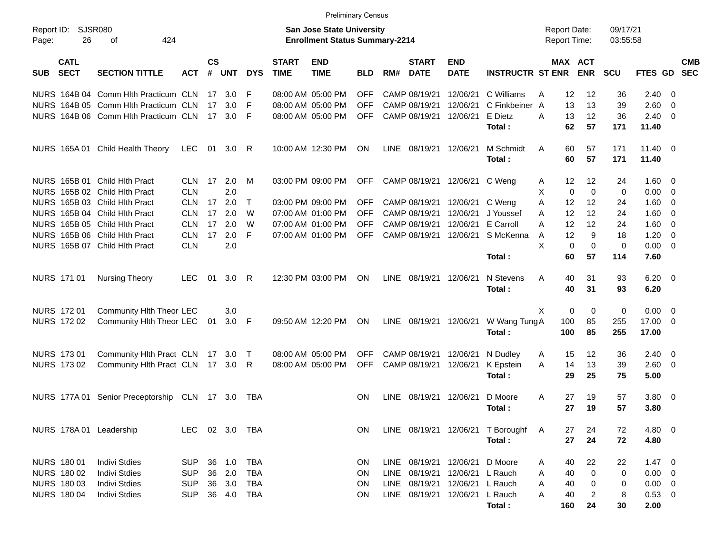|                                          |                                              |                |                |            |            |                             | <b>Preliminary Census</b>                                          |            |             |                             |                           |                                     |   |             |                                            |                      |                 |                          |                          |
|------------------------------------------|----------------------------------------------|----------------|----------------|------------|------------|-----------------------------|--------------------------------------------------------------------|------------|-------------|-----------------------------|---------------------------|-------------------------------------|---|-------------|--------------------------------------------|----------------------|-----------------|--------------------------|--------------------------|
| Report ID:<br>26<br>Page:                | <b>SJSR080</b><br>424<br>οf                  |                |                |            |            |                             | San Jose State University<br><b>Enrollment Status Summary-2214</b> |            |             |                             |                           |                                     |   |             | <b>Report Date:</b><br><b>Report Time:</b> | 09/17/21<br>03:55:58 |                 |                          |                          |
| <b>CATL</b><br><b>SECT</b><br><b>SUB</b> | <b>SECTION TITTLE</b>                        | <b>ACT</b>     | <b>CS</b><br># | <b>UNT</b> | <b>DYS</b> | <b>START</b><br><b>TIME</b> | <b>END</b><br><b>TIME</b>                                          | BLD.       | RM#         | <b>START</b><br><b>DATE</b> | <b>END</b><br><b>DATE</b> | <b>INSTRUCTR ST ENR</b>             |   |             | <b>MAX ACT</b><br><b>ENR</b>               | <b>SCU</b>           | <b>FTES GD</b>  |                          | <b>CMB</b><br><b>SEC</b> |
|                                          | NURS 164B 04 Comm Hith Practicum CLN         |                |                | 17 3.0     | F          |                             | 08:00 AM 05:00 PM                                                  | OFF        |             | CAMP 08/19/21               | 12/06/21                  | C Williams                          | A | 12          | 12                                         | 36                   | 2.40            | - 0                      |                          |
|                                          | NURS 164B 05 Comm Hith Practicum CLN         |                | 17             | 3.0        | F          |                             | 08:00 AM 05:00 PM                                                  | OFF        |             | CAMP 08/19/21               | 12/06/21                  | C Finkbeiner A                      |   | 13          | 13                                         | 39                   | 2.60            | - 0                      |                          |
|                                          | NURS 164B 06 Comm Hith Practicum CLN         |                |                | 17 3.0     | F          |                             | 08:00 AM 05:00 PM                                                  | OFF.       |             | CAMP 08/19/21               | 12/06/21                  | E Dietz                             | A | 13          | 12                                         | 36                   | 2.40            | - 0                      |                          |
|                                          |                                              |                |                |            |            |                             |                                                                    |            |             |                             |                           | Total:                              |   | 62          | 57                                         | 171                  | 11.40           |                          |                          |
|                                          | NURS 165A 01 Child Health Theory             | LEC            |                | 01 3.0 R   |            |                             | 10:00 AM 12:30 PM                                                  | <b>ON</b>  | LINE        | 08/19/21                    | 12/06/21                  | M Schmidt                           | A | 60          | 57                                         | 171                  | $11.40 \quad 0$ |                          |                          |
|                                          |                                              |                |                |            |            |                             |                                                                    |            |             |                             |                           | Total:                              |   | 60          | 57                                         | 171                  | 11.40           |                          |                          |
| NURS 165B 01 Child Hith Pract            |                                              | <b>CLN</b>     | 17             | 2.0        | М          |                             | 03:00 PM 09:00 PM                                                  | <b>OFF</b> |             | CAMP 08/19/21               | 12/06/21                  | C Weng                              | A | $12 \,$     | 12                                         | 24                   | 1.60            | - 0                      |                          |
| NURS 165B 02 Child Hith Pract            |                                              | <b>CLN</b>     |                | 2.0        |            |                             |                                                                    |            |             |                             |                           |                                     | Χ | $\mathbf 0$ | $\Omega$                                   | 0                    | 0.00            | - 0                      |                          |
| NURS 165B 03 Child Hlth Pract            |                                              | <b>CLN</b>     |                | 17, 2.0    | $\top$     |                             | 03:00 PM 09:00 PM                                                  | <b>OFF</b> |             | CAMP 08/19/21               | 12/06/21                  | C Weng                              | A | 12          | 12                                         | 24                   | 1.60            | - 0                      |                          |
| NURS 165B 04 Child Hlth Pract            |                                              | <b>CLN</b>     | 17             | 2.0        | W          |                             | 07:00 AM 01:00 PM                                                  | OFF        |             | CAMP 08/19/21               | 12/06/21                  | J Youssef                           | A | 12          | 12                                         | 24                   | 1.60            | 0                        |                          |
| NURS 165B 05 Child Hith Pract            |                                              | <b>CLN</b>     | 17             | 2.0        | W          |                             | 07:00 AM 01:00 PM                                                  | OFF        |             | CAMP 08/19/21               | 12/06/21                  | E Carroll                           | A | 12          | 12                                         | 24                   | 1.60            | - 0                      |                          |
| NURS 165B 06 Child Hith Pract            |                                              | <b>CLN</b>     | 17             | 2.0        | F          |                             | 07:00 AM 01:00 PM                                                  | <b>OFF</b> |             | CAMP 08/19/21               | 12/06/21                  | S McKenna                           | A | 12          | 9                                          | 18                   | 1.20            | - 0                      |                          |
| NURS 165B 07 Child Hith Pract            |                                              | <b>CLN</b>     |                | 2.0        |            |                             |                                                                    |            |             |                             |                           |                                     | X | $\mathbf 0$ | $\Omega$                                   | 0                    | 0.00            | - 0                      |                          |
|                                          |                                              |                |                |            |            |                             |                                                                    |            |             |                             |                           | Total:                              |   | 60          | 57                                         | 114                  | 7.60            |                          |                          |
| NURS 171 01                              | Nursing Theory                               | <b>LEC</b>     | 01             | 3.0        | R          |                             | 12:30 PM 03:00 PM                                                  | ON         | LINE        | 08/19/21                    | 12/06/21                  | N Stevens                           | Α | 40          | 31                                         | 93                   | $6.20 \ 0$      |                          |                          |
|                                          |                                              |                |                |            |            |                             |                                                                    |            |             |                             |                           | Total:                              |   | 40          | 31                                         | 93                   | 6.20            |                          |                          |
| NURS 172 01                              | Community Hlth Theor LEC                     |                |                | 3.0        |            |                             |                                                                    |            |             |                             |                           |                                     | Χ | 0           | 0                                          | 0                    | 0.00            | - 0                      |                          |
| NURS 172 02                              | Community Hlth Theor LEC                     |                | 01             | $3.0$ F    |            |                             | 09:50 AM 12:20 PM                                                  | ON         | LINE        | 08/19/21                    | 12/06/21                  | W Wang Tung A                       |   | 100         | 85                                         | 255                  | 17.00           | - 0                      |                          |
|                                          |                                              |                |                |            |            |                             |                                                                    |            |             |                             |                           | Total:                              |   | 100         | 85                                         | 255                  | 17.00           |                          |                          |
| NURS 173 01                              | Community Hlth Pract CLN 17 3.0              |                |                |            | $\top$     |                             | 08:00 AM 05:00 PM                                                  | OFF        |             | CAMP 08/19/21               | 12/06/21                  | N Dudley                            | A | 15          | 12                                         | 36                   | 2.40            | - 0                      |                          |
| NURS 173 02                              | Community Hith Pract CLN 17 3.0              |                |                |            | R          |                             | 08:00 AM 05:00 PM                                                  | <b>OFF</b> |             | CAMP 08/19/21               | 12/06/21                  | K Epstein                           | A | 14          | 13                                         | 39                   | 2.60            | - 0                      |                          |
|                                          |                                              |                |                |            |            |                             |                                                                    |            |             |                             |                           | Total:                              |   | 29          | 25                                         | 75                   | 5.00            |                          |                          |
|                                          | NURS 177A 01 Senior Preceptorship CLN 17 3.0 |                |                |            | TBA        |                             |                                                                    | ON         | <b>LINE</b> | 08/19/21                    | 12/06/21                  | D Moore                             | A | 27          | 19                                         | 57                   | 3.80            | $\overline{\phantom{0}}$ |                          |
|                                          |                                              |                |                |            |            |                             |                                                                    |            |             |                             |                           | Total:                              |   | 27          | 19                                         | 57                   | 3.80            |                          |                          |
| NURS 178A 01 Leadership                  |                                              | LEC 02 3.0 TBA |                |            |            |                             |                                                                    | ON.        |             |                             |                           | LINE 08/19/21 12/06/21 T Boroughf A |   | 27          | 24                                         | 72                   | 4.80 0          |                          |                          |
|                                          |                                              |                |                |            |            |                             |                                                                    |            |             |                             |                           | Total:                              |   | 27          | 24                                         | 72                   | 4.80            |                          |                          |
| NURS 180 01                              | <b>Indivi Stdies</b>                         | <b>SUP</b>     |                | 36 1.0     | <b>TBA</b> |                             |                                                                    | <b>ON</b>  | LINE        |                             | 08/19/21 12/06/21         | D Moore                             | A | 40          | 22                                         | 22                   | $1.47 \ 0$      |                          |                          |
| NURS 180 02                              | <b>Indivi Stdies</b>                         | <b>SUP</b>     |                | 36 2.0     | TBA        |                             |                                                                    | ON         | LINE        | 08/19/21                    | 12/06/21                  | L Rauch                             | A | 40          | 0                                          | 0                    | $0.00 \t 0$     |                          |                          |
| NURS 180 03                              | <b>Indivi Stdies</b>                         | <b>SUP</b>     |                | 36 3.0     | TBA        |                             |                                                                    | ON         | LINE        | 08/19/21                    | 12/06/21                  | L Rauch                             | A | 40          | 0                                          | 0                    | $0.00 \t 0$     |                          |                          |
| <b>NURS 180 04</b>                       | <b>Indivi Stdies</b>                         | <b>SUP</b>     |                | 36 4.0     | TBA        |                             |                                                                    | ON         |             |                             | LINE 08/19/21 12/06/21    | L Rauch                             | Α | 40          | $\overline{2}$                             | 8                    | 0.53 0          |                          |                          |
|                                          |                                              |                |                |            |            |                             |                                                                    |            |             |                             |                           | Total:                              |   | 160         | 24                                         | 30                   | 2.00            |                          |                          |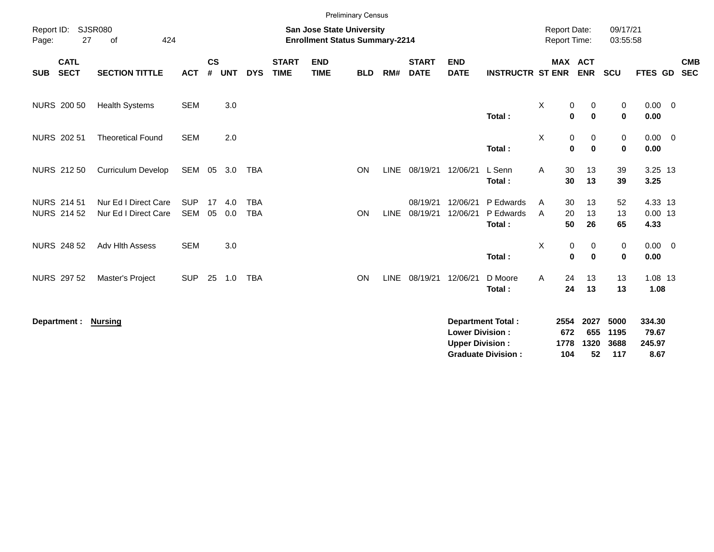|                                          |                                              |                          |                |            |                          |                             |                                                                           | <b>Preliminary Census</b> |             |                             |                                                  |                                                       |                                            |                                    |                             |                                   |                          |
|------------------------------------------|----------------------------------------------|--------------------------|----------------|------------|--------------------------|-----------------------------|---------------------------------------------------------------------------|---------------------------|-------------|-----------------------------|--------------------------------------------------|-------------------------------------------------------|--------------------------------------------|------------------------------------|-----------------------------|-----------------------------------|--------------------------|
| Report ID:<br>27<br>Page:                | <b>SJSR080</b><br>424<br>of                  |                          |                |            |                          |                             | <b>San Jose State University</b><br><b>Enrollment Status Summary-2214</b> |                           |             |                             |                                                  |                                                       | <b>Report Date:</b><br><b>Report Time:</b> |                                    | 09/17/21<br>03:55:58        |                                   |                          |
| <b>CATL</b><br><b>SECT</b><br><b>SUB</b> | <b>SECTION TITTLE</b>                        | <b>ACT</b>               | <b>CS</b><br># | <b>UNT</b> | <b>DYS</b>               | <b>START</b><br><b>TIME</b> | <b>END</b><br><b>TIME</b>                                                 | <b>BLD</b>                | RM#         | <b>START</b><br><b>DATE</b> | <b>END</b><br><b>DATE</b>                        | <b>INSTRUCTR ST ENR</b>                               |                                            | <b>MAX ACT</b><br><b>ENR</b>       | <b>SCU</b>                  | FTES GD                           | <b>CMB</b><br><b>SEC</b> |
| <b>NURS 200 50</b>                       | <b>Health Systems</b>                        | <b>SEM</b>               |                | 3.0        |                          |                             |                                                                           |                           |             |                             |                                                  | Total:                                                | X                                          | 0<br>0<br>$\mathbf{0}$<br>$\bf{0}$ | 0<br>$\mathbf 0$            | $0.00 \t 0$<br>0.00               |                          |
| NURS 202 51                              | <b>Theoretical Found</b>                     | <b>SEM</b>               |                | 2.0        |                          |                             |                                                                           |                           |             |                             |                                                  | Total:                                                | Χ                                          | 0<br>0<br>$\bf{0}$<br>$\mathbf 0$  | 0<br>$\mathbf 0$            | $0.00 \t 0$<br>0.00               |                          |
| NURS 212 50                              | <b>Curriculum Develop</b>                    | SEM                      | 05             | 3.0        | TBA                      |                             |                                                                           | <b>ON</b>                 | LINE        | 08/19/21                    | 12/06/21                                         | L Senn<br>Total:                                      | Α                                          | 30<br>13<br>30<br>13               | 39<br>39                    | 3.25 13<br>3.25                   |                          |
| <b>NURS 214 51</b><br><b>NURS 214 52</b> | Nur Ed I Direct Care<br>Nur Ed I Direct Care | <b>SUP</b><br><b>SEM</b> | 17<br>05       | 4.0<br>0.0 | <b>TBA</b><br><b>TBA</b> |                             |                                                                           | <b>ON</b>                 | <b>LINE</b> | 08/19/21<br>08/19/21        | 12/06/21<br>12/06/21                             | P Edwards<br>P Edwards<br>Total:                      | Α<br>A                                     | 30<br>13<br>20<br>13<br>50<br>26   | 52<br>13<br>65              | 4.33 13<br>$0.00$ 13<br>4.33      |                          |
| <b>NURS 248 52</b>                       | Adv Hlth Assess                              | <b>SEM</b>               |                | 3.0        |                          |                             |                                                                           |                           |             |                             |                                                  | Total:                                                | X                                          | 0<br>0<br>$\bf{0}$<br>$\mathbf 0$  | 0<br>$\mathbf 0$            | $0.00 \t 0$<br>0.00               |                          |
| <b>NURS 297 52</b>                       | Master's Project                             | <b>SUP</b>               | 25             | 1.0        | <b>TBA</b>               |                             |                                                                           | ON                        | <b>LINE</b> | 08/19/21 12/06/21           |                                                  | D Moore<br>Total:                                     | A                                          | 24<br>13<br>24<br>13               | 13<br>13                    | 1.08 13<br>1.08                   |                          |
| Department :                             | <u>Nursing</u>                               |                          |                |            |                          |                             |                                                                           |                           |             |                             | <b>Lower Division:</b><br><b>Upper Division:</b> | <b>Department Total:</b><br><b>Graduate Division:</b> | 2554<br>672<br>1778<br>104                 | 2027<br>655<br>1320<br>52          | 5000<br>1195<br>3688<br>117 | 334.30<br>79.67<br>245.97<br>8.67 |                          |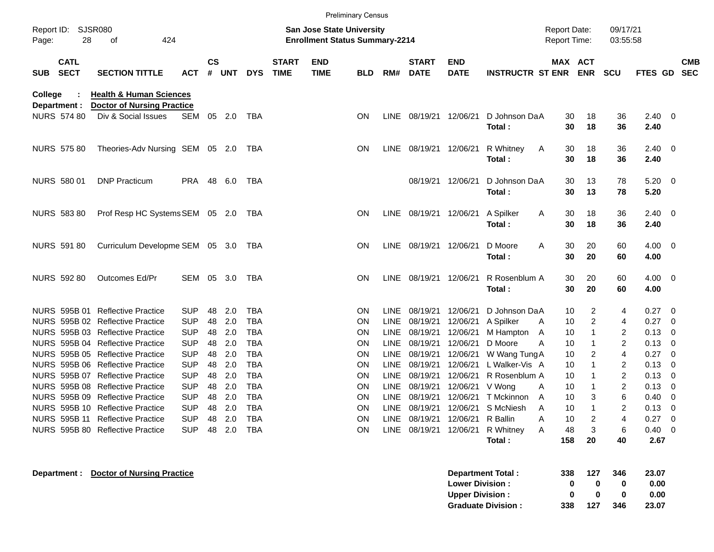|                                   |                                                                         |            |                    |            |            |                             |                                                                           | <b>Preliminary Census</b> |             |                             |                           |                                   |                                            |                |                      |                    |                          |
|-----------------------------------|-------------------------------------------------------------------------|------------|--------------------|------------|------------|-----------------------------|---------------------------------------------------------------------------|---------------------------|-------------|-----------------------------|---------------------------|-----------------------------------|--------------------------------------------|----------------|----------------------|--------------------|--------------------------|
| Report ID: SJSR080<br>28<br>Page: | 424<br>οf                                                               |            |                    |            |            |                             | <b>San Jose State University</b><br><b>Enrollment Status Summary-2214</b> |                           |             |                             |                           |                                   | <b>Report Date:</b><br><b>Report Time:</b> |                | 09/17/21<br>03:55:58 |                    |                          |
| <b>CATL</b><br><b>SECT</b><br>SUB | <b>SECTION TITTLE</b>                                                   | <b>ACT</b> | $\mathsf{cs}$<br># | <b>UNT</b> | <b>DYS</b> | <b>START</b><br><b>TIME</b> | <b>END</b><br><b>TIME</b>                                                 | <b>BLD</b>                | RM#         | <b>START</b><br><b>DATE</b> | <b>END</b><br><b>DATE</b> | <b>INSTRUCTR ST ENR</b>           | MAX ACT                                    | <b>ENR</b>     | <b>SCU</b>           | FTES GD            | <b>CMB</b><br><b>SEC</b> |
| College<br>Department :           | <b>Health &amp; Human Sciences</b><br><b>Doctor of Nursing Practice</b> |            |                    |            |            |                             |                                                                           |                           |             |                             |                           |                                   |                                            |                |                      |                    |                          |
| <b>NURS 574 80</b>                | Div & Social Issues                                                     | SEM        |                    | 05 2.0     | TBA        |                             |                                                                           | <b>ON</b>                 | LINE        | 08/19/21                    | 12/06/21                  | D Johnson DaA<br>Total:           | 30<br>30                                   | 18<br>18       | 36<br>36             | 2.40<br>2.40       | - 0                      |
| <b>NURS 575 80</b>                | Theories-Adv Nursing SEM 05 2.0                                         |            |                    |            | TBA        |                             |                                                                           | <b>ON</b>                 | LINE        |                             | 08/19/21 12/06/21         | R Whitney<br>A<br>Total:          | 30<br>30                                   | 18<br>18       | 36<br>36             | 2.40<br>2.40       | $\overline{\mathbf{0}}$  |
| NURS 580 01                       | <b>DNP Practicum</b>                                                    | PRA 48     |                    | 6.0        | TBA        |                             |                                                                           |                           |             | 08/19/21                    | 12/06/21                  | D Johnson DaA                     | 30                                         | 13             | 78                   | 5.20               | - 0                      |
| <b>NURS 583 80</b>                | Prof Resp HC Systems SEM 05 2.0                                         |            |                    |            | TBA        |                             |                                                                           | <b>ON</b>                 |             | LINE 08/19/21 12/06/21      |                           | Total:<br>A Spilker<br>A          | 30<br>30                                   | 13<br>18       | 78<br>36             | 5.20<br>2.40       | $\overline{\mathbf{0}}$  |
|                                   |                                                                         |            |                    |            |            |                             |                                                                           |                           |             |                             |                           | Total:                            | 30                                         | 18             | 36                   | 2.40               |                          |
| <b>NURS 591 80</b>                | Curriculum Developme SEM 05 3.0                                         |            |                    |            | TBA        |                             |                                                                           | <b>ON</b>                 |             | LINE 08/19/21               | 12/06/21                  | D Moore<br>A<br>Total:            | 30<br>30                                   | 20<br>20       | 60<br>60             | 4.00<br>4.00       | $\overline{\mathbf{0}}$  |
| <b>NURS 592 80</b>                | Outcomes Ed/Pr                                                          | SEM        | 05                 | 3.0        | TBA        |                             |                                                                           | <b>ON</b>                 |             | LINE 08/19/21               | 12/06/21                  | R Rosenblum A<br>Total:           | 30<br>30                                   | 20<br>20       | 60<br>60             | 4.00<br>4.00       | $\overline{\mathbf{0}}$  |
| NURS 595B 01                      | <b>Reflective Practice</b>                                              | <b>SUP</b> | 48                 | 2.0        | <b>TBA</b> |                             |                                                                           | ON                        | LINE        | 08/19/21                    | 12/06/21                  | D Johnson DaA                     | 10                                         | $\overline{c}$ | 4                    | 0.27               | - 0                      |
|                                   | NURS 595B 02 Reflective Practice                                        | <b>SUP</b> | 48                 | 2.0        | <b>TBA</b> |                             |                                                                           | ON                        | <b>LINE</b> | 08/19/21                    | 12/06/21                  | A Spilker<br>A                    | 10                                         | $\overline{c}$ | 4                    | 0.27               | $\overline{0}$           |
|                                   | NURS 595B 03 Reflective Practice                                        | <b>SUP</b> | 48                 | 2.0        | <b>TBA</b> |                             |                                                                           | ON                        | <b>LINE</b> | 08/19/21                    | 12/06/21                  | M Hampton<br>A                    | 10                                         | $\mathbf{1}$   | 2                    | 0.13               | 0                        |
|                                   | NURS 595B 04 Reflective Practice                                        | <b>SUP</b> | 48                 | 2.0        | <b>TBA</b> |                             |                                                                           | ON                        | LINE        | 08/19/21                    | 12/06/21                  | D Moore<br>A                      | 10                                         | $\mathbf{1}$   | $\overline{2}$       | 0.13               | 0                        |
|                                   | NURS 595B 05 Reflective Practice                                        | <b>SUP</b> | 48                 | 2.0        | <b>TBA</b> |                             |                                                                           | ON                        | LINE        | 08/19/21                    | 12/06/21                  | W Wang Tung A                     | 10                                         | 2              | 4                    | 0.27               | $\overline{0}$           |
|                                   | NURS 595B 06 Reflective Practice                                        | <b>SUP</b> | 48                 | 2.0        | <b>TBA</b> |                             |                                                                           | ON                        | LINE        | 08/19/21                    | 12/06/21                  | L Walker-Vis A                    | 10                                         | $\mathbf{1}$   | 2                    | 0.13               | 0                        |
|                                   | NURS 595B 07 Reflective Practice                                        | <b>SUP</b> | 48                 | 2.0        | <b>TBA</b> |                             |                                                                           | ON                        | LINE        | 08/19/21                    | 12/06/21                  | R Rosenblum A                     | 10                                         | $\mathbf{1}$   | $\overline{c}$       | 0.13               | 0                        |
|                                   | NURS 595B 08 Reflective Practice                                        | <b>SUP</b> | 48                 | 2.0        | <b>TBA</b> |                             |                                                                           | ON                        | LINE        | 08/19/21                    | 12/06/21                  | V Wong<br>A                       | 10                                         | $\mathbf{1}$   | $\overline{c}$       | 0.13               | 0                        |
| 595B 09<br><b>NURS</b>            | <b>Reflective Practice</b>                                              | <b>SUP</b> | 48                 | 2.0        | <b>TBA</b> |                             |                                                                           | ON                        | <b>LINE</b> | 08/19/21                    | 12/06/21                  | T Mckinnon<br>A                   | 10                                         | 3              | 6                    | 0.40               | 0                        |
|                                   | NURS 595B 10 Reflective Practice                                        | <b>SUP</b> | 48                 | 2.0        | <b>TBA</b> |                             |                                                                           | <b>ON</b>                 | LINE        | 08/19/21                    | 12/06/21                  | S McNiesh<br>A                    | 10                                         | $\overline{1}$ | $\overline{2}$       | 0.13               | 0                        |
|                                   | NURS 595B 11 Reflective Practice                                        | <b>SUP</b> | 48                 | 2.0        | TBA        |                             |                                                                           | <b>ON</b>                 |             | LINE 08/19/21               | 12/06/21 R Ballin         | Α                                 | 10                                         | 2              |                      | 0.27               | $\overline{\phantom{0}}$ |
|                                   | NURS 595B 80 Reflective Practice                                        | <b>SUP</b> |                    | 48 2.0     | <b>TBA</b> |                             |                                                                           | ON                        |             | LINE 08/19/21               |                           | 12/06/21 R Whitney<br>A<br>Total: | 48<br>158                                  | 3<br>20        | 6<br>40              | $0.40 \ 0$<br>2.67 |                          |
| Department :                      | <b>Doctor of Nursing Practice</b>                                       |            |                    |            |            |                             |                                                                           |                           |             |                             |                           | <b>Department Total:</b>          | 338                                        | 127            | 346                  | 23.07              |                          |
|                                   |                                                                         |            |                    |            |            |                             |                                                                           |                           |             |                             | <b>Lower Division:</b>    |                                   | 0                                          | 0              | 0                    | 0.00               |                          |

**Upper Division : <br>
Graduate Division : <br>
338 127 346 23.07** 

**Graduate Division :**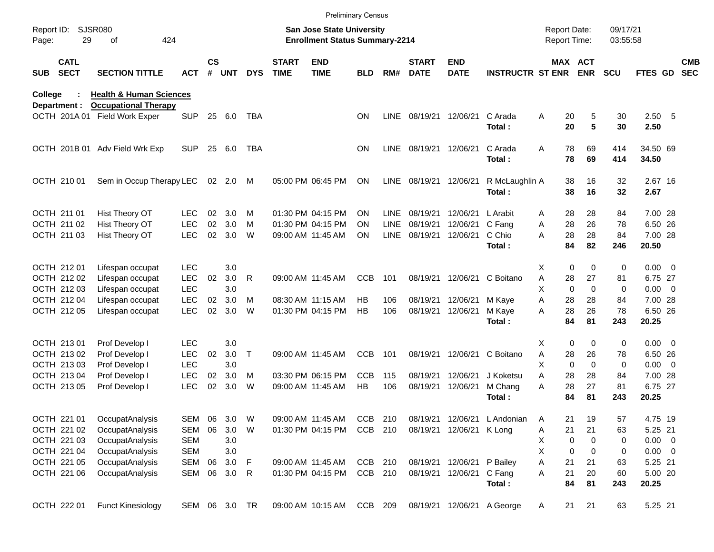|                     |                            |                                    |               |               |        |              |                             | <b>Preliminary Census</b>                                                 |            |             |                             |                           |                         |                                            |                       |                      |                |                          |
|---------------------|----------------------------|------------------------------------|---------------|---------------|--------|--------------|-----------------------------|---------------------------------------------------------------------------|------------|-------------|-----------------------------|---------------------------|-------------------------|--------------------------------------------|-----------------------|----------------------|----------------|--------------------------|
| Report ID:<br>Page: | 29                         | <b>SJSR080</b><br>424<br>οf        |               |               |        |              |                             | <b>San Jose State University</b><br><b>Enrollment Status Summary-2214</b> |            |             |                             |                           |                         | <b>Report Date:</b><br><b>Report Time:</b> |                       | 09/17/21<br>03:55:58 |                |                          |
| <b>SUB</b>          | <b>CATL</b><br><b>SECT</b> | <b>SECTION TITTLE</b>              | <b>ACT</b>    | $\mathsf{cs}$ | # UNT  | <b>DYS</b>   | <b>START</b><br><b>TIME</b> | <b>END</b><br><b>TIME</b>                                                 | <b>BLD</b> | RM#         | <b>START</b><br><b>DATE</b> | <b>END</b><br><b>DATE</b> | <b>INSTRUCTR ST ENR</b> |                                            | MAX ACT<br><b>ENR</b> | <b>SCU</b>           | <b>FTES GD</b> | <b>CMB</b><br><b>SEC</b> |
| College             |                            | <b>Health &amp; Human Sciences</b> |               |               |        |              |                             |                                                                           |            |             |                             |                           |                         |                                            |                       |                      |                |                          |
|                     | Department :               | <b>Occupational Therapy</b>        | <b>SUP</b>    |               |        |              |                             |                                                                           |            |             |                             |                           | C Arada                 |                                            |                       |                      |                |                          |
|                     | OCTH 201A 01               | Field Work Exper                   |               | 25            | 6.0    | TBA          |                             |                                                                           | <b>ON</b>  | <b>LINE</b> | 08/19/21 12/06/21           |                           | Total:                  | Α<br>20<br>20                              | 5<br>5                | 30<br>30             | 2.50 5<br>2.50 |                          |
|                     |                            | OCTH 201B 01 Adv Field Wrk Exp     | <b>SUP</b>    | 25            | 6.0    | <b>TBA</b>   |                             |                                                                           | <b>ON</b>  | LINE        | 08/19/21 12/06/21           |                           | C Arada                 | A<br>78                                    | 69                    | 414                  | 34.50 69       |                          |
|                     |                            |                                    |               |               |        |              |                             |                                                                           |            |             |                             |                           | Total:                  | 78                                         | 69                    | 414                  | 34.50          |                          |
|                     | OCTH 210 01                | Sem in Occup Therapy LEC           |               |               | 02 2.0 | M            |                             | 05:00 PM 06:45 PM                                                         | <b>ON</b>  | LINE        | 08/19/21 12/06/21           |                           | R McLaughlin A          | 38                                         | 16                    | 32                   | 2.67 16        |                          |
|                     |                            |                                    |               |               |        |              |                             |                                                                           |            |             |                             |                           | Total:                  | 38                                         | 16                    | 32                   | 2.67           |                          |
|                     | OCTH 211 01                | Hist Theory OT                     | LEC           | 02            | 3.0    | м            |                             | 01:30 PM 04:15 PM                                                         | ON         | LINE        | 08/19/21                    | 12/06/21                  | L Arabit                | 28<br>A                                    | 28                    | 84                   | 7.00 28        |                          |
|                     | OCTH 211 02                | Hist Theory OT                     | <b>LEC</b>    | 02            | 3.0    | м            |                             | 01:30 PM 04:15 PM                                                         | ON         | LINE        | 08/19/21                    | 12/06/21                  | C Fang                  | 28<br>A                                    | 26                    | 78                   | 6.50 26        |                          |
|                     | OCTH 211 03                | Hist Theory OT                     | <b>LEC</b>    | 02            | 3.0    | W            |                             | 09:00 AM 11:45 AM                                                         | <b>ON</b>  | <b>LINE</b> | 08/19/21                    | 12/06/21                  | C Chio                  | 28<br>A                                    | 28                    | 84                   | 7.00 28        |                          |
|                     |                            |                                    |               |               |        |              |                             |                                                                           |            |             |                             |                           | Total:                  | 84                                         | 82                    | 246                  | 20.50          |                          |
|                     | OCTH 212 01                | Lifespan occupat                   | <b>LEC</b>    |               | 3.0    |              |                             |                                                                           |            |             |                             |                           |                         | X                                          | 0<br>$\mathbf 0$      | 0                    | $0.00 \t 0$    |                          |
|                     | OCTH 212 02                | Lifespan occupat                   | <b>LEC</b>    | 02            | 3.0    | R            |                             | 09:00 AM 11:45 AM                                                         | <b>CCB</b> | 101         |                             | 08/19/21 12/06/21         | C Boitano               | Α<br>28                                    | 27                    | 81                   | 6.75 27        |                          |
|                     | OCTH 212 03                | Lifespan occupat                   | <b>LEC</b>    |               | 3.0    |              |                             |                                                                           |            |             |                             |                           |                         | X<br>$\mathbf 0$                           | $\Omega$              | 0                    | $0.00 \t 0$    |                          |
|                     | OCTH 212 04                | Lifespan occupat                   | <b>LEC</b>    | 02            | 3.0    | м            |                             | 08:30 AM 11:15 AM                                                         | HB         | 106         |                             | 08/19/21 12/06/21         | M Kaye                  | Α<br>28                                    | 28                    | 84                   | 7.00 28        |                          |
|                     | OCTH 212 05                | Lifespan occupat                   | <b>LEC</b>    | 02            | 3.0    | W            |                             | 01:30 PM 04:15 PM                                                         | HB         | 106         |                             | 08/19/21 12/06/21         | M Kaye                  | 28<br>A                                    | 26                    | 78                   | 6.50 26        |                          |
|                     |                            |                                    |               |               |        |              |                             |                                                                           |            |             |                             |                           | Total:                  | 84                                         | 81                    | 243                  | 20.25          |                          |
|                     | OCTH 213 01                | Prof Develop I                     | <b>LEC</b>    |               | 3.0    |              |                             |                                                                           |            |             |                             |                           |                         | X                                          | 0<br>$\mathbf 0$      | 0                    | $0.00 \t 0$    |                          |
|                     | OCTH 213 02                | Prof Develop I                     | <b>LEC</b>    | 02            | 3.0    | $\mathsf{T}$ |                             | 09:00 AM 11:45 AM                                                         | <b>CCB</b> | 101         |                             | 08/19/21 12/06/21         | C Boitano               | Α<br>28                                    | 26                    | 78                   | 6.50 26        |                          |
|                     | OCTH 213 03                | Prof Develop I                     | <b>LEC</b>    |               | 3.0    |              |                             |                                                                           |            |             |                             |                           |                         | X<br>$\Omega$                              | $\Omega$              | $\mathbf 0$          | $0.00 \t 0$    |                          |
|                     | OCTH 213 04                | Prof Develop I                     | <b>LEC</b>    | 02            | 3.0    | м            |                             | 03:30 PM 06:15 PM                                                         | <b>CCB</b> | 115         | 08/19/21                    | 12/06/21                  | J Koketsu               | A<br>28                                    | 28                    | 84                   | 7.00 28        |                          |
|                     | OCTH 213 05                | Prof Develop I                     | <b>LEC</b>    | 02            | 3.0    | W            |                             | 09:00 AM 11:45 AM                                                         | HB         | 106         | 08/19/21                    | 12/06/21                  | M Chang                 | A<br>28                                    | 27                    | 81                   | 6.75 27        |                          |
|                     |                            |                                    |               |               |        |              |                             |                                                                           |            |             |                             |                           | Total:                  | 84                                         | 81                    | 243                  | 20.25          |                          |
|                     | OCTH 221 01                | OccupatAnalysis                    | SEM           | 06            | 3.0    | W            |                             | 09:00 AM 11:45 AM                                                         | CCB        | 210         |                             | 08/19/21 12/06/21         | L Andonian              | Α<br>$\mathbf{21}$                         | 19                    | 57                   | 4.75 19        |                          |
|                     | OCTH 221 02                | OccupatAnalysis                    | SEM           | 06            | 3.0    | W            |                             | 01:30 PM 04:15 PM                                                         | CCB 210    |             |                             | 08/19/21 12/06/21         | K Long                  | 21<br>Α                                    | 21                    | 63                   | 5.25 21        |                          |
|                     | OCTH 221 03                | OccupatAnalysis                    | SEM           |               | 3.0    |              |                             |                                                                           |            |             |                             |                           |                         | Χ                                          | 0<br>0                | 0                    | $0.00 \t 0$    |                          |
|                     | OCTH 221 04                | OccupatAnalysis                    | SEM           |               | 3.0    |              |                             |                                                                           |            |             |                             |                           |                         | X                                          | 0<br>0                | 0                    | $0.00 \t 0$    |                          |
|                     | OCTH 221 05                | OccupatAnalysis                    | SEM           | 06            | 3.0    | F            |                             | 09:00 AM 11:45 AM                                                         | CCB 210    |             |                             | 08/19/21 12/06/21         | P Bailey                | Α<br>21                                    | 21                    | 63                   | 5.25 21        |                          |
|                     | OCTH 221 06                | OccupatAnalysis                    | SEM 06        |               | 3.0    | R            |                             | 01:30 PM 04:15 PM                                                         | CCB 210    |             |                             | 08/19/21 12/06/21         | C Fang                  | 21<br>Α                                    | 20                    | 60                   | 5.00 20        |                          |
|                     |                            |                                    |               |               |        |              |                             |                                                                           |            |             |                             |                           | Total:                  | 84                                         | 81                    | 243                  | 20.25          |                          |
|                     | OCTH 222 01                | <b>Funct Kinesiology</b>           | SEM 06 3.0 TR |               |        |              |                             | 09:00 AM 10:15 AM                                                         | CCB 209    |             |                             | 08/19/21 12/06/21         | A George                | 21<br>A                                    | 21                    | 63                   | 5.25 21        |                          |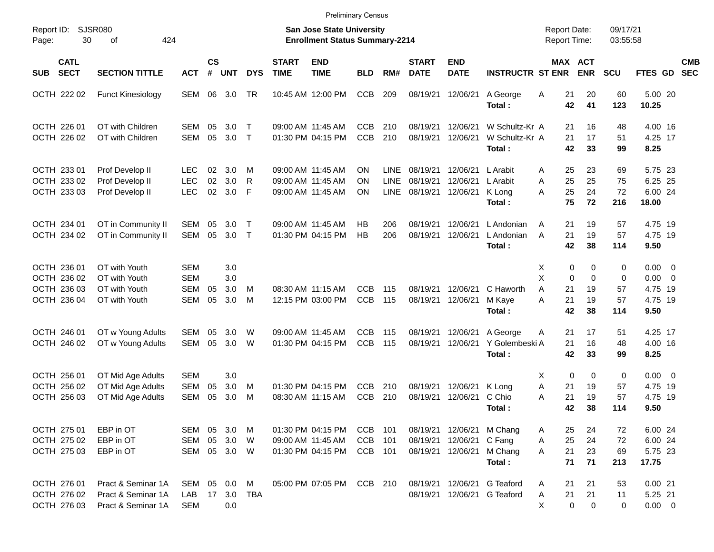|                                                          |                                                                  |                                                      |                             |                          |               |                             |                                                                    | <b>Preliminary Census</b>    |                                           |                                  |                                  |                                                 |                                            |                                              |                           |                                                          |                          |
|----------------------------------------------------------|------------------------------------------------------------------|------------------------------------------------------|-----------------------------|--------------------------|---------------|-----------------------------|--------------------------------------------------------------------|------------------------------|-------------------------------------------|----------------------------------|----------------------------------|-------------------------------------------------|--------------------------------------------|----------------------------------------------|---------------------------|----------------------------------------------------------|--------------------------|
| Report ID:<br>30<br>Page:                                | SJSR080<br>424<br>оf                                             |                                                      |                             |                          |               |                             | San Jose State University<br><b>Enrollment Status Summary-2214</b> |                              |                                           |                                  |                                  |                                                 | <b>Report Date:</b><br><b>Report Time:</b> |                                              | 09/17/21<br>03:55:58      |                                                          |                          |
| <b>CATL</b><br><b>SECT</b><br>SUB                        | <b>SECTION TITTLE</b>                                            | <b>ACT</b>                                           | $\mathsf{cs}$<br>$\pmb{\#}$ | <b>UNT</b>               | <b>DYS</b>    | <b>START</b><br><b>TIME</b> | <b>END</b><br><b>TIME</b>                                          | <b>BLD</b>                   | RM#                                       | <b>START</b><br><b>DATE</b>      | <b>END</b><br><b>DATE</b>        | <b>INSTRUCTR ST ENR</b>                         |                                            | MAX ACT<br><b>ENR</b>                        | <b>SCU</b>                | <b>FTES GD</b>                                           | <b>CMB</b><br><b>SEC</b> |
| OCTH 222 02                                              | <b>Funct Kinesiology</b>                                         | SEM                                                  | 06                          | 3.0                      | TR            |                             | 10:45 AM 12:00 PM                                                  | <b>CCB</b>                   | 209                                       | 08/19/21                         | 12/06/21                         | A George<br>Total:                              | 21<br>Α<br>42                              | 20<br>41                                     | 60<br>123                 | 5.00 20<br>10.25                                         |                          |
| OCTH 226 01<br>OCTH 226 02                               | OT with Children<br>OT with Children                             | SEM<br><b>SEM</b>                                    | 05<br>05                    | 3.0<br>3.0               | Т<br>$\top$   |                             | 09:00 AM 11:45 AM<br>01:30 PM 04:15 PM                             | <b>CCB</b><br>CCB            | 210<br>210                                | 08/19/21<br>08/19/21             | 12/06/21<br>12/06/21             | W Schultz-Kr A<br>W Schultz-Kr A<br>Total:      | 21<br>21<br>42                             | 16<br>17<br>33                               | 48<br>51<br>99            | 4.00 16<br>4.25 17<br>8.25                               |                          |
| OCTH 233 01<br>OCTH 233 02<br>OCTH 233 03                | Prof Develop II<br>Prof Develop II<br>Prof Develop II            | LEC.<br><b>LEC</b><br><b>LEC</b>                     | 02<br>02<br>02              | 3.0<br>3.0<br>3.0        | M<br>R<br>F   |                             | 09:00 AM 11:45 AM<br>09:00 AM 11:45 AM<br>09:00 AM 11:45 AM        | OΝ<br>ΟN<br>ΟN               | <b>LINE</b><br><b>LINE</b><br><b>LINE</b> | 08/19/21<br>08/19/21<br>08/19/21 | 12/06/21<br>12/06/21<br>12/06/21 | L Arabit<br>L Arabit<br>K Long<br>Total:        | 25<br>A<br>25<br>A<br>25<br>A<br>75        | 23<br>25<br>24<br>72                         | 69<br>75<br>72<br>216     | 5.75 23<br>6.25 25<br>6.00 24<br>18.00                   |                          |
| OCTH 234 01<br>OCTH 234 02                               | OT in Community II<br>OT in Community II                         | SEM<br>SEM                                           | 05<br>05                    | 3.0<br>3.0               | Т<br>$\top$   |                             | 09:00 AM 11:45 AM<br>01:30 PM 04:15 PM                             | НB<br><b>HB</b>              | 206<br>206                                | 08/19/21<br>08/19/21             | 12/06/21<br>12/06/21             | L Andonian<br>L Andonian<br>Total:              | 21<br>A<br>21<br>A<br>42                   | 19<br>19<br>38                               | 57<br>57<br>114           | 4.75 19<br>4.75 19<br>9.50                               |                          |
| OCTH 236 01<br>OCTH 236 02<br>OCTH 236 03<br>OCTH 236 04 | OT with Youth<br>OT with Youth<br>OT with Youth<br>OT with Youth | <b>SEM</b><br><b>SEM</b><br><b>SEM</b><br><b>SEM</b> | 05<br>05                    | 3.0<br>3.0<br>3.0<br>3.0 | M<br>м        |                             | 08:30 AM 11:15 AM<br>12:15 PM 03:00 PM                             | <b>CCB</b><br>CCB            | 115<br>115                                | 08/19/21<br>08/19/21             | 12/06/21<br>12/06/21             | C Haworth<br>M Kaye<br>Total:                   | Х<br>X<br>A<br>21<br>21<br>A<br>42         | 0<br>0<br>0<br>$\mathbf 0$<br>19<br>19<br>38 | 0<br>0<br>57<br>57<br>114 | $0.00 \t 0$<br>$0.00 \t 0$<br>4.75 19<br>4.75 19<br>9.50 |                          |
| OCTH 246 01<br>OCTH 246 02                               | OT w Young Adults<br>OT w Young Adults                           | SEM<br><b>SEM</b>                                    | 05<br>05                    | 3.0<br>3.0               | W<br>W        |                             | 09:00 AM 11:45 AM<br>01:30 PM 04:15 PM                             | <b>CCB</b><br><b>CCB</b>     | 115<br>115                                | 08/19/21<br>08/19/21             | 12/06/21<br>12/06/21             | A George<br>Y Golembeski A<br>Total:            | 21<br>A<br>21<br>42                        | 17<br>16<br>33                               | 51<br>48<br>99            | 4.25 17<br>4.00 16<br>8.25                               |                          |
| OCTH 256 01<br>OCTH 256 02<br>OCTH 256 03                | OT Mid Age Adults<br>OT Mid Age Adults<br>OT Mid Age Adults      | <b>SEM</b><br><b>SEM</b><br><b>SEM</b>               | 05<br>05                    | 3.0<br>3.0<br>3.0        | M<br>М        |                             | 01:30 PM 04:15 PM<br>08:30 AM 11:15 AM                             | <b>CCB</b><br>CCB            | 210<br>210                                | 08/19/21<br>08/19/21             | 12/06/21<br>12/06/21             | K Long<br>C Chio<br>Total:                      | Х<br>Α<br>21<br>A<br>21<br>42              | 0<br>0<br>19<br>19<br>38                     | 0<br>57<br>57<br>114      | $0.00 \t 0$<br>4.75 19<br>4.75 19<br>9.50                |                          |
| OCTH 275 01<br>OCTH 275 02<br>OCTH 275 03                | EBP in OT<br>EBP in OT<br>EBP in OT                              | SEM 05 3.0<br>SEM<br>SEM                             | 05                          | 3.0<br>05 3.0 W          | M<br><b>W</b> |                             | 01:30 PM 04:15 PM<br>09:00 AM 11:45 AM<br>01:30 PM 04:15 PM        | CCB<br><b>CCB</b><br>CCB 101 | 101<br>101                                | 08/19/21<br>08/19/21<br>08/19/21 | 12/06/21<br>12/06/21             | 12/06/21 M Chang<br>C Fang<br>M Chang<br>Total: | 25<br>A<br>25<br>Α<br>21<br>A<br>71        | 24<br>24<br>23<br>71                         | 72<br>72<br>69<br>213     | 6.00 24<br>6.00 24<br>5.75 23<br>17.75                   |                          |
| OCTH 276 01<br>OCTH 276 02<br>OCTH 276 03                | Pract & Seminar 1A<br>Pract & Seminar 1A<br>Pract & Seminar 1A   | SEM 05 0.0<br>LAB<br><b>SEM</b>                      | 17                          | 0.0                      | M<br>3.0 TBA  |                             | 05:00 PM 07:05 PM                                                  | CCB 210                      |                                           | 08/19/21<br>08/19/21             |                                  | 12/06/21 G Teaford<br>12/06/21 G Teaford        | 21<br>A<br>21<br>Α<br>Χ                    | 21<br>21<br>0<br>0                           | 53<br>11<br>0             | 0.0021<br>5.25 21<br>$0.00 \t 0$                         |                          |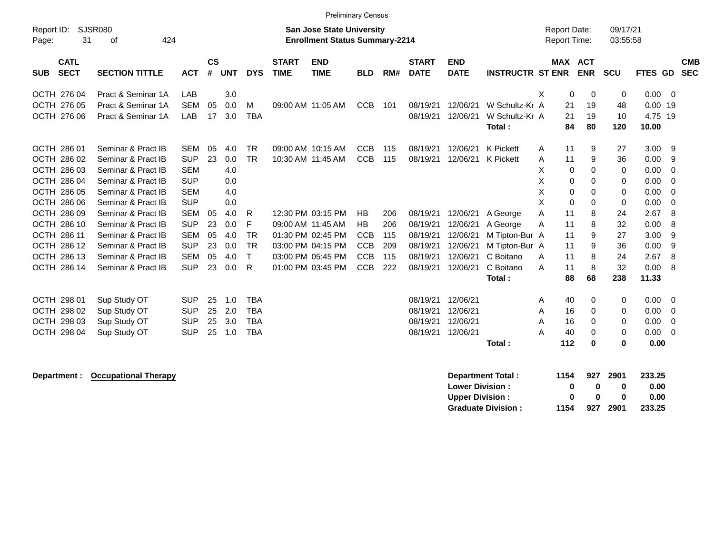|                                          |                                   |            |                    |            |              |                             | <b>Preliminary Census</b>                                                 |            |     |                             |                           |                          |   |                                     |             |                      |         |             |                          |
|------------------------------------------|-----------------------------------|------------|--------------------|------------|--------------|-----------------------------|---------------------------------------------------------------------------|------------|-----|-----------------------------|---------------------------|--------------------------|---|-------------------------------------|-------------|----------------------|---------|-------------|--------------------------|
| Report ID:<br>Page:                      | <b>SJSR080</b><br>31<br>424<br>οf |            |                    |            |              |                             | <b>San Jose State University</b><br><b>Enrollment Status Summary-2214</b> |            |     |                             |                           |                          |   | <b>Report Date:</b><br>Report Time: |             | 09/17/21<br>03:55:58 |         |             |                          |
| <b>CATL</b><br><b>SECT</b><br><b>SUB</b> | <b>SECTION TITTLE</b>             | <b>ACT</b> | $\mathsf{cs}$<br># | <b>UNT</b> | <b>DYS</b>   | <b>START</b><br><b>TIME</b> | <b>END</b><br><b>TIME</b>                                                 | <b>BLD</b> | RM# | <b>START</b><br><b>DATE</b> | <b>END</b><br><b>DATE</b> | <b>INSTRUCTR ST ENR</b>  |   | <b>MAX ACT</b>                      | <b>ENR</b>  | <b>SCU</b>           | FTES GD |             | <b>CMB</b><br><b>SEC</b> |
| OCTH 276 04                              | Pract & Seminar 1A                | LAB        |                    | 3.0        |              |                             |                                                                           |            |     |                             |                           |                          | X | 0                                   | $\mathbf 0$ | 0                    | 0.00    | - 0         |                          |
| OCTH 276 05                              | Pract & Seminar 1A                | <b>SEM</b> | 05                 | 0.0        | м            |                             | 09:00 AM 11:05 AM                                                         | <b>CCB</b> | 101 | 08/19/21                    | 12/06/21                  | W Schultz-Kr A           |   | 21                                  | 19          | 48                   | 0.00    | 19          |                          |
| OCTH 276 06                              | Pract & Seminar 1A                | LAB        | 17                 | 3.0        | <b>TBA</b>   |                             |                                                                           |            |     | 08/19/21                    | 12/06/21                  | W Schultz-Kr A           |   | 21                                  | 19          | 10                   | 4.75 19 |             |                          |
|                                          |                                   |            |                    |            |              |                             |                                                                           |            |     |                             |                           | Total:                   |   | 84                                  | 80          | 120                  | 10.00   |             |                          |
| OCTH 286 01                              | Seminar & Pract IB                | <b>SEM</b> | 05                 | 4.0        | <b>TR</b>    |                             | 09:00 AM 10:15 AM                                                         | <b>CCB</b> | 115 | 08/19/21                    | 12/06/21                  | K Pickett                | A | 11                                  | 9           | 27                   | 3.00    | 9           |                          |
| OCTH 286 02                              | Seminar & Pract IB                | <b>SUP</b> | 23                 | 0.0        | <b>TR</b>    |                             | 10:30 AM 11:45 AM                                                         | <b>CCB</b> | 115 | 08/19/21                    | 12/06/21                  | K Pickett                | Α | 11                                  | 9           | 36                   | 0.00    | 9           |                          |
| OCTH 286 03                              | Seminar & Pract IB                | <b>SEM</b> |                    | 4.0        |              |                             |                                                                           |            |     |                             |                           |                          | X | 0                                   | $\mathbf 0$ | 0                    | 0.00    | $\mathbf 0$ |                          |
| OCTH 286 04                              | Seminar & Pract IB                | <b>SUP</b> |                    | 0.0        |              |                             |                                                                           |            |     |                             |                           |                          | X | 0                                   | 0           | 0                    | 0.00    | $\mathbf 0$ |                          |
| OCTH 286 05                              | Seminar & Pract IB                | <b>SEM</b> |                    | 4.0        |              |                             |                                                                           |            |     |                             |                           |                          | Х | 0                                   | 0           | 0                    | 0.00    | 0           |                          |
| OCTH 286 06                              | Seminar & Pract IB                | <b>SUP</b> |                    | 0.0        |              |                             |                                                                           |            |     |                             |                           |                          | X | 0                                   | 0           | 0                    | 0.00    | 0           |                          |
| OCTH 286 09                              | Seminar & Pract IB                | <b>SEM</b> | 05                 | 4.0        | R            |                             | 12:30 PM 03:15 PM                                                         | <b>HB</b>  | 206 | 08/19/21                    | 12/06/21                  | A George                 | A | 11                                  | 8           | 24                   | 2.67    | 8           |                          |
| OCTH 286 10                              | Seminar & Pract IB                | <b>SUP</b> | 23                 | 0.0        | F            |                             | 09:00 AM 11:45 AM                                                         | <b>HB</b>  | 206 | 08/19/21                    | 12/06/21                  | A George                 | Α | 11                                  | 8           | 32                   | 0.00    | 8           |                          |
| OCTH 286 11                              | Seminar & Pract IB                | <b>SEM</b> | 05                 | 4.0        | <b>TR</b>    |                             | 01:30 PM 02:45 PM                                                         | <b>CCB</b> | 115 | 08/19/21                    | 12/06/21                  | M Tipton-Bur A           |   | 11                                  | 9           | 27                   | 3.00    | 9           |                          |
| OCTH 286 12                              | Seminar & Pract IB                | <b>SUP</b> | 23                 | 0.0        | <b>TR</b>    |                             | 03:00 PM 04:15 PM                                                         | <b>CCB</b> | 209 | 08/19/21                    | 12/06/21                  | M Tipton-Bur A           |   | 11                                  | 9           | 36                   | 0.00    | 9           |                          |
| OCTH 286 13                              | Seminar & Pract IB                | <b>SEM</b> | 05                 | 4.0        | $\mathsf{T}$ |                             | 03:00 PM 05:45 PM                                                         | <b>CCB</b> | 115 | 08/19/21                    | 12/06/21                  | C Boitano                | A | 11                                  | 8           | 24                   | 2.67    | 8           |                          |
| OCTH 286 14                              | Seminar & Pract IB                | <b>SUP</b> | 23                 | 0.0        | R            |                             | 01:00 PM 03:45 PM                                                         | <b>CCB</b> | 222 | 08/19/21                    | 12/06/21                  | C Boitano                | A | 11                                  | 8           | 32                   | 0.00    | 8           |                          |
|                                          |                                   |            |                    |            |              |                             |                                                                           |            |     |                             |                           | Total:                   |   | 88                                  | 68          | 238                  | 11.33   |             |                          |
| OCTH 298 01                              | Sup Study OT                      | <b>SUP</b> | 25                 | 1.0        | <b>TBA</b>   |                             |                                                                           |            |     | 08/19/21                    | 12/06/21                  |                          | A | 40                                  | 0           | 0                    | 0.00    | 0           |                          |
| OCTH 298 02                              | Sup Study OT                      | <b>SUP</b> | 25                 | 2.0        | <b>TBA</b>   |                             |                                                                           |            |     | 08/19/21                    | 12/06/21                  |                          | A | 16                                  | 0           | 0                    | 0.00    | 0           |                          |
| OCTH 298 03                              | Sup Study OT                      | <b>SUP</b> | 25                 | 3.0        | <b>TBA</b>   |                             |                                                                           |            |     | 08/19/21                    | 12/06/21                  |                          | A | 16                                  | 0           | 0                    | 0.00    | 0           |                          |
| OCTH 298 04                              | Sup Study OT                      | <b>SUP</b> | 25                 | 1.0        | <b>TBA</b>   |                             |                                                                           |            |     | 08/19/21                    | 12/06/21                  |                          | Α | 40                                  | 0           | 0                    | 0.00    | $\mathbf 0$ |                          |
|                                          |                                   |            |                    |            |              |                             |                                                                           |            |     |                             |                           | Total:                   |   | 112                                 | 0           | 0                    | 0.00    |             |                          |
| Department :                             | <b>Occupational Therapy</b>       |            |                    |            |              |                             |                                                                           |            |     |                             |                           | <b>Department Total:</b> |   | 1154                                | 927         | 2901                 | 233.25  |             |                          |
|                                          |                                   |            |                    |            |              |                             |                                                                           |            |     |                             | <b>Lower Division:</b>    |                          |   | 0                                   | $\bf{0}$    | 0                    | 0.00    |             |                          |
|                                          |                                   |            |                    |            |              |                             |                                                                           |            |     |                             | <b>Upper Division:</b>    |                          |   | 0                                   | $\bf{0}$    | 0                    | 0.00    |             |                          |

**Graduate Division : 1154 927 2901 233.25**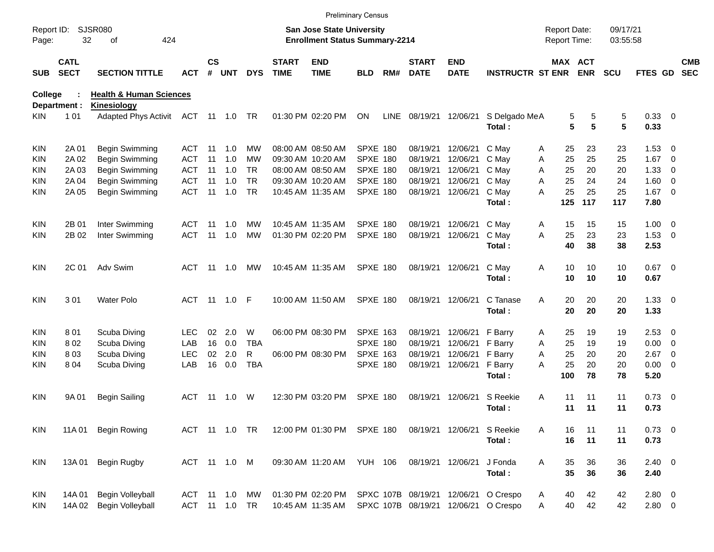|                     |                            |                                                   |               |               |             |            |                             |                                                                           | <b>Preliminary Census</b> |             |                             |                             |                                      |                                     |            |                      |                    |                          |                          |
|---------------------|----------------------------|---------------------------------------------------|---------------|---------------|-------------|------------|-----------------------------|---------------------------------------------------------------------------|---------------------------|-------------|-----------------------------|-----------------------------|--------------------------------------|-------------------------------------|------------|----------------------|--------------------|--------------------------|--------------------------|
| Report ID:<br>Page: | 32                         | <b>SJSR080</b><br>424<br>оf                       |               |               |             |            |                             | <b>San Jose State University</b><br><b>Enrollment Status Summary-2214</b> |                           |             |                             |                             |                                      | <b>Report Date:</b><br>Report Time: |            | 09/17/21<br>03:55:58 |                    |                          |                          |
| <b>SUB</b>          | <b>CATL</b><br><b>SECT</b> | <b>SECTION TITTLE</b>                             | <b>ACT</b>    | $\mathsf{cs}$ | # UNT       | <b>DYS</b> | <b>START</b><br><b>TIME</b> | <b>END</b><br><b>TIME</b>                                                 | <b>BLD</b>                | RM#         | <b>START</b><br><b>DATE</b> | <b>END</b><br><b>DATE</b>   | <b>INSTRUCTR ST ENR</b>              | MAX ACT                             | <b>ENR</b> | <b>SCU</b>           | FTES GD            |                          | <b>CMB</b><br><b>SEC</b> |
| <b>College</b>      |                            | <b>Health &amp; Human Sciences</b>                |               |               |             |            |                             |                                                                           |                           |             |                             |                             |                                      |                                     |            |                      |                    |                          |                          |
| KIN.                | Department :<br>101        | Kinesiology<br>Adapted Phys Activit ACT 11 1.0 TR |               |               |             |            |                             | 01:30 PM 02:20 PM                                                         | <b>ON</b>                 | <b>LINE</b> | 08/19/21                    | 12/06/21                    | S Delgado MeA                        | 5                                   | 5          | 5                    | 0.33 0             |                          |                          |
|                     |                            |                                                   |               |               |             |            |                             |                                                                           |                           |             |                             |                             | Total:                               | 5                                   | 5          | 5                    | 0.33               |                          |                          |
| KIN                 | 2A 01                      | Begin Swimming                                    | ACT           | -11           | 1.0         | МW         |                             | 08:00 AM 08:50 AM                                                         | <b>SPXE 180</b>           |             | 08/19/21                    | 12/06/21                    | C May                                | 25<br>Α                             | 23         | 23                   | $1.53 \t 0$        |                          |                          |
| KIN                 | 2A 02                      | Begin Swimming                                    | ACT           | 11            | 1.0         | МW         |                             | 09:30 AM 10:20 AM                                                         | <b>SPXE 180</b>           |             | 08/19/21                    | 12/06/21                    | C May                                | 25<br>Α                             | 25         | 25                   | 1.67               | $\overline{\phantom{0}}$ |                          |
| KIN                 | 2A 03                      | Begin Swimming                                    | ACT           | 11            | 1.0         | <b>TR</b>  |                             | 08:00 AM 08:50 AM                                                         | <b>SPXE 180</b>           |             | 08/19/21                    | 12/06/21                    | C May                                | 25<br>A                             | 20         | 20                   | 1.33               | - 0                      |                          |
| KIN                 | 2A 04                      | Begin Swimming                                    | <b>ACT</b>    | 11            | 1.0         | <b>TR</b>  |                             | 09:30 AM 10:20 AM                                                         | <b>SPXE 180</b>           |             | 08/19/21                    | 12/06/21                    | C May                                | 25<br>A                             | 24         | 24                   | 1.60               | $\overline{\phantom{0}}$ |                          |
| KIN                 | 2A 05                      | Begin Swimming                                    | <b>ACT</b>    | 11            | 1.0         | <b>TR</b>  |                             | 10:45 AM 11:35 AM                                                         | <b>SPXE 180</b>           |             | 08/19/21                    | 12/06/21                    | C May<br>Total:                      | 25<br>A<br>125                      | 25<br>117  | 25<br>117            | $1.67$ 0<br>7.80   |                          |                          |
| KIN                 | 2B 01                      | Inter Swimming                                    | ACT           | -11           | 1.0         | MW         |                             | 10:45 AM 11:35 AM                                                         | <b>SPXE 180</b>           |             | 08/19/21                    | 12/06/21                    | C May                                | 15<br>Α                             | 15         | 15                   | $1.00 \t 0$        |                          |                          |
| KIN                 | 2B 02                      | Inter Swimming                                    | <b>ACT</b>    | 11            | 1.0         | MW         |                             | 01:30 PM 02:20 PM                                                         | <b>SPXE 180</b>           |             | 08/19/21                    | 12/06/21                    | C May                                | 25<br>A                             | 23         | 23                   | $1.53 \t 0$        |                          |                          |
|                     |                            |                                                   |               |               |             |            |                             |                                                                           |                           |             |                             |                             | Total:                               | 40                                  | 38         | 38                   | 2.53               |                          |                          |
| <b>KIN</b>          | 2C 01                      | Adv Swim                                          | ACT           | - 11          | 1.0         | МW         |                             | 10:45 AM 11:35 AM                                                         | <b>SPXE 180</b>           |             |                             | 08/19/21 12/06/21           | C May<br>Total:                      | Α<br>10<br>10                       | 10<br>10   | 10<br>10             | $0.67$ 0<br>0.67   |                          |                          |
| <b>KIN</b>          | 301                        | <b>Water Polo</b>                                 | <b>ACT</b>    |               | 11 1.0 F    |            |                             | 10:00 AM 11:50 AM                                                         | <b>SPXE 180</b>           |             |                             | 08/19/21 12/06/21           | C Tanase<br>Total:                   | 20<br>A<br>20                       | 20<br>20   | 20<br>20             | $1.33 \ 0$<br>1.33 |                          |                          |
| KIN                 | 801                        | Scuba Diving                                      | LEC           | 02            | 2.0         | W          |                             | 06:00 PM 08:30 PM                                                         | <b>SPXE 163</b>           |             | 08/19/21                    | 12/06/21                    | F Barry                              | 25<br>Α                             | 19         | 19                   | $2.53 \t 0$        |                          |                          |
| KIN                 | 802                        | Scuba Diving                                      | LAB           | 16            | 0.0         | <b>TBA</b> |                             |                                                                           | SPXE 180                  |             | 08/19/21                    | 12/06/21                    | F Barry                              | Α<br>25                             | 19         | 19                   | 0.00               | $\overline{\phantom{0}}$ |                          |
| KIN                 | 803                        | Scuba Diving                                      | <b>LEC</b>    | 02            | 2.0         | R          |                             | 06:00 PM 08:30 PM                                                         | <b>SPXE 163</b>           |             | 08/19/21                    | 12/06/21                    | F Barry                              | 25<br>Α                             | 20         | 20                   | 2.67               | $\overline{\phantom{0}}$ |                          |
| KIN                 | 804                        | Scuba Diving                                      | LAB           | 16            | 0.0         | <b>TBA</b> |                             |                                                                           | SPXE 180                  |             | 08/19/21                    | 12/06/21                    | F Barry                              | 25<br>А                             | 20         | 20                   | $0.00 \t 0$        |                          |                          |
|                     |                            |                                                   |               |               |             |            |                             |                                                                           |                           |             |                             |                             | Total:                               | 100                                 | 78         | 78                   | 5.20               |                          |                          |
| KIN                 | 9A 01                      | <b>Begin Sailing</b>                              | ACT           | -11           | 1.0         | W          |                             | 12:30 PM 03:20 PM                                                         | <b>SPXE 180</b>           |             | 08/19/21                    | 12/06/21                    | S Reekie                             | Α<br>11                             | 11         | 11                   | $0.73 \quad 0$     |                          |                          |
|                     |                            |                                                   |               |               |             |            |                             |                                                                           |                           |             |                             |                             | Total:                               | 11                                  | 11         | 11                   | 0.73               |                          |                          |
| KIN.                | 11A 01                     | <b>Begin Rowing</b>                               | ACT 11 1.0 TR |               |             |            |                             | 12:00 PM 01:30 PM SPXE 180                                                |                           |             |                             | 08/19/21 12/06/21 S Reekie  |                                      | 16<br>Α                             | 11         | 11                   | $0.73 \ 0$         |                          |                          |
|                     |                            |                                                   |               |               |             |            |                             |                                                                           |                           |             |                             |                             | Total:                               | 16                                  | 11         | 11                   | 0.73               |                          |                          |
| KIN                 | 13A 01                     | Begin Rugby                                       | ACT 11 1.0 M  |               |             |            |                             | 09:30 AM 11:20 AM YUH 106                                                 |                           |             | 08/19/21 12/06/21           |                             | J Fonda                              | 35<br>Α                             | 36         | 36                   | $2.40 \ 0$         |                          |                          |
|                     |                            |                                                   |               |               |             |            |                             |                                                                           |                           |             |                             |                             | Total:                               | 35                                  | 36         | 36                   | 2.40               |                          |                          |
| <b>KIN</b>          | 14A 01                     | Begin Volleyball                                  | ACT           |               | 11  1.0  MW |            |                             | 01:30 PM 02:20 PM                                                         |                           |             |                             | SPXC 107B 08/19/21 12/06/21 | O Crespo                             | 40<br>Α                             | 42         | 42                   | 2.80 0             |                          |                          |
| <b>KIN</b>          | 14A 02                     | <b>Begin Volleyball</b>                           | ACT 11 1.0 TR |               |             |            |                             | 10:45 AM 11:35 AM                                                         |                           |             |                             |                             | SPXC 107B 08/19/21 12/06/21 O Crespo | 40<br>Α                             | 42         | 42                   | $2.80 \t 0$        |                          |                          |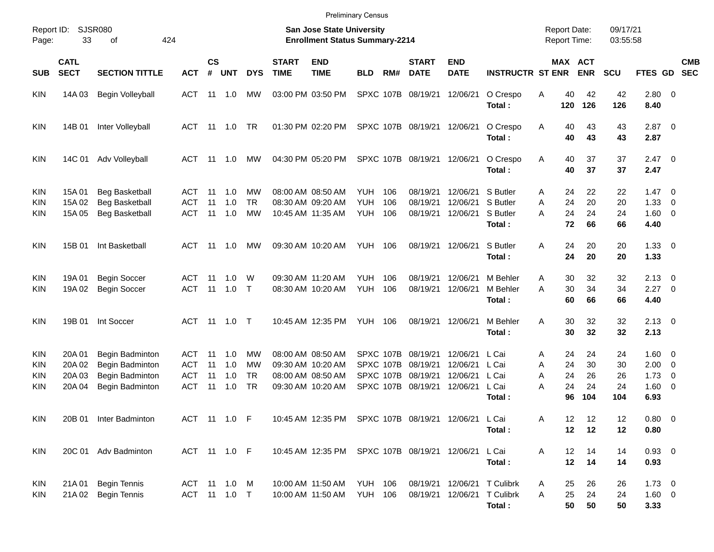| Report ID:<br>Page:      | 33                                   | SJSR080<br>424<br>οf                                                     |                                        |                       |                          |                              |                             | <b>San Jose State University</b><br><b>Enrollment Status Summary-2214</b>        |                                  |                        |                                                                  |                                              |                                                                      |                  |                            | <b>Report Date:</b><br><b>Report Time:</b> | 09/17/21<br>03:55:58        |                                                             |                          |            |
|--------------------------|--------------------------------------|--------------------------------------------------------------------------|----------------------------------------|-----------------------|--------------------------|------------------------------|-----------------------------|----------------------------------------------------------------------------------|----------------------------------|------------------------|------------------------------------------------------------------|----------------------------------------------|----------------------------------------------------------------------|------------------|----------------------------|--------------------------------------------|-----------------------------|-------------------------------------------------------------|--------------------------|------------|
| <b>SUB</b>               | <b>CATL</b><br><b>SECT</b>           | <b>SECTION TITTLE</b>                                                    | <b>ACT</b>                             | <b>CS</b><br>$\#$     | <b>UNT</b>               | <b>DYS</b>                   | <b>START</b><br><b>TIME</b> | <b>END</b><br><b>TIME</b>                                                        | <b>BLD</b>                       | RM#                    | <b>START</b><br><b>DATE</b>                                      | <b>END</b><br><b>DATE</b>                    | <b>INSTRUCTR ST ENR</b>                                              |                  |                            | MAX ACT<br><b>ENR</b>                      | <b>SCU</b>                  | FTES GD SEC                                                 |                          | <b>CMB</b> |
| KIN                      | 14A 03                               | Begin Volleyball                                                         | ACT 11 1.0                             |                       |                          | МW                           |                             | 03:00 PM 03:50 PM                                                                |                                  |                        | SPXC 107B 08/19/21                                               | 12/06/21                                     | O Crespo<br>Total:                                                   | Α                | 40<br>120                  | 42<br>126                                  | 42<br>126                   | 2.80 0<br>8.40                                              |                          |            |
| KIN                      | 14B 01                               | Inter Volleyball                                                         | ACT 11 1.0                             |                       |                          | TR                           |                             | 01:30 PM 02:20 PM                                                                |                                  |                        | SPXC 107B 08/19/21 12/06/21                                      |                                              | O Crespo<br>Total:                                                   | A                | 40<br>40                   | 43<br>43                                   | 43<br>43                    | $2.87$ 0<br>2.87                                            |                          |            |
| KIN                      | 14C 01                               | Adv Volleyball                                                           | ACT 11                                 |                       | 1.0                      | MW                           |                             | 04:30 PM 05:20 PM                                                                |                                  |                        | SPXC 107B 08/19/21 12/06/21                                      |                                              | O Crespo<br>Total:                                                   | A                | 40<br>40                   | 37<br>37                                   | 37<br>37                    | $2.47 \quad 0$<br>2.47                                      |                          |            |
| KIN<br>KIN<br>KIN        | 15A 01<br>15A 02<br>15A 05           | <b>Beg Basketball</b><br><b>Beg Basketball</b><br><b>Beg Basketball</b>  | ACT<br>ACT<br>ACT                      | - 11<br>11<br>11      | 1.0<br>1.0<br>1.0        | МW<br><b>TR</b><br><b>MW</b> |                             | 08:00 AM 08:50 AM<br>08:30 AM 09:20 AM<br>10:45 AM 11:35 AM                      | YUH.<br><b>YUH</b><br>YUH        | 106<br>106<br>106      | 08/19/21<br>08/19/21<br>08/19/21                                 | 12/06/21<br>12/06/21<br>12/06/21             | S Butler<br>S Butler<br>S Butler<br>Total:                           | A<br>A<br>A      | 24<br>24<br>24<br>72       | 22<br>20<br>24<br>66                       | 22<br>20<br>24<br>66        | $1.47 \quad 0$<br>1.33<br>1.60 0<br>4.40                    | $\overline{\phantom{0}}$ |            |
| KIN                      | 15B 01                               | Int Basketball                                                           | ACT 11 1.0                             |                       |                          | MW                           |                             | 09:30 AM 10:20 AM                                                                | <b>YUH 106</b>                   |                        | 08/19/21 12/06/21                                                |                                              | S Butler<br>Total:                                                   | Α                | 24<br>24                   | 20<br>20                                   | 20<br>20                    | $1.33 \ 0$<br>1.33                                          |                          |            |
| KIN<br>KIN               | 19A 01<br>19A 02                     | <b>Begin Soccer</b><br><b>Begin Soccer</b>                               | ACT 11<br>ACT 11                       |                       | 1.0<br>1.0               | W<br>$\top$                  |                             | 09:30 AM 11:20 AM<br>08:30 AM 10:20 AM                                           | <b>YUH</b><br><b>YUH</b>         | 106<br>106             | 08/19/21<br>08/19/21                                             | 12/06/21<br>12/06/21                         | M Behler<br>M Behler<br>Total:                                       | A<br>A           | 30<br>30<br>60             | 32<br>34<br>66                             | 32<br>34<br>66              | $2.13 \quad 0$<br>$2.27 \t 0$<br>4.40                       |                          |            |
| KIN                      | 19B 01                               | Int Soccer                                                               | ACT 11 1.0 T                           |                       |                          |                              |                             | 10:45 AM 12:35 PM                                                                | <b>YUH 106</b>                   |                        | 08/19/21 12/06/21                                                |                                              | M Behler<br>Total:                                                   | Α                | 30<br>30                   | 32<br>32                                   | 32<br>32                    | $2.13 \quad 0$<br>2.13                                      |                          |            |
| KIN<br>KIN<br>KIN<br>KIN | 20A 01<br>20A 02<br>20A 03<br>20A 04 | Begin Badminton<br>Begin Badminton<br>Begin Badminton<br>Begin Badminton | ACT<br>ACT<br><b>ACT</b><br><b>ACT</b> | -11<br>11<br>11<br>11 | 1.0<br>1.0<br>1.0<br>1.0 | МW<br>MW<br>TR<br>TR         |                             | 08:00 AM 08:50 AM<br>09:30 AM 10:20 AM<br>08:00 AM 08:50 AM<br>09:30 AM 10:20 AM |                                  | SPXC 107B<br>SPXC 107B | SPXC 107B 08/19/21<br>08/19/21<br>08/19/21<br>SPXC 107B 08/19/21 | 12/06/21<br>12/06/21<br>12/06/21<br>12/06/21 | L Cai<br>L Cai<br>L Cai<br>L Cai<br>Total:                           | A<br>A<br>A<br>Α | 24<br>24<br>24<br>24<br>96 | 24<br>30<br>26<br>24<br>104                | 24<br>30<br>26<br>24<br>104 | 1.60 0<br>$2.00 \t 0$<br>$1.73 \t 0$<br>$1.60 \t 0$<br>6.93 |                          |            |
| KIN                      | 20B 01                               | Inter Badminton                                                          | ACT 11 1.0 F                           |                       |                          |                              |                             | 10:45 AM 12:35 PM                                                                |                                  |                        | SPXC 107B 08/19/21 12/06/21 L Cai                                |                                              | Total:                                                               | A                | $12 \,$<br>12              | 12<br>12                                   | 12<br>12                    | $0.80 \ 0$<br>0.80                                          |                          |            |
| KIN                      |                                      | 20C 01 Adv Badminton                                                     | ACT 11 1.0 F                           |                       |                          |                              |                             | 10:45 AM 12:35 PM                                                                |                                  |                        | SPXC 107B 08/19/21 12/06/21                                      |                                              | L Cai<br>Total:                                                      | Α                | 12<br>12                   | 14<br>14                                   | 14<br>14                    | $0.93$ 0<br>0.93                                            |                          |            |
| KIN<br><b>KIN</b>        | 21A 01                               | <b>Begin Tennis</b><br>21A 02 Begin Tennis                               | ACT 11 1.0 M<br>ACT 11 1.0 T           |                       |                          |                              |                             | 10:00 AM 11:50 AM<br>10:00 AM 11:50 AM                                           | <b>YUH 106</b><br><b>YUH 106</b> |                        |                                                                  |                                              | 08/19/21 12/06/21 T Culibrk<br>08/19/21 12/06/21 T Culibrk<br>Total: | A<br>Α           | 25<br>25<br>50             | 26<br>24<br>50                             | 26<br>24<br>50              | $1.73 \t 0$<br>1.60 0<br>3.33                               |                          |            |

Preliminary Census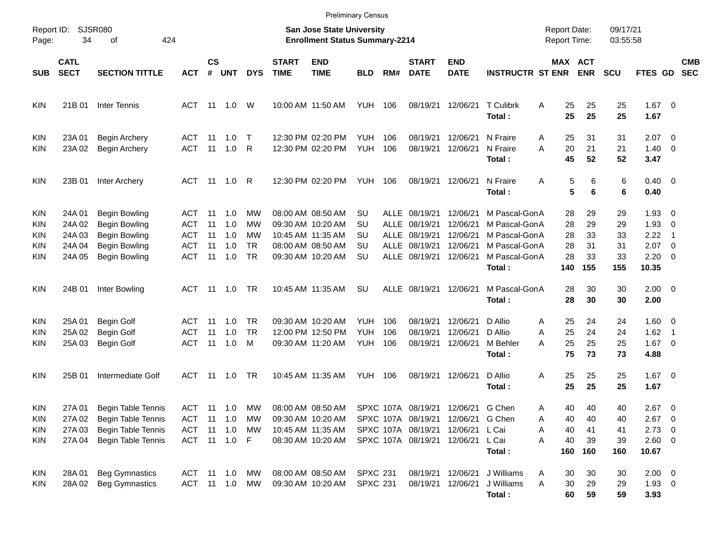|                                 |                                                |                                                                                                                      |                                                             |                            |                                 |                                          |                             |                                                                                                       | <b>Preliminary Census</b>                       |                                           |                                                                                                        |                                                          |                                                                                             |                                                 |                                   |                                   |                                                     |                                                                                                                                         |                          |
|---------------------------------|------------------------------------------------|----------------------------------------------------------------------------------------------------------------------|-------------------------------------------------------------|----------------------------|---------------------------------|------------------------------------------|-----------------------------|-------------------------------------------------------------------------------------------------------|-------------------------------------------------|-------------------------------------------|--------------------------------------------------------------------------------------------------------|----------------------------------------------------------|---------------------------------------------------------------------------------------------|-------------------------------------------------|-----------------------------------|-----------------------------------|-----------------------------------------------------|-----------------------------------------------------------------------------------------------------------------------------------------|--------------------------|
| Report ID:<br>Page:             | 34                                             | <b>SJSR080</b><br>424<br>οf                                                                                          |                                                             |                            |                                 |                                          |                             | <b>San Jose State University</b><br><b>Enrollment Status Summary-2214</b>                             |                                                 |                                           |                                                                                                        |                                                          |                                                                                             | <b>Report Date:</b><br><b>Report Time:</b>      |                                   | 09/17/21<br>03:55:58              |                                                     |                                                                                                                                         |                          |
| <b>SUB</b>                      | <b>CATL</b><br><b>SECT</b>                     | <b>SECTION TITTLE</b>                                                                                                | <b>ACT</b>                                                  | <b>CS</b><br>#             | <b>UNT</b>                      | <b>DYS</b>                               | <b>START</b><br><b>TIME</b> | <b>END</b><br><b>TIME</b>                                                                             | <b>BLD</b>                                      | RM#                                       | <b>START</b><br><b>DATE</b>                                                                            | <b>END</b><br><b>DATE</b>                                | <b>INSTRUCTR ST ENR</b>                                                                     | MAX ACT                                         | <b>ENR</b>                        | <b>SCU</b>                        | FTES GD                                             |                                                                                                                                         | <b>CMB</b><br><b>SEC</b> |
| KIN                             | 21B 01                                         | Inter Tennis                                                                                                         | ACT                                                         |                            | 11 1.0                          | W                                        |                             | 10:00 AM 11:50 AM                                                                                     | <b>YUH 106</b>                                  |                                           | 08/19/21                                                                                               | 12/06/21                                                 | T Culibrk<br>Total:                                                                         | 25<br>A<br>25                                   | 25<br>25                          | 25<br>25                          | $1.67$ 0<br>1.67                                    |                                                                                                                                         |                          |
| KIN<br>KIN                      | 23A 01<br>23A 02                               | <b>Begin Archery</b><br><b>Begin Archery</b>                                                                         | ACT<br><b>ACT</b>                                           | 11<br>11                   | 1.0<br>1.0                      | $\top$<br>R                              |                             | 12:30 PM 02:20 PM<br>12:30 PM 02:20 PM                                                                | <b>YUH</b><br><b>YUH</b>                        | 106<br>106                                | 08/19/21<br>08/19/21                                                                                   | 12/06/21<br>12/06/21                                     | N Fraire<br>N Fraire<br>Total:                                                              | 25<br>A<br>20<br>A<br>45                        | 31<br>21<br>52                    | 31<br>21<br>52                    | 2.07<br>1.40<br>3.47                                | $\overline{\phantom{0}}$<br>$\overline{0}$                                                                                              |                          |
| KIN                             | 23B 01                                         | Inter Archery                                                                                                        | ACT                                                         |                            | 11 1.0                          | R                                        |                             | 12:30 PM 02:20 PM                                                                                     | YUH                                             | 106                                       | 08/19/21 12/06/21                                                                                      |                                                          | N Fraire<br>Total:                                                                          | 5<br>Α<br>5                                     | 6<br>6                            | 6<br>6                            | $0.40 \quad 0$<br>0.40                              |                                                                                                                                         |                          |
| KIN<br>KIN<br>KIN<br>KIN<br>KIN | 24A 01<br>24A 02<br>24A 03<br>24A 04<br>24A 05 | <b>Begin Bowling</b><br><b>Begin Bowling</b><br><b>Begin Bowling</b><br><b>Begin Bowling</b><br><b>Begin Bowling</b> | ACT<br><b>ACT</b><br><b>ACT</b><br><b>ACT</b><br><b>ACT</b> | 11<br>11<br>11<br>11<br>11 | 1.0<br>1.0<br>1.0<br>1.0<br>1.0 | МW<br>МW<br>МW<br><b>TR</b><br><b>TR</b> |                             | 08:00 AM 08:50 AM<br>09:30 AM 10:20 AM<br>10:45 AM 11:35 AM<br>08:00 AM 08:50 AM<br>09:30 AM 10:20 AM | SU<br><b>SU</b><br>SU<br><b>SU</b><br><b>SU</b> | <b>ALLE</b><br><b>ALLE</b><br><b>ALLE</b> | ALLE 08/19/21<br>08/19/21<br>08/19/21<br>08/19/21<br>ALLE 08/19/21                                     | 12/06/21<br>12/06/21<br>12/06/21<br>12/06/21<br>12/06/21 | M Pascal-GonA<br>M Pascal-GonA<br>M Pascal-GonA<br>M Pascal-GonA<br>M Pascal-GonA<br>Total: | 28<br>28<br>28<br>28<br>28<br>140               | 29<br>29<br>33<br>31<br>33<br>155 | 29<br>29<br>33<br>31<br>33<br>155 | 1.93<br>1.93<br>2.22<br>2.07<br>2.20<br>10.35       | $\overline{\phantom{0}}$<br>$\overline{\mathbf{0}}$<br>$\overline{\phantom{0}}$<br>$\overline{\phantom{0}}$<br>$\overline{\phantom{0}}$ |                          |
| KIN                             | 24B 01                                         | Inter Bowling                                                                                                        | ACT                                                         | - 11                       | 1.0                             | <b>TR</b>                                |                             | 10:45 AM 11:35 AM                                                                                     | <b>SU</b>                                       |                                           | ALLE 08/19/21                                                                                          | 12/06/21                                                 | M Pascal-GonA<br>Total:                                                                     | 28<br>28                                        | 30<br>30                          | 30<br>30                          | $2.00 \t 0$<br>2.00                                 |                                                                                                                                         |                          |
| KIN<br>KIN<br>KIN               | 25A 01<br>25A 02<br>25A03                      | <b>Begin Golf</b><br><b>Begin Golf</b><br><b>Begin Golf</b>                                                          | ACT<br><b>ACT</b><br><b>ACT</b>                             | 11<br>11<br>11             | 1.0<br>1.0<br>1.0               | <b>TR</b><br><b>TR</b><br>M              |                             | 09:30 AM 10:20 AM<br>12:00 PM 12:50 PM<br>09:30 AM 11:20 AM                                           | <b>YUH</b><br><b>YUH</b><br><b>YUH</b>          | 106<br>106<br>106                         | 08/19/21<br>08/19/21<br>08/19/21                                                                       | 12/06/21<br>12/06/21<br>12/06/21                         | D Allio<br>D Allio<br>M Behler<br>Total:                                                    | 25<br>Α<br>25<br>A<br>25<br>Α<br>75             | 24<br>24<br>25<br>73              | 24<br>24<br>25<br>73              | $1.60 \t 0$<br>1.62<br>$1.67$ 0<br>4.88             | $\overline{\phantom{0}}$                                                                                                                |                          |
| KIN                             | 25B 01                                         | Intermediate Golf                                                                                                    | ACT                                                         |                            | 11 1.0                          | <b>TR</b>                                |                             | 10:45 AM 11:35 AM                                                                                     | YUH                                             | 106                                       | 08/19/21 12/06/21                                                                                      |                                                          | D Allio<br>Total:                                                                           | 25<br>Α<br>25                                   | 25<br>25                          | 25<br>25                          | $1.67$ 0<br>1.67                                    |                                                                                                                                         |                          |
| <b>KIN</b><br>KIN<br>KIN<br>KIN | 27A 01<br>27A 03<br>27A 04                     | <b>Begin Table Tennis</b><br>27A 02 Begin Table Tennis<br>Begin Table Tennis<br>Begin Table Tennis                   | ACT 11 1.0<br>ACT<br>ACT<br>ACT 11 1.0 F                    | 11                         | 11 1.0<br>1.0                   | MW<br>МW<br>МW                           |                             | 08:00 AM 08:50 AM<br>09:30 AM 10:20 AM<br>10:45 AM 11:35 AM<br>08:30 AM 10:20 AM                      |                                                 |                                           | SPXC 107A 08/19/21 12/06/21<br>SPXC 107A 08/19/21 12/06/21<br>SPXC 107A 08/19/21<br>SPXC 107A 08/19/21 | 12/06/21<br>12/06/21                                     | G Chen<br>G Chen<br>L Cai<br>L Cai<br>Total:                                                | Α<br>40<br>40<br>А<br>40<br>А<br>40<br>Α<br>160 | 40<br>40<br>41<br>39<br>160       | 40<br>40<br>41<br>39<br>160       | $2.67$ 0<br>$2.67$ 0<br>$2.73$ 0<br>2.60 0<br>10.67 |                                                                                                                                         |                          |
| <b>KIN</b><br><b>KIN</b>        | 28A 01                                         | <b>Beg Gymnastics</b><br>28A 02 Beg Gymnastics                                                                       | ACT 11 1.0<br>ACT 11 1.0                                    |                            |                                 | МW<br><b>MW</b>                          |                             | 08:00 AM 08:50 AM<br>09:30 AM 10:20 AM                                                                | <b>SPXC 231</b><br><b>SPXC 231</b>              |                                           | 08/19/21 12/06/21<br>08/19/21 12/06/21                                                                 |                                                          | J Williams<br>J Williams<br>Total:                                                          | A<br>30<br>30<br>A<br>60                        | 30<br>29<br>59                    | 30<br>29<br>59                    | $2.00 \t 0$<br>$1.93 \quad 0$<br>3.93               |                                                                                                                                         |                          |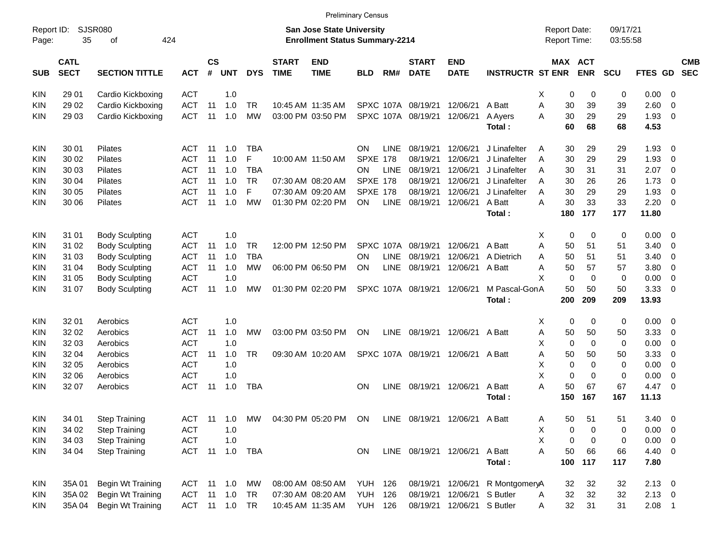|                     |                            |                       |            |                             |               |            |                             |                                                                           | <b>Preliminary Census</b> |             |                             |                               |                                 |                                            |             |             |                      |                |                          |                          |
|---------------------|----------------------------|-----------------------|------------|-----------------------------|---------------|------------|-----------------------------|---------------------------------------------------------------------------|---------------------------|-------------|-----------------------------|-------------------------------|---------------------------------|--------------------------------------------|-------------|-------------|----------------------|----------------|--------------------------|--------------------------|
| Report ID:<br>Page: | 35                         | SJSR080<br>оf         | 424        |                             |               |            |                             | <b>San Jose State University</b><br><b>Enrollment Status Summary-2214</b> |                           |             |                             |                               |                                 | <b>Report Date:</b><br><b>Report Time:</b> |             |             | 09/17/21<br>03:55:58 |                |                          |                          |
| <b>SUB</b>          | <b>CATL</b><br><b>SECT</b> | <b>SECTION TITTLE</b> | <b>ACT</b> | $\mathsf{cs}$<br>$\pmb{\#}$ | <b>UNT</b>    | <b>DYS</b> | <b>START</b><br><b>TIME</b> | <b>END</b><br><b>TIME</b>                                                 | <b>BLD</b>                | RM#         | <b>START</b><br><b>DATE</b> | <b>END</b><br><b>DATE</b>     | <b>INSTRUCTR ST ENR</b>         | MAX ACT                                    |             | <b>ENR</b>  | SCU                  | FTES GD        |                          | <b>CMB</b><br><b>SEC</b> |
| KIN.                | 29 01                      | Cardio Kickboxing     | <b>ACT</b> |                             | 1.0           |            |                             |                                                                           |                           |             |                             |                               |                                 | X                                          | 0           | 0           | 0                    | $0.00 \t 0$    |                          |                          |
| KIN                 | 29 02                      | Cardio Kickboxing     | <b>ACT</b> | 11                          | 1.0           | TR         |                             | 10:45 AM 11:35 AM                                                         |                           |             | SPXC 107A 08/19/21          | 12/06/21                      | A Batt                          | A                                          | 30          | 39          | 39                   | 2.60           | 0                        |                          |
| KIN.                | 29 03                      | Cardio Kickboxing     | <b>ACT</b> | 11                          | 1.0           | <b>MW</b>  |                             | 03:00 PM 03:50 PM                                                         |                           |             | SPXC 107A 08/19/21          | 12/06/21                      | A Ayers                         | A                                          | 30          | 29          | 29                   | 1.93           | $\overline{\mathbf{0}}$  |                          |
|                     |                            |                       |            |                             |               |            |                             |                                                                           |                           |             |                             |                               | Total:                          |                                            | 60          | 68          | 68                   | 4.53           |                          |                          |
| <b>KIN</b>          | 30 01                      | <b>Pilates</b>        | ACT        | -11                         | 1.0           | TBA        |                             |                                                                           | ON                        | <b>LINE</b> | 08/19/21                    | 12/06/21                      | J Linafelter                    | A                                          | 30          | 29          | 29                   | $1.93 \ 0$     |                          |                          |
| KIN                 | 30 02                      | <b>Pilates</b>        | <b>ACT</b> | 11                          | 1.0           | F          |                             | 10:00 AM 11:50 AM                                                         | <b>SPXE 178</b>           |             | 08/19/21                    | 12/06/21                      | J Linafelter                    | A                                          | 30          | 29          | 29                   | 1.93           | $\overline{\mathbf{0}}$  |                          |
| KIN                 | 30 03                      | <b>Pilates</b>        | <b>ACT</b> | 11                          | 1.0           | <b>TBA</b> |                             |                                                                           | OΝ                        | <b>LINE</b> | 08/19/21                    | 12/06/21                      | J Linafelter                    | A                                          | 30          | 31          | 31                   | 2.07           | $\overline{\phantom{0}}$ |                          |
| KIN                 | 30 04                      | <b>Pilates</b>        | <b>ACT</b> | 11                          | 1.0           | <b>TR</b>  |                             | 07:30 AM 08:20 AM                                                         | <b>SPXE 178</b>           |             | 08/19/21                    | 12/06/21                      | J Linafelter                    | A                                          | 30          | 26          | 26                   | 1.73           | $\overline{\mathbf{0}}$  |                          |
| KIN                 | 30 05                      | <b>Pilates</b>        | <b>ACT</b> | 11                          | 1.0           | F          |                             | 07:30 AM 09:20 AM                                                         | <b>SPXE 178</b>           |             | 08/19/21                    | 12/06/21                      | J Linafelter                    | A                                          | 30          | 29          | 29                   | 1.93           | $\overline{\mathbf{0}}$  |                          |
| KIN.                | 30 06                      | <b>Pilates</b>        | <b>ACT</b> | 11                          | 1.0           | <b>MW</b>  |                             | 01:30 PM 02:20 PM                                                         | ON                        | LINE        | 08/19/21                    | 12/06/21                      | A Batt                          | A                                          | 30          | 33          | 33                   | $2.20 \t 0$    |                          |                          |
|                     |                            |                       |            |                             |               |            |                             |                                                                           |                           |             |                             |                               | Total:                          |                                            | 180         | 177         | 177                  | 11.80          |                          |                          |
| <b>KIN</b>          | 31 01                      | <b>Body Sculpting</b> | <b>ACT</b> |                             | 1.0           |            |                             |                                                                           |                           |             |                             |                               |                                 | X                                          | 0           | 0           | 0                    | $0.00 \t 0$    |                          |                          |
| KIN                 | 31 02                      | <b>Body Sculpting</b> | <b>ACT</b> | 11                          | 1.0           | TR         |                             | 12:00 PM 12:50 PM                                                         |                           |             | SPXC 107A 08/19/21          | 12/06/21                      | A Batt                          | Α                                          | 50          | 51          | 51                   | 3.40           | $\overline{\mathbf{0}}$  |                          |
| KIN                 | 31 03                      | <b>Body Sculpting</b> | <b>ACT</b> | 11                          | 1.0           | <b>TBA</b> |                             |                                                                           | OΝ                        | <b>LINE</b> | 08/19/21                    | 12/06/21                      | A Dietrich                      | A                                          | 50          | 51          | 51                   | 3.40           | $\overline{\mathbf{0}}$  |                          |
| KIN                 | 31 04                      | <b>Body Sculpting</b> | <b>ACT</b> | 11                          | 1.0           | MW         |                             | 06:00 PM 06:50 PM                                                         | ON                        | <b>LINE</b> | 08/19/21                    | 12/06/21 A Batt               |                                 | A                                          | 50          | 57          | 57                   | 3.80           | $\overline{\phantom{0}}$ |                          |
| KIN                 | 31 05                      | <b>Body Sculpting</b> | <b>ACT</b> |                             | 1.0           |            |                             |                                                                           |                           |             |                             |                               |                                 | X                                          | $\mathbf 0$ | $\Omega$    | $\mathbf 0$          | 0.00           | $\overline{\mathbf{0}}$  |                          |
| KIN.                | 31 07                      | <b>Body Sculpting</b> | <b>ACT</b> | 11                          | 1.0           | <b>MW</b>  |                             | 01:30 PM 02:20 PM                                                         |                           |             | SPXC 107A 08/19/21          | 12/06/21                      | M Pascal-GonA                   |                                            | 50          | 50          | 50                   | 3.3300         |                          |                          |
|                     |                            |                       |            |                             |               |            |                             |                                                                           |                           |             |                             |                               | Total:                          |                                            | 200         | 209         | 209                  | 13.93          |                          |                          |
| <b>KIN</b>          | 32 01                      | Aerobics              | <b>ACT</b> |                             | 1.0           |            |                             |                                                                           |                           |             |                             |                               |                                 | X                                          | 0           | 0           | 0                    | $0.00 \t 0$    |                          |                          |
| KIN                 | 32 02                      | Aerobics              | <b>ACT</b> | 11                          | 1.0           | MW         |                             | 03:00 PM 03:50 PM                                                         | ON                        | <b>LINE</b> | 08/19/21                    | 12/06/21 A Batt               |                                 | Α                                          | 50          | 50          | 50                   | 3.33           | $\overline{\mathbf{0}}$  |                          |
| KIN                 | 32 03                      | Aerobics              | <b>ACT</b> |                             | 1.0           |            |                             |                                                                           |                           |             |                             |                               |                                 | X                                          | 0           | $\mathbf 0$ | 0                    | 0.00           | $\overline{\mathbf{0}}$  |                          |
| KIN                 | 32 04                      | Aerobics              | <b>ACT</b> | 11                          | 1.0           | <b>TR</b>  |                             | 09:30 AM 10:20 AM                                                         |                           |             | SPXC 107A 08/19/21          | 12/06/21 A Batt               |                                 | Α                                          | 50          | 50          | 50                   | 3.33           | $\overline{\mathbf{0}}$  |                          |
| KIN                 | 32 05                      | Aerobics              | <b>ACT</b> |                             | 1.0           |            |                             |                                                                           |                           |             |                             |                               |                                 | X                                          | 0           | 0           | 0                    | 0.00           | $\overline{\phantom{0}}$ |                          |
| KIN                 | 32 06                      | Aerobics              | <b>ACT</b> |                             | 1.0           |            |                             |                                                                           |                           |             |                             |                               |                                 | X                                          | 0           | $\Omega$    | 0                    | 0.00           | $\overline{\mathbf{0}}$  |                          |
| KIN.                | 32 07                      | Aerobics              | <b>ACT</b> | -11                         | 1.0           | <b>TBA</b> |                             |                                                                           | <b>ON</b>                 | <b>LINE</b> | 08/19/21                    | 12/06/21                      | A Batt                          | Α                                          | 50          | 67          | 67                   | $4.47 \quad 0$ |                          |                          |
|                     |                            |                       |            |                             |               |            |                             |                                                                           |                           |             |                             |                               | Total:                          |                                            | 150         | 167         | 167                  | 11.13          |                          |                          |
| KIN                 | 34 01                      | <b>Step Training</b>  | <b>ACT</b> | 11                          | 1.0           | MW         |                             | 04:30 PM 05:20 PM ON                                                      |                           |             |                             | LINE 08/19/21 12/06/21 A Batt |                                 | Α                                          | 50          | 51          | 51                   | $3.40\ 0$      |                          |                          |
| <b>KIN</b>          | 34 02                      | <b>Step Training</b>  | <b>ACT</b> |                             | 1.0           |            |                             |                                                                           |                           |             |                             |                               |                                 | х                                          | 0           | 0           | 0                    | $0.00 \t 0$    |                          |                          |
| <b>KIN</b>          | 34 03                      | <b>Step Training</b>  | <b>ACT</b> |                             | 1.0           |            |                             |                                                                           |                           |             |                             |                               |                                 | X                                          | 0           | 0           | 0                    | $0.00 \t 0$    |                          |                          |
| <b>KIN</b>          | 34 04                      | <b>Step Training</b>  | ACT 11     |                             |               | 1.0 TBA    |                             |                                                                           | ON                        |             |                             | LINE 08/19/21 12/06/21 A Batt |                                 | Α                                          | 50          | 66          | 66                   | 4.40 0         |                          |                          |
|                     |                            |                       |            |                             |               |            |                             |                                                                           |                           |             |                             |                               | Total:                          |                                            | 100         | 117         | 117                  | 7.80           |                          |                          |
| KIN                 | 35A 01                     | Begin Wt Training     | ACT 11 1.0 |                             |               | MW         |                             | 08:00 AM 08:50 AM                                                         | <b>YUH 126</b>            |             |                             |                               | 08/19/21 12/06/21 R MontgomeryA |                                            | 32          | 32          | 32                   | $2.13 \ 0$     |                          |                          |
| <b>KIN</b>          | 35A 02                     | Begin Wt Training     | ACT 11 1.0 |                             |               | TR         |                             | 07:30 AM 08:20 AM                                                         | <b>YUH 126</b>            |             | 08/19/21                    | 12/06/21 S Butler             |                                 | A                                          | 32          | 32          | 32                   | $2.13 \ 0$     |                          |                          |
| <b>KIN</b>          | 35A 04                     | Begin Wt Training     |            |                             | ACT 11 1.0 TR |            |                             | 10:45 AM 11:35 AM                                                         | <b>YUH 126</b>            |             | 08/19/21                    | 12/06/21 S Butler             |                                 | A                                          | 32          | 31          | 31                   | $2.08$ 1       |                          |                          |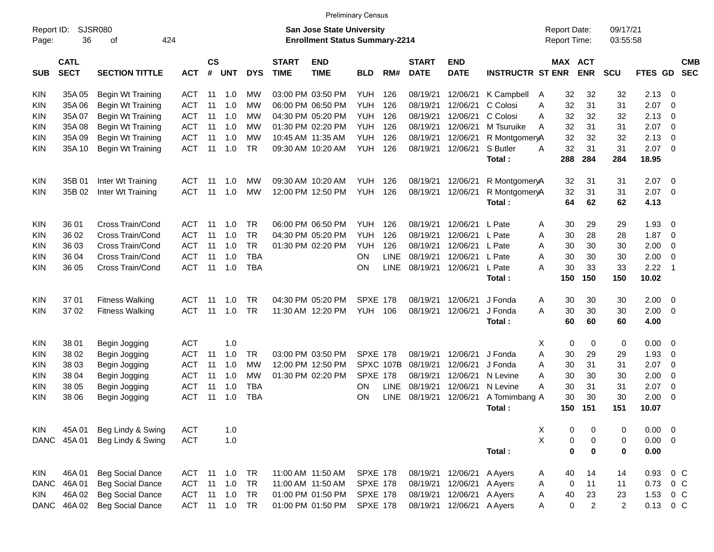|             | <b>Preliminary Census</b><br>SJSR080<br>09/17/21<br>Report ID:<br><b>San Jose State University</b><br><b>Report Date:</b><br>424<br>36<br><b>Enrollment Status Summary-2214</b><br>Report Time:<br>03:55:58<br>οf |                         |            |                |            |            |                             |                           |                 |             |                             |                           |                         |   |           |                |                |             |                                       |
|-------------|-------------------------------------------------------------------------------------------------------------------------------------------------------------------------------------------------------------------|-------------------------|------------|----------------|------------|------------|-----------------------------|---------------------------|-----------------|-------------|-----------------------------|---------------------------|-------------------------|---|-----------|----------------|----------------|-------------|---------------------------------------|
| Page:       |                                                                                                                                                                                                                   |                         |            |                |            |            |                             |                           |                 |             |                             |                           |                         |   |           |                |                |             |                                       |
| <b>SUB</b>  | <b>CATL</b><br><b>SECT</b>                                                                                                                                                                                        | <b>SECTION TITTLE</b>   | <b>ACT</b> | <b>CS</b><br># | <b>UNT</b> | <b>DYS</b> | <b>START</b><br><b>TIME</b> | <b>END</b><br><b>TIME</b> | <b>BLD</b>      | RM#         | <b>START</b><br><b>DATE</b> | <b>END</b><br><b>DATE</b> | <b>INSTRUCTR ST ENR</b> |   | MAX ACT   | <b>ENR</b>     | <b>SCU</b>     | <b>FTES</b> | <b>CMB</b><br><b>SEC</b><br><b>GD</b> |
| <b>KIN</b>  | 35A 05                                                                                                                                                                                                            | Begin Wt Training       | <b>ACT</b> | 11             | 1.0        | МW         |                             | 03:00 PM 03:50 PM         | <b>YUH</b>      | 126         | 08/19/21                    | 12/06/21                  | K Campbell              | A | 32        | 32             | 32             | 2.13        | 0                                     |
| KIN         | 35A06                                                                                                                                                                                                             | Begin Wt Training       | <b>ACT</b> | 11             | 1.0        | МW         |                             | 06:00 PM 06:50 PM         | <b>YUH</b>      | 126         | 08/19/21                    | 12/06/21                  | C Colosi                | A | 32        | 31             | 31             | 2.07        | $\mathbf 0$                           |
| KIN         | 35A 07                                                                                                                                                                                                            | Begin Wt Training       | <b>ACT</b> | 11             | 1.0        | МW         |                             | 04:30 PM 05:20 PM         | <b>YUH</b>      | 126         | 08/19/21                    | 12/06/21                  | C Colosi                | A | 32        | 32             | 32             | 2.13        | 0                                     |
| <b>KIN</b>  | 35A 08                                                                                                                                                                                                            | Begin Wt Training       | <b>ACT</b> | 11             | 1.0        | МW         |                             | 01:30 PM 02:20 PM         | <b>YUH</b>      | 126         | 08/19/21                    | 12/06/21                  | M Tsuruike              | A | 32        | 31             | 31             | 2.07        | $\mathbf 0$                           |
| KIN         | 35A09                                                                                                                                                                                                             | Begin Wt Training       | <b>ACT</b> | 11             | 1.0        | МW         |                             | 10:45 AM 11:35 AM         | <b>YUH</b>      | 126         | 08/19/21                    | 12/06/21                  | R MontgomeryA           |   | 32        | 32             | 32             | 2.13        | $\mathbf 0$                           |
| KIN         | 35A 10                                                                                                                                                                                                            | Begin Wt Training       | <b>ACT</b> | 11             | 1.0        | <b>TR</b>  |                             | 09:30 AM 10:20 AM         | <b>YUH</b>      | 126         | 08/19/21                    | 12/06/21                  | S Butler                | A | 32        | 31             | 31             | 2.07        | $\mathbf 0$                           |
|             |                                                                                                                                                                                                                   |                         |            |                |            |            |                             |                           |                 |             |                             |                           | Total:                  |   | 288       | 284            | 284            | 18.95       |                                       |
| <b>KIN</b>  | 35B 01                                                                                                                                                                                                            | Inter Wt Training       | ACT        | 11             | 1.0        | MW         |                             | 09:30 AM 10:20 AM         | YUH.            | 126         | 08/19/21                    | 12/06/21                  | R MontgomeryA           |   | 32        | 31             | 31             | 2.07        | - 0                                   |
| KIN         | 35B 02                                                                                                                                                                                                            | Inter Wt Training       | <b>ACT</b> | 11             | 1.0        | МW         |                             | 12:00 PM 12:50 PM         | <b>YUH</b>      | 126         | 08/19/21                    | 12/06/21                  | R MontgomeryA           |   | 32        | 31             | 31             | 2.07        | 0                                     |
|             |                                                                                                                                                                                                                   |                         |            |                |            |            |                             |                           |                 |             |                             |                           | Total:                  |   | 64        | 62             | 62             | 4.13        |                                       |
| <b>KIN</b>  | 36 01                                                                                                                                                                                                             | Cross Train/Cond        | <b>ACT</b> | 11             | 1.0        | <b>TR</b>  |                             | 06:00 PM 06:50 PM         | <b>YUH</b>      | 126         | 08/19/21                    | 12/06/21                  | L Pate                  | A | 30        | 29             | 29             | 1.93        | 0                                     |
| KIN         | 36 02                                                                                                                                                                                                             | Cross Train/Cond        | <b>ACT</b> | 11             | 1.0        | <b>TR</b>  |                             | 04:30 PM 05:20 PM         | <b>YUH</b>      | 126         | 08/19/21                    | 12/06/21                  | L Pate                  | A | 30        | 28             | 28             | 1.87        | 0                                     |
| KIN         | 36 03                                                                                                                                                                                                             | Cross Train/Cond        | <b>ACT</b> | 11             | 1.0        | <b>TR</b>  |                             | 01:30 PM 02:20 PM         | <b>YUH</b>      | 126         | 08/19/21                    | 12/06/21                  | L Pate                  | A | 30        | 30             | 30             | 2.00        | $\mathbf 0$                           |
| KIN         | 36 04                                                                                                                                                                                                             | Cross Train/Cond        | <b>ACT</b> | 11             | 1.0        | <b>TBA</b> |                             |                           | ON              | <b>LINE</b> | 08/19/21                    | 12/06/21                  | L Pate                  | A | 30        | 30             | 30             | 2.00        | $\mathbf 0$                           |
| KIN         | 36 05                                                                                                                                                                                                             | Cross Train/Cond        | <b>ACT</b> | 11             | 1.0        | <b>TBA</b> |                             |                           | ON              | <b>LINE</b> | 08/19/21                    | 12/06/21                  | L Pate                  | A | 30        | 33             | 33             | 2.22        | $\overline{1}$                        |
|             |                                                                                                                                                                                                                   |                         |            |                |            |            |                             |                           |                 |             |                             |                           | Total:                  |   | 150       | 150            | 150            | 10.02       |                                       |
| KIN         | 37 01                                                                                                                                                                                                             | <b>Fitness Walking</b>  | <b>ACT</b> | 11             | 1.0        | <b>TR</b>  |                             | 04:30 PM 05:20 PM         | <b>SPXE 178</b> |             | 08/19/21                    | 12/06/21                  | J Fonda                 | A | 30        | 30             | 30             | 2.00        | 0                                     |
| KIN         | 37 02                                                                                                                                                                                                             | <b>Fitness Walking</b>  | <b>ACT</b> | 11             | 1.0        | <b>TR</b>  |                             | 11:30 AM 12:20 PM         | <b>YUH</b>      | 106         | 08/19/21                    | 12/06/21                  | J Fonda                 | A | 30        | 30             | 30             | 2.00        | $\mathbf 0$                           |
|             |                                                                                                                                                                                                                   |                         |            |                |            |            |                             |                           |                 |             |                             |                           | Total:                  |   | 60        | 60             | 60             | 4.00        |                                       |
| KIN         | 38 01                                                                                                                                                                                                             | Begin Jogging           | <b>ACT</b> |                | 1.0        |            |                             |                           |                 |             |                             |                           |                         | X | 0         | 0              | 0              | 0.00        | 0                                     |
| KIN         | 38 02                                                                                                                                                                                                             | Begin Jogging           | <b>ACT</b> | 11             | 1.0        | <b>TR</b>  |                             | 03:00 PM 03:50 PM         | <b>SPXE 178</b> |             | 08/19/21                    | 12/06/21                  | J Fonda                 | A | 30        | 29             | 29             | 1.93        | 0                                     |
| KIN         | 38 03                                                                                                                                                                                                             | Begin Jogging           | <b>ACT</b> | 11             | 1.0        | МW         |                             | 12:00 PM 12:50 PM         | SPXC 107B       |             | 08/19/21                    | 12/06/21                  | J Fonda                 | A | 30        | 31             | 31             | 2.07        | 0                                     |
| KIN         | 38 04                                                                                                                                                                                                             | Begin Jogging           | <b>ACT</b> | 11             | 1.0        | МW         |                             | 01:30 PM 02:20 PM         | <b>SPXE 178</b> |             | 08/19/21                    | 12/06/21                  | N Levine                | A | 30        | 30             | 30             | 2.00        | 0                                     |
| <b>KIN</b>  | 38 05                                                                                                                                                                                                             | Begin Jogging           | <b>ACT</b> | 11             | 1.0        | <b>TBA</b> |                             |                           | <b>ON</b>       | <b>LINE</b> | 08/19/21                    | 12/06/21                  | N Levine                | A | 30        | 31             | 31             | 2.07        | 0                                     |
| KIN         | 38 06                                                                                                                                                                                                             | Begin Jogging           | <b>ACT</b> | 11             | 1.0        | <b>TBA</b> |                             |                           | <b>ON</b>       | <b>LINE</b> | 08/19/21                    | 12/06/21                  | A Tomimbang A           |   | 30        | 30             | 30             | 2.00        | 0                                     |
|             |                                                                                                                                                                                                                   |                         |            |                |            |            |                             |                           |                 |             |                             |                           | Total:                  |   | 150       | 151            | 151            | 10.07       |                                       |
| <b>KIN</b>  | 45A 01                                                                                                                                                                                                            | Beg Lindy & Swing       | <b>ACT</b> |                | 1.0        |            |                             |                           |                 |             |                             |                           |                         | X | 0         | 0              | 0              | 0.00        | 0                                     |
| DANC        | 45A 01                                                                                                                                                                                                            | Beg Lindy & Swing       | <b>ACT</b> |                | 1.0        |            |                             |                           |                 |             |                             |                           |                         | X | 0         | 0              | 0              | 0.00        | $\overline{0}$                        |
|             |                                                                                                                                                                                                                   |                         |            |                |            |            |                             |                           |                 |             |                             |                           | Total:                  |   | 0         | $\mathbf 0$    | 0              | 0.00        |                                       |
| <b>KIN</b>  | 46A 01                                                                                                                                                                                                            | <b>Beg Social Dance</b> | <b>ACT</b> | 11             | 1.0        | <b>TR</b>  |                             | 11:00 AM 11:50 AM         | <b>SPXE 178</b> |             | 08/19/21                    | 12/06/21                  | A Ayers                 | A | 40        | 14             | 14             | 0.93        | 0 <sup>C</sup>                        |
| DANC        | 46A01                                                                                                                                                                                                             | <b>Beg Social Dance</b> | <b>ACT</b> | 11             | 1.0        | <b>TR</b>  |                             | 11:00 AM 11:50 AM         | <b>SPXE 178</b> |             | 08/19/21                    | 12/06/21                  | A Ayers                 | Α | 0         | 11             | 11             | 0.73        | $0\,C$                                |
| <b>KIN</b>  | 46A 02                                                                                                                                                                                                            | <b>Beg Social Dance</b> | <b>ACT</b> | 11             | 1.0        | <b>TR</b>  |                             | 01:00 PM 01:50 PM         | <b>SPXE 178</b> |             | 08/19/21                    | 12/06/21                  | A Ayers                 | A | 40        | 23             | 23             | 1.53        | $0\,C$                                |
| <b>DANC</b> | 46A 02                                                                                                                                                                                                            | <b>Beg Social Dance</b> | <b>ACT</b> |                | 11 1.0     | <b>TR</b>  |                             | 01:00 PM 01:50 PM         | <b>SPXE 178</b> |             | 08/19/21                    | 12/06/21                  | A Ayers                 | A | $\pmb{0}$ | $\overline{2}$ | $\overline{c}$ | 0.13        | $0\,C$                                |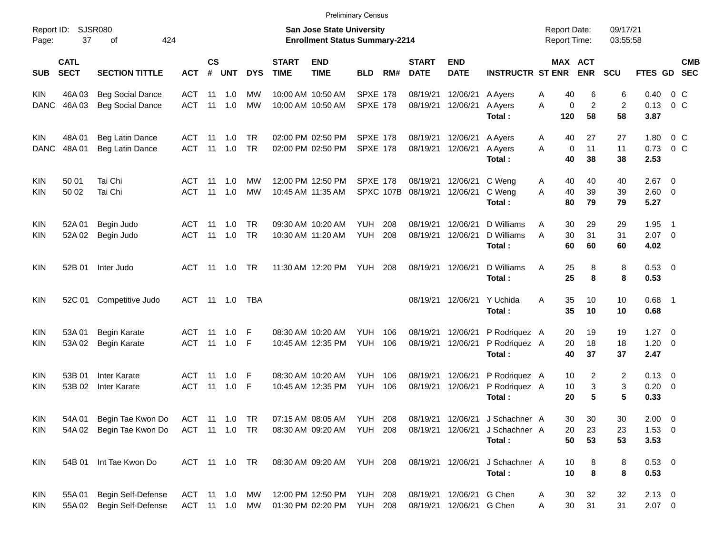|                     |                            |                             |               |               |               |            |                             |                                                                    | <b>Preliminary Census</b> |           |                             |                           |                         |                                            |                       |                      |                     |                          |            |
|---------------------|----------------------------|-----------------------------|---------------|---------------|---------------|------------|-----------------------------|--------------------------------------------------------------------|---------------------------|-----------|-----------------------------|---------------------------|-------------------------|--------------------------------------------|-----------------------|----------------------|---------------------|--------------------------|------------|
| Report ID:<br>Page: | 37                         | <b>SJSR080</b><br>424<br>οf |               |               |               |            |                             | San Jose State University<br><b>Enrollment Status Summary-2214</b> |                           |           |                             |                           |                         | <b>Report Date:</b><br><b>Report Time:</b> |                       | 09/17/21<br>03:55:58 |                     |                          |            |
| <b>SUB</b>          | <b>CATL</b><br><b>SECT</b> | <b>SECTION TITTLE</b>       | <b>ACT</b>    | $\mathsf{cs}$ | # UNT         | <b>DYS</b> | <b>START</b><br><b>TIME</b> | <b>END</b><br><b>TIME</b>                                          | <b>BLD</b>                | RM#       | <b>START</b><br><b>DATE</b> | <b>END</b><br><b>DATE</b> | <b>INSTRUCTR ST ENR</b> |                                            | MAX ACT<br><b>ENR</b> | <b>SCU</b>           | FTES GD SEC         |                          | <b>CMB</b> |
| <b>KIN</b>          | 46A03                      | <b>Beg Social Dance</b>     | ACT           | 11            | 1.0           | МW         |                             | 10:00 AM 10:50 AM                                                  | <b>SPXE 178</b>           |           | 08/19/21                    | 12/06/21                  | A Ayers                 | 40<br>Α                                    | 6                     | 6                    | 0.40                | $0\,$ C                  |            |
| <b>DANC</b>         | 46A03                      | <b>Beg Social Dance</b>     | <b>ACT</b>    | 11            | 1.0           | <b>MW</b>  |                             | 10:00 AM 10:50 AM                                                  | <b>SPXE 178</b>           |           | 08/19/21 12/06/21           |                           | A Ayers<br>Total:       | A<br>0<br>120                              | $\overline{c}$<br>58  | $\overline{c}$<br>58 | 0.13<br>3.87        | $0\,$ C                  |            |
| <b>KIN</b>          | 48A01                      | Beg Latin Dance             | ACT           | 11            | 1.0           | <b>TR</b>  |                             | 02:00 PM 02:50 PM                                                  | <b>SPXE 178</b>           |           | 08/19/21                    | 12/06/21                  | A Ayers                 | 40<br>A                                    | 27                    | 27                   | 1.80                | $0\,$ C                  |            |
| <b>DANC</b>         | 48A01                      | Beg Latin Dance             | <b>ACT</b>    | 11            | 1.0           | <b>TR</b>  |                             | 02:00 PM 02:50 PM                                                  | <b>SPXE 178</b>           |           | 08/19/21                    | 12/06/21                  | A Ayers<br>Total:       | A<br>$\mathbf 0$<br>40                     | 11<br>38              | 11<br>38             | 0.73<br>2.53        | $0\,$ C                  |            |
| <b>KIN</b>          | 50 01                      | Tai Chi                     | ACT           | 11            | 1.0           | МW         |                             | 12:00 PM 12:50 PM                                                  | <b>SPXE 178</b>           |           | 08/19/21                    | 12/06/21                  | C Weng                  | 40<br>A                                    | 40                    | 40                   | $2.67$ 0            |                          |            |
| <b>KIN</b>          | 50 02                      | Tai Chi                     | <b>ACT</b>    | 11            | 1.0           | <b>MW</b>  |                             | 10:45 AM 11:35 AM                                                  |                           | SPXC 107B | 08/19/21 12/06/21           |                           | C Weng<br>Total:        | 40<br>A<br>80                              | 39<br>79              | 39<br>79             | $2.60 \t 0$<br>5.27 |                          |            |
| <b>KIN</b>          | 52A 01                     | Begin Judo                  | ACT           | 11            | 1.0           | <b>TR</b>  |                             | 09:30 AM 10:20 AM                                                  | YUH.                      | 208       | 08/19/21                    | 12/06/21                  | D Williams              | 30<br>Α                                    | 29                    | 29                   | 1.95                | $\overline{\phantom{1}}$ |            |
| <b>KIN</b>          | 52A 02                     | Begin Judo                  | <b>ACT</b>    | 11            | 1.0           | <b>TR</b>  |                             | 10:30 AM 11:20 AM                                                  | <b>YUH</b>                | 208       | 08/19/21 12/06/21           |                           | D Williams<br>Total:    | 30<br>A<br>60                              | 31<br>60              | 31<br>60             | $2.07$ 0<br>4.02    |                          |            |
| <b>KIN</b>          | 52B 01                     | Inter Judo                  | ACT           | 11            | 1.0           | TR         |                             | 11:30 AM 12:20 PM                                                  | YUH                       | 208       | 08/19/21 12/06/21           |                           | D Williams<br>Total:    | 25<br>A<br>25                              | 8<br>8                | 8<br>8               | 0.53 0<br>0.53      |                          |            |
| <b>KIN</b>          | 52C 01                     | Competitive Judo            | ACT           |               | 11  1.0       | TBA        |                             |                                                                    |                           |           | 08/19/21 12/06/21           |                           | Y Uchida<br>Total:      | 35<br>A<br>35                              | 10<br>10              | 10<br>10             | $0.68$ 1<br>0.68    |                          |            |
| <b>KIN</b>          | 53A 01                     | <b>Begin Karate</b>         | ACT           | 11            | 1.0           | F          |                             | 08:30 AM 10:20 AM                                                  | YUH.                      | 106       | 08/19/21                    | 12/06/21                  | P Rodriquez A           | 20                                         | 19                    | 19                   | $1.27 \t 0$         |                          |            |
| <b>KIN</b>          | 53A 02                     | <b>Begin Karate</b>         | <b>ACT</b>    | 11            | 1.0           | F          |                             | 10:45 AM 12:35 PM                                                  | <b>YUH</b>                | 106       | 08/19/21                    | 12/06/21                  | P Rodriquez A<br>Total: | 20<br>40                                   | 18<br>37              | 18<br>37             | $1.20 \t 0$<br>2.47 |                          |            |
| <b>KIN</b>          | 53B 01                     | Inter Karate                | ACT           | 11            | 1.0           | -F         |                             | 08:30 AM 10:20 AM                                                  | YUH.                      | 106       | 08/19/21                    | 12/06/21                  | P Rodriquez A           | 10                                         | 2                     | 2                    | $0.13 \quad 0$      |                          |            |
| <b>KIN</b>          | 53B 02                     | Inter Karate                | <b>ACT</b>    | 11            | 1.0           | F          |                             | 10:45 AM 12:35 PM                                                  | <b>YUH</b>                | 106       | 08/19/21                    | 12/06/21                  | P Rodriquez A<br>Total: | 10<br>20                                   | 3<br>5                | 3<br>5               | $0.20 \ 0$<br>0.33  |                          |            |
| KIN                 | 54A 01                     | Begin Tae Kwon Do           | ACT 11 1.0 TR |               |               |            |                             | 07:15 AM 08:05 AM                                                  | <b>YUH 208</b>            |           |                             | 08/19/21 12/06/21         | J Schachner A           | 30                                         | 30                    | 30                   | $2.00 \t 0$         |                          |            |
| KIN                 | 54A 02                     | Begin Tae Kwon Do           | ACT 11 1.0 TR |               |               |            |                             | 08:30 AM 09:20 AM                                                  | YUH                       | 208       | 08/19/21 12/06/21           |                           | J Schachner A           | 20                                         | 23                    | 23                   | $1.53 \t 0$         |                          |            |
|                     |                            |                             |               |               |               |            |                             |                                                                    |                           |           |                             |                           | Total:                  | 50                                         | 53                    | 53                   | 3.53                |                          |            |
| KIN                 | 54B 01                     | Int Tae Kwon Do             |               |               | ACT 11 1.0 TR |            |                             | 08:30 AM 09:20 AM YUH 208                                          |                           |           | 08/19/21 12/06/21           |                           | J Schachner A<br>Total: | 10<br>10                                   | 8<br>8                | 8<br>8               | 0.53 0<br>0.53      |                          |            |
| KIN                 | 55A 01                     | Begin Self-Defense          | ACT 11 1.0    |               |               | МW         |                             | 12:00 PM 12:50 PM                                                  | YUH                       | 208       |                             | 08/19/21 12/06/21 G Chen  |                         | 30<br>A                                    | 32                    | 32                   | $2.13 \t 0$         |                          |            |
| KIN                 | 55A 02                     | Begin Self-Defense          | ACT 11 1.0 MW |               |               |            |                             | 01:30 PM 02:20 PM                                                  | YUH                       | 208       |                             | 08/19/21 12/06/21 G Chen  |                         | 30<br>Α                                    | 31                    | 31                   | $2.07$ 0            |                          |            |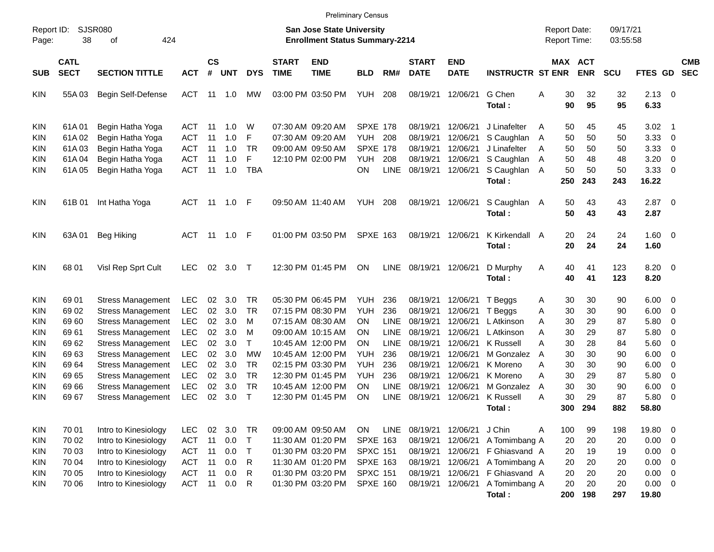|                                                             |                                           |                                                                                                  |                                                      |                            |                                 |                                        |                             | <b>Preliminary Census</b>                                                        |                                                                      |                           |                                                          |                                                          |                                                                                  |                                     |                                   |                                   |                                   |                                               |                                                 |                          |
|-------------------------------------------------------------|-------------------------------------------|--------------------------------------------------------------------------------------------------|------------------------------------------------------|----------------------------|---------------------------------|----------------------------------------|-----------------------------|----------------------------------------------------------------------------------|----------------------------------------------------------------------|---------------------------|----------------------------------------------------------|----------------------------------------------------------|----------------------------------------------------------------------------------|-------------------------------------|-----------------------------------|-----------------------------------|-----------------------------------|-----------------------------------------------|-------------------------------------------------|--------------------------|
| Report ID:<br>Page:                                         | 38                                        | SJSR080<br>424<br>οf                                                                             |                                                      |                            |                                 |                                        |                             | San Jose State University<br><b>Enrollment Status Summary-2214</b>               |                                                                      |                           |                                                          |                                                          |                                                                                  | <b>Report Date:</b><br>Report Time: |                                   |                                   | 09/17/21<br>03:55:58              |                                               |                                                 |                          |
| SUB                                                         | <b>CATL</b><br><b>SECT</b>                | <b>SECTION TITTLE</b>                                                                            | <b>ACT</b>                                           | $\mathsf{cs}$<br>#         | <b>UNT</b>                      | <b>DYS</b>                             | <b>START</b><br><b>TIME</b> | <b>END</b><br><b>TIME</b>                                                        | <b>BLD</b>                                                           | RM#                       | <b>START</b><br><b>DATE</b>                              | <b>END</b><br><b>DATE</b>                                | <b>INSTRUCTR ST ENR</b>                                                          |                                     |                                   | MAX ACT<br><b>ENR</b>             | <b>SCU</b>                        | <b>FTES GD</b>                                |                                                 | <b>CMB</b><br><b>SEC</b> |
| <b>KIN</b>                                                  | 55A03                                     | Begin Self-Defense                                                                               | <b>ACT</b>                                           |                            | $11 \quad 1.0$                  | MW                                     |                             | 03:00 PM 03:50 PM                                                                | <b>YUH</b>                                                           | 208                       | 08/19/21                                                 | 12/06/21                                                 | G Chen<br>Total:                                                                 | Α                                   | 30<br>90                          | 32<br>95                          | 32<br>95                          | $2.13 \ 0$<br>6.33                            |                                                 |                          |
| <b>KIN</b><br><b>KIN</b><br><b>KIN</b><br><b>KIN</b><br>KIN | 61A01<br>61A02<br>61A03<br>61A04<br>61A05 | Begin Hatha Yoga<br>Begin Hatha Yoga<br>Begin Hatha Yoga<br>Begin Hatha Yoga<br>Begin Hatha Yoga | ACT<br><b>ACT</b><br>ACT<br><b>ACT</b><br><b>ACT</b> | 11<br>11<br>11<br>11<br>11 | 1.0<br>1.0<br>1.0<br>1.0<br>1.0 | W<br>F<br><b>TR</b><br>F<br><b>TBA</b> |                             | 07:30 AM 09:20 AM<br>07:30 AM 09:20 AM<br>09:00 AM 09:50 AM<br>12:10 PM 02:00 PM | <b>SPXE 178</b><br>YUH<br><b>SPXE 178</b><br><b>YUH</b><br><b>ON</b> | 208<br>208<br><b>LINE</b> | 08/19/21<br>08/19/21<br>08/19/21<br>08/19/21<br>08/19/21 | 12/06/21<br>12/06/21<br>12/06/21<br>12/06/21<br>12/06/21 | J Linafelter<br>S Caughlan<br>J Linafelter<br>S Caughlan<br>S Caughlan<br>Total: | A<br>A<br>A<br>A<br>A               | 50<br>50<br>50<br>50<br>50<br>250 | 45<br>50<br>50<br>48<br>50<br>243 | 45<br>50<br>50<br>48<br>50<br>243 | 3.02<br>3.33<br>3.33<br>3.20<br>3.33<br>16.22 | - 1<br>$\overline{\mathbf{0}}$<br>0<br>0<br>- 0 |                          |
| <b>KIN</b>                                                  | 61B 01                                    | Int Hatha Yoga                                                                                   | ACT                                                  |                            |                                 |                                        |                             | 09:50 AM 11:40 AM                                                                | <b>YUH</b>                                                           | 208                       | 08/19/21                                                 | 12/06/21                                                 | S Caughlan<br>Total:                                                             | A                                   | 50<br>50                          | 43<br>43                          | 43<br>43                          | $2.87$ 0<br>2.87                              |                                                 |                          |
| <b>KIN</b>                                                  | 63A01                                     | <b>Beg Hiking</b>                                                                                | <b>ACT</b>                                           |                            | 11 1.0 F                        |                                        |                             | 01:00 PM 03:50 PM                                                                | <b>SPXE 163</b>                                                      |                           | 08/19/21                                                 | 12/06/21                                                 | K Kirkendall A<br>Total:                                                         |                                     | 20<br>20                          | 24<br>24                          | 24<br>24                          | $1.60 \ 0$<br>1.60                            |                                                 |                          |
| <b>KIN</b>                                                  | 68 01                                     | Visl Rep Sprt Cult                                                                               | <b>LEC</b>                                           | 02                         | 3.0                             | $\top$                                 |                             | 12:30 PM 01:45 PM                                                                | <b>ON</b>                                                            | LINE                      | 08/19/21                                                 | 12/06/21                                                 | D Murphy<br>Total:                                                               | A                                   | 40<br>40                          | 41<br>41                          | 123<br>123                        | $8.20 \ 0$<br>8.20                            |                                                 |                          |
| <b>KIN</b><br><b>KIN</b>                                    | 69 01<br>69 02                            | <b>Stress Management</b><br><b>Stress Management</b>                                             | <b>LEC</b><br><b>LEC</b>                             | 02<br>02                   | 3.0<br>3.0                      | <b>TR</b><br><b>TR</b>                 |                             | 05:30 PM 06:45 PM<br>07:15 PM 08:30 PM                                           | <b>YUH</b><br><b>YUH</b>                                             | 236<br>236                | 08/19/21<br>08/19/21                                     | 12/06/21<br>12/06/21                                     | T Beggs<br>T Beggs                                                               | A<br>Α                              | 30<br>30                          | 30<br>30                          | 90<br>90                          | $6.00 \quad 0$<br>6.00                        | - 0                                             |                          |
| <b>KIN</b><br>KIN                                           | 6960<br>6961                              | <b>Stress Management</b><br><b>Stress Management</b>                                             | <b>LEC</b><br><b>LEC</b>                             | 02<br>02                   | 3.0<br>3.0                      | M<br>M                                 |                             | 07:15 AM 08:30 AM<br>09:00 AM 10:15 AM                                           | ΟN<br>ΟN                                                             | LINE<br><b>LINE</b>       | 08/19/21<br>08/19/21                                     | 12/06/21<br>12/06/21                                     | L Atkinson<br>L Atkinson                                                         | Α<br>Α                              | 30<br>30                          | 29<br>29                          | 87<br>87                          | 5.80<br>5.80                                  | 0<br>0                                          |                          |
| KIN<br><b>KIN</b><br><b>KIN</b>                             | 69 62<br>6963<br>69 64                    | <b>Stress Management</b><br><b>Stress Management</b><br><b>Stress Management</b>                 | <b>LEC</b><br><b>LEC</b><br><b>LEC</b>               | 02<br>02<br>02             | 3.0<br>3.0<br>3.0               | $\mathsf{T}$<br>МW<br><b>TR</b>        |                             | 10:45 AM 12:00 PM<br>10:45 AM 12:00 PM<br>02:15 PM 03:30 PM                      | ΟN<br>YUH<br><b>YUH</b>                                              | LINE<br>236<br>236        | 08/19/21<br>08/19/21<br>08/19/21                         | 12/06/21<br>12/06/21<br>12/06/21                         | <b>K</b> Russell<br>M Gonzalez<br>K Moreno                                       | Α<br>A<br>Α                         | 30<br>30<br>30                    | 28<br>30<br>30                    | 84<br>90<br>90                    | 5.60<br>6.00<br>6.00                          | $\overline{\mathbf{0}}$<br>0<br>0               |                          |
| <b>KIN</b><br><b>KIN</b>                                    | 69 65<br>69 66                            | <b>Stress Management</b><br><b>Stress Management</b>                                             | <b>LEC</b><br><b>LEC</b>                             | 02<br>02                   | 3.0<br>3.0                      | <b>TR</b><br><b>TR</b>                 |                             | 12:30 PM 01:45 PM<br>10:45 AM 12:00 PM                                           | YUH<br>ΟN                                                            | 236<br><b>LINE</b>        | 08/19/21<br>08/19/21                                     | 12/06/21<br>12/06/21                                     | K Moreno<br>M Gonzalez                                                           | Α<br>A                              | 30<br>30                          | 29<br>30                          | 87<br>90                          | 5.80<br>6.00                                  | 0<br>0                                          |                          |
| KIN                                                         | 69 67                                     | <b>Stress Management</b>                                                                         | <b>LEC</b>                                           | 02                         | 3.0                             | $\top$                                 |                             | 12:30 PM 01:45 PM                                                                | ON                                                                   | <b>LINE</b>               | 08/19/21                                                 | 12/06/21                                                 | <b>K</b> Russell<br>Total :                                                      | Α                                   | 30<br>300                         | 29<br>294                         | 87<br>882                         | 5.80<br>58.80                                 | - 0                                             |                          |
| <b>KIN</b><br><b>KIN</b><br><b>KIN</b>                      | 70 01<br>70 02<br>70 03                   | Intro to Kinesiology<br>Intro to Kinesiology<br>Intro to Kinesiology                             | <b>LEC</b><br><b>ACT</b><br><b>ACT</b>               | 02<br>11<br>11             | 3.0<br>0.0<br>0.0               | TR<br>$\top$<br>$\top$                 |                             | 09:00 AM 09:50 AM<br>11:30 AM 01:20 PM<br>01:30 PM 03:20 PM                      | ON<br><b>SPXE 163</b><br><b>SPXC 151</b>                             | LINE                      | 08/19/21<br>08/19/21<br>08/19/21                         | 12/06/21<br>12/06/21<br>12/06/21                         | J Chin<br>A Tomimbang A<br>F Ghiasvand A                                         | A                                   | 100<br>20<br>20                   | 99<br>20<br>19                    | 198<br>20<br>19                   | 19.80 0<br>$0.00 \t 0$<br>$0.00 \t 0$         |                                                 |                          |
| <b>KIN</b><br><b>KIN</b>                                    | 70 04<br>70 05                            | Intro to Kinesiology<br>Intro to Kinesiology                                                     | <b>ACT</b><br><b>ACT</b>                             | 11<br>11                   | 0.0<br>0.0                      | R<br>R                                 |                             | 11:30 AM 01:20 PM<br>01:30 PM 03:20 PM                                           | <b>SPXE 163</b><br><b>SPXC 151</b>                                   |                           | 08/19/21<br>08/19/21                                     | 12/06/21<br>12/06/21                                     | A Tomimbang A<br>F Ghiasvand A                                                   |                                     | 20<br>20                          | 20<br>20                          | 20<br>20                          | $0.00 \t 0$<br>$0.00 \t 0$                    |                                                 |                          |
| <b>KIN</b>                                                  | 70 06                                     | Intro to Kinesiology                                                                             | ACT                                                  | 11                         | 0.0                             | R                                      |                             | 01:30 PM 03:20 PM                                                                | <b>SPXE 160</b>                                                      |                           | 08/19/21                                                 | 12/06/21                                                 | A Tomimbang A<br>Total:                                                          |                                     | 20<br>200                         | 20<br>198                         | 20<br>297                         | $0.00 \t 0$<br>19.80                          |                                                 |                          |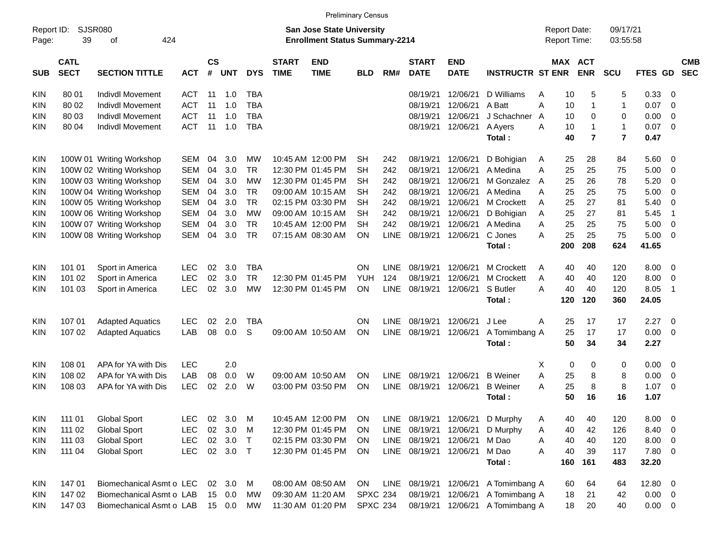| Report ID:<br>Page: | SJSR080<br>39              | 424<br>of                |            |                 |            |            |                             | <b>San Jose State University</b><br><b>Enrollment Status Summary-2214</b> |                 |             |                             |                           |                         | <b>Report Date:</b><br><b>Report Time:</b> |     |                       | 09/17/21<br>03:55:58 |             |                          |                          |
|---------------------|----------------------------|--------------------------|------------|-----------------|------------|------------|-----------------------------|---------------------------------------------------------------------------|-----------------|-------------|-----------------------------|---------------------------|-------------------------|--------------------------------------------|-----|-----------------------|----------------------|-------------|--------------------------|--------------------------|
| <b>SUB</b>          | <b>CATL</b><br><b>SECT</b> | <b>SECTION TITTLE</b>    | <b>ACT</b> | <b>CS</b><br>#  | <b>UNT</b> | <b>DYS</b> | <b>START</b><br><b>TIME</b> | <b>END</b><br><b>TIME</b>                                                 | <b>BLD</b>      | RM#         | <b>START</b><br><b>DATE</b> | <b>END</b><br><b>DATE</b> | <b>INSTRUCTR ST ENR</b> |                                            |     | MAX ACT<br><b>ENR</b> | <b>SCU</b>           | <b>FTES</b> | <b>GD</b>                | <b>CMB</b><br><b>SEC</b> |
| <b>KIN</b>          | 80 01                      | <b>Indivdl Movement</b>  | <b>ACT</b> | 11              | 1.0        | <b>TBA</b> |                             |                                                                           |                 |             | 08/19/21                    | 12/06/21                  | D Williams              | A                                          | 10  | 5                     | 5                    | 0.33        | -0                       |                          |
| KIN                 | 80 02                      | Indivdl Movement         | <b>ACT</b> | 11              | 1.0        | <b>TBA</b> |                             |                                                                           |                 |             | 08/19/21                    | 12/06/21                  | A Batt                  | A                                          | 10  | $\mathbf{1}$          | 1                    | 0.07        | $\overline{0}$           |                          |
| KIN                 | 80 03                      | <b>Indivdl Movement</b>  | <b>ACT</b> | 11              | 1.0        | <b>TBA</b> |                             |                                                                           |                 |             | 08/19/21                    | 12/06/21                  | J Schachner             | A                                          | 10  | 0                     | 0                    | 0.00        | $\overline{0}$           |                          |
| KIN                 | 80 04                      | Indivdl Movement         | <b>ACT</b> | 11              | 1.0        | <b>TBA</b> |                             |                                                                           |                 |             | 08/19/21                    | 12/06/21                  | A Ayers                 | A                                          | 10  | $\mathbf{1}$          | 1                    | 0.07        | $\overline{0}$           |                          |
|                     |                            |                          |            |                 |            |            |                             |                                                                           |                 |             |                             |                           | Total:                  |                                            | 40  | $\overline{7}$        | $\overline{7}$       | 0.47        |                          |                          |
| <b>KIN</b>          |                            | 100W 01 Writing Workshop | <b>SEM</b> | 04              | 3.0        | МW         |                             | 10:45 AM 12:00 PM                                                         | SН              | 242         | 08/19/21                    | 12/06/21                  | D Bohigian              | A                                          | 25  | 28                    | 84                   | 5.60        | - 0                      |                          |
| <b>KIN</b>          |                            | 100W 02 Writing Workshop | <b>SEM</b> | 04              | 3.0        | <b>TR</b>  |                             | 12:30 PM 01:45 PM                                                         | <b>SH</b>       | 242         | 08/19/21                    | 12/06/21                  | A Medina                | A                                          | 25  | 25                    | 75                   | 5.00        | $\mathbf 0$              |                          |
| <b>KIN</b>          |                            | 100W 03 Writing Workshop | <b>SEM</b> | 04              | 3.0        | <b>MW</b>  |                             | 12:30 PM 01:45 PM                                                         | <b>SH</b>       | 242         | 08/19/21                    | 12/06/21                  | M Gonzalez A            |                                            | 25  | 26                    | 78                   | 5.20        | $\overline{0}$           |                          |
| KIN                 |                            | 100W 04 Writing Workshop | <b>SEM</b> | 04              | 3.0        | <b>TR</b>  |                             | 09:00 AM 10:15 AM                                                         | <b>SH</b>       | 242         | 08/19/21                    | 12/06/21                  | A Medina                | A                                          | 25  | 25                    | 75                   | 5.00        | $\overline{0}$           |                          |
| KIN                 |                            | 100W 05 Writing Workshop | <b>SEM</b> | 04              | 3.0        | <b>TR</b>  |                             | 02:15 PM 03:30 PM                                                         | <b>SH</b>       | 242         | 08/19/21                    | 12/06/21                  | M Crockett              | A                                          | 25  | 27                    | 81                   | 5.40        | $\overline{0}$           |                          |
| <b>KIN</b>          |                            | 100W 06 Writing Workshop | <b>SEM</b> | 04              | 3.0        | <b>MW</b>  |                             | 09:00 AM 10:15 AM                                                         | <b>SH</b>       | 242         | 08/19/21                    | 12/06/21                  | D Bohigian              | A                                          | 25  | 27                    | 81                   | 5.45        | $\overline{1}$           |                          |
| <b>KIN</b>          |                            | 100W 07 Writing Workshop | <b>SEM</b> | 04              | 3.0        | <b>TR</b>  |                             | 10:45 AM 12:00 PM                                                         | <b>SH</b>       | 242         | 08/19/21                    | 12/06/21                  | A Medina                | A                                          | 25  | 25                    | 75                   | 5.00        | $\overline{0}$           |                          |
| KIN                 |                            | 100W 08 Writing Workshop | <b>SEM</b> | 04              | 3.0        | <b>TR</b>  |                             | 07:15 AM 08:30 AM                                                         | <b>ON</b>       | <b>LINE</b> | 08/19/21                    | 12/06/21                  | C Jones                 | A                                          | 25  | 25                    | 75                   | 5.00        | $\overline{0}$           |                          |
|                     |                            |                          |            |                 |            |            |                             |                                                                           |                 |             |                             |                           | Total:                  |                                            | 200 | 208                   | 624                  | 41.65       |                          |                          |
| KIN                 | 101 01                     | Sport in America         | <b>LEC</b> | 02              | 3.0        | <b>TBA</b> |                             |                                                                           | <b>ON</b>       | <b>LINE</b> | 08/19/21                    | 12/06/21                  | <b>M Crockett</b>       | A                                          | 40  | 40                    | 120                  | 8.00        | $\overline{0}$           |                          |
| KIN                 | 101 02                     | Sport in America         | <b>LEC</b> | 02              | 3.0        | <b>TR</b>  |                             | 12:30 PM 01:45 PM                                                         | <b>YUH</b>      | 124         | 08/19/21                    | 12/06/21                  | M Crockett              | A                                          | 40  | 40                    | 120                  | 8.00        | $\overline{0}$           |                          |
| KIN                 | 101 03                     | Sport in America         | <b>LEC</b> | 02              | 3.0        | <b>MW</b>  |                             | 12:30 PM 01:45 PM                                                         | <b>ON</b>       | <b>LINE</b> | 08/19/21                    | 12/06/21                  | S Butler                | A                                          | 40  | 40                    | 120                  | 8.05        | $\overline{1}$           |                          |
|                     |                            |                          |            |                 |            |            |                             |                                                                           |                 |             |                             |                           | Total:                  |                                            | 120 | 120                   | 360                  | 24.05       |                          |                          |
| KIN                 | 107 01                     | <b>Adapted Aquatics</b>  | <b>LEC</b> | 02              | 2.0        | <b>TBA</b> |                             |                                                                           | <b>ON</b>       | <b>LINE</b> | 08/19/21                    | 12/06/21                  | J Lee                   | A                                          | 25  | 17                    | 17                   | 2.27        | - 0                      |                          |
| KIN                 | 107 02                     | <b>Adapted Aquatics</b>  | LAB        | 08              | 0.0        | S          |                             | 09:00 AM 10:50 AM                                                         | <b>ON</b>       | <b>LINE</b> | 08/19/21                    | 12/06/21                  | A Tomimbang A           |                                            | 25  | 17                    | 17                   | 0.00        | $\overline{0}$           |                          |
|                     |                            |                          |            |                 |            |            |                             |                                                                           |                 |             |                             |                           | Total:                  |                                            | 50  | 34                    | 34                   | 2.27        |                          |                          |
| KIN                 | 108 01                     | APA for YA with Dis      | <b>LEC</b> |                 | 2.0        |            |                             |                                                                           |                 |             |                             |                           |                         | X                                          | 0   | 0                     | 0                    | 0.00        | - 0                      |                          |
| KIN                 | 108 02                     | APA for YA with Dis      | LAB        | 08              | 0.0        | W          |                             | 09:00 AM 10:50 AM                                                         | <b>ON</b>       | <b>LINE</b> | 08/19/21                    | 12/06/21                  | <b>B</b> Weiner         | A                                          | 25  | 8                     | 8                    | 0.00        | $\overline{0}$           |                          |
| KIN                 | 108 03                     | APA for YA with Dis      | <b>LEC</b> | 02              | 2.0        | W          |                             | 03:00 PM 03:50 PM                                                         | <b>ON</b>       | <b>LINE</b> | 08/19/21                    | 12/06/21                  | <b>B</b> Weiner         | A                                          | 25  | 8                     | 8                    | 1.07        | $\mathbf 0$              |                          |
|                     |                            |                          |            |                 |            |            |                             |                                                                           |                 |             |                             |                           | Total:                  |                                            | 50  | 16                    | 16                   | 1.07        |                          |                          |
| <b>KIN</b>          | 111 01                     | <b>Global Sport</b>      | <b>LEC</b> | 02              | 3.0        | M          |                             | 10:45 AM 12:00 PM                                                         | ON              |             | LINE 08/19/21               | 12/06/21                  | D Murphy                | Α                                          | 40  | 40                    | 120                  | 8.00        | $\overline{\mathbf{0}}$  |                          |
| <b>KIN</b>          | 111 02                     | <b>Global Sport</b>      | <b>LEC</b> | 02              | 3.0        | M          |                             | 12:30 PM 01:45 PM                                                         | <b>ON</b>       |             | LINE 08/19/21               | 12/06/21                  | D Murphy                | A                                          | 40  | 42                    | 126                  | 8.40        | $\overline{\phantom{0}}$ |                          |
| <b>KIN</b>          | 111 03                     | <b>Global Sport</b>      | <b>LEC</b> |                 | 02 3.0     | $\top$     |                             | 02:15 PM 03:30 PM                                                         | -ON             |             | LINE 08/19/21               | 12/06/21                  | M Dao                   | Α                                          | 40  | 40                    | 120                  | 8.00 0      |                          |                          |
| <b>KIN</b>          | 111 04                     | <b>Global Sport</b>      | <b>LEC</b> |                 | 02 3.0     | $\top$     |                             | 12:30 PM 01:45 PM                                                         | ON              |             | LINE 08/19/21               | 12/06/21                  | M Dao                   | Α                                          | 40  | 39                    | 117                  | 7.80 0      |                          |                          |
|                     |                            |                          |            |                 |            |            |                             |                                                                           |                 |             |                             |                           | Total:                  |                                            | 160 | 161                   | 483                  | 32.20       |                          |                          |
| <b>KIN</b>          | 14701                      | Biomechanical Asmt o LEC |            | 02 <sub>o</sub> | 3.0        | M          |                             | 08:00 AM 08:50 AM                                                         | ON              |             | LINE 08/19/21               | 12/06/21                  | A Tomimbang A           |                                            | 60  | 64                    | 64                   | 12.80 0     |                          |                          |
| <b>KIN</b>          | 147 02                     | Biomechanical Asmt o LAB |            |                 | 15 0.0     | MW         |                             | 09:30 AM 11:20 AM                                                         | <b>SPXC 234</b> |             | 08/19/21                    | 12/06/21                  | A Tomimbang A           |                                            | 18  | 21                    | 42                   | $0.00 \t 0$ |                          |                          |
| <b>KIN</b>          | 147 03                     | Biomechanical Asmt o LAB |            |                 | 15 0.0     | МW         |                             | 11:30 AM 01:20 PM                                                         | <b>SPXC 234</b> |             | 08/19/21 12/06/21           |                           | A Tomimbang A           |                                            | 18  | 20                    | 40                   | $0.00 \t 0$ |                          |                          |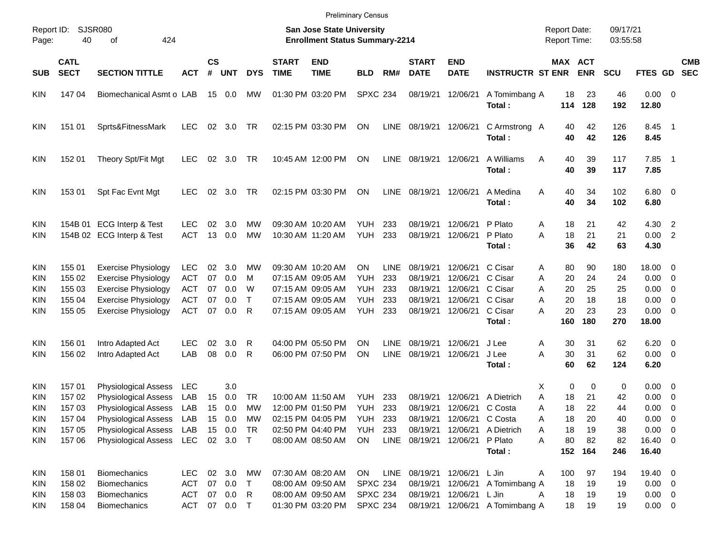| <b>Preliminary Census</b> |  |
|---------------------------|--|
|                           |  |

| Report ID:<br>Page:                    | <b>SJSR080</b><br>40       | 424                                                        |                                 |                |                              |                   | <b>San Jose State University</b><br><b>Enrollment Status Summary-2214</b> |                                                             |                                                       |                            |                                |                           | <b>Report Date:</b><br>Report Time:                                |                           | 09/17/21<br>03:55:58  |                 |                                           |                                                      |                          |
|----------------------------------------|----------------------------|------------------------------------------------------------|---------------------------------|----------------|------------------------------|-------------------|---------------------------------------------------------------------------|-------------------------------------------------------------|-------------------------------------------------------|----------------------------|--------------------------------|---------------------------|--------------------------------------------------------------------|---------------------------|-----------------------|-----------------|-------------------------------------------|------------------------------------------------------|--------------------------|
| <b>SUB</b>                             | <b>CATL</b><br><b>SECT</b> | <b>SECTION TITTLE</b>                                      | <b>ACT</b>                      | <b>CS</b><br># | <b>UNT</b>                   | <b>DYS</b>        | <b>START</b><br><b>TIME</b>                                               | <b>END</b><br><b>TIME</b>                                   | <b>BLD</b>                                            | RM#                        | <b>START</b><br><b>DATE</b>    | <b>END</b><br><b>DATE</b> | <b>INSTRUCTR ST ENR</b>                                            |                           | MAX ACT<br><b>ENR</b> | SCU             | FTES GD                                   |                                                      | <b>CMB</b><br><b>SEC</b> |
| KIN                                    | 14704                      | Biomechanical Asmt o LAB                                   |                                 | 15             | 0.0                          | <b>MW</b>         |                                                                           | 01:30 PM 03:20 PM                                           | <b>SPXC 234</b>                                       |                            | 08/19/21 12/06/21              |                           | A Tomimbang A<br>Total:                                            | 18<br>114                 | 23<br>128             | 46<br>192       | $0.00 \t 0$<br>12.80                      |                                                      |                          |
| KIN                                    | 151 01                     | Sprts&FitnessMark                                          | <b>LEC</b>                      | 02             | 3.0                          | TR                |                                                                           | 02:15 PM 03:30 PM                                           | <b>ON</b>                                             | LINE                       | 08/19/21 12/06/21              |                           | C Armstrong A<br>Total:                                            | 40<br>40                  | 42<br>42              | 126<br>126      | 8.45<br>8.45                              | $\overline{\phantom{0}}$ 1                           |                          |
| KIN                                    | 152 01                     | Theory Spt/Fit Mgt                                         | <b>LEC</b>                      | 02             | 3.0                          | TR                |                                                                           | 10:45 AM 12:00 PM                                           | <b>ON</b>                                             | <b>LINE</b>                | 08/19/21 12/06/21              |                           | A Williams<br>Total:                                               | A<br>40<br>40             | 39<br>39              | 117<br>117      | 7.85<br>7.85                              | $\overline{\phantom{0}}$ 1                           |                          |
| KIN                                    | 153 01                     | Spt Fac Evnt Mgt                                           | <b>LEC</b>                      | 02             | 3.0                          | <b>TR</b>         |                                                                           | 02:15 PM 03:30 PM                                           | <b>ON</b>                                             | LINE                       | 08/19/21 12/06/21              |                           | A Medina<br>Total:                                                 | A<br>40<br>40             | 34<br>34              | 102<br>102      | $6.80$ 0<br>6.80                          |                                                      |                          |
| KIN<br>KIN                             |                            | 154B 01 ECG Interp & Test<br>154B 02 ECG Interp & Test     | <b>LEC</b><br><b>ACT</b>        | 02<br>13       | 3.0<br>0.0                   | MW<br>MW          |                                                                           | 09:30 AM 10:20 AM<br>10:30 AM 11:20 AM                      | YUH<br><b>YUH</b>                                     | 233<br>233                 | 08/19/21<br>08/19/21 12/06/21  | 12/06/21                  | P Plato<br>P Plato<br>Total:                                       | Α<br>18<br>18<br>A<br>36  | 21<br>21<br>42        | 42<br>21<br>63  | 4.30<br>0.00<br>4.30                      | $\overline{2}$<br>$\overline{2}$                     |                          |
| KIN<br>KIN                             | 155 01<br>155 02           | <b>Exercise Physiology</b><br><b>Exercise Physiology</b>   | <b>LEC</b><br><b>ACT</b>        | 02<br>07       | 3.0<br>0.0                   | MW<br>м           |                                                                           | 09:30 AM 10:20 AM<br>07:15 AM 09:05 AM                      | ON.<br><b>YUH</b>                                     | LINE<br>233                | 08/19/21<br>08/19/21           | 12/06/21<br>12/06/21      | C Cisar<br>C Cisar                                                 | 80<br>Α<br>20<br>A        | 90<br>24              | 180<br>24       | 18.00 0<br>0.00                           | $\overline{\phantom{0}}$                             |                          |
| KIN<br>KIN                             | 155 03<br>155 04           | <b>Exercise Physiology</b><br><b>Exercise Physiology</b>   | <b>ACT</b><br><b>ACT</b>        | 07<br>07       | 0.0<br>0.0                   | W<br>$\mathsf{T}$ |                                                                           | 07:15 AM 09:05 AM<br>07:15 AM 09:05 AM                      | <b>YUH</b><br><b>YUH</b>                              | 233<br>233                 | 08/19/21<br>08/19/21           | 12/06/21<br>12/06/21      | C Cisar<br>C Cisar                                                 | 20<br>A<br>20<br>A        | 25<br>18              | 25<br>18        | 0.00<br>0.00                              | $\overline{\phantom{0}}$<br>$\overline{\mathbf{0}}$  |                          |
| KIN                                    | 155 05                     | <b>Exercise Physiology</b>                                 | <b>ACT</b>                      | 07             | 0.0                          | R                 |                                                                           | 07:15 AM 09:05 AM                                           | YUH                                                   | 233                        |                                | 08/19/21 12/06/21         | C Cisar<br>Total:                                                  | A<br>20<br>160            | 23<br>180             | 23<br>270       | $0.00 \t 0$<br>18.00                      |                                                      |                          |
| KIN<br>KIN                             | 156 01<br>156 02           | Intro Adapted Act<br>Intro Adapted Act                     | <b>LEC</b><br>LAB               | 02<br>08       | 3.0<br>0.0                   | R<br>R            |                                                                           | 04:00 PM 05:50 PM<br>06:00 PM 07:50 PM                      | ΟN<br>ΟN                                              | <b>LINE</b><br><b>LINE</b> | 08/19/21<br>08/19/21           | 12/06/21<br>12/06/21      | J Lee<br>J Lee<br>Total:                                           | Α<br>30<br>30<br>A<br>60  | 31<br>31<br>62        | 62<br>62<br>124 | 6.20<br>$0.00 \t 0$<br>6.20               | $\overline{\phantom{0}}$                             |                          |
| KIN<br>KIN                             | 157 01<br>157 02           | <b>Physiological Assess</b><br><b>Physiological Assess</b> | <b>LEC</b><br>LAB               | 15             | 3.0<br>0.0                   | <b>TR</b>         |                                                                           | 10:00 AM 11:50 AM                                           | <b>YUH</b>                                            | 233                        | 08/19/21                       | 12/06/21                  | A Dietrich                                                         | Χ<br>A<br>18              | 0<br>0<br>21          | 0<br>42         | 0.00<br>0.00                              | $\overline{\phantom{0}}$<br>$\overline{\phantom{0}}$ |                          |
| KIN<br><b>KIN</b>                      | 157 03<br>157 04           | <b>Physiological Assess</b><br>Physiological Assess        | LAB<br>LAB                      | 15<br>15       | 0.0<br>0.0                   | MW<br>MW          |                                                                           | 12:00 PM 01:50 PM<br>02:15 PM 04:05 PM                      | <b>YUH</b><br>YUH                                     | 233<br>233                 | 08/19/21<br>08/19/21           | 12/06/21<br>12/06/21      | C Costa<br>C Costa                                                 | 18<br>A<br>18<br>A        | 22<br>20              | 44<br>40        | 0.00<br>0.00                              | $\overline{\mathbf{0}}$<br>$\overline{\mathbf{0}}$   |                          |
| KIN<br>KIN.                            | 157 05<br>157 06           | Physiological Assess LAB<br>Physiological Assess LEC       |                                 |                | 15 0.0<br>02 3.0             | TR<br>$\top$      |                                                                           | 02:50 PM 04:40 PM<br>08:00 AM 08:50 AM                      | <b>YUH 233</b><br>ON                                  |                            | LINE 08/19/21 12/06/21 P Plato |                           | 08/19/21 12/06/21 A Dietrich<br>Total:                             | 18<br>Α<br>80<br>A<br>152 | 19<br>82<br>164       | 38<br>82<br>246 | $0.00 \t 0$<br>16.40 0<br>16.40           |                                                      |                          |
| KIN                                    | 158 01                     | <b>Biomechanics</b>                                        | <b>LEC</b>                      | 02             | 3.0                          | MW                |                                                                           | 07:30 AM 08:20 AM                                           | ON                                                    |                            | LINE 08/19/21 12/06/21 L Jin   |                           |                                                                    | 100<br>A                  | 97                    | 194             | 19.40 0                                   |                                                      |                          |
| <b>KIN</b><br><b>KIN</b><br><b>KIN</b> | 158 02<br>158 03<br>158 04 | <b>Biomechanics</b><br><b>Biomechanics</b><br>Biomechanics | <b>ACT</b><br><b>ACT</b><br>ACT |                | 07 0.0<br>07 0.0<br>07 0.0 T | $\top$<br>R.      |                                                                           | 08:00 AM 09:50 AM<br>08:00 AM 09:50 AM<br>01:30 PM 03:20 PM | <b>SPXC 234</b><br><b>SPXC 234</b><br><b>SPXC 234</b> |                            |                                | 08/19/21 12/06/21 L Jin   | 08/19/21 12/06/21 A Tomimbang A<br>08/19/21 12/06/21 A Tomimbang A | 18<br>18<br>A<br>18       | 19<br>19<br>19        | 19<br>19<br>19  | $0.00 \t 0$<br>$0.00 \t 0$<br>$0.00 \t 0$ |                                                      |                          |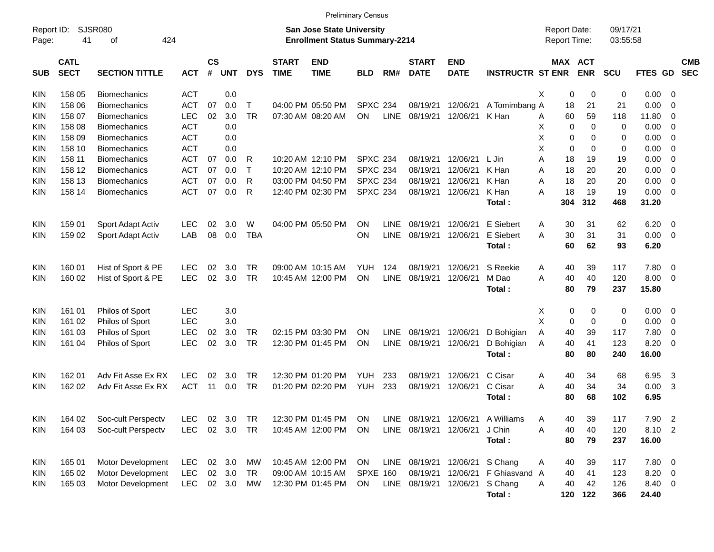|                     |                            | <b>Preliminary Census</b><br><b>SJSR080</b><br><b>San Jose State University</b> |            |                    |            |            |                             |                                       |                 |             |                             |                           |                         |                                            |          |                       |                      |                |                          |                          |
|---------------------|----------------------------|---------------------------------------------------------------------------------|------------|--------------------|------------|------------|-----------------------------|---------------------------------------|-----------------|-------------|-----------------------------|---------------------------|-------------------------|--------------------------------------------|----------|-----------------------|----------------------|----------------|--------------------------|--------------------------|
| Report ID:<br>Page: | 41                         | 424<br>οf                                                                       |            |                    |            |            |                             | <b>Enrollment Status Summary-2214</b> |                 |             |                             |                           |                         | <b>Report Date:</b><br><b>Report Time:</b> |          |                       | 09/17/21<br>03:55:58 |                |                          |                          |
| <b>SUB</b>          | <b>CATL</b><br><b>SECT</b> | <b>SECTION TITTLE</b>                                                           | <b>ACT</b> | $\mathsf{cs}$<br># | <b>UNT</b> | <b>DYS</b> | <b>START</b><br><b>TIME</b> | <b>END</b><br><b>TIME</b>             | <b>BLD</b>      | RM#         | <b>START</b><br><b>DATE</b> | <b>END</b><br><b>DATE</b> | <b>INSTRUCTR ST ENR</b> |                                            |          | MAX ACT<br><b>ENR</b> | <b>SCU</b>           | <b>FTES GD</b> |                          | <b>CMB</b><br><b>SEC</b> |
| KIN                 | 158 05                     | <b>Biomechanics</b>                                                             | <b>ACT</b> |                    | 0.0        |            |                             |                                       |                 |             |                             |                           |                         | Χ                                          | 0        | 0                     | 0                    | $0.00 \t 0$    |                          |                          |
| KIN                 | 158 06                     | <b>Biomechanics</b>                                                             | <b>ACT</b> | 07                 | 0.0        | $\top$     |                             | 04:00 PM 05:50 PM                     | <b>SPXC 234</b> |             | 08/19/21                    | 12/06/21                  | A Tomimbang A           |                                            | 18       | 21                    | 21                   | 0.00           | $\overline{0}$           |                          |
| KIN                 | 158 07                     | <b>Biomechanics</b>                                                             | LEC        | 02                 | 3.0        | <b>TR</b>  |                             | 07:30 AM 08:20 AM                     | <b>ON</b>       | <b>LINE</b> | 08/19/21                    | 12/06/21                  | K Han                   | A                                          | 60       | 59                    | 118                  | 11.80          | - 0                      |                          |
| KIN                 | 158 08                     | <b>Biomechanics</b>                                                             | <b>ACT</b> |                    | 0.0        |            |                             |                                       |                 |             |                             |                           |                         | х                                          | 0        | 0                     | $\mathbf 0$          | 0.00           | $\overline{0}$           |                          |
| KIN                 | 158 09                     | <b>Biomechanics</b>                                                             | <b>ACT</b> |                    | 0.0        |            |                             |                                       |                 |             |                             |                           |                         | Χ                                          | 0        | $\Omega$              | 0                    | 0.00           | $\overline{0}$           |                          |
| KIN                 | 158 10                     | <b>Biomechanics</b>                                                             | <b>ACT</b> |                    | 0.0        |            |                             |                                       |                 |             |                             |                           |                         | Χ                                          | 0        | $\Omega$              | 0                    | 0.00           | $\overline{0}$           |                          |
| KIN                 | 158 11                     | <b>Biomechanics</b>                                                             | <b>ACT</b> | 07                 | 0.0        | R          |                             | 10:20 AM 12:10 PM                     | <b>SPXC 234</b> |             | 08/19/21                    | 12/06/21                  | L Jin                   | A                                          | 18       | 19                    | 19                   | 0.00           | $\overline{0}$           |                          |
| KIN                 | 158 12                     | <b>Biomechanics</b>                                                             | <b>ACT</b> | 07                 | 0.0        | $\top$     |                             | 10:20 AM 12:10 PM                     | <b>SPXC 234</b> |             | 08/19/21                    | 12/06/21                  | K Han                   | A                                          | 18       | 20                    | 20                   | 0.00           | $\overline{0}$           |                          |
| KIN                 | 158 13                     | <b>Biomechanics</b>                                                             | <b>ACT</b> | 07                 | 0.0        | R          |                             | 03:00 PM 04:50 PM                     | <b>SPXC 234</b> |             | 08/19/21                    | 12/06/21                  | K Han                   | A                                          | 18       | 20                    | 20                   | 0.00           | $\overline{\mathbf{0}}$  |                          |
| KIN                 | 158 14                     | <b>Biomechanics</b>                                                             | <b>ACT</b> | 07                 | 0.0        | R          |                             | 12:40 PM 02:30 PM                     | <b>SPXC 234</b> |             | 08/19/21                    | 12/06/21                  | K Han                   | A                                          | 18       | 19                    | 19                   | $0.00 \ 0$     |                          |                          |
|                     |                            |                                                                                 |            |                    |            |            |                             |                                       |                 |             |                             |                           | Total:                  |                                            | 304      | 312                   | 468                  | 31.20          |                          |                          |
| KIN                 | 159 01                     | Sport Adapt Activ                                                               | LEC        | 02                 | 3.0        | W          |                             | 04:00 PM 05:50 PM                     | <b>ON</b>       | <b>LINE</b> | 08/19/21                    | 12/06/21                  | E Siebert               | A                                          | 30       | 31                    | 62                   | 6.20           | $\overline{\phantom{0}}$ |                          |
| KIN                 | 159 02                     | Sport Adapt Activ                                                               | LAB        | 08                 | 0.0        | <b>TBA</b> |                             |                                       | <b>ON</b>       | <b>LINE</b> | 08/19/21                    | 12/06/21                  | E Siebert               | A                                          | 30       | 31                    | 31                   | $0.00 \t 0$    |                          |                          |
|                     |                            |                                                                                 |            |                    |            |            |                             |                                       |                 |             |                             |                           | Total:                  |                                            | 60       | 62                    | 93                   | 6.20           |                          |                          |
|                     |                            |                                                                                 |            |                    | 3.0        |            |                             |                                       | <b>YUH</b>      | 124         |                             | 12/06/21                  | S Reekie                |                                            |          |                       |                      |                |                          |                          |
| KIN                 | 160 01                     | Hist of Sport & PE                                                              | LEC        | 02                 |            | TR         |                             | 09:00 AM 10:15 AM                     |                 |             | 08/19/21                    |                           |                         | A                                          | 40       | 39                    | 117                  | 7.80 0         |                          |                          |
| <b>KIN</b>          | 160 02                     | Hist of Sport & PE                                                              | LEC        | 02                 | 3.0        | <b>TR</b>  |                             | 10:45 AM 12:00 PM                     | <b>ON</b>       | <b>LINE</b> | 08/19/21                    | 12/06/21                  | M Dao                   | A                                          | 40<br>80 | 40                    | 120                  | $8.00 \t 0$    |                          |                          |
|                     |                            |                                                                                 |            |                    |            |            |                             |                                       |                 |             |                             |                           | Total:                  |                                            |          | 79                    | 237                  | 15.80          |                          |                          |
| KIN                 | 161 01                     | Philos of Sport                                                                 | <b>LEC</b> |                    | 3.0        |            |                             |                                       |                 |             |                             |                           |                         | Х                                          | 0        | 0                     | 0                    | $0.00 \t 0$    |                          |                          |
| KIN                 | 161 02                     | Philos of Sport                                                                 | <b>LEC</b> |                    | 3.0        |            |                             |                                       |                 |             |                             |                           |                         | X                                          | 0        | $\mathbf 0$           | 0                    | 0.00           | $\overline{\mathbf{0}}$  |                          |
| KIN                 | 161 03                     | Philos of Sport                                                                 | <b>LEC</b> | 02                 | 3.0        | TR         |                             | 02:15 PM 03:30 PM                     | <b>ON</b>       | <b>LINE</b> | 08/19/21                    | 12/06/21                  | D Bohigian              | A                                          | 40       | 39                    | 117                  | 7.80           | - 0                      |                          |
| KIN                 | 161 04                     | Philos of Sport                                                                 | LEC        | 02                 | 3.0        | <b>TR</b>  |                             | 12:30 PM 01:45 PM                     | <b>ON</b>       | <b>LINE</b> | 08/19/21                    | 12/06/21                  | D Bohigian              | A                                          | 40       | 41                    | 123                  | 8.20           | - 0                      |                          |
|                     |                            |                                                                                 |            |                    |            |            |                             |                                       |                 |             |                             |                           | Total:                  |                                            | 80       | 80                    | 240                  | 16.00          |                          |                          |
| KIN                 | 162 01                     | Adv Fit Asse Ex RX                                                              | LEC        | 02                 | 3.0        | TR         |                             | 12:30 PM 01:20 PM                     | <b>YUH</b>      | 233         | 08/19/21                    | 12/06/21                  | C Cisar                 | A                                          | 40       | 34                    | 68                   | 6.95           | $\overline{3}$           |                          |
| KIN                 | 162 02                     | Adv Fit Asse Ex RX                                                              | <b>ACT</b> | 11                 | 0.0        | <b>TR</b>  |                             | 01:20 PM 02:20 PM                     | <b>YUH</b>      | 233         | 08/19/21                    | 12/06/21                  | C Cisar                 | A                                          | 40       | 34                    | 34                   | 0.00           | -3                       |                          |
|                     |                            |                                                                                 |            |                    |            |            |                             |                                       |                 |             |                             |                           | Total:                  |                                            | 80       | 68                    | 102                  | 6.95           |                          |                          |
|                     |                            |                                                                                 |            |                    |            |            |                             |                                       |                 |             |                             |                           |                         |                                            |          |                       |                      |                |                          |                          |
| <b>KIN</b>          | 164 02                     | Soc-cult Perspectv                                                              | LEC        |                    | 02 3.0     | TR         |                             | 12:30 PM 01:45 PM                     | ON              | LINE        | 08/19/21 12/06/21           |                           | A Williams              | Α                                          | 40       | 39                    | 117                  | 7.90           | $\overline{2}$           |                          |
| KIN                 | 164 03                     | Soc-cult Perspectv                                                              | <b>LEC</b> |                    | 02 3.0 TR  |            |                             | 10:45 AM 12:00 PM                     | ON              |             | LINE 08/19/21 12/06/21      |                           | J Chin                  | A                                          | 40       | 40                    | 120                  | 8.10 2         |                          |                          |
|                     |                            |                                                                                 |            |                    |            |            |                             |                                       |                 |             |                             |                           | Total:                  |                                            | 80       | 79                    | 237                  | 16.00          |                          |                          |
| <b>KIN</b>          | 165 01                     | Motor Development                                                               | <b>LEC</b> |                    | 02 3.0     | МW         |                             | 10:45 AM 12:00 PM                     | <b>ON</b>       | LINE        |                             | 08/19/21 12/06/21 S Chang |                         | Α                                          | 40       | 39                    | 117                  | 7.80 0         |                          |                          |
| KIN                 | 165 02                     | Motor Development                                                               | <b>LEC</b> |                    | 02 3.0     | TR         |                             | 09:00 AM 10:15 AM                     | <b>SPXE 160</b> |             | 08/19/21                    |                           | 12/06/21 F Ghiasvand A  |                                            | 40       | 41                    | 123                  | $8.20 \ 0$     |                          |                          |
| KIN                 | 165 03                     | Motor Development                                                               | <b>LEC</b> |                    | 02 3.0     | МW         |                             | 12:30 PM 01:45 PM                     | <b>ON</b>       | LINE        | 08/19/21                    |                           | 12/06/21 S Chang        | Α                                          | 40       | 42                    | 126                  | 8.40 0         |                          |                          |
|                     |                            |                                                                                 |            |                    |            |            |                             |                                       |                 |             |                             |                           | Total:                  |                                            |          | 120 122               | 366                  | 24.40          |                          |                          |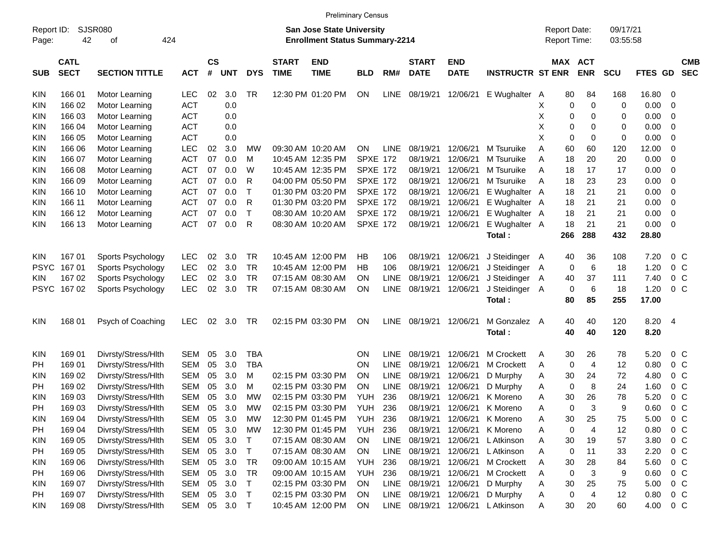|             | <b>Preliminary Census</b><br><b>SJSR080</b><br>09/17/21<br>Report ID:<br><b>San Jose State University</b><br><b>Report Date:</b><br>42<br>424<br><b>Enrollment Status Summary-2214</b><br>Report Time:<br>03:55:58<br>οf |                       |            |                |            |              |                             |                           |                 |             |                             |                           |                         |         |                             |             |         |                          |
|-------------|--------------------------------------------------------------------------------------------------------------------------------------------------------------------------------------------------------------------------|-----------------------|------------|----------------|------------|--------------|-----------------------------|---------------------------|-----------------|-------------|-----------------------------|---------------------------|-------------------------|---------|-----------------------------|-------------|---------|--------------------------|
| Page:       |                                                                                                                                                                                                                          |                       |            |                |            |              |                             |                           |                 |             |                             |                           |                         |         |                             |             |         |                          |
| <b>SUB</b>  | <b>CATL</b><br><b>SECT</b>                                                                                                                                                                                               | <b>SECTION TITTLE</b> | <b>ACT</b> | <b>CS</b><br># | <b>UNT</b> | <b>DYS</b>   | <b>START</b><br><b>TIME</b> | <b>END</b><br><b>TIME</b> | <b>BLD</b>      | RM#         | <b>START</b><br><b>DATE</b> | <b>END</b><br><b>DATE</b> | <b>INSTRUCTR ST ENR</b> |         | MAX ACT<br><b>ENR</b>       | <b>SCU</b>  | FTES GD | <b>CMB</b><br><b>SEC</b> |
| <b>KIN</b>  | 166 01                                                                                                                                                                                                                   | Motor Learning        | <b>LEC</b> | 02             | 3.0        | <b>TR</b>    |                             | 12:30 PM 01:20 PM         | ON              | <b>LINE</b> | 08/19/21                    | 12/06/21                  | E Wughalter A           |         | 80<br>84                    | 168         | 16.80   | 0                        |
| KIN         | 166 02                                                                                                                                                                                                                   | Motor Learning        | <b>ACT</b> |                | 0.0        |              |                             |                           |                 |             |                             |                           |                         | X       | 0<br>0                      | 0           | 0.00    | 0                        |
| <b>KIN</b>  | 166 03                                                                                                                                                                                                                   | Motor Learning        | <b>ACT</b> |                | 0.0        |              |                             |                           |                 |             |                             |                           |                         | х       | 0<br>0                      | 0           | 0.00    | 0                        |
| <b>KIN</b>  | 166 04                                                                                                                                                                                                                   | Motor Learning        | <b>ACT</b> |                | 0.0        |              |                             |                           |                 |             |                             |                           |                         | Χ       | 0<br>0                      | 0           | 0.00    | 0                        |
| KIN         | 166 05                                                                                                                                                                                                                   | Motor Learning        | <b>ACT</b> |                | 0.0        |              |                             |                           |                 |             |                             |                           |                         | X       | $\mathbf 0$<br>0            | $\mathbf 0$ | 0.00    | 0                        |
| <b>KIN</b>  | 166 06                                                                                                                                                                                                                   | Motor Learning        | <b>LEC</b> | 02             | 3.0        | МW           |                             | 09:30 AM 10:20 AM         | ON              | LINE        | 08/19/21                    | 12/06/21                  | M Tsuruike              | 60<br>A | 60                          | 120         | 12.00   | 0                        |
| <b>KIN</b>  | 166 07                                                                                                                                                                                                                   | Motor Learning        | <b>ACT</b> | 07             | 0.0        | М            |                             | 10:45 AM 12:35 PM         | <b>SPXE 172</b> |             | 08/19/21                    | 12/06/21                  | M Tsuruike              | A       | 18<br>20                    | 20          | 0.00    | 0                        |
| <b>KIN</b>  | 166 08                                                                                                                                                                                                                   | Motor Learning        | <b>ACT</b> | 07             | 0.0        | W            |                             | 10:45 AM 12:35 PM         | <b>SPXE 172</b> |             | 08/19/21                    | 12/06/21                  | M Tsuruike              | A<br>18 | 17                          | 17          | 0.00    | 0                        |
| KIN         | 166 09                                                                                                                                                                                                                   | Motor Learning        | <b>ACT</b> | 07             | 0.0        | R            |                             | 04:00 PM 05:50 PM         | <b>SPXE 172</b> |             | 08/19/21                    | 12/06/21                  | M Tsuruike              | A       | 23<br>18                    | 23          | 0.00    | 0                        |
| <b>KIN</b>  | 166 10                                                                                                                                                                                                                   | Motor Learning        | <b>ACT</b> | 07             | 0.0        | $\top$       |                             | 01:30 PM 03:20 PM         | <b>SPXE 172</b> |             | 08/19/21                    | 12/06/21                  | E Wughalter A           |         | 18<br>21                    | 21          | 0.00    | 0                        |
| <b>KIN</b>  | 166 11                                                                                                                                                                                                                   | Motor Learning        | <b>ACT</b> | 07             | 0.0        | R            |                             | 01:30 PM 03:20 PM         | <b>SPXE 172</b> |             | 08/19/21                    | 12/06/21                  | E Wughalter A           |         | 18<br>21                    | 21          | 0.00    | 0                        |
| <b>KIN</b>  | 166 12                                                                                                                                                                                                                   | Motor Learning        | <b>ACT</b> | 07             | 0.0        | $\top$       |                             | 08:30 AM 10:20 AM         | <b>SPXE 172</b> |             | 08/19/21                    | 12/06/21                  | E Wughalter A           |         | 18<br>21                    | 21          | 0.00    | 0                        |
| <b>KIN</b>  | 166 13                                                                                                                                                                                                                   | Motor Learning        | <b>ACT</b> | 07             | 0.0        | $\mathsf{R}$ |                             | 08:30 AM 10:20 AM         | <b>SPXE 172</b> |             | 08/19/21                    | 12/06/21                  | E Wughalter A           |         | 18<br>21                    | 21          | 0.00    | $\overline{0}$           |
|             |                                                                                                                                                                                                                          |                       |            |                |            |              |                             |                           |                 |             |                             |                           | Total:                  | 266     | 288                         | 432         | 28.80   |                          |
| <b>KIN</b>  | 167 01                                                                                                                                                                                                                   | Sports Psychology     | <b>LEC</b> | 02             | 3.0        | <b>TR</b>    |                             | 10:45 AM 12:00 PM         | HB              | 106         | 08/19/21                    | 12/06/21                  | J Steidinger A          |         | 36<br>40                    | 108         | 7.20    | $0\,C$                   |
| <b>PSYC</b> | 16701                                                                                                                                                                                                                    | Sports Psychology     | <b>LEC</b> | 02             | 3.0        | <b>TR</b>    |                             | 10:45 AM 12:00 PM         | НB              | 106         | 08/19/21                    | 12/06/21                  | J Steidinger A          |         | 6<br>0                      | 18          | 1.20    | 0 <sup>C</sup>           |
| KIN.        | 167 02                                                                                                                                                                                                                   | Sports Psychology     | <b>LEC</b> | 02             | 3.0        | <b>TR</b>    |                             | 07:15 AM 08:30 AM         | ΟN              | <b>LINE</b> | 08/19/21                    | 12/06/21                  | J Steidinger            | 40<br>A | 37                          | 111         | 7.40    | 0 <sup>C</sup>           |
|             | PSYC 167 02                                                                                                                                                                                                              | Sports Psychology     | <b>LEC</b> | 02             | 3.0        | TR           |                             | 07:15 AM 08:30 AM         | ON              | <b>LINE</b> | 08/19/21                    | 12/06/21                  | J Steidinger A          |         | 0<br>6                      | 18          | 1.20    | 0 <sup>C</sup>           |
|             |                                                                                                                                                                                                                          |                       |            |                |            |              |                             |                           |                 |             |                             |                           | Total:                  |         | 80<br>85                    | 255         | 17.00   |                          |
| <b>KIN</b>  | 168 01                                                                                                                                                                                                                   | Psych of Coaching     | <b>LEC</b> | 02             | 3.0        | TR           |                             | 02:15 PM 03:30 PM         | ΟN              | <b>LINE</b> | 08/19/21                    | 12/06/21                  | M Gonzalez A            |         | 40<br>40                    | 120         | 8.20    | $\overline{4}$           |
|             |                                                                                                                                                                                                                          |                       |            |                |            |              |                             |                           |                 |             |                             |                           | Total:                  |         | 40<br>40                    | 120         | 8.20    |                          |
|             |                                                                                                                                                                                                                          |                       |            |                |            |              |                             |                           |                 |             |                             |                           |                         |         |                             |             |         |                          |
| <b>KIN</b>  | 169 01                                                                                                                                                                                                                   | Divrsty/Stress/Hlth   | SEM        | 05             | 3.0        | <b>TBA</b>   |                             |                           | ΟN              | <b>LINE</b> | 08/19/21                    | 12/06/21                  | M Crockett              | A       | 30<br>26                    | 78          | 5.20    | $0\,$ C                  |
| PH          | 169 01                                                                                                                                                                                                                   | Divrsty/Stress/Hlth   | <b>SEM</b> | 05             | 3.0        | <b>TBA</b>   |                             |                           | ΟN              | <b>LINE</b> | 08/19/21                    | 12/06/21                  | M Crockett              | A       | $\mathbf 0$<br>4            | 12          | 0.80    | 0 <sup>C</sup>           |
| <b>KIN</b>  | 169 02                                                                                                                                                                                                                   | Divrsty/Stress/Hlth   | <b>SEM</b> | 05             | 3.0        | м            |                             | 02:15 PM 03:30 PM         | ΟN              | <b>LINE</b> | 08/19/21                    | 12/06/21                  | D Murphy                | A       | 30<br>24                    | 72          | 4.80    | 0 <sup>C</sup>           |
| PH          | 169 02                                                                                                                                                                                                                   | Divrsty/Stress/Hlth   | <b>SEM</b> | 05             | 3.0        | М            |                             | 02:15 PM 03:30 PM         | ΟN              | <b>LINE</b> | 08/19/21                    | 12/06/21                  | D Murphy                | A       | $\mathbf 0$<br>8            | 24          | 1.60    | 0 <sup>C</sup>           |
| KIN         | 169 03                                                                                                                                                                                                                   | Divrsty/Stress/Hlth   | <b>SEM</b> | 05             | 3.0        | МW           |                             | 02:15 PM 03:30 PM         | YUH             | 236         | 08/19/21                    | 12/06/21                  | K Moreno                | A       | 30<br>26                    | 78          | 5.20    | 0 <sup>o</sup>           |
| PH          | 169 03                                                                                                                                                                                                                   | Divrsty/Stress/Hlth   | <b>SEM</b> | 05             | 3.0        | МW           |                             | 02:15 PM 03:30 PM         | <b>YUH</b>      | 236         | 08/19/21                    | 12/06/21                  | K Moreno                | Α       | $\Omega$<br>3               | 9           | 0.60    | 0 <sup>o</sup>           |
| <b>KIN</b>  | 169 04                                                                                                                                                                                                                   | Divrsty/Stress/Hlth   | <b>SEM</b> | 05             | 3.0        | <b>MW</b>    |                             | 12:30 PM 01:45 PM         | <b>YUH</b>      | 236         | 08/19/21                    | 12/06/21                  | K Moreno                | Α       | 30<br>25                    | 75          | 5.00    | 0 <sup>o</sup>           |
| PH          | 169 04                                                                                                                                                                                                                   | Divrsty/Stress/Hlth   | <b>SEM</b> | 05             | 3.0        | <b>MW</b>    |                             | 12:30 PM 01:45 PM         | <b>YUH</b>      | 236         | 08/19/21                    |                           | 12/06/21 K Moreno       | Α       | 0<br>4                      | 12          | 0.80    | $0\,C$                   |
| KIN         | 169 05                                                                                                                                                                                                                   | Divrsty/Stress/Hlth   | <b>SEM</b> | 05             | 3.0        | $\top$       |                             | 07:15 AM 08:30 AM         | ON              | <b>LINE</b> | 08/19/21                    | 12/06/21                  | L Atkinson              | Α       | 30<br>19                    | 57          | 3.80    | 0 <sup>C</sup>           |
| PH          | 169 05                                                                                                                                                                                                                   | Divrsty/Stress/Hlth   | <b>SEM</b> | 05             | 3.0        | $\top$       |                             | 07:15 AM 08:30 AM         | ON              | <b>LINE</b> | 08/19/21                    | 12/06/21                  | L Atkinson              | Α       | 11<br>0                     | 33          | 2.20    | 0 <sup>C</sup>           |
| <b>KIN</b>  | 169 06                                                                                                                                                                                                                   | Divrsty/Stress/Hlth   | <b>SEM</b> | 05             | 3.0        | <b>TR</b>    |                             | 09:00 AM 10:15 AM         | <b>YUH</b>      | 236         | 08/19/21                    |                           | 12/06/21 M Crockett     | Α       | 28<br>30                    | 84          | 5.60    | 0 <sup>C</sup>           |
| PH          | 169 06                                                                                                                                                                                                                   | Divrsty/Stress/Hlth   | <b>SEM</b> | 05             | 3.0        | <b>TR</b>    |                             | 09:00 AM 10:15 AM         | <b>YUH</b>      | 236         | 08/19/21                    | 12/06/21                  | M Crockett              | Α       | 3<br>0                      | 9           | 0.60    | 0 <sup>C</sup>           |
| <b>KIN</b>  | 169 07                                                                                                                                                                                                                   | Divrsty/Stress/Hlth   | <b>SEM</b> | 05             | 3.0        | $\top$       |                             | 02:15 PM 03:30 PM         | <b>ON</b>       | <b>LINE</b> | 08/19/21                    | 12/06/21                  | D Murphy                | Α       | 30<br>25                    | 75          | 5.00    | $0\,C$                   |
| PH          | 169 07                                                                                                                                                                                                                   | Divrsty/Stress/Hlth   | <b>SEM</b> | 05             | 3.0        | $\top$       |                             | 02:15 PM 03:30 PM         | <b>ON</b>       | <b>LINE</b> | 08/19/21                    | 12/06/21                  | D Murphy                | Α       | $\pmb{0}$<br>$\overline{4}$ | 12          | 0.80    | $0\,C$                   |
| KIN         | 16908                                                                                                                                                                                                                    | Divrsty/Stress/Hlth   | <b>SEM</b> | 05             | $3.0$ T    |              |                             | 10:45 AM 12:00 PM         | ON              | LINE        | 08/19/21                    | 12/06/21                  | L Atkinson              | Α       | 30<br>20                    | 60          | 4.00    | $0\,C$                   |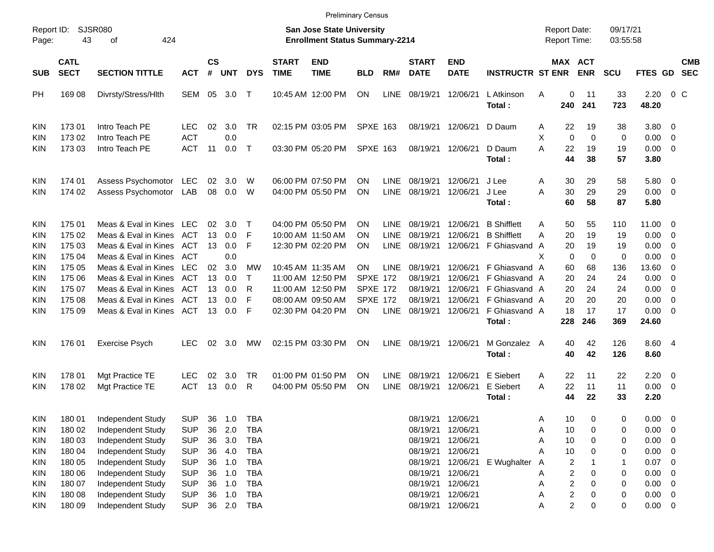| Report ID:<br>Page: | 43                         | <b>SJSR080</b><br>424<br>οf |            |                    |                |              |                             | <b>San Jose State University</b><br><b>Enrollment Status Summary-2214</b> |                 |             |                             |                           |                               | <b>Report Date:</b><br><b>Report Time:</b> |                         |                       | 09/17/21<br>03:55:58 |                |                          |            |
|---------------------|----------------------------|-----------------------------|------------|--------------------|----------------|--------------|-----------------------------|---------------------------------------------------------------------------|-----------------|-------------|-----------------------------|---------------------------|-------------------------------|--------------------------------------------|-------------------------|-----------------------|----------------------|----------------|--------------------------|------------|
| <b>SUB</b>          | <b>CATL</b><br><b>SECT</b> | <b>SECTION TITTLE</b>       | <b>ACT</b> | $\mathsf{cs}$<br># | <b>UNT</b>     | <b>DYS</b>   | <b>START</b><br><b>TIME</b> | <b>END</b><br><b>TIME</b>                                                 | <b>BLD</b>      | RM#         | <b>START</b><br><b>DATE</b> | <b>END</b><br><b>DATE</b> | <b>INSTRUCTR ST ENR</b>       |                                            |                         | MAX ACT<br><b>ENR</b> | <b>SCU</b>           | FTES GD SEC    |                          | <b>CMB</b> |
| <b>PH</b>           | 169 08                     | Divrsty/Stress/Hlth         | SEM        | 05                 | 3.0            | $\top$       |                             | 10:45 AM 12:00 PM                                                         | <b>ON</b>       | LINE        | 08/19/21 12/06/21           |                           | L Atkinson<br>Total:          | Α                                          | 0<br>240                | 11<br>241             | 33<br>723            | 2.20<br>48.20  |                          | 0 C        |
| KIN                 | 17301                      | Intro Teach PE              | LEC.       | 02                 | 3.0            | <b>TR</b>    |                             | 02:15 PM 03:05 PM                                                         | <b>SPXE 163</b> |             | 08/19/21 12/06/21           |                           | D Daum                        | A                                          | 22                      | 19                    | 38                   | $3.80\ 0$      |                          |            |
| KIN                 | 173 02                     | Intro Teach PE              | <b>ACT</b> |                    | 0.0            |              |                             |                                                                           |                 |             |                             |                           |                               | X                                          | $\mathbf 0$             | $\mathbf 0$           | 0                    | $0.00 \t 0$    |                          |            |
| <b>KIN</b>          | 173 03                     | Intro Teach PE              | <b>ACT</b> | 11                 | 0.0            | $\top$       |                             | 03:30 PM 05:20 PM                                                         | <b>SPXE 163</b> |             | 08/19/21 12/06/21           |                           | D Daum                        | A                                          | 22                      | 19                    | 19                   | $0.00 \t 0$    |                          |            |
|                     |                            |                             |            |                    |                |              |                             |                                                                           |                 |             |                             |                           | Total:                        |                                            | 44                      | 38                    | 57                   | 3.80           |                          |            |
| KIN                 | 174 01                     | Assess Psychomotor          | LEC        | 02                 | 3.0            | W            |                             | 06:00 PM 07:50 PM                                                         | <b>ON</b>       | LINE        | 08/19/21 12/06/21           |                           | J Lee                         | A                                          | 30                      | 29                    | 58                   | 5.80 0         |                          |            |
| <b>KIN</b>          | 174 02                     | Assess Psychomotor          | LAB        | 08                 | 0.0            | W            |                             | 04:00 PM 05:50 PM                                                         | ON              | LINE        | 08/19/21 12/06/21           |                           | J Lee                         | A                                          | 30                      | 29                    | 29                   | $0.00 \t 0$    |                          |            |
|                     |                            |                             |            |                    |                |              |                             |                                                                           |                 |             |                             |                           | Total:                        |                                            | 60                      | 58                    | 87                   | 5.80           |                          |            |
| KIN                 | 175 01                     | Meas & Eval in Kines LEC    |            | 02                 | 3.0            | $\top$       |                             | 04:00 PM 05:50 PM                                                         | <b>ON</b>       | <b>LINE</b> | 08/19/21 12/06/21           |                           | <b>B</b> Shifflett            | A                                          | 50                      | 55                    | 110                  | 11.00 0        |                          |            |
| KIN                 | 175 02                     | Meas & Eval in Kines        | ACT        |                    | $13 \quad 0.0$ | F            | 10:00 AM 11:50 AM           |                                                                           | <b>ON</b>       | LINE        | 08/19/21                    | 12/06/21                  | <b>B</b> Shifflett            | A                                          | 20                      | 19                    | 19                   | $0.00 \t 0$    |                          |            |
| KIN                 | 175 03                     | Meas & Eval in Kines        | ACT        |                    | 13 0.0         | F            |                             | 12:30 PM 02:20 PM                                                         | <b>ON</b>       | LINE        |                             | 08/19/21 12/06/21         | F Ghiasvand A                 |                                            | 20                      | 19                    | 19                   | $0.00 \t 0$    |                          |            |
| KIN                 | 175 04                     | Meas & Eval in Kines ACT    |            |                    | 0.0            |              |                             |                                                                           |                 |             |                             |                           |                               | Χ                                          | 0                       | 0                     | 0                    | $0.00 \t 0$    |                          |            |
| KIN                 | 175 05                     | Meas & Eval in Kines        | LEC        | 02                 | 3.0            | MW           | 10:45 AM 11:35 AM           |                                                                           | <b>ON</b>       | LINE        | 08/19/21 12/06/21           |                           | F Ghiasvand A                 |                                            | 60                      | 68                    | 136                  | 13.60 0        |                          |            |
| KIN                 | 175 06                     | Meas & Eval in Kines        | ACT        | 13                 | 0.0            | $\mathsf{T}$ |                             | 11:00 AM 12:50 PM                                                         | <b>SPXE 172</b> |             | 08/19/21 12/06/21           |                           | F Ghiasvand A                 |                                            | 20                      | 24                    | 24                   | $0.00 \t 0$    |                          |            |
| KIN                 | 175 07                     | Meas & Eval in Kines        | ACT        | 13                 | 0.0            | R            |                             | 11:00 AM 12:50 PM                                                         | <b>SPXE 172</b> |             | 08/19/21 12/06/21           |                           | F Ghiasvand A                 |                                            | 20                      | 24                    | 24                   | $0.00 \t 0$    |                          |            |
| KIN                 | 175 08                     | Meas & Eval in Kines        | ACT        | 13                 | 0.0            | F            |                             | 08:00 AM 09:50 AM                                                         | <b>SPXE 172</b> |             | 08/19/21                    | 12/06/21                  | F Ghiasvand A                 |                                            | 20                      | 20                    | 20                   | $0.00 \t 0$    |                          |            |
| <b>KIN</b>          | 175 09                     | Meas & Eval in Kines        | ACT        | 13                 | 0.0            | F            |                             | 02:30 PM 04:20 PM                                                         | <b>ON</b>       | LINE        | 08/19/21 12/06/21           |                           | F Ghiasvand A                 |                                            | 18                      | 17                    | 17                   | $0.00 \t 0$    |                          |            |
|                     |                            |                             |            |                    |                |              |                             |                                                                           |                 |             |                             |                           | Total:                        |                                            | 228                     | 246                   | 369                  | 24.60          |                          |            |
| <b>KIN</b>          | 176 01                     | Exercise Psych              | <b>LEC</b> | 02                 | 3.0            | МW           |                             | 02:15 PM 03:30 PM                                                         | <b>ON</b>       | LINE        | 08/19/21 12/06/21           |                           | M Gonzalez A<br>Total:        |                                            | 40<br>40                | 42<br>42              | 126<br>126           | 8.60 4<br>8.60 |                          |            |
| <b>KIN</b>          | 178 01                     | Mgt Practice TE             | LEC.       | 02                 | 3.0            | TR           |                             | 01:00 PM 01:50 PM                                                         | <b>ON</b>       | <b>LINE</b> | 08/19/21                    | 12/06/21                  | E Siebert                     | A                                          | 22                      | 11                    | 22                   | 2.20           | $\overline{\phantom{0}}$ |            |
| <b>KIN</b>          | 178 02                     | Mgt Practice TE             | <b>ACT</b> |                    | 13 0.0         | R            |                             | 04:00 PM 05:50 PM                                                         | ON              | LINE        | 08/19/21 12/06/21           |                           | E Siebert                     | A                                          | 22                      | 11                    | 11                   | $0.00 \t 0$    |                          |            |
|                     |                            |                             |            |                    |                |              |                             |                                                                           |                 |             |                             |                           | Total:                        |                                            | 44                      | 22                    | 33                   | 2.20           |                          |            |
| <b>KIN</b>          | 180 01                     | Independent Study           | <b>SUP</b> |                    | 36 1.0         | TBA          |                             |                                                                           |                 |             | 08/19/21 12/06/21           |                           |                               | A                                          | 10                      | 0                     | 0                    | $0.00 \t 0$    |                          |            |
| <b>KIN</b>          | 180 02                     | Independent Study           | <b>SUP</b> | 36                 | 2.0            | <b>TBA</b>   |                             |                                                                           |                 |             | 08/19/21 12/06/21           |                           |                               | Α                                          | 10                      | 0                     | 0                    | $0.00 \t 0$    |                          |            |
| KIN                 | 180 03                     | Independent Study           | <b>SUP</b> | 36                 | 3.0            | <b>TBA</b>   |                             |                                                                           |                 |             | 08/19/21                    | 12/06/21                  |                               | Α                                          | 10                      | 0                     | 0                    | $0.00 \t 0$    |                          |            |
| KIN                 | 180 04                     | Independent Study           | <b>SUP</b> |                    | 36 4.0         | <b>TBA</b>   |                             |                                                                           |                 |             | 08/19/21 12/06/21           |                           |                               | Α                                          | 10                      | 0                     | 0                    | $0.00 \t 0$    |                          |            |
| KIN                 | 180 05                     | Independent Study           | <b>SUP</b> |                    | 36 1.0         | <b>TBA</b>   |                             |                                                                           |                 |             |                             |                           | 08/19/21 12/06/21 E Wughalter | $\mathsf{A}$                               | $\overline{c}$          |                       | 1                    | $0.07$ 0       |                          |            |
| <b>KIN</b>          | 180 06                     | <b>Independent Study</b>    | <b>SUP</b> | 36                 | 1.0            | <b>TBA</b>   |                             |                                                                           |                 |             | 08/19/21 12/06/21           |                           |                               | Α                                          | $\overline{\mathbf{c}}$ | 0                     | 0                    | $0.00 \t 0$    |                          |            |
| KIN                 | 180 07                     | <b>Independent Study</b>    | <b>SUP</b> | 36                 | 1.0            | <b>TBA</b>   |                             |                                                                           |                 |             | 08/19/21 12/06/21           |                           |                               | Α                                          | 2                       | 0                     | 0                    | $0.00 \t 0$    |                          |            |
| KIN                 | 180 08                     | Independent Study           | <b>SUP</b> |                    | 36 1.0         | <b>TBA</b>   |                             |                                                                           |                 |             | 08/19/21 12/06/21           |                           |                               | Α                                          | $\overline{\mathbf{c}}$ | 0                     | 0                    | $0.00 \t 0$    |                          |            |
| <b>KIN</b>          | 180 09                     | Independent Study           | <b>SUP</b> |                    | 36 2.0         | <b>TBA</b>   |                             |                                                                           |                 |             | 08/19/21 12/06/21           |                           |                               | Α                                          | 2                       | 0                     | 0                    | $0.00 \t 0$    |                          |            |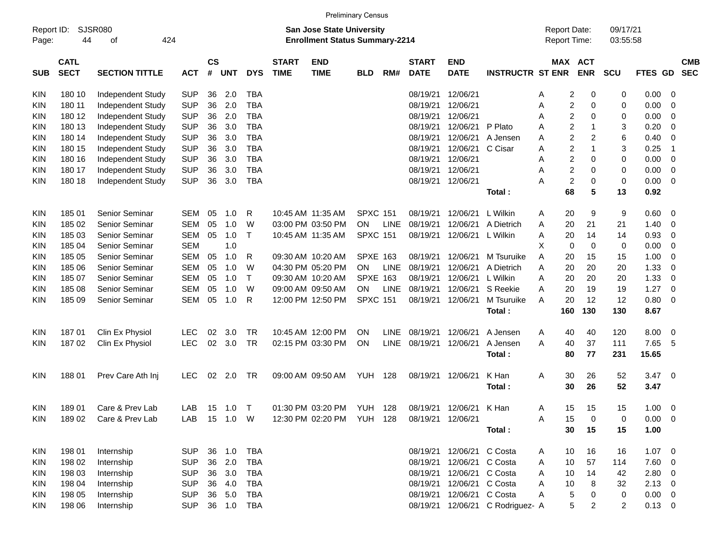| Report ID:<br>Page: | 44                         | <b>SJSR080</b><br>424<br>оf |            |                    |            |              |                             | <b>San Jose State University</b><br><b>Enrollment Status Summary-2214</b> |                 |             |                             |                           |                                  | <b>Report Date:</b><br>Report Time: |                                  | 09/17/21<br>03:55:58 |                   |                          |                          |
|---------------------|----------------------------|-----------------------------|------------|--------------------|------------|--------------|-----------------------------|---------------------------------------------------------------------------|-----------------|-------------|-----------------------------|---------------------------|----------------------------------|-------------------------------------|----------------------------------|----------------------|-------------------|--------------------------|--------------------------|
| SUB                 | <b>CATL</b><br><b>SECT</b> | <b>SECTION TITTLE</b>       | <b>ACT</b> | $\mathsf{cs}$<br># | <b>UNT</b> | <b>DYS</b>   | <b>START</b><br><b>TIME</b> | <b>END</b><br><b>TIME</b>                                                 | <b>BLD</b>      | RM#         | <b>START</b><br><b>DATE</b> | <b>END</b><br><b>DATE</b> | <b>INSTRUCTR ST ENR</b>          |                                     | MAX ACT<br><b>ENR</b>            | <b>SCU</b>           | <b>FTES</b><br>GD |                          | <b>CMB</b><br><b>SEC</b> |
| <b>KIN</b>          | 180 10                     | Independent Study           | <b>SUP</b> | 36                 | 2.0        | <b>TBA</b>   |                             |                                                                           |                 |             | 08/19/21                    | 12/06/21                  |                                  | A                                   | 2<br>0                           | 0                    | 0.00              | 0                        |                          |
| KIN                 | 180 11                     | Independent Study           | <b>SUP</b> | 36                 | 2.0        | <b>TBA</b>   |                             |                                                                           |                 |             | 08/19/21                    | 12/06/21                  |                                  | Α                                   | $\overline{\mathbf{c}}$<br>0     | 0                    | 0.00              | 0                        |                          |
| KIN                 | 180 12                     | Independent Study           | <b>SUP</b> | 36                 | 2.0        | <b>TBA</b>   |                             |                                                                           |                 |             | 08/19/21                    | 12/06/21                  |                                  | A                                   | $\overline{c}$<br>$\mathbf 0$    | 0                    | 0.00              | 0                        |                          |
| KIN                 | 180 13                     | Independent Study           | <b>SUP</b> | 36                 | 3.0        | <b>TBA</b>   |                             |                                                                           |                 |             | 08/19/21                    | 12/06/21                  | P Plato                          | A                                   | $\overline{c}$<br>1              | 3                    | 0.20              | 0                        |                          |
| KIN                 | 180 14                     | Independent Study           | <b>SUP</b> | 36                 | 3.0        | <b>TBA</b>   |                             |                                                                           |                 |             | 08/19/21                    | 12/06/21                  | A Jensen                         | A                                   | $\overline{c}$<br>$\overline{2}$ | 6                    | 0.40              | 0                        |                          |
| KIN                 | 180 15                     | Independent Study           | <b>SUP</b> | 36                 | 3.0        | <b>TBA</b>   |                             |                                                                           |                 |             | 08/19/21                    | 12/06/21                  | C Cisar                          | A                                   | $\overline{c}$<br>1              | 3                    | 0.25              | $\overline{1}$           |                          |
| KIN                 | 180 16                     | Independent Study           | <b>SUP</b> | 36                 | 3.0        | <b>TBA</b>   |                             |                                                                           |                 |             | 08/19/21                    | 12/06/21                  |                                  | Α                                   | $\overline{c}$<br>0              | 0                    | 0.00              | 0                        |                          |
| KIN                 | 180 17                     | Independent Study           | <b>SUP</b> | 36                 | 3.0        | <b>TBA</b>   |                             |                                                                           |                 |             | 08/19/21                    | 12/06/21                  |                                  | A                                   | $\overline{c}$<br>$\mathbf 0$    | 0                    | 0.00              | 0                        |                          |
| KIN                 | 180 18                     | Independent Study           | <b>SUP</b> | 36                 | 3.0        | <b>TBA</b>   |                             |                                                                           |                 |             | 08/19/21                    | 12/06/21                  |                                  | А                                   | $\overline{c}$<br>0              | 0                    | 0.00              | 0                        |                          |
|                     |                            |                             |            |                    |            |              |                             |                                                                           |                 |             |                             |                           | Total:                           |                                     | 68<br>5                          | 13                   | 0.92              |                          |                          |
| KIN                 | 185 01                     | Senior Seminar              | <b>SEM</b> | 05                 | 1.0        | R            | 10:45 AM 11:35 AM           |                                                                           | <b>SPXC 151</b> |             | 08/19/21                    | 12/06/21                  | L Wilkin                         | A                                   | 20<br>9                          | 9                    | 0.60              | 0                        |                          |
| KIN                 | 185 02                     | Senior Seminar              | <b>SEM</b> | 05                 | 1.0        | W            |                             | 03:00 PM 03:50 PM                                                         | <b>ON</b>       | <b>LINE</b> | 08/19/21                    | 12/06/21                  | A Dietrich                       | 20<br>A                             | 21                               | 21                   | 1.40              | 0                        |                          |
| KIN                 | 185 03                     | Senior Seminar              | <b>SEM</b> | 05                 | 1.0        | $\mathsf{T}$ |                             | 10:45 AM 11:35 AM                                                         | <b>SPXC 151</b> |             | 08/19/21                    | 12/06/21                  | L Wilkin                         | 20<br>A                             | 14                               | 14                   | 0.93              | 0                        |                          |
| KIN                 | 185 04                     | Senior Seminar              | <b>SEM</b> |                    | 1.0        |              |                             |                                                                           |                 |             |                             |                           |                                  | X                                   | $\mathbf 0$<br>0                 | 0                    | 0.00              | 0                        |                          |
| KIN                 | 185 05                     | Senior Seminar              | <b>SEM</b> | 05                 | 1.0        | R            |                             | 09:30 AM 10:20 AM                                                         | <b>SPXE 163</b> |             | 08/19/21                    | 12/06/21                  | M Tsuruike                       | A<br>20                             | 15                               | 15                   | 1.00              | 0                        |                          |
| KIN                 | 185 06                     | Senior Seminar              | <b>SEM</b> | 05                 | 1.0        | W            |                             | 04:30 PM 05:20 PM                                                         | <b>ON</b>       | <b>LINE</b> | 08/19/21                    | 12/06/21                  | A Dietrich                       | 20<br>A                             | 20                               | 20                   | 1.33              | 0                        |                          |
| KIN                 | 185 07                     | Senior Seminar              | <b>SEM</b> | 05                 | 1.0        | $\mathsf{T}$ |                             | 09:30 AM 10:20 AM                                                         | <b>SPXE 163</b> |             | 08/19/21                    | 12/06/21                  | L Wilkin                         | 20<br>A                             | 20                               | 20                   | 1.33              | 0                        |                          |
| KIN                 | 185 08                     | Senior Seminar              | <b>SEM</b> | 05                 | 1.0        | W            | 09:00 AM 09:50 AM           |                                                                           | <b>ON</b>       | <b>LINE</b> | 08/19/21                    | 12/06/21                  | S Reekie                         | 20<br>A                             | 19                               | 19                   | 1.27              | 0                        |                          |
| KIN                 | 185 09                     | Senior Seminar              | <b>SEM</b> | 05                 | 1.0        | R            |                             | 12:00 PM 12:50 PM                                                         | <b>SPXC 151</b> |             | 08/19/21                    | 12/06/21                  | M Tsuruike                       | 20<br>A                             | 12                               | 12                   | 0.80              | 0                        |                          |
|                     |                            |                             |            |                    |            |              |                             |                                                                           |                 |             |                             |                           | Total:                           | 160                                 | 130                              | 130                  | 8.67              |                          |                          |
| <b>KIN</b>          | 18701                      | Clin Ex Physiol             | <b>LEC</b> | 02                 | 3.0        | <b>TR</b>    |                             | 10:45 AM 12:00 PM                                                         | <b>ON</b>       | <b>LINE</b> | 08/19/21                    | 12/06/21                  | A Jensen                         | A                                   | 40<br>40                         | 120                  | 8.00              | 0                        |                          |
| KIN                 | 18702                      | Clin Ex Physiol             | <b>LEC</b> | 02                 | 3.0        | <b>TR</b>    |                             | 02:15 PM 03:30 PM                                                         | ON              | <b>LINE</b> | 08/19/21                    | 12/06/21                  | A Jensen                         | A<br>40                             | 37                               | 111                  | 7.65              | 5                        |                          |
|                     |                            |                             |            |                    |            |              |                             |                                                                           |                 |             |                             |                           | Total:                           |                                     | 77<br>80                         | 231                  | 15.65             |                          |                          |
| KIN                 | 18801                      | Prev Care Ath Inj           | <b>LEC</b> | 02                 | 2.0        | TR           |                             | 09:00 AM 09:50 AM                                                         | YUH.            | 128         | 08/19/21                    | 12/06/21                  | K Han                            | A                                   | 30<br>26                         | 52                   | 3.47              | 0                        |                          |
|                     |                            |                             |            |                    |            |              |                             |                                                                           |                 |             |                             |                           | Total:                           |                                     | 26<br>30                         | 52                   | 3.47              |                          |                          |
| KIN                 | 18901                      | Care & Prev Lab             | LAB        | 15                 | 1.0        | $\top$       |                             | 01:30 PM 03:20 PM                                                         | YUH             | 128         | 08/19/21                    | 12/06/21                  | K Han                            | A                                   | 15<br>15                         | 15                   | 1.00              | 0                        |                          |
| KIN                 | 18902                      | Care & Prev Lab             | LAB        |                    | 15  1.0  W |              |                             | 12:30 PM 02:20 PM YUH 128                                                 |                 |             | 08/19/21 12/06/21           |                           |                                  | Α<br>15                             | $\boldsymbol{0}$                 | 0                    | $0.00 \t 0$       |                          |                          |
|                     |                            |                             |            |                    |            |              |                             |                                                                           |                 |             |                             |                           | Total:                           |                                     | 30<br>15                         | 15                   | 1.00              |                          |                          |
| KIN                 | 198 01                     | Internship                  | <b>SUP</b> |                    | 36 1.0     | <b>TBA</b>   |                             |                                                                           |                 |             | 08/19/21                    | 12/06/21 C Costa          |                                  | 10<br>A                             | 16                               | 16                   | $1.07 \t 0$       |                          |                          |
| <b>KIN</b>          | 198 02                     | Internship                  | <b>SUP</b> |                    | 36 2.0     | <b>TBA</b>   |                             |                                                                           |                 |             | 08/19/21                    | 12/06/21                  | C Costa                          | 10<br>Α                             | 57                               | 114                  | 7.60              | $\overline{\phantom{0}}$ |                          |
| <b>KIN</b>          | 198 03                     | Internship                  | <b>SUP</b> |                    | 36 3.0     | <b>TBA</b>   |                             |                                                                           |                 |             | 08/19/21                    | 12/06/21                  | C Costa                          | A<br>10                             | 14                               | 42                   | 2.80              | $\overline{\phantom{0}}$ |                          |
| <b>KIN</b>          | 198 04                     | Internship                  | <b>SUP</b> |                    | 36 4.0     | <b>TBA</b>   |                             |                                                                           |                 |             | 08/19/21                    | 12/06/21                  | C Costa                          | A<br>10                             | 8                                | 32                   | $2.13 \t 0$       |                          |                          |
| <b>KIN</b>          | 198 05                     | Internship                  | <b>SUP</b> |                    | 36 5.0     | <b>TBA</b>   |                             |                                                                           |                 |             | 08/19/21                    | 12/06/21                  | C Costa                          | Α                                   | $\,$ 5 $\,$<br>$\mathbf 0$       | 0                    | 0.00              | $\overline{\phantom{0}}$ |                          |
| <b>KIN</b>          | 198 06                     | Internship                  | <b>SUP</b> |                    | 36 1.0     | TBA          |                             |                                                                           |                 |             |                             |                           | 08/19/21 12/06/21 C Rodriguez- A |                                     | 5<br>2                           | 2                    | $0.13 \ 0$        |                          |                          |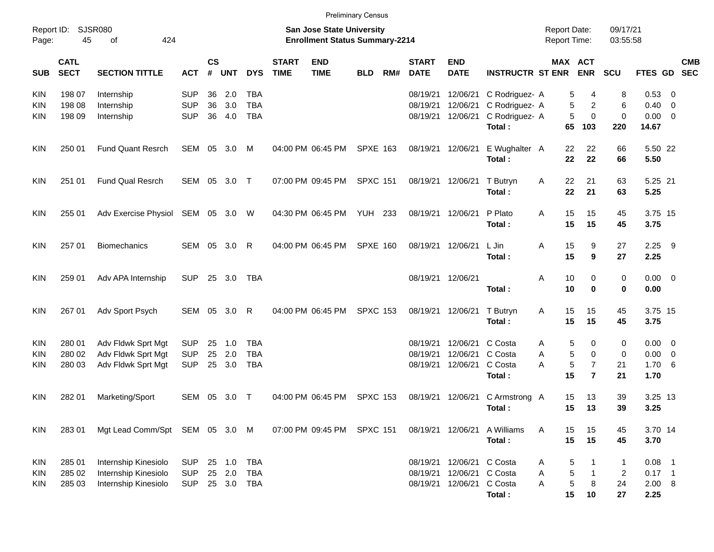|                                  |                            |                                                                      |                                        |                |                      |                                        |                             | <b>Preliminary Census</b>                                                 |                 |     |                                  |                                  |                                                              |                                     |                   |                                            |                                           |                                             |                |            |
|----------------------------------|----------------------------|----------------------------------------------------------------------|----------------------------------------|----------------|----------------------|----------------------------------------|-----------------------------|---------------------------------------------------------------------------|-----------------|-----|----------------------------------|----------------------------------|--------------------------------------------------------------|-------------------------------------|-------------------|--------------------------------------------|-------------------------------------------|---------------------------------------------|----------------|------------|
| Page:                            | Report ID: SJSR080<br>45   | 424<br>of                                                            |                                        |                |                      |                                        |                             | <b>San Jose State University</b><br><b>Enrollment Status Summary-2214</b> |                 |     |                                  |                                  |                                                              | <b>Report Date:</b><br>Report Time: |                   |                                            | 09/17/21<br>03:55:58                      |                                             |                |            |
| <b>SUB</b>                       | <b>CATL</b><br><b>SECT</b> | <b>SECTION TITTLE</b>                                                | <b>ACT</b>                             | <b>CS</b><br># | <b>UNT</b>           | <b>DYS</b>                             | <b>START</b><br><b>TIME</b> | <b>END</b><br><b>TIME</b>                                                 | <b>BLD</b>      | RM# | <b>START</b><br><b>DATE</b>      | <b>END</b><br><b>DATE</b>        | <b>INSTRUCTR ST ENR</b>                                      | MAX ACT                             |                   | <b>ENR</b>                                 | SCU                                       | FTES GD SEC                                 |                | <b>CMB</b> |
| <b>KIN</b><br>KIN<br>KIN.        | 198 07<br>198 08<br>198 09 | Internship<br>Internship<br>Internship                               | <b>SUP</b><br><b>SUP</b><br><b>SUP</b> | 36<br>36<br>36 | 2.0<br>3.0<br>4.0    | TBA<br><b>TBA</b><br><b>TBA</b>        |                             |                                                                           |                 |     | 08/19/21<br>08/19/21<br>08/19/21 | 12/06/21<br>12/06/21<br>12/06/21 | C Rodriguez- A<br>C Rodriguez- A<br>C Rodriguez- A<br>Total: |                                     | 5<br>5<br>5<br>65 | 4<br>$\overline{c}$<br>$\mathbf 0$<br>103  | 8<br>6<br>0<br>220                        | 0.53 0<br>0.40<br>$0.00 \t 0$<br>14.67      | $\overline{0}$ |            |
| <b>KIN</b>                       | 250 01                     | <b>Fund Quant Resrch</b>                                             | SEM                                    |                | 05 3.0               | M                                      |                             | 04:00 PM 06:45 PM                                                         | <b>SPXE 163</b> |     |                                  | 08/19/21 12/06/21                | E Wughalter A<br>Total:                                      |                                     | 22<br>22          | 22<br>22                                   | 66<br>66                                  | 5.50 22<br>5.50                             |                |            |
| <b>KIN</b>                       | 251 01                     | <b>Fund Qual Resrch</b>                                              | SEM 05 3.0 T                           |                |                      |                                        |                             | 07:00 PM 09:45 PM                                                         | <b>SPXC 151</b> |     | 08/19/21 12/06/21                |                                  | T Butryn<br>Total:                                           | Α                                   | 22<br>22          | 21<br>21                                   | 63<br>63                                  | 5.25 21<br>5.25                             |                |            |
| <b>KIN</b>                       | 255 01                     | Adv Exercise Physiol SEM 05 3.0 W                                    |                                        |                |                      |                                        |                             | 04:30 PM 06:45 PM                                                         | <b>YUH 233</b>  |     | 08/19/21 12/06/21                |                                  | P Plato<br>Total:                                            | A                                   | 15<br>15          | 15<br>15                                   | 45<br>45                                  | 3.75 15<br>3.75                             |                |            |
| <b>KIN</b>                       | 257 01                     | <b>Biomechanics</b>                                                  | <b>SEM</b>                             | 05             | 3.0                  | $\mathsf{R}$                           |                             | 04:00 PM 06:45 PM                                                         | <b>SPXE 160</b> |     | 08/19/21 12/06/21                |                                  | L Jin<br>Total:                                              | A                                   | 15<br>15          | 9<br>9                                     | 27<br>27                                  | 2.25<br>2.25                                | - 9            |            |
| <b>KIN</b>                       | 259 01                     | Adv APA Internship                                                   | <b>SUP</b>                             |                | 25 3.0               | TBA                                    |                             |                                                                           |                 |     | 08/19/21 12/06/21                |                                  | Total:                                                       | A                                   | 10<br>10          | 0<br>0                                     | 0<br>$\bf{0}$                             | $0.00 \t 0$<br>0.00                         |                |            |
| <b>KIN</b>                       | 267 01                     | Adv Sport Psych                                                      | SEM                                    | 05             | 3.0                  | $\mathsf{R}$                           |                             | 04:00 PM 06:45 PM                                                         | <b>SPXC 153</b> |     |                                  | 08/19/21 12/06/21                | T Butryn<br>Total:                                           | Α                                   | 15<br>15          | 15<br>15                                   | 45<br>45                                  | 3.75 15<br>3.75                             |                |            |
| <b>KIN</b><br><b>KIN</b><br>KIN. | 280 01<br>280 02<br>280 03 | Adv Fldwk Sprt Mgt<br>Adv Fldwk Sprt Mgt<br>Adv Fldwk Sprt Mgt       | <b>SUP</b><br><b>SUP</b><br><b>SUP</b> | 25<br>25<br>25 | 1.0<br>2.0<br>3.0    | <b>TBA</b><br><b>TBA</b><br><b>TBA</b> |                             |                                                                           |                 |     | 08/19/21<br>08/19/21<br>08/19/21 | 12/06/21<br>12/06/21<br>12/06/21 | C Costa<br>C Costa<br>C Costa<br>Total:                      | A<br>A<br>Α                         | 5<br>5<br>5<br>15 | 0<br>0<br>$\overline{7}$<br>$\overline{7}$ | 0<br>0<br>21<br>21                        | $0.00 \t 0$<br>$0.00 \t 0$<br>1.706<br>1.70 |                |            |
| <b>KIN</b>                       | 282 01                     | Marketing/Sport                                                      | <b>SEM</b>                             | 05             | 3.0                  | $\top$                                 |                             | 04:00 PM 06:45 PM                                                         | <b>SPXC 153</b> |     | 08/19/21                         | 12/06/21                         | C Armstrong A<br>Total:                                      |                                     | 15<br>15          | 13<br>13                                   | 39<br>39                                  | 3.25 13<br>3.25                             |                |            |
| <b>KIN</b>                       | 283 01                     | Mgt Lead Comm/Spt SEM 05 3.0 M                                       |                                        |                |                      |                                        |                             | 07:00 PM 09:45 PM                                                         | <b>SPXC 151</b> |     | 08/19/21                         | 12/06/21                         | A Williams<br>Total:                                         | Α                                   | 15<br>15          | 15<br>15                                   | 45<br>45                                  | 3.70 14<br>3.70                             |                |            |
| KIN<br><b>KIN</b><br><b>KIN</b>  | 285 01<br>285 02<br>285 03 | Internship Kinesiolo<br>Internship Kinesiolo<br>Internship Kinesiolo | <b>SUP</b><br><b>SUP</b><br><b>SUP</b> | 25<br>25       | 1.0<br>2.0<br>25 3.0 | <b>TBA</b><br><b>TBA</b><br><b>TBA</b> |                             |                                                                           |                 |     | 08/19/21<br>08/19/21<br>08/19/21 | 12/06/21<br>12/06/21<br>12/06/21 | C Costa<br>C Costa<br>C Costa<br>Total:                      | Α<br>Α<br>Α                         | 5<br>5<br>5<br>15 | 1<br>$\mathbf{1}$<br>8<br>10               | $\mathbf 1$<br>$\overline{2}$<br>24<br>27 | $0.08$ 1<br>$0.17$ 1<br>2.00 8<br>2.25      |                |            |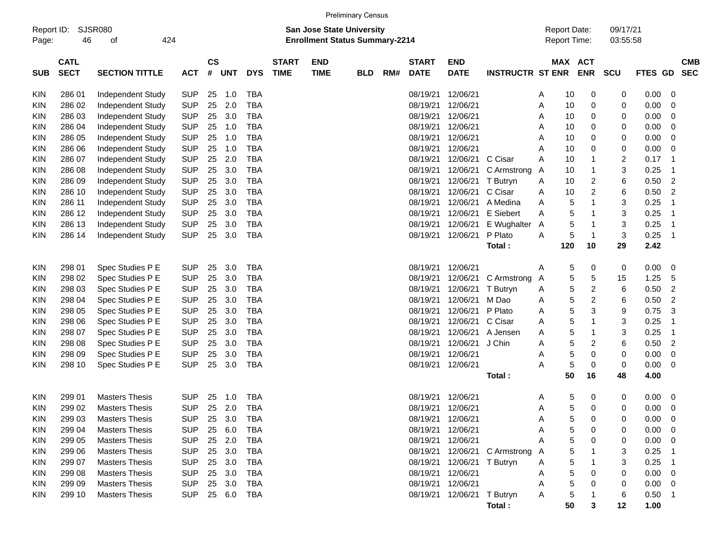|                     |             |                             |            |           |            |            |              |             | <b>Preliminary Census</b>                                          |     |                   |                            |                               |   |                                     |            |                      |         |    |            |
|---------------------|-------------|-----------------------------|------------|-----------|------------|------------|--------------|-------------|--------------------------------------------------------------------|-----|-------------------|----------------------------|-------------------------------|---|-------------------------------------|------------|----------------------|---------|----|------------|
| Report ID:<br>Page: | 46          | <b>SJSR080</b><br>424<br>οf |            |           |            |            |              |             | San Jose State University<br><b>Enrollment Status Summary-2214</b> |     |                   |                            |                               |   | <b>Report Date:</b><br>Report Time: |            | 09/17/21<br>03:55:58 |         |    |            |
|                     | <b>CATL</b> |                             |            | <b>CS</b> |            |            | <b>START</b> | <b>END</b>  |                                                                    |     | <b>START</b>      | <b>END</b>                 |                               |   | MAX ACT                             |            |                      |         |    | <b>CMB</b> |
| <b>SUB</b>          | <b>SECT</b> | <b>SECTION TITTLE</b>       | <b>ACT</b> | #         | <b>UNT</b> | <b>DYS</b> | <b>TIME</b>  | <b>TIME</b> | BLD                                                                | RM# | <b>DATE</b>       | <b>DATE</b>                | <b>INSTRUCTR ST ENR</b>       |   |                                     | <b>ENR</b> | <b>SCU</b>           | FTES GD |    | <b>SEC</b> |
| KIN                 | 286 01      | <b>Independent Study</b>    | <b>SUP</b> | 25        | 1.0        | <b>TBA</b> |              |             |                                                                    |     | 08/19/21          | 12/06/21                   |                               | A | 10                                  | 0          | 0                    | 0.00    | 0  |            |
| KIN                 | 286 02      | Independent Study           | <b>SUP</b> | 25        | 2.0        | <b>TBA</b> |              |             |                                                                    |     | 08/19/21          | 12/06/21                   |                               | Α | 10                                  | 0          | 0                    | 0.00    | 0  |            |
| KIN                 | 286 03      | Independent Study           | <b>SUP</b> | 25        | 3.0        | <b>TBA</b> |              |             |                                                                    |     | 08/19/21          | 12/06/21                   |                               | A | 10                                  | 0          | 0                    | 0.00    | 0  |            |
| ΚIΝ                 | 286 04      | Independent Study           | <b>SUP</b> | 25        | 1.0        | <b>TBA</b> |              |             |                                                                    |     | 08/19/21          | 12/06/21                   |                               | Α | 10                                  | 0          | 0                    | 0.00    | 0  |            |
| ΚIΝ                 | 286 05      | Independent Study           | <b>SUP</b> | 25        | 1.0        | <b>TBA</b> |              |             |                                                                    |     | 08/19/21          | 12/06/21                   |                               | Α | 10                                  | 0          | 0                    | 0.00    | 0  |            |
| ΚIΝ                 | 286 06      | Independent Study           | <b>SUP</b> | 25        | 1.0        | <b>TBA</b> |              |             |                                                                    |     | 08/19/21          | 12/06/21                   |                               | Α | 10                                  | 0          | 0                    | 0.00    | 0  |            |
| ΚIΝ                 | 286 07      | Independent Study           | <b>SUP</b> | 25        | 2.0        | <b>TBA</b> |              |             |                                                                    |     | 08/19/21          | 12/06/21                   | C Cisar                       | A | 10                                  |            | 2                    | 0.17    | -1 |            |
| ΚIΝ                 | 286 08      | Independent Study           | <b>SUP</b> | 25        | 3.0        | <b>TBA</b> |              |             |                                                                    |     | 08/19/21          | 12/06/21                   | C Armstrong                   | Α | 10                                  | 1          | 3                    | 0.25    | 1  |            |
| ΚIΝ                 | 286 09      | Independent Study           | <b>SUP</b> | 25        | 3.0        | <b>TBA</b> |              |             |                                                                    |     | 08/19/21          | 12/06/21                   | T Butryn                      | A | 10                                  | 2          | 6                    | 0.50    | 2  |            |
| ΚIΝ                 | 286 10      | Independent Study           | <b>SUP</b> | 25        | 3.0        | <b>TBA</b> |              |             |                                                                    |     | 08/19/21          | 12/06/21                   | C Cisar                       | Α | 10                                  | 2          | 6                    | 0.50    | 2  |            |
| ΚIΝ                 | 286 11      | Independent Study           | <b>SUP</b> | 25        | 3.0        | <b>TBA</b> |              |             |                                                                    |     | 08/19/21          | 12/06/21                   | A Medina                      | Α | 5                                   |            | 3                    | 0.25    |    |            |
| ΚIΝ                 | 286 12      | Independent Study           | <b>SUP</b> | 25        | 3.0        | <b>TBA</b> |              |             |                                                                    |     | 08/19/21          | 12/06/21                   | E Siebert                     | A | 5                                   |            | 3                    | 0.25    |    |            |
| KIN                 | 286 13      | Independent Study           | <b>SUP</b> | 25        | 3.0        | <b>TBA</b> |              |             |                                                                    |     | 08/19/21          | 12/06/21                   | E Wughalter                   | A | 5                                   |            | 3                    | 0.25    | 1  |            |
| KIN                 | 286 14      | <b>Independent Study</b>    | <b>SUP</b> | 25        | 3.0        | <b>TBA</b> |              |             |                                                                    |     | 08/19/21          | 12/06/21                   | P Plato                       | A | 5                                   | 1          | 3                    | 0.25    | 1  |            |
|                     |             |                             |            |           |            |            |              |             |                                                                    |     |                   |                            | Total:                        |   | 120                                 | 10         | 29                   | 2.42    |    |            |
|                     |             |                             |            |           |            |            |              |             |                                                                    |     |                   |                            |                               |   |                                     |            |                      |         |    |            |
| KIN                 | 298 01      | Spec Studies P E            | <b>SUP</b> | 25        | 3.0        | <b>TBA</b> |              |             |                                                                    |     | 08/19/21          | 12/06/21                   |                               | A | 5                                   | 0          | 0                    | 0.00    | 0  |            |
| KIN                 | 298 02      | Spec Studies P E            | <b>SUP</b> | 25        | 3.0        | <b>TBA</b> |              |             |                                                                    |     | 08/19/21          | 12/06/21                   | C Armstrong                   | A | 5                                   | 5          | 15                   | 1.25    | 5  |            |
| ΚIΝ                 | 298 03      | Spec Studies P E            | <b>SUP</b> | 25        | 3.0        | <b>TBA</b> |              |             |                                                                    |     | 08/19/21          | 12/06/21                   | T Butryn                      | A | 5                                   | 2          | 6                    | 0.50    | 2  |            |
| ΚIΝ                 | 298 04      | Spec Studies P E            | <b>SUP</b> | 25        | 3.0        | <b>TBA</b> |              |             |                                                                    |     | 08/19/21          | 12/06/21                   | M Dao                         | A | 5                                   | 2          | 6                    | 0.50    | 2  |            |
| ΚIΝ                 | 298 05      | Spec Studies P E            | <b>SUP</b> | 25        | 3.0        | <b>TBA</b> |              |             |                                                                    |     | 08/19/21          | 12/06/21                   | P Plato                       | Α | 5                                   | 3          | 9                    | 0.75    | 3  |            |
| ΚIΝ                 | 298 06      | Spec Studies P E            | <b>SUP</b> | 25        | 3.0        | <b>TBA</b> |              |             |                                                                    |     | 08/19/21          | 12/06/21                   | C Cisar                       | Α | 5                                   |            | 3                    | 0.25    | 1  |            |
| ΚIΝ                 | 298 07      | Spec Studies P E            | <b>SUP</b> | 25        | 3.0        | <b>TBA</b> |              |             |                                                                    |     | 08/19/21          | 12/06/21                   | A Jensen                      | Α | 5                                   | 1          | 3                    | 0.25    | 1  |            |
| ΚIΝ                 | 298 08      | Spec Studies P E            | <b>SUP</b> | 25        | 3.0        | <b>TBA</b> |              |             |                                                                    |     | 08/19/21          | 12/06/21                   | J Chin                        | Α | 5                                   | 2          | 6                    | 0.50    | 2  |            |
| ΚIΝ                 | 298 09      | Spec Studies P E            | <b>SUP</b> | 25        | 3.0        | <b>TBA</b> |              |             |                                                                    |     | 08/19/21          | 12/06/21                   |                               | Α | 5                                   | 0          | 0                    | 0.00    | 0  |            |
| KIN                 | 298 10      | Spec Studies P E            | <b>SUP</b> | 25        | 3.0        | <b>TBA</b> |              |             |                                                                    |     | 08/19/21          | 12/06/21                   |                               | A | 5                                   | 0          | 0                    | 0.00    | 0  |            |
|                     |             |                             |            |           |            |            |              |             |                                                                    |     |                   |                            | Total:                        |   | 50                                  | 16         | 48                   | 4.00    |    |            |
| KIN                 | 299 01      | <b>Masters Thesis</b>       | SUP        | 25        | 1.0        | <b>TBA</b> |              |             |                                                                    |     | 08/19/21          | 12/06/21                   |                               | A | 5                                   | 0          | 0                    | 0.00    | 0  |            |
| KIN                 | 299 02      | <b>Masters Thesis</b>       | <b>SUP</b> | 25        | 2.0        | <b>TBA</b> |              |             |                                                                    |     | 08/19/21          | 12/06/21                   |                               | Α | 5                                   | 0          | 0                    | 0.00    | 0  |            |
| KIN                 | 299 03      | <b>Masters Thesis</b>       | <b>SUP</b> | 25        | 3.0        | <b>TBA</b> |              |             |                                                                    |     |                   | 08/19/21 12/06/21          |                               | A | 5                                   | 0          | 0                    | 0.00    | 0  |            |
| <b>KIN</b>          | 299 04      | <b>Masters Thesis</b>       | <b>SUP</b> | 25        | 6.0        | <b>TBA</b> |              |             |                                                                    |     | 08/19/21 12/06/21 |                            |                               | A | 5                                   | 0          | 0                    | 0.00    | 0  |            |
| <b>KIN</b>          | 299 05      | <b>Masters Thesis</b>       | <b>SUP</b> |           | 25 2.0     | <b>TBA</b> |              |             |                                                                    |     |                   | 08/19/21 12/06/21          |                               | Α | 5                                   | 0          | 0                    | 0.00    | 0  |            |
| KIN                 | 299 06      | <b>Masters Thesis</b>       | <b>SUP</b> |           | 25 3.0     | TBA        |              |             |                                                                    |     |                   |                            | 08/19/21 12/06/21 C Armstrong | A | 5                                   |            | 3                    | 0.25    |    |            |
| <b>KIN</b>          | 299 07      | <b>Masters Thesis</b>       | <b>SUP</b> |           | 25 3.0     | TBA        |              |             |                                                                    |     |                   | 08/19/21 12/06/21 T Butryn |                               | A | 5                                   |            | 3                    | 0.25    |    |            |
| <b>KIN</b>          | 299 08      | <b>Masters Thesis</b>       | <b>SUP</b> |           | 25 3.0     | TBA        |              |             |                                                                    |     |                   | 08/19/21 12/06/21          |                               | A | 5                                   | 0          | 0                    | 0.00    | 0  |            |
| <b>KIN</b>          | 299 09      | <b>Masters Thesis</b>       | <b>SUP</b> | 25        | 3.0        | TBA        |              |             |                                                                    |     |                   | 08/19/21 12/06/21          |                               | Α | 5                                   | 0          | 0                    | 0.00    | 0  |            |
| KIN                 | 299 10      | <b>Masters Thesis</b>       | <b>SUP</b> |           | 25 6.0     | TBA        |              |             |                                                                    |     |                   | 08/19/21 12/06/21 T Butryn |                               | A | 5                                   |            | 6                    | 0.50    |    |            |
|                     |             |                             |            |           |            |            |              |             |                                                                    |     |                   |                            | Total:                        |   | 50                                  | 3          | $12 \,$              | 1.00    |    |            |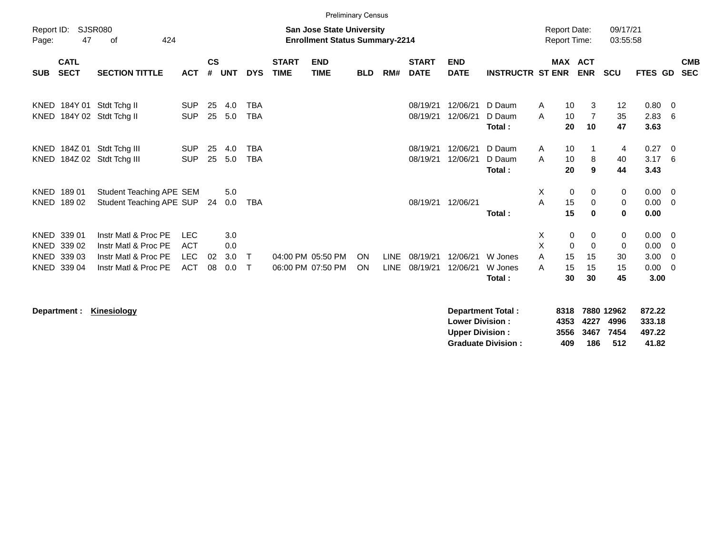|                                                             |                                                                                                                |                                                      |                    |                          |                          |                             | <b>Preliminary Census</b>              |                 |                            |                             |                                                  |                                                       |                  |                                    |                                     |                                   |                                      |                                                                             |                          |
|-------------------------------------------------------------|----------------------------------------------------------------------------------------------------------------|------------------------------------------------------|--------------------|--------------------------|--------------------------|-----------------------------|----------------------------------------|-----------------|----------------------------|-----------------------------|--------------------------------------------------|-------------------------------------------------------|------------------|------------------------------------|-------------------------------------|-----------------------------------|--------------------------------------|-----------------------------------------------------------------------------|--------------------------|
| Report ID:<br>Page:                                         | <b>SJSR080</b><br><b>San Jose State University</b><br>47<br>424<br><b>Enrollment Status Summary-2214</b><br>of |                                                      |                    |                          |                          |                             |                                        |                 |                            |                             |                                                  |                                                       |                  |                                    | <b>Report Date:</b><br>Report Time: | 09/17/21<br>03:55:58              |                                      |                                                                             |                          |
| <b>CATL</b><br><b>SECT</b><br><b>SUB</b>                    | <b>SECTION TITTLE</b>                                                                                          | <b>ACT</b>                                           | $\mathsf{cs}$<br># | <b>UNT</b>               | <b>DYS</b>               | <b>START</b><br><b>TIME</b> | <b>END</b><br><b>TIME</b>              | <b>BLD</b>      | RM#                        | <b>START</b><br><b>DATE</b> | <b>END</b><br><b>DATE</b>                        | <b>INSTRUCTR ST ENR</b>                               |                  |                                    | <b>MAX ACT</b><br><b>ENR</b>        | <b>SCU</b>                        | FTES GD                              |                                                                             | <b>CMB</b><br><b>SEC</b> |
| KNED 184Y 01 Stdt Tchg II<br>KNED 184Y 02 Stdt Tchg II      |                                                                                                                | <b>SUP</b><br><b>SUP</b>                             | 25<br>25           | 4.0<br>5.0               | <b>TBA</b><br><b>TBA</b> |                             |                                        |                 |                            | 08/19/21<br>08/19/21        | 12/06/21<br>12/06/21                             | D Daum<br>D Daum<br>Total:                            | Α<br>A           | 10<br>10<br>20                     | 3<br>$\overline{7}$<br>10           | 12<br>35<br>47                    | 0.80<br>2.83<br>3.63                 | - 0<br>- 6                                                                  |                          |
| KNED 184Z 01<br>KNED 184Z 02 Stdt Tchg III                  | Stdt Tchg III                                                                                                  | <b>SUP</b><br><b>SUP</b>                             | 25<br>25           | 4.0<br>5.0               | <b>TBA</b><br><b>TBA</b> |                             |                                        |                 |                            | 08/19/21<br>08/19/21        | 12/06/21<br>12/06/21                             | D Daum<br>D Daum<br>Total:                            | A<br>A           | 10<br>10<br>20                     | 8<br>9                              | 4<br>40<br>44                     | $0.27 \ 0$<br>$3.17\quad 6$<br>3.43  |                                                                             |                          |
| KNED 189 01<br>KNED 189 02                                  | Student Teaching APE SEM<br>Student Teaching APE SUP                                                           |                                                      | 24                 | 5.0<br>0.0               | <b>TBA</b>               |                             |                                        |                 |                            | 08/19/21 12/06/21           |                                                  | Total:                                                | X<br>A           | 0<br>15<br>15                      | 0<br>0<br>$\bf{0}$                  | 0<br>0<br>$\bf{0}$                | 0.00<br>0.00<br>0.00                 | $\overline{\mathbf{0}}$<br>$\overline{0}$                                   |                          |
| KNED 339 01<br>KNED 339 02<br>KNED<br>339 03<br>KNED 339 04 | Instr Matl & Proc PE<br>Instr Matl & Proc PE<br>Instr Matl & Proc PE<br>Instr Matl & Proc PE                   | <b>LEC</b><br><b>ACT</b><br><b>LEC</b><br><b>ACT</b> | 02<br>08           | 3.0<br>0.0<br>3.0<br>0.0 | $\top$<br>T              |                             | 04:00 PM 05:50 PM<br>06:00 PM 07:50 PM | <b>ON</b><br>ON | <b>LINE</b><br><b>LINE</b> | 08/19/21<br>08/19/21        | 12/06/21<br>12/06/21                             | W Jones<br>W Jones<br>Total:                          | X<br>X<br>A<br>A | 0<br>$\mathbf 0$<br>15<br>15<br>30 | 0<br>$\mathbf 0$<br>15<br>15<br>30  | 0<br>0<br>30<br>15<br>45          | 0.00<br>0.00<br>3.00<br>0.00<br>3.00 | $\overline{\mathbf{0}}$<br>- 0<br>$\overline{0}$<br>$\overline{\mathbf{0}}$ |                          |
| Department :                                                | <b>Kinesiology</b>                                                                                             |                                                      |                    |                          |                          |                             |                                        |                 |                            |                             | <b>Lower Division:</b><br><b>Upper Division:</b> | <b>Department Total:</b><br><b>Graduate Division:</b> |                  | 8318<br>4353<br>3556<br>409        | 4227<br>3467<br>186                 | 7880 12962<br>4996<br>7454<br>512 | 872.22<br>333.18<br>497.22<br>41.82  |                                                                             |                          |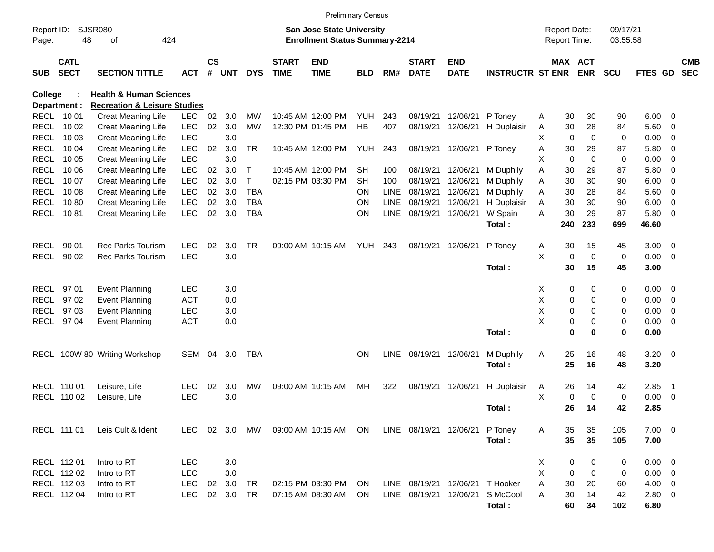|                     |                            |                                         |            |                |            |             |                             | <b>Preliminary Census</b>                                                 |            |             |                             |                           |                         |   |                                     |             |                      |             |                         |                          |
|---------------------|----------------------------|-----------------------------------------|------------|----------------|------------|-------------|-----------------------------|---------------------------------------------------------------------------|------------|-------------|-----------------------------|---------------------------|-------------------------|---|-------------------------------------|-------------|----------------------|-------------|-------------------------|--------------------------|
| Report ID:<br>Page: | 48                         | <b>SJSR080</b><br>424<br>οf             |            |                |            |             |                             | <b>San Jose State University</b><br><b>Enrollment Status Summary-2214</b> |            |             |                             |                           |                         |   | <b>Report Date:</b><br>Report Time: |             | 09/17/21<br>03:55:58 |             |                         |                          |
| <b>SUB</b>          | <b>CATL</b><br><b>SECT</b> | <b>SECTION TITTLE</b>                   | <b>ACT</b> | <b>CS</b><br># | <b>UNT</b> | <b>DYS</b>  | <b>START</b><br><b>TIME</b> | <b>END</b><br><b>TIME</b>                                                 | <b>BLD</b> | RM#         | <b>START</b><br><b>DATE</b> | <b>END</b><br><b>DATE</b> | <b>INSTRUCTR ST ENR</b> |   | MAX ACT                             | <b>ENR</b>  | <b>SCU</b>           | FTES GD     |                         | <b>CMB</b><br><b>SEC</b> |
| College             |                            | <b>Health &amp; Human Sciences</b>      |            |                |            |             |                             |                                                                           |            |             |                             |                           |                         |   |                                     |             |                      |             |                         |                          |
|                     | Department :               | <b>Recreation &amp; Leisure Studies</b> |            |                |            |             |                             |                                                                           |            |             |                             |                           |                         |   |                                     |             |                      |             |                         |                          |
| <b>RECL</b>         | 10 01                      | Creat Meaning Life                      | <b>LEC</b> | 02             | 3.0        | <b>MW</b>   |                             | 10:45 AM 12:00 PM                                                         | YUH        | 243         | 08/19/21                    | 12/06/21                  | P Toney                 | Α | 30                                  | 30          | 90                   | 6.00        | - 0                     |                          |
| <b>RECL</b>         | 10 02                      | <b>Creat Meaning Life</b>               | LEC        | 02             | 3.0        | <b>MW</b>   |                             | 12:30 PM 01:45 PM                                                         | HB         | 407         | 08/19/21                    | 12/06/21                  | H Duplaisir             | A | 30                                  | 28          | 84                   | 5.60        | 0                       |                          |
| <b>RECL</b>         | 10 03                      | <b>Creat Meaning Life</b>               | <b>LEC</b> |                | 3.0        |             |                             |                                                                           |            |             |                             |                           |                         | X | 0                                   | 0           | 0                    | 0.00        | $\overline{\mathbf{0}}$ |                          |
| <b>RECL</b>         | 10 04                      | <b>Creat Meaning Life</b>               | LEC        | 02             | 3.0        | <b>TR</b>   |                             | 10:45 AM 12:00 PM                                                         | <b>YUH</b> | 243         | 08/19/21                    | 12/06/21                  | P Toney                 | Α | 30                                  | 29          | 87                   | 5.80        | 0                       |                          |
| <b>RECL</b>         | 10 05                      | <b>Creat Meaning Life</b>               | <b>LEC</b> |                | 3.0        |             |                             |                                                                           |            |             |                             |                           |                         | х | $\mathbf 0$                         | 0           | 0                    | 0.00        | $\overline{0}$          |                          |
| <b>RECL</b>         | 10 06                      | <b>Creat Meaning Life</b>               | <b>LEC</b> | 02             | 3.0        | $\mathsf T$ |                             | 10:45 AM 12:00 PM                                                         | SH         | 100         | 08/19/21                    | 12/06/21                  | M Duphily               | Α | 30                                  | 29          | 87                   | 5.80        | $\overline{0}$          |                          |
| <b>RECL</b>         | 10 07                      | <b>Creat Meaning Life</b>               | <b>LEC</b> | 02             | 3.0        | $\top$      |                             | 02:15 PM 03:30 PM                                                         | <b>SH</b>  | 100         | 08/19/21                    | 12/06/21                  | M Duphily               | Α | 30                                  | 30          | 90                   | 6.00        | $\overline{0}$          |                          |
| <b>RECL</b>         | 10 08                      | <b>Creat Meaning Life</b>               | <b>LEC</b> | 02             | 3.0        | <b>TBA</b>  |                             |                                                                           | ΟN         | <b>LINE</b> | 08/19/21                    | 12/06/21                  | M Duphily               | A | 30                                  | 28          | 84                   | 5.60        | $\overline{\mathbf{0}}$ |                          |
| <b>RECL</b>         | 1080                       | Creat Meaning Life                      | <b>LEC</b> | 02             | 3.0        | <b>TBA</b>  |                             |                                                                           | ON         | <b>LINE</b> | 08/19/21                    | 12/06/21                  | H Duplaisir             | Α | 30                                  | 30          | 90                   | 6.00        | $\overline{0}$          |                          |
| <b>RECL</b>         | 1081                       | Creat Meaning Life                      | <b>LEC</b> | 02             | 3.0        | <b>TBA</b>  |                             |                                                                           | ON         | <b>LINE</b> | 08/19/21                    | 12/06/21                  | W Spain                 | A | 30                                  | 29          | 87                   | 5.80        | $\overline{0}$          |                          |
|                     |                            |                                         |            |                |            |             |                             |                                                                           |            |             |                             |                           | Total:                  |   | 240                                 | 233         | 699                  | 46.60       |                         |                          |
| RECL                | 90 01                      | <b>Rec Parks Tourism</b>                | <b>LEC</b> | 02             | 3.0        | <b>TR</b>   |                             | 09:00 AM 10:15 AM                                                         | YUH.       | 243         | 08/19/21                    | 12/06/21                  | P Toney                 | A | 30                                  | 15          | 45                   | 3.00        | $\overline{\mathbf{0}}$ |                          |
| <b>RECL</b>         | 90 02                      | <b>Rec Parks Tourism</b>                | <b>LEC</b> |                | 3.0        |             |                             |                                                                           |            |             |                             |                           |                         | X | 0                                   | 0           | 0                    | 0.00        | $\overline{0}$          |                          |
|                     |                            |                                         |            |                |            |             |                             |                                                                           |            |             |                             |                           | Total:                  |   | 30                                  | 15          | 45                   | 3.00        |                         |                          |
| RECL                | 97 01                      | <b>Event Planning</b>                   | <b>LEC</b> |                | 3.0        |             |                             |                                                                           |            |             |                             |                           |                         | Χ | 0                                   | 0           | 0                    | 0.00        | $\overline{\mathbf{0}}$ |                          |
| <b>RECL</b>         | 97 02                      | Event Planning                          | <b>ACT</b> |                | 0.0        |             |                             |                                                                           |            |             |                             |                           |                         | Χ | 0                                   | 0           | 0                    | 0.00        | $\overline{0}$          |                          |
| <b>RECL</b>         | 97 03                      | Event Planning                          | <b>LEC</b> |                | 3.0        |             |                             |                                                                           |            |             |                             |                           |                         | X | 0                                   | 0           | 0                    | 0.00        | $\overline{0}$          |                          |
| <b>RECL</b>         | 97 04                      | <b>Event Planning</b>                   | <b>ACT</b> |                | 0.0        |             |                             |                                                                           |            |             |                             |                           |                         | X | 0                                   | 0           | 0                    | 0.00        | $\overline{0}$          |                          |
|                     |                            |                                         |            |                |            |             |                             |                                                                           |            |             |                             |                           | Total:                  |   | 0                                   | 0           | 0                    | 0.00        |                         |                          |
| RECL                |                            | 100W 80 Writing Workshop                | SEM        | 04             | 3.0        | <b>TBA</b>  |                             |                                                                           | ΟN         | <b>LINE</b> | 08/19/21                    | 12/06/21                  | M Duphily               | Α | 25                                  | 16          | 48                   | 3.20        | $\overline{\mathbf{0}}$ |                          |
|                     |                            |                                         |            |                |            |             |                             |                                                                           |            |             |                             |                           | Total:                  |   | 25                                  | 16          | 48                   | 3.20        |                         |                          |
| RECL                | 110 01                     | Leisure, Life                           | <b>LEC</b> | 02             | 3.0        | MW          |                             | 09:00 AM 10:15 AM                                                         | MН         | 322         | 08/19/21                    | 12/06/21                  | H Duplaisir             | A | 26                                  | 14          | 42                   | 2.85        | - 1                     |                          |
| <b>RECL</b>         | 110 02                     | Leisure, Life                           | <b>LEC</b> |                | 3.0        |             |                             |                                                                           |            |             |                             |                           |                         | X | 0                                   | $\mathbf 0$ | 0                    | 0.00        | $\overline{0}$          |                          |
|                     |                            |                                         |            |                |            |             |                             |                                                                           |            |             |                             |                           | Total:                  |   | 26                                  | 14          | 42                   | 2.85        |                         |                          |
|                     | RECL 111 01                | Leis Cult & Ident                       | <b>LEC</b> |                | 02 3.0     | MW          |                             | 09:00 AM 10:15 AM ON LINE 08/19/21 12/06/21 P Toney                       |            |             |                             |                           |                         | A | 35                                  | 35          | 105                  | $7.00 \t 0$ |                         |                          |
|                     |                            |                                         |            |                |            |             |                             |                                                                           |            |             |                             |                           | Total:                  |   | 35                                  | 35          | 105                  | 7.00        |                         |                          |
|                     | RECL 112 01                | Intro to RT                             | <b>LEC</b> |                | 3.0        |             |                             |                                                                           |            |             |                             |                           |                         | X | 0                                   | 0           | 0                    | $0.00 \t 0$ |                         |                          |
|                     | RECL 112 02                | Intro to RT                             | <b>LEC</b> |                | 3.0        |             |                             |                                                                           |            |             |                             |                           |                         | X | 0                                   | $\pmb{0}$   | 0                    | $0.00 \t 0$ |                         |                          |
|                     | RECL 112 03                | Intro to RT                             | LEC        |                | 02 3.0     | TR          |                             | 02:15 PM 03:30 PM                                                         | ON.        |             | LINE 08/19/21               | 12/06/21                  | T Hooker                | Α | 30                                  | 20          | 60                   | 4.00 0      |                         |                          |
|                     | RECL 112 04                | Intro to RT                             | <b>LEC</b> |                | 02 3.0     | TR          |                             | 07:15 AM 08:30 AM                                                         | ON.        |             | LINE 08/19/21 12/06/21      |                           | S McCool                | Α | 30                                  | 14          | 42                   | 2.80 0      |                         |                          |
|                     |                            |                                         |            |                |            |             |                             |                                                                           |            |             |                             |                           | Total:                  |   | 60                                  | 34          | 102                  | 6.80        |                         |                          |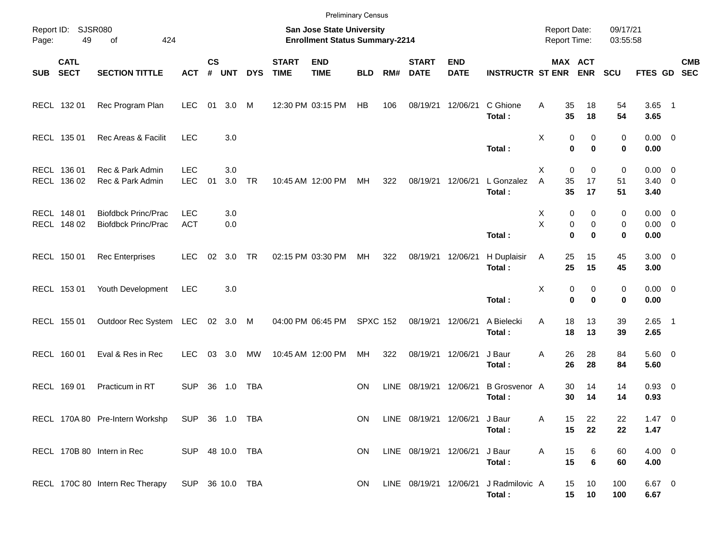|            |                            |                                                          |                          |                    |            |            |                             | <b>Preliminary Census</b>                                          |                 |             |                             |                               |                                                 |                                     |                                                    |                      |                                    |                          |
|------------|----------------------------|----------------------------------------------------------|--------------------------|--------------------|------------|------------|-----------------------------|--------------------------------------------------------------------|-----------------|-------------|-----------------------------|-------------------------------|-------------------------------------------------|-------------------------------------|----------------------------------------------------|----------------------|------------------------------------|--------------------------|
| Page:      | Report ID: SJSR080<br>49   | 424<br>of                                                |                          |                    |            |            |                             | San Jose State University<br><b>Enrollment Status Summary-2214</b> |                 |             |                             |                               |                                                 | <b>Report Date:</b><br>Report Time: |                                                    | 09/17/21<br>03:55:58 |                                    |                          |
| <b>SUB</b> | <b>CATL</b><br><b>SECT</b> | <b>SECTION TITTLE</b>                                    | <b>ACT</b>               | $\mathsf{cs}$<br># | <b>UNT</b> | <b>DYS</b> | <b>START</b><br><b>TIME</b> | <b>END</b><br><b>TIME</b>                                          | <b>BLD</b>      | RM#         | <b>START</b><br><b>DATE</b> | <b>END</b><br><b>DATE</b>     | <b>INSTRUCTR ST ENR</b>                         |                                     | MAX ACT<br><b>ENR</b>                              | <b>SCU</b>           | <b>FTES GD</b>                     | <b>CMB</b><br><b>SEC</b> |
|            | RECL 132 01                | Rec Program Plan                                         | <b>LEC</b>               | 01                 | 3.0 M      |            |                             | 12:30 PM 03:15 PM                                                  | HB              | 106         | 08/19/21                    | 12/06/21                      | C Ghione<br>Total:                              | Α<br>35<br>35                       | 18<br>18                                           | 54<br>54             | $3.65$ 1<br>3.65                   |                          |
|            | RECL 135 01                | Rec Areas & Facilit                                      | <b>LEC</b>               |                    | 3.0        |            |                             |                                                                    |                 |             |                             |                               | Total:                                          | Χ                                   | 0<br>0<br>0<br>$\bf{0}$                            | 0<br>0               | $0.00 \t 0$<br>0.00                |                          |
|            | RECL 136 01<br>RECL 136 02 | Rec & Park Admin<br>Rec & Park Admin                     | <b>LEC</b><br><b>LEC</b> | 01                 | 3.0<br>3.0 | <b>TR</b>  |                             | 10:45 AM 12:00 PM                                                  | MH              | 322         | 08/19/21                    | 12/06/21                      | L Gonzalez<br>Total:                            | X<br>A<br>35<br>35                  | $\mathbf 0$<br>0<br>17<br>17                       | 0<br>51<br>51        | $0.00 \t 0$<br>$3.40 \ 0$<br>3.40  |                          |
|            | RECL 148 01<br>RECL 148 02 | <b>Biofdbck Princ/Prac</b><br><b>Biofdbck Princ/Prac</b> | <b>LEC</b><br><b>ACT</b> |                    | 3.0<br>0.0 |            |                             |                                                                    |                 |             |                             |                               | Total:                                          | X<br>X                              | 0<br>0<br>0<br>$\mathbf 0$<br>$\bf{0}$<br>$\bf{0}$ | 0<br>0<br>0          | $0.00 \t 0$<br>$0.00 \t 0$<br>0.00 |                          |
|            | RECL 150 01                | <b>Rec Enterprises</b>                                   | <b>LEC</b>               | 02                 | 3.0        | TR         |                             | 02:15 PM 03:30 PM                                                  | MH              | 322         | 08/19/21                    | 12/06/21                      | H Duplaisir<br>Total:                           | 25<br>Α<br>25                       | 15<br>15                                           | 45<br>45             | $3.00 \ 0$<br>3.00                 |                          |
|            | RECL 153 01                | Youth Development                                        | <b>LEC</b>               |                    | 3.0        |            |                             |                                                                    |                 |             |                             |                               | Total:                                          | Χ                                   | 0<br>0<br>$\bf{0}$<br>$\bf{0}$                     | 0<br>0               | $0.00 \t 0$<br>0.00                |                          |
|            | RECL 155 01                | Outdoor Rec System LEC 02 3.0 M                          |                          |                    |            |            |                             | 04:00 PM 06:45 PM                                                  | <b>SPXC 152</b> |             | 08/19/21                    | 12/06/21                      | A Bielecki<br>Total:                            | 18<br>Α<br>18                       | 13<br>13                                           | 39<br>39             | $2.65$ 1<br>2.65                   |                          |
|            | RECL 160 01                | Eval & Res in Rec                                        | <b>LEC</b>               |                    | 03 3.0     | МW         |                             | 10:45 AM 12:00 PM                                                  | MH              | 322         | 08/19/21                    | 12/06/21                      | J Baur<br>Total:                                | 26<br>Α<br>26                       | 28<br>28                                           | 84<br>84             | $5.60$ 0<br>5.60                   |                          |
|            | RECL 169 01                | Practicum in RT                                          | <b>SUP</b>               | 36                 | 1.0        | TBA        |                             |                                                                    | <b>ON</b>       | <b>LINE</b> | 08/19/21                    | 12/06/21                      | B Grosvenor A<br>Total:                         | 30<br>30                            | 14<br>14                                           | 14<br>14             | $0.93$ 0<br>0.93                   |                          |
|            |                            | RECL 170A 80 Pre-Intern Workshp                          | SUP 36 1.0 TBA           |                    |            |            |                             |                                                                    | ON              |             |                             | LINE 08/19/21 12/06/21 J Baur | Total:                                          | Α<br>15<br>15                       | 22<br>22                                           | 22<br>22             | $1.47 \t 0$<br>1.47                |                          |
|            |                            | RECL 170B 80 Intern in Rec                               | SUP 48 10.0 TBA          |                    |            |            |                             |                                                                    | ON.             |             | LINE 08/19/21 12/06/21      |                               | J Baur<br>Total:                                | 15<br>Α<br>15                       | 6<br>6                                             | 60<br>60             | $4.00 \ 0$<br>4.00                 |                          |
|            |                            | RECL 170C 80 Intern Rec Therapy                          | SUP 36 10.0 TBA          |                    |            |            |                             |                                                                    | ON.             |             |                             |                               | LINE 08/19/21 12/06/21 J Radmilovic A<br>Total: | 15                                  | 10<br>15<br>10                                     | 100<br>100           | $6.67$ 0<br>6.67                   |                          |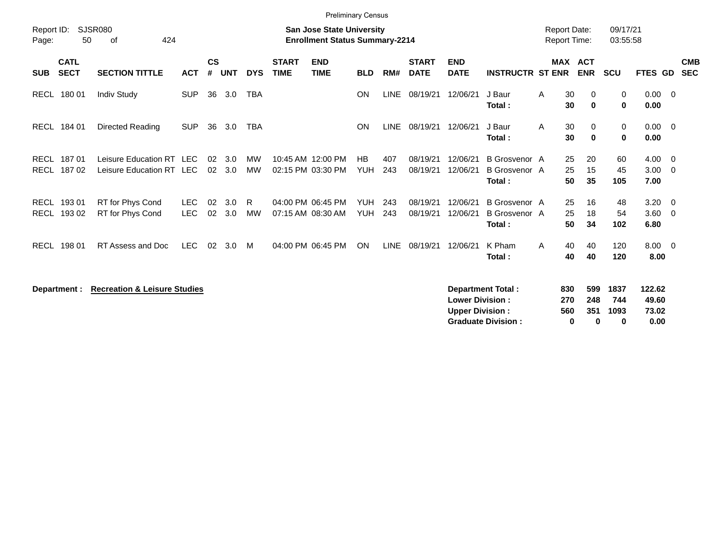|                     |                            |                                                      |                          |                    |            |                        |                             |                                                                           | <b>Preliminary Census</b> |             |                             |                                                  |                                                        |   |                                                       |                                      |                                  |                                                    |                          |
|---------------------|----------------------------|------------------------------------------------------|--------------------------|--------------------|------------|------------------------|-----------------------------|---------------------------------------------------------------------------|---------------------------|-------------|-----------------------------|--------------------------------------------------|--------------------------------------------------------|---|-------------------------------------------------------|--------------------------------------|----------------------------------|----------------------------------------------------|--------------------------|
| Report ID:<br>Page: | 50                         | <b>SJSR080</b><br>424<br>οf                          |                          |                    |            |                        |                             | <b>San Jose State University</b><br><b>Enrollment Status Summary-2214</b> |                           |             |                             |                                                  |                                                        |   | <b>Report Date:</b><br>Report Time:                   | 09/17/21<br>03:55:58                 |                                  |                                                    |                          |
| <b>SUB</b>          | <b>CATL</b><br><b>SECT</b> | <b>SECTION TITTLE</b>                                | <b>ACT</b>               | $\mathsf{cs}$<br># | <b>UNT</b> | <b>DYS</b>             | <b>START</b><br><b>TIME</b> | <b>END</b><br><b>TIME</b>                                                 | <b>BLD</b>                | RM#         | <b>START</b><br><b>DATE</b> | <b>END</b><br><b>DATE</b>                        | <b>INSTRUCTR ST ENR</b>                                |   | <b>MAX ACT</b><br><b>ENR</b>                          | <b>SCU</b>                           | FTES GD                          |                                                    | <b>CMB</b><br><b>SEC</b> |
|                     | RECL 180 01                | <b>Indiv Study</b>                                   | <b>SUP</b>               | 36                 | 3.0        | <b>TBA</b>             |                             |                                                                           | ON                        | <b>LINE</b> | 08/19/21                    | 12/06/21                                         | J Baur<br>Total:                                       | A | 30<br>0<br>30<br>$\bf{0}$                             | $\mathbf 0$<br>$\mathbf 0$           | $0.00 \t 0$<br>0.00              |                                                    |                          |
| <b>RECL</b>         | 184 01                     | Directed Reading                                     | <b>SUP</b>               | 36                 | 3.0        | <b>TBA</b>             |                             |                                                                           | ON                        | <b>LINE</b> | 08/19/21                    | 12/06/21                                         | J Baur<br>Total:                                       | A | 30<br>0<br>30<br>0                                    | 0<br>$\mathbf 0$                     | 0.00<br>0.00                     | $\overline{\mathbf{0}}$                            |                          |
| <b>RECL</b>         | 18701<br>RECL 187 02       | Leisure Education RT LEC<br>Leisure Education RT LEC |                          | 02<br>02           | 3.0<br>3.0 | <b>MW</b><br><b>MW</b> |                             | 10:45 AM 12:00 PM<br>02:15 PM 03:30 PM                                    | <b>HB</b><br><b>YUH</b>   | 407<br>243  | 08/19/21<br>08/19/21        | 12/06/21<br>12/06/21                             | <b>B</b> Grosvenor A<br><b>B</b> Grosvenor A<br>Total: |   | 20<br>25<br>25<br>15<br>50<br>35                      | 60<br>45<br>105                      | 4.00<br>3.00<br>7.00             | $\overline{\mathbf{0}}$<br>$\overline{\mathbf{0}}$ |                          |
| RECL<br>RECL        | 193 01<br>193 02           | RT for Phys Cond<br>RT for Phys Cond                 | <b>LEC</b><br><b>LEC</b> | 02<br>02           | 3.0<br>3.0 | R<br><b>MW</b>         |                             | 04:00 PM 06:45 PM<br>07:15 AM 08:30 AM                                    | <b>YUH</b><br><b>YUH</b>  | 243<br>243  | 08/19/21<br>08/19/21        | 12/06/21<br>12/06/21                             | B Grosvenor A<br>B Grosvenor A<br>Total:               |   | 25<br>16<br>25<br>18<br>50<br>34                      | 48<br>54<br>102                      | 3.20<br>3.60<br>6.80             | $\overline{\mathbf{0}}$<br>$\overline{\mathbf{0}}$ |                          |
| <b>RECL</b>         | 198 01                     | RT Assess and Doc                                    | <b>LEC</b>               | 02                 | 3.0        | M                      |                             | 04:00 PM 06:45 PM                                                         | ON                        | <b>LINE</b> | 08/19/21                    | 12/06/21                                         | K Pham<br>Total:                                       | A | 40<br>40<br>40<br>40                                  | 120<br>120                           | $8.00 \t 0$<br>8.00              |                                                    |                          |
|                     | Department :               | <b>Recreation &amp; Leisure Studies</b>              |                          |                    |            |                        |                             |                                                                           |                           |             |                             | <b>Lower Division:</b><br><b>Upper Division:</b> | <b>Department Total:</b><br><b>Graduate Division:</b>  |   | 599<br>830<br>270<br>248<br>560<br>351<br>$\mathbf 0$ | 1837<br>744<br>1093<br>$\bf{0}$<br>0 | 122.62<br>49.60<br>73.02<br>0.00 |                                                    |                          |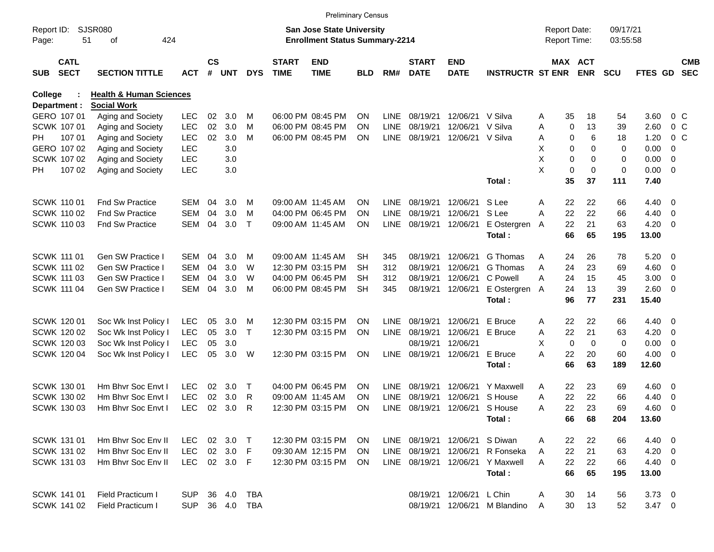|                     |                            |                                    |            |                    |            |              |                             | <b>Preliminary Census</b>                                                 |            |             |                             |                           |                         |                                     |                       |                      |                |                          |                          |
|---------------------|----------------------------|------------------------------------|------------|--------------------|------------|--------------|-----------------------------|---------------------------------------------------------------------------|------------|-------------|-----------------------------|---------------------------|-------------------------|-------------------------------------|-----------------------|----------------------|----------------|--------------------------|--------------------------|
| Report ID:<br>Page: | 51                         | <b>SJSR080</b><br>424<br>оf        |            |                    |            |              |                             | <b>San Jose State University</b><br><b>Enrollment Status Summary-2214</b> |            |             |                             |                           |                         | <b>Report Date:</b><br>Report Time: |                       | 09/17/21<br>03:55:58 |                |                          |                          |
| <b>SUB</b>          | <b>CATL</b><br><b>SECT</b> | <b>SECTION TITTLE</b>              | <b>ACT</b> | $\mathsf{cs}$<br># | <b>UNT</b> | <b>DYS</b>   | <b>START</b><br><b>TIME</b> | <b>END</b><br><b>TIME</b>                                                 | <b>BLD</b> | RM#         | <b>START</b><br><b>DATE</b> | <b>END</b><br><b>DATE</b> | <b>INSTRUCTR ST ENR</b> |                                     | MAX ACT<br><b>ENR</b> | <b>SCU</b>           | <b>FTES GD</b> |                          | <b>CMB</b><br><b>SEC</b> |
| College             |                            | <b>Health &amp; Human Sciences</b> |            |                    |            |              |                             |                                                                           |            |             |                             |                           |                         |                                     |                       |                      |                |                          |                          |
|                     | Department :               | <b>Social Work</b>                 |            |                    |            |              |                             |                                                                           |            |             |                             |                           |                         |                                     |                       |                      |                |                          |                          |
|                     | GERO 107 01                | Aging and Society                  | <b>LEC</b> | 02                 | 3.0        | м            |                             | 06:00 PM 08:45 PM                                                         | <b>ON</b>  | LINE        | 08/19/21                    | 12/06/21                  | V Silva                 | Α                                   | 35<br>18              | 54                   | 3.60           |                          | 0 <sup>o</sup>           |
|                     | SCWK 107 01                | Aging and Society                  | <b>LEC</b> | 02                 | 3.0        | M            |                             | 06:00 PM 08:45 PM                                                         | <b>ON</b>  | LINE        | 08/19/21                    | 12/06/21                  | V Silva                 | Α                                   | 0<br>13               | 39                   | 2.60           |                          | 0 <sup>o</sup>           |
| PH                  | 107 01                     | Aging and Society                  | <b>LEC</b> | 02                 | 3.0        | M            |                             | 06:00 PM 08:45 PM                                                         | <b>ON</b>  | LINE        | 08/19/21                    | 12/06/21                  | V Silva                 | Α                                   | 6<br>0                | 18                   | 1.20           |                          | 0 <sup>o</sup>           |
|                     | GERO 107 02                | Aging and Society                  | <b>LEC</b> |                    | 3.0        |              |                             |                                                                           |            |             |                             |                           |                         | х                                   | 0<br>0                | 0                    | 0.00           | 0                        |                          |
|                     | SCWK 107 02                | Aging and Society                  | <b>LEC</b> |                    | 3.0        |              |                             |                                                                           |            |             |                             |                           |                         | X                                   | 0<br>0                | 0                    | 0.00           | $\overline{0}$           |                          |
| PH.                 | 107 02                     | Aging and Society                  | <b>LEC</b> |                    | 3.0        |              |                             |                                                                           |            |             |                             |                           |                         | X                                   | 0<br>$\mathbf 0$      | 0                    | 0.00           | $\overline{\phantom{0}}$ |                          |
|                     |                            |                                    |            |                    |            |              |                             |                                                                           |            |             |                             |                           | Total:                  |                                     | 35<br>37              | 111                  | 7.40           |                          |                          |
|                     | <b>SCWK 110 01</b>         | <b>Fnd Sw Practice</b>             | SEM        | 04                 | 3.0        | м            |                             | 09:00 AM 11:45 AM                                                         | <b>ON</b>  | LINE        | 08/19/21                    | 12/06/21                  | S Lee                   | Α                                   | 22<br>22              | 66                   | 4.40           | $\overline{\phantom{0}}$ |                          |
|                     | <b>SCWK 110 02</b>         | <b>Fnd Sw Practice</b>             | <b>SEM</b> | 04                 | 3.0        | M            |                             | 04:00 PM 06:45 PM                                                         | <b>ON</b>  | LINE        | 08/19/21                    | 12/06/21                  | S Lee                   | Α                                   | 22<br>22              | 66                   | 4.40           | $\overline{\phantom{0}}$ |                          |
|                     | SCWK 110 03                | <b>Fnd Sw Practice</b>             | <b>SEM</b> | 04                 | 3.0        | $\mathsf{T}$ |                             | 09:00 AM 11:45 AM                                                         | <b>ON</b>  | LINE        | 08/19/21                    | 12/06/21                  | E Ostergren             | A                                   | 22<br>21              | 63                   | 4.20           | - 0                      |                          |
|                     |                            |                                    |            |                    |            |              |                             |                                                                           |            |             |                             |                           | Total:                  |                                     | 66<br>65              | 195                  | 13.00          |                          |                          |
|                     | <b>SCWK 111 01</b>         | <b>Gen SW Practice I</b>           | SEM        | 04                 | 3.0        | м            |                             | 09:00 AM 11:45 AM                                                         | SН         | 345         | 08/19/21                    | 12/06/21                  | G Thomas                | Α                                   | 24<br>26              | 78                   | 5.20           | $\overline{\phantom{0}}$ |                          |
|                     | <b>SCWK 111 02</b>         | Gen SW Practice I                  | <b>SEM</b> | 04                 | 3.0        | W            |                             | 12:30 PM 03:15 PM                                                         | SН         | 312         | 08/19/21                    | 12/06/21                  | G Thomas                | Α                                   | 24<br>23              | 69                   | 4.60           | $\overline{\mathbf{0}}$  |                          |
|                     | <b>SCWK 111 03</b>         | Gen SW Practice I                  | <b>SEM</b> | 04                 | 3.0        | W            |                             | 04:00 PM 06:45 PM                                                         | SН         | 312         | 08/19/21                    | 12/06/21                  | C Powell                | Α                                   | 15<br>24              | 45                   | 3.00           | $\overline{\mathbf{0}}$  |                          |
|                     | SCWK 111 04                | Gen SW Practice I                  | SEM        | 04                 | 3.0        | M            |                             | 06:00 PM 08:45 PM                                                         | <b>SH</b>  | 345         | 08/19/21                    | 12/06/21                  | E Ostergren             | A                                   | 24<br>13              | 39                   | 2.60           | $\overline{\phantom{0}}$ |                          |
|                     |                            |                                    |            |                    |            |              |                             |                                                                           |            |             |                             |                           | Total:                  |                                     | 96<br>77              | 231                  | 15.40          |                          |                          |
|                     | <b>SCWK 12001</b>          | Soc Wk Inst Policy I               | <b>LEC</b> | 05                 | 3.0        | м            |                             | 12:30 PM 03:15 PM                                                         | <b>ON</b>  | LINE        | 08/19/21                    | 12/06/21                  | E Bruce                 | A                                   | 22<br>22              | 66                   | 4.40           | $\overline{\phantom{0}}$ |                          |
|                     | SCWK 120 02                | Soc Wk Inst Policy I               | <b>LEC</b> | 05                 | 3.0        | Τ            |                             | 12:30 PM 03:15 PM                                                         | <b>ON</b>  | LINE        | 08/19/21                    | 12/06/21                  | E Bruce                 | Α                                   | 22<br>21              | 63                   | 4.20           | $\overline{\mathbf{0}}$  |                          |
|                     | SCWK 120 03                | Soc Wk Inst Policy I               | <b>LEC</b> | 05                 | 3.0        |              |                             |                                                                           |            |             | 08/19/21                    | 12/06/21                  |                         | X                                   | 0<br>$\mathbf 0$      | 0                    | 0.00           | $\overline{\mathbf{0}}$  |                          |
|                     | SCWK 120 04                | Soc Wk Inst Policy I               | <b>LEC</b> | 05                 | 3.0        | W            |                             | 12:30 PM 03:15 PM                                                         | <b>ON</b>  | <b>LINE</b> | 08/19/21                    | 12/06/21                  | E Bruce                 | Α                                   | 22<br>20              | 60                   | 4.00           | $\overline{\phantom{0}}$ |                          |
|                     |                            |                                    |            |                    |            |              |                             |                                                                           |            |             |                             |                           | Total:                  |                                     | 66<br>63              | 189                  | 12.60          |                          |                          |
|                     | SCWK 130 01                | Hm Bhyr Soc Envt I                 | LEC        | 02                 | 3.0        | Т            |                             | 04:00 PM 06:45 PM                                                         | <b>ON</b>  | LINE        | 08/19/21                    | 12/06/21                  | Y Maxwell               | A                                   | 23<br>22              | 69                   | $4.60$ 0       |                          |                          |
|                     | SCWK 130 02                | Hm Bhvr Soc Envt I                 | <b>LEC</b> | 02                 | 3.0        | R            |                             | 09:00 AM 11:45 AM                                                         | <b>ON</b>  | LINE        | 08/19/21                    | 12/06/21                  | S House                 | Α                                   | 22<br>22              | 66                   | 4.40           | $\overline{\mathbf{0}}$  |                          |
|                     | SCWK 130 03                | Hm Bhyr Soc Envt I                 | <b>LEC</b> | 02                 | 3.0        | R            |                             | 12:30 PM 03:15 PM                                                         | ON         | <b>LINE</b> | 08/19/21                    | 12/06/21                  | S House                 | A                                   | 22<br>23              | 69                   | 4.60           | - 0                      |                          |
|                     |                            |                                    |            |                    |            |              |                             |                                                                           |            |             |                             |                           | Total:                  |                                     | 66<br>68              | 204                  | 13.60          |                          |                          |
|                     | SCWK 131 01                | Hm Bhvr Soc Env II                 | LEC.       |                    | 02 3.0     | $\top$       |                             | 12:30 PM 03:15 PM                                                         | ON.        | LINE        | 08/19/21 12/06/21           |                           | S Diwan                 | A                                   | 22<br>22              | 66                   | $4.40 \ 0$     |                          |                          |
|                     | SCWK 131 02                | Hm Bhvr Soc Env II                 | <b>LEC</b> |                    | 02 3.0     | F            |                             | 09:30 AM 12:15 PM                                                         | ON.        | <b>LINE</b> | 08/19/21                    | 12/06/21                  | R Fonseka               | A                                   | 21<br>22              | 63                   | $4.20 \ 0$     |                          |                          |
|                     | SCWK 131 03                | Hm Bhvr Soc Env II                 | <b>LEC</b> |                    | 02 3.0 F   |              |                             | 12:30 PM 03:15 PM                                                         | ON.        | LINE        | 08/19/21 12/06/21           |                           | Y Maxwell               | A                                   | 22<br>22              | 66                   | 4.40 0         |                          |                          |
|                     |                            |                                    |            |                    |            |              |                             |                                                                           |            |             |                             |                           | Total:                  |                                     | 66<br>65              | 195                  | 13.00          |                          |                          |
|                     | <b>SCWK 141 01</b>         | Field Practicum I                  | <b>SUP</b> |                    | 36 4.0     | TBA          |                             |                                                                           |            |             |                             | 08/19/21 12/06/21         | L Chin                  | A                                   | 30<br>14              | 56                   | $3.73$ 0       |                          |                          |
|                     | SCWK 141 02                | Field Practicum I                  | <b>SUP</b> |                    |            | 36  4.0  TBA |                             |                                                                           |            |             |                             | 08/19/21 12/06/21         | M Blandino              | Α                                   | 30<br>13              | 52                   | $3.47 \ 0$     |                          |                          |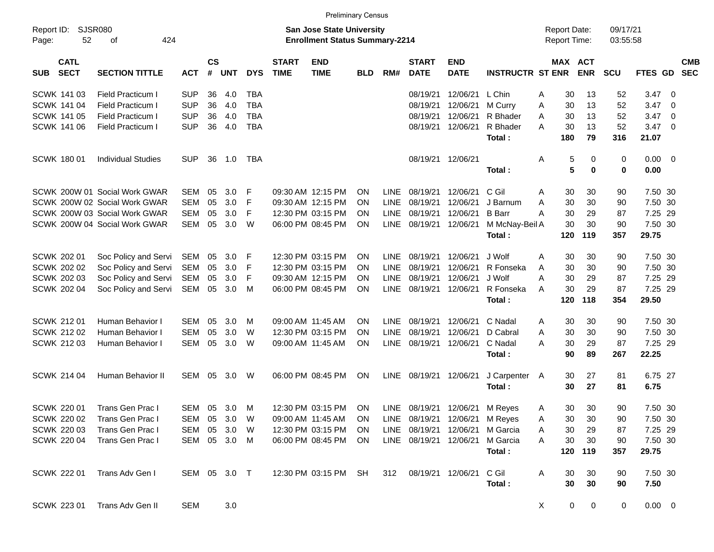|                     |                            |                               |              |                    |            |            |                             |                                                                           | <b>Preliminary Census</b> |             |                             |                                |                         |                                     |                       |                      |             |                         |                          |
|---------------------|----------------------------|-------------------------------|--------------|--------------------|------------|------------|-----------------------------|---------------------------------------------------------------------------|---------------------------|-------------|-----------------------------|--------------------------------|-------------------------|-------------------------------------|-----------------------|----------------------|-------------|-------------------------|--------------------------|
| Report ID:<br>Page: | SJSR080<br>52              | 424<br>of                     |              |                    |            |            |                             | <b>San Jose State University</b><br><b>Enrollment Status Summary-2214</b> |                           |             |                             |                                |                         | <b>Report Date:</b><br>Report Time: |                       | 09/17/21<br>03:55:58 |             |                         |                          |
| <b>SUB</b>          | <b>CATL</b><br><b>SECT</b> | <b>SECTION TITTLE</b>         | <b>ACT</b>   | $\mathsf{cs}$<br># | <b>UNT</b> | <b>DYS</b> | <b>START</b><br><b>TIME</b> | <b>END</b><br><b>TIME</b>                                                 | <b>BLD</b>                | RM#         | <b>START</b><br><b>DATE</b> | <b>END</b><br><b>DATE</b>      | <b>INSTRUCTR ST ENR</b> |                                     | MAX ACT<br><b>ENR</b> | <b>SCU</b>           | FTES GD     |                         | <b>CMB</b><br><b>SEC</b> |
|                     | SCWK 141 03                | <b>Field Practicum I</b>      | <b>SUP</b>   | 36                 | 4.0        | <b>TBA</b> |                             |                                                                           |                           |             | 08/19/21                    | 12/06/21                       | L Chin                  | Α                                   | 30<br>13              | 52                   | 3.47        | - 0                     |                          |
|                     | <b>SCWK 141 04</b>         | <b>Field Practicum I</b>      | <b>SUP</b>   | 36                 | 4.0        | <b>TBA</b> |                             |                                                                           |                           |             | 08/19/21                    | 12/06/21                       | M Curry                 | 30<br>Α                             | 13                    | 52                   | 3.47        | - 0                     |                          |
|                     | <b>SCWK 141 05</b>         | <b>Field Practicum I</b>      | <b>SUP</b>   | 36                 | 4.0        | <b>TBA</b> |                             |                                                                           |                           |             | 08/19/21                    | 12/06/21                       | R Bhader                | Α<br>30                             | 13                    | 52                   | 3.47        | $\overline{\mathbf{0}}$ |                          |
|                     | SCWK 141 06                | <b>Field Practicum I</b>      | <b>SUP</b>   | 36                 | 4.0        | <b>TBA</b> |                             |                                                                           |                           |             | 08/19/21                    | 12/06/21                       | R Bhader                | A<br>30                             | 13                    | 52                   | 3.47        | - 0                     |                          |
|                     |                            |                               |              |                    |            |            |                             |                                                                           |                           |             |                             |                                | Total:                  | 180                                 | 79                    | 316                  | 21.07       |                         |                          |
|                     | <b>SCWK 18001</b>          | <b>Individual Studies</b>     | <b>SUP</b>   | 36                 | 1.0        | TBA        |                             |                                                                           |                           |             | 08/19/21                    | 12/06/21                       |                         | Α                                   | 5<br>0                | 0                    | 0.00        | $\overline{\mathbf{0}}$ |                          |
|                     |                            |                               |              |                    |            |            |                             |                                                                           |                           |             |                             |                                | Total:                  |                                     | 5<br>0                | $\mathbf 0$          | 0.00        |                         |                          |
|                     |                            | SCWK 200W 01 Social Work GWAR | <b>SEM</b>   | 05                 | 3.0        | F          |                             | 09:30 AM 12:15 PM                                                         | <b>ON</b>                 | <b>LINE</b> | 08/19/21                    | 12/06/21                       | C Gil                   | Α                                   | 30<br>30              | 90                   | 7.50 30     |                         |                          |
|                     |                            | SCWK 200W 02 Social Work GWAR | <b>SEM</b>   | 05                 | 3.0        | F          |                             | 09:30 AM 12:15 PM                                                         | <b>ON</b>                 | LINE        | 08/19/21                    | 12/06/21                       | J Barnum                | 30<br>Α                             | 30                    | 90                   | 7.50 30     |                         |                          |
|                     |                            | SCWK 200W 03 Social Work GWAR | <b>SEM</b>   | 05                 | 3.0        | F          |                             | 12:30 PM 03:15 PM                                                         | <b>ON</b>                 | LINE        | 08/19/21                    | 12/06/21                       | <b>B</b> Barr           | 30<br>A                             | 29                    | 87                   | 7.25 29     |                         |                          |
|                     |                            | SCWK 200W 04 Social Work GWAR | <b>SEM</b>   | 05                 | 3.0        | W          |                             | 06:00 PM 08:45 PM                                                         | ON.                       | <b>LINE</b> | 08/19/21                    | 12/06/21                       | M McNay-Beil A          |                                     | 30<br>30              | 90                   | 7.50 30     |                         |                          |
|                     |                            |                               |              |                    |            |            |                             |                                                                           |                           |             |                             |                                | Total:                  | 120                                 | 119                   | 357                  | 29.75       |                         |                          |
|                     | SCWK 202 01                | Soc Policy and Servi          | SEM          | 05                 | 3.0        | F          |                             | 12:30 PM 03:15 PM                                                         | <b>ON</b>                 | <b>LINE</b> | 08/19/21                    | 12/06/21                       | J Wolf                  | A                                   | 30<br>30              | 90                   | 7.50 30     |                         |                          |
|                     | SCWK 202 02                | Soc Policy and Servi          | <b>SEM</b>   | 05                 | 3.0        | F          |                             | 12:30 PM 03:15 PM                                                         | <b>ON</b>                 | <b>LINE</b> | 08/19/21                    | 12/06/21                       | R Fonseka               | 30<br>A                             | 30                    | 90                   | 7.50 30     |                         |                          |
|                     | <b>SCWK 202 03</b>         | Soc Policy and Servi          | <b>SEM</b>   | 05                 | 3.0        | F          |                             | 09:30 AM 12:15 PM                                                         | <b>ON</b>                 | LINE        | 08/19/21                    | 12/06/21                       | J Wolf                  | 30<br>Α                             | 29                    | 87                   | 7.25 29     |                         |                          |
|                     | SCWK 202 04                | Soc Policy and Servi          | SEM          | 05                 | 3.0        | M          |                             | 06:00 PM 08:45 PM                                                         | ON                        | <b>LINE</b> | 08/19/21                    | 12/06/21                       | R Fonseka               | A                                   | 30<br>29              | 87                   | 7.25 29     |                         |                          |
|                     |                            |                               |              |                    |            |            |                             |                                                                           |                           |             |                             |                                | Total:                  | 120                                 | 118                   | 354                  | 29.50       |                         |                          |
|                     | <b>SCWK 21201</b>          | Human Behavior I              | <b>SEM</b>   | 05                 | 3.0        | M          |                             | 09:00 AM 11:45 AM                                                         | <b>ON</b>                 | <b>LINE</b> | 08/19/21                    | 12/06/21                       | C Nadal                 | A                                   | 30<br>30              | 90                   | 7.50 30     |                         |                          |
|                     | SCWK 212 02                | Human Behavior I              | <b>SEM</b>   | 05                 | 3.0        | W          |                             | 12:30 PM 03:15 PM                                                         | <b>ON</b>                 | LINE        | 08/19/21                    | 12/06/21                       | D Cabral                | 30<br>Α                             | 30                    | 90                   | 7.50 30     |                         |                          |
|                     | SCWK 212 03                | Human Behavior I              | <b>SEM</b>   | 05                 | 3.0        | W          |                             | 09:00 AM 11:45 AM                                                         | ON                        | <b>LINE</b> | 08/19/21                    | 12/06/21                       | C Nadal                 | 30<br>A                             | 29                    | 87                   | 7.25 29     |                         |                          |
|                     |                            |                               |              |                    |            |            |                             |                                                                           |                           |             |                             |                                | Total:                  |                                     | 90<br>89              | 267                  | 22.25       |                         |                          |
|                     | SCWK 214 04                | Human Behavior II             | SEM          | 05                 | 3.0        | W          |                             | 06:00 PM 08:45 PM                                                         | ON                        | LINE        | 08/19/21                    | 12/06/21                       | J Carpenter A           |                                     | 30<br>27              | 81                   | 6.75 27     |                         |                          |
|                     |                            |                               |              |                    |            |            |                             |                                                                           |                           |             |                             |                                | Total:                  |                                     | 30<br>27              | 81                   | 6.75        |                         |                          |
|                     | <b>SCWK 22001</b>          | Trans Gen Prac I              | SEM 05 3.0   |                    |            | M          |                             | 12:30 PM 03:15 PM                                                         | ON                        |             |                             | LINE 08/19/21 12/06/21 M Reyes |                         | A                                   | 30<br>30              | 90                   | 7.50 30     |                         |                          |
|                     | <b>SCWK 220 02</b>         | Trans Gen Prac I              | SEM 05 3.0   |                    |            | W          |                             | 09:00 AM 11:45 AM                                                         | ON                        |             |                             | LINE 08/19/21 12/06/21 M Reyes |                         | Α                                   | $30\,$<br>$30\,$      | 90                   | 7.50 30     |                         |                          |
|                     | <b>SCWK 220 03</b>         | Trans Gen Prac I              | SEM 05 3.0   |                    |            | W          |                             | 12:30 PM 03:15 PM                                                         | ON.                       |             | LINE 08/19/21               | 12/06/21                       | M Garcia                | Α                                   | 30<br>29              | 87                   | 7.25 29     |                         |                          |
|                     | <b>SCWK 220 04</b>         | Trans Gen Prac I              | SEM 05 3.0 M |                    |            |            |                             | 06:00 PM 08:45 PM                                                         | ON                        |             | LINE 08/19/21 12/06/21      |                                | M Garcia                | Α                                   | 30<br>30              | 90                   | 7.50 30     |                         |                          |
|                     |                            |                               |              |                    |            |            |                             |                                                                           |                           |             |                             |                                | Total:                  |                                     | 120 119               | 357                  | 29.75       |                         |                          |
|                     | SCWK 222 01                | Trans Adv Gen I               | SEM 05 3.0 T |                    |            |            |                             | 12:30 PM 03:15 PM SH                                                      |                           | 312         |                             | 08/19/21 12/06/21              | C Gil                   | A                                   | 30<br>30              | 90                   | 7.50 30     |                         |                          |
|                     |                            |                               |              |                    |            |            |                             |                                                                           |                           |             |                             |                                | Total:                  |                                     | 30<br>30              | 90                   | 7.50        |                         |                          |
|                     | <b>SCWK 223 01</b>         | Trans Adv Gen II              | <b>SEM</b>   |                    | 3.0        |            |                             |                                                                           |                           |             |                             |                                |                         | X                                   | 0<br>$\mathbf 0$      | $\mathbf 0$          | $0.00 \t 0$ |                         |                          |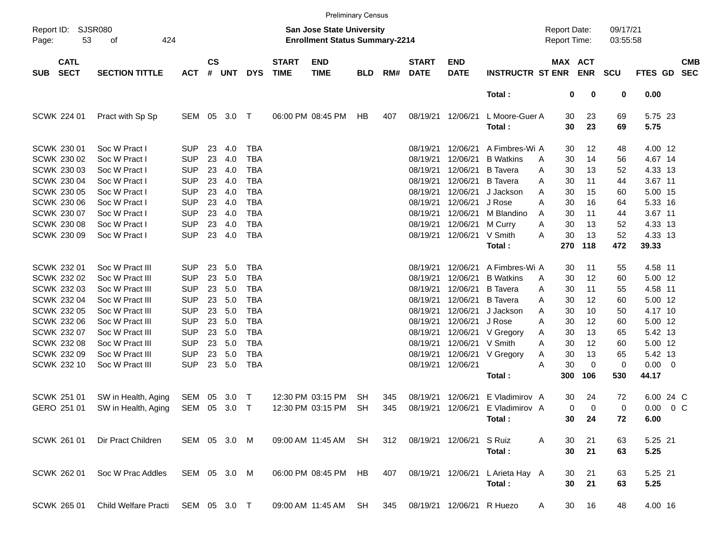|                     |                            |                                   |                          |                    |            |                          |                             |                                                                    | <b>Preliminary Census</b> |     |                             |                           |                                    |                                     |             |                      |                      |                          |
|---------------------|----------------------------|-----------------------------------|--------------------------|--------------------|------------|--------------------------|-----------------------------|--------------------------------------------------------------------|---------------------------|-----|-----------------------------|---------------------------|------------------------------------|-------------------------------------|-------------|----------------------|----------------------|--------------------------|
| Report ID:<br>Page: | 53                         | <b>SJSR080</b><br>424<br>οf       |                          |                    |            |                          |                             | San Jose State University<br><b>Enrollment Status Summary-2214</b> |                           |     |                             |                           |                                    | <b>Report Date:</b><br>Report Time: |             | 09/17/21<br>03:55:58 |                      |                          |
| <b>SUB</b>          | <b>CATL</b><br><b>SECT</b> | <b>SECTION TITTLE</b>             | <b>ACT</b>               | $\mathsf{cs}$<br># | <b>UNT</b> | <b>DYS</b>               | <b>START</b><br><b>TIME</b> | <b>END</b><br><b>TIME</b>                                          | <b>BLD</b>                | RM# | <b>START</b><br><b>DATE</b> | <b>END</b><br><b>DATE</b> | <b>INSTRUCTR ST ENR</b>            | MAX ACT                             | <b>ENR</b>  | <b>SCU</b>           | FTES GD              | <b>CMB</b><br><b>SEC</b> |
|                     |                            |                                   |                          |                    |            |                          |                             |                                                                    |                           |     |                             |                           | Total:                             | $\bf{0}$                            | 0           | 0                    | 0.00                 |                          |
|                     | SCWK 224 01                | Pract with Sp Sp                  | SEM 05                   |                    | 3.0 T      |                          |                             | 06:00 PM 08:45 PM                                                  | HB                        | 407 |                             | 08/19/21 12/06/21         | L Moore-Guer A<br>Total:           | 30<br>30                            | 23<br>23    | 69<br>69             | 5.75 23<br>5.75      |                          |
|                     | SCWK 230 01<br>SCWK 230 02 | Soc W Pract I<br>Soc W Pract I    | <b>SUP</b><br><b>SUP</b> | 23<br>23           | 4.0<br>4.0 | <b>TBA</b><br><b>TBA</b> |                             |                                                                    |                           |     | 08/19/21<br>08/19/21        | 12/06/21<br>12/06/21      | A Fimbres-Wi A<br><b>B</b> Watkins | 30<br>30                            | 12<br>14    | 48<br>56             | 4.00 12<br>4.67 14   |                          |
|                     | SCWK 230 03                | Soc W Pract I                     | <b>SUP</b>               | 23                 | 4.0        | <b>TBA</b>               |                             |                                                                    |                           |     | 08/19/21                    | 12/06/21                  | <b>B</b> Tavera                    | A<br>Α<br>30                        | 13          | 52                   | 4.33 13              |                          |
|                     | SCWK 230 04                | Soc W Pract I                     | <b>SUP</b>               | 23                 | 4.0        | <b>TBA</b>               |                             |                                                                    |                           |     | 08/19/21                    | 12/06/21                  | <b>B</b> Tavera                    | 30<br>A                             | 11          | 44                   | 3.67 11              |                          |
|                     | <b>SCWK 230 05</b>         | Soc W Pract I                     | <b>SUP</b>               | 23                 | 4.0        | <b>TBA</b>               |                             |                                                                    |                           |     | 08/19/21                    | 12/06/21                  | J Jackson                          | Α<br>30                             | 15          | 60                   | 5.00 15              |                          |
|                     | <b>SCWK 230 06</b>         | Soc W Pract I                     | <b>SUP</b>               | 23                 | 4.0        | <b>TBA</b>               |                             |                                                                    |                           |     | 08/19/21                    | 12/06/21                  | J Rose                             | Α<br>30                             | 16          | 64                   | 5.33 16              |                          |
|                     | SCWK 230 07                | Soc W Pract I                     | <b>SUP</b>               | 23                 | 4.0        | <b>TBA</b>               |                             |                                                                    |                           |     | 08/19/21                    | 12/06/21                  | M Blandino                         | 30<br>A                             | 11          | 44                   | 3.67 11              |                          |
|                     | <b>SCWK 230 08</b>         | Soc W Pract I                     | <b>SUP</b>               | 23                 | 4.0        | <b>TBA</b>               |                             |                                                                    |                           |     | 08/19/21                    | 12/06/21                  | M Curry                            | 30<br>Α                             | 13          | 52                   | 4.33 13              |                          |
|                     | SCWK 230 09                | Soc W Pract I                     | <b>SUP</b>               | 23                 | 4.0        | <b>TBA</b>               |                             |                                                                    |                           |     |                             | 08/19/21 12/06/21         | V Smith                            | 30<br>Α                             | 13          | 52                   | 4.33 13              |                          |
|                     |                            |                                   |                          |                    |            |                          |                             |                                                                    |                           |     |                             |                           | Total:                             | 270                                 | 118         | 472                  | 39.33                |                          |
|                     | SCWK 232 01                | Soc W Pract III                   | <b>SUP</b>               | 23                 | 5.0        | <b>TBA</b>               |                             |                                                                    |                           |     | 08/19/21                    | 12/06/21                  | A Fimbres-Wi A                     | 30                                  | 11          | 55                   | 4.58 11              |                          |
|                     | SCWK 232 02                | Soc W Pract III                   | <b>SUP</b>               | 23                 | 5.0        | <b>TBA</b>               |                             |                                                                    |                           |     | 08/19/21                    | 12/06/21                  | <b>B</b> Watkins                   | 30<br>A                             | 12          | 60                   | 5.00 12              |                          |
|                     | SCWK 232 03                | Soc W Pract III                   | <b>SUP</b>               | 23                 | 5.0        | <b>TBA</b>               |                             |                                                                    |                           |     | 08/19/21                    | 12/06/21                  | <b>B</b> Tavera                    | Α<br>30                             | 11          | 55                   | 4.58 11              |                          |
|                     | SCWK 232 04                | Soc W Pract III                   | <b>SUP</b>               | 23                 | 5.0        | <b>TBA</b>               |                             |                                                                    |                           |     | 08/19/21                    | 12/06/21                  | <b>B</b> Tavera                    | 30<br>Α                             | 12          | 60                   | 5.00 12              |                          |
|                     | SCWK 232 05                | Soc W Pract III                   | <b>SUP</b>               | 23                 | 5.0        | <b>TBA</b>               |                             |                                                                    |                           |     | 08/19/21                    | 12/06/21                  | J Jackson                          | Α<br>30                             | 10          | 50                   | 4.17 10              |                          |
|                     | SCWK 232 06                | Soc W Pract III                   | <b>SUP</b>               | 23                 | 5.0        | <b>TBA</b>               |                             |                                                                    |                           |     | 08/19/21                    | 12/06/21                  | J Rose                             | Α<br>30                             | 12          | 60                   | 5.00 12              |                          |
|                     | SCWK 232 07                | Soc W Pract III                   | <b>SUP</b>               | 23                 | 5.0        | <b>TBA</b>               |                             |                                                                    |                           |     | 08/19/21                    | 12/06/21                  | V Gregory                          | 30<br>Α                             | 13          | 65                   | 5.42 13              |                          |
|                     | <b>SCWK 232 08</b>         | Soc W Pract III                   | <b>SUP</b>               | 23                 | 5.0        | <b>TBA</b>               |                             |                                                                    |                           |     | 08/19/21                    | 12/06/21                  | V Smith                            | 30<br>A                             | 12          | 60                   | 5.00 12              |                          |
|                     | SCWK 232 09                | Soc W Pract III                   | <b>SUP</b>               | 23                 | 5.0        | <b>TBA</b>               |                             |                                                                    |                           |     | 08/19/21                    | 12/06/21                  | V Gregory                          | 30<br>A                             | 13          | 65                   | 5.42 13              |                          |
|                     | SCWK 232 10                | Soc W Pract III                   | <b>SUP</b>               | 23                 | 5.0        | <b>TBA</b>               |                             |                                                                    |                           |     |                             | 08/19/21 12/06/21         | Total:                             | 30<br>Α<br>300                      | 0<br>106    | 0<br>530             | $0.00 \t 0$<br>44.17 |                          |
|                     |                            |                                   |                          |                    |            |                          |                             |                                                                    |                           |     |                             |                           |                                    |                                     |             |                      |                      |                          |
|                     | SCWK 251 01                | SW in Health, Aging               | SEM                      | 05                 | 3.0        | $\top$                   |                             | 12:30 PM 03:15 PM                                                  | <b>SH</b>                 | 345 | 08/19/21                    | 12/06/21                  | E Vladimirov A                     | 30                                  | 24          | 72                   | 6.00 24 C            |                          |
|                     | GERO 251 01                | SW in Health, Aging               | SEM                      | 05                 | 3.0        | $\top$                   |                             | 12:30 PM 03:15 PM                                                  | <b>SH</b>                 | 345 | 08/19/21                    | 12/06/21                  | E Vladimirov A                     | $\mathbf 0$                         | $\mathbf 0$ | 0                    | 0.00                 | $0\,$ C                  |
|                     |                            |                                   |                          |                    |            |                          |                             |                                                                    |                           |     |                             |                           | Total:                             | 30                                  | 24          | 72                   | 6.00                 |                          |
|                     | SCWK 261 01                | Dir Pract Children                | SEM 05 3.0 M             |                    |            |                          |                             | 09:00 AM 11:45 AM                                                  | <b>SH</b>                 | 312 |                             | 08/19/21 12/06/21         | S Ruiz                             | A<br>30                             | 21          | 63                   | 5.25 21              |                          |
|                     |                            |                                   |                          |                    |            |                          |                             |                                                                    |                           |     |                             |                           | Total:                             | 30                                  | 21          | 63                   | 5.25                 |                          |
|                     | SCWK 262 01                | Soc W Prac Addles                 | SEM 05 3.0 M             |                    |            |                          |                             | 06:00 PM 08:45 PM                                                  | <b>HB</b>                 | 407 |                             |                           | 08/19/21 12/06/21 L Arieta Hay A   | 30                                  | 21          | 63                   | 5.25 21              |                          |
|                     |                            |                                   |                          |                    |            |                          |                             |                                                                    |                           |     |                             |                           | Total:                             | 30                                  | 21          | 63                   | 5.25                 |                          |
|                     | SCWK 265 01                | Child Welfare Practi SEM 05 3.0 T |                          |                    |            |                          |                             | 09:00 AM 11:45 AM SH                                               |                           | 345 |                             | 08/19/21 12/06/21 R Huezo |                                    | 30<br>A                             | 16          | 48                   | 4.00 16              |                          |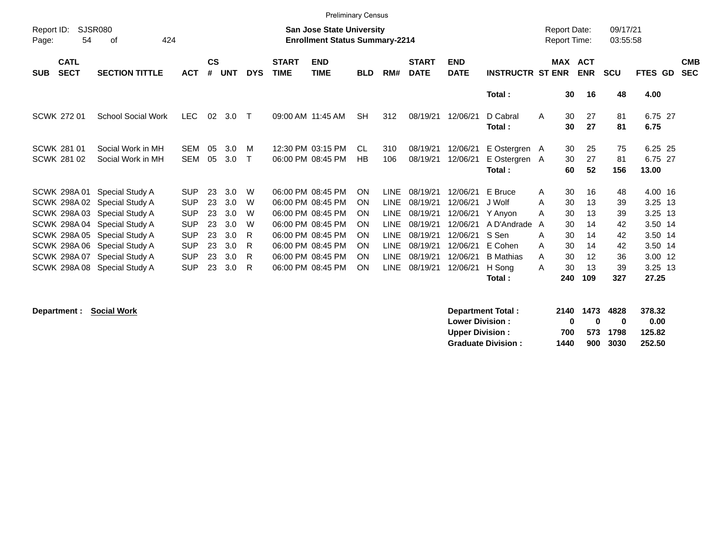|                                                                                       |                                                                                                                               |                                                                                                                                                                                             |                                                                                                              |                                              |                                                      |                                      |                             | <b>Preliminary Census</b>                                                                                                                                            |                                                                   |                                                                                                                      |                                                                                              |                                                                                              |                                                                                                         |                                                                                             |                                                     |                                                     |                                                                                                 |                          |
|---------------------------------------------------------------------------------------|-------------------------------------------------------------------------------------------------------------------------------|---------------------------------------------------------------------------------------------------------------------------------------------------------------------------------------------|--------------------------------------------------------------------------------------------------------------|----------------------------------------------|------------------------------------------------------|--------------------------------------|-----------------------------|----------------------------------------------------------------------------------------------------------------------------------------------------------------------|-------------------------------------------------------------------|----------------------------------------------------------------------------------------------------------------------|----------------------------------------------------------------------------------------------|----------------------------------------------------------------------------------------------|---------------------------------------------------------------------------------------------------------|---------------------------------------------------------------------------------------------|-----------------------------------------------------|-----------------------------------------------------|-------------------------------------------------------------------------------------------------|--------------------------|
| Report ID:<br>Page:                                                                   | <b>SJSR080</b><br><b>San Jose State University</b><br>54<br><b>Enrollment Status Summary-2214</b><br>424<br>οf<br><b>CATL</b> |                                                                                                                                                                                             |                                                                                                              |                                              |                                                      |                                      |                             |                                                                                                                                                                      |                                                                   |                                                                                                                      |                                                                                              |                                                                                              |                                                                                                         |                                                                                             | <b>Report Date:</b><br><b>Report Time:</b>          | 09/17/21<br>03:55:58                                |                                                                                                 |                          |
| <b>SUB</b>                                                                            | <b>SECT</b>                                                                                                                   | <b>SECTION TITTLE</b>                                                                                                                                                                       | <b>ACT</b>                                                                                                   | $\mathsf{cs}$<br>#                           | <b>UNT</b>                                           | <b>DYS</b>                           | <b>START</b><br><b>TIME</b> | <b>END</b><br><b>TIME</b>                                                                                                                                            | <b>BLD</b>                                                        | RM#                                                                                                                  | <b>START</b><br><b>DATE</b>                                                                  | <b>END</b><br><b>DATE</b>                                                                    | <b>INSTRUCTR ST ENR</b>                                                                                 | MAX ACT                                                                                     | <b>ENR</b>                                          | <b>SCU</b>                                          | FTES GD                                                                                         | <b>CMB</b><br><b>SEC</b> |
|                                                                                       |                                                                                                                               |                                                                                                                                                                                             |                                                                                                              |                                              |                                                      |                                      |                             |                                                                                                                                                                      |                                                                   |                                                                                                                      |                                                                                              |                                                                                              | Total:                                                                                                  | 30                                                                                          | 16                                                  | 48                                                  | 4.00                                                                                            |                          |
| <b>SCWK 27201</b>                                                                     |                                                                                                                               | <b>School Social Work</b>                                                                                                                                                                   | <b>LEC</b>                                                                                                   | 02                                           | 3.0                                                  | $\mathsf{T}$                         |                             | 09:00 AM 11:45 AM                                                                                                                                                    | <b>SH</b>                                                         | 312                                                                                                                  | 08/19/21                                                                                     | 12/06/21                                                                                     | D Cabral<br>Total:                                                                                      | 30<br>A<br>30                                                                               | 27<br>27                                            | 81<br>81                                            | 6.75 27<br>6.75                                                                                 |                          |
| <b>SCWK 281 01</b><br>SCWK 281 02                                                     |                                                                                                                               | Social Work in MH<br>Social Work in MH                                                                                                                                                      | <b>SEM</b><br><b>SEM</b>                                                                                     | 05<br>05                                     | 3.0<br>3.0                                           | M<br>$\mathsf{T}$                    |                             | 12:30 PM 03:15 PM<br>06:00 PM 08:45 PM                                                                                                                               | CL<br>HB                                                          | 310<br>106                                                                                                           | 08/19/21<br>08/19/21                                                                         | 12/06/21<br>12/06/21                                                                         | E Ostergren A<br>E Ostergren A<br>Total:                                                                | 30<br>30<br>60                                                                              | 25<br>27<br>52                                      | 75<br>81<br>156                                     | 6.25 25<br>6.75 27<br>13.00                                                                     |                          |
| SCWK 298A01<br><b>SCWK 298A05</b><br>SCWK 298A06<br>SCWK 298A07<br><b>SCWK 298A08</b> |                                                                                                                               | Special Study A<br>SCWK 298A 02 Special Study A<br>SCWK 298A 03 Special Study A<br>SCWK 298A 04 Special Study A<br>Special Study A<br>Special Study A<br>Special Study A<br>Special Study A | <b>SUP</b><br><b>SUP</b><br><b>SUP</b><br><b>SUP</b><br><b>SUP</b><br><b>SUP</b><br><b>SUP</b><br><b>SUP</b> | 23<br>23<br>23<br>23<br>23<br>23<br>23<br>23 | 3.0<br>3.0<br>3.0<br>3.0<br>3.0<br>3.0<br>3.0<br>3.0 | W<br>W<br>W<br>W<br>R<br>R<br>R<br>R |                             | 06:00 PM 08:45 PM<br>06:00 PM 08:45 PM<br>06:00 PM 08:45 PM<br>06:00 PM 08:45 PM<br>06:00 PM 08:45 PM<br>06:00 PM 08:45 PM<br>06:00 PM 08:45 PM<br>06:00 PM 08:45 PM | <b>ON</b><br><b>ON</b><br>ON<br><b>ON</b><br>ON<br>ON<br>ON<br>ON | <b>LINE</b><br><b>LINE</b><br><b>LINE</b><br><b>LINE</b><br><b>LINE</b><br><b>LINE</b><br><b>LINE</b><br><b>LINE</b> | 08/19/21<br>08/19/21<br>08/19/21<br>08/19/21<br>08/19/21<br>08/19/21<br>08/19/21<br>08/19/21 | 12/06/21<br>12/06/21<br>12/06/21<br>12/06/21<br>12/06/21<br>12/06/21<br>12/06/21<br>12/06/21 | E Bruce<br>J Wolf<br>Y Anyon<br>A D'Andrade<br>S Sen<br>E Cohen<br><b>B</b> Mathias<br>H Song<br>Total: | 30<br>A<br>30<br>Α<br>30<br>A<br>30<br>A<br>30<br>A<br>30<br>A<br>30<br>A<br>30<br>A<br>240 | 16<br>13<br>13<br>14<br>14<br>14<br>12<br>13<br>109 | 48<br>39<br>39<br>42<br>42<br>42<br>36<br>39<br>327 | 4.00 16<br>3.25 13<br>$3.25$ 13<br>3.50 14<br>3.50 14<br>3.50 14<br>3.00 12<br>3.25 13<br>27.25 |                          |

**Department : Social Work** 

| Department Total:         |      | 2140 1473 4828 |          | 378.32 |
|---------------------------|------|----------------|----------|--------|
| <b>Lower Division:</b>    | n    | n              | 0        | 0.00   |
| Upper Division:           | 700  |                | 573 1798 | 125.82 |
| <b>Graduate Division:</b> | 1440 |                | 900 3030 | 252.50 |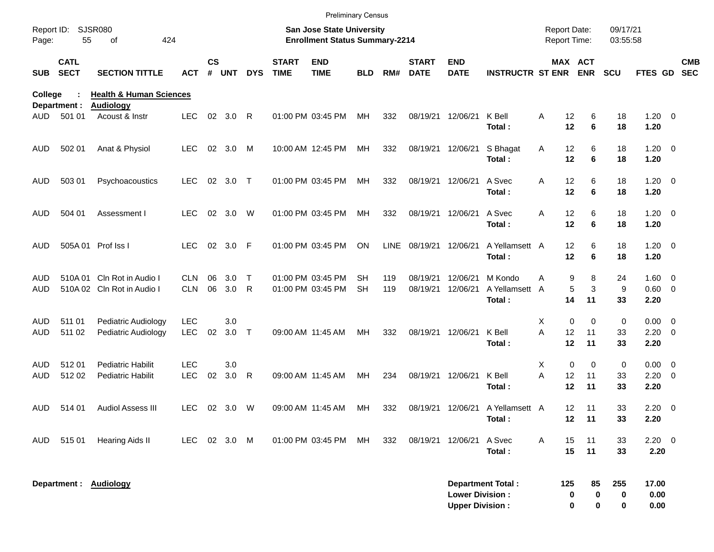|                          |                            |                                                        |                          |                    |            |            |                             | <b>Preliminary Census</b>                                          |                 |             |                             |                                                  |                                   |                                     |                           |                                |                             |                                                    |
|--------------------------|----------------------------|--------------------------------------------------------|--------------------------|--------------------|------------|------------|-----------------------------|--------------------------------------------------------------------|-----------------|-------------|-----------------------------|--------------------------------------------------|-----------------------------------|-------------------------------------|---------------------------|--------------------------------|-----------------------------|----------------------------------------------------|
| Report ID:<br>Page:      | 55                         | <b>SJSR080</b><br>424<br>of                            |                          |                    |            |            |                             | San Jose State University<br><b>Enrollment Status Summary-2214</b> |                 |             |                             |                                                  |                                   | <b>Report Date:</b><br>Report Time: |                           | 09/17/21<br>03:55:58           |                             |                                                    |
| <b>SUB</b>               | <b>CATL</b><br><b>SECT</b> | <b>SECTION TITTLE</b>                                  | <b>ACT</b>               | $\mathsf{cs}$<br># | <b>UNT</b> | <b>DYS</b> | <b>START</b><br><b>TIME</b> | <b>END</b><br><b>TIME</b>                                          | <b>BLD</b>      | RM#         | <b>START</b><br><b>DATE</b> | <b>END</b><br><b>DATE</b>                        | <b>INSTRUCTR ST ENR ENR</b>       |                                     | MAX ACT                   | <b>SCU</b>                     | FTES GD                     | <b>CMB</b><br><b>SEC</b>                           |
| College                  | Department :               | <b>Health &amp; Human Sciences</b><br><b>Audiology</b> |                          |                    |            |            |                             |                                                                    |                 |             |                             |                                                  |                                   |                                     |                           |                                |                             |                                                    |
| AUD-                     | 501 01                     | Acoust & Instr                                         | <b>LEC</b>               |                    | 02 3.0     | R          |                             | 01:00 PM 03:45 PM                                                  | МH              | 332         | 08/19/21 12/06/21           |                                                  | K Bell<br>Total:                  | 12<br>Α<br>12                       | 6<br>6                    | 18<br>18                       | $1.20 \t 0$<br>1.20         |                                                    |
| AUD.                     | 502 01                     | Anat & Physiol                                         | <b>LEC</b>               |                    | 02 3.0     | M          |                             | 10:00 AM 12:45 PM                                                  | МH              | 332         | 08/19/21 12/06/21           |                                                  | S Bhagat<br>Total:                | 12<br>Α<br>12                       | 6<br>6                    | 18<br>18                       | $1.20 \t 0$<br>1.20         |                                                    |
| <b>AUD</b>               | 503 01                     | Psychoacoustics                                        | <b>LEC</b>               |                    | 02 3.0     | $\top$     |                             | 01:00 PM 03:45 PM                                                  | МH              | 332         | 08/19/21 12/06/21           |                                                  | A Svec<br>Total:                  | 12<br>Α<br>12                       | 6<br>6                    | 18<br>18                       | $1.20 \t 0$<br>1.20         |                                                    |
| <b>AUD</b>               | 504 01                     | Assessment I                                           | <b>LEC</b>               |                    | 02 3.0     | W          |                             | 01:00 PM 03:45 PM                                                  | МH              | 332         | 08/19/21 12/06/21           |                                                  | A Svec<br>Total:                  | 12<br>Α<br>12                       | 6<br>6                    | 18<br>18                       | $1.20 \t 0$<br>1.20         |                                                    |
| <b>AUD</b>               |                            | 505A 01 Prof Iss I                                     | <b>LEC</b>               |                    | 02 3.0     | -F         |                             | 01:00 PM 03:45 PM                                                  | ON              | <b>LINE</b> | 08/19/21 12/06/21           |                                                  | A Yellamsett A<br>Total:          | 12<br>12                            | 6<br>6                    | 18<br>18                       | $1.20 \t 0$<br>1.20         |                                                    |
| <b>AUD</b><br><b>AUD</b> | 510A 01                    | Cln Rot in Audio I<br>510A 02 Cln Rot in Audio I       | <b>CLN</b><br><b>CLN</b> | 06<br>06           | 3.0<br>3.0 | Т<br>R     |                             | 01:00 PM 03:45 PM<br>01:00 PM 03:45 PM                             | SН<br><b>SH</b> | 119<br>119  | 08/19/21<br>08/19/21        | 12/06/21<br>12/06/21                             | M Kondo<br>A Yellamsett<br>Total: | Α<br>A<br>14                        | 8<br>9<br>5<br>3<br>11    | 24<br>9<br>33                  | 1.60<br>$0.60 \t 0$<br>2.20 | $\overline{0}$                                     |
| <b>AUD</b><br><b>AUD</b> | 511 01<br>511 02           | Pediatric Audiology<br>Pediatric Audiology             | LEC<br><b>LEC</b>        | 02                 | 3.0<br>3.0 | $\top$     |                             | 09:00 AM 11:45 AM                                                  | MH              | 332         | 08/19/21 12/06/21           |                                                  | K Bell<br>Total:                  | Χ<br>A<br>12<br>12                  | 0<br>$\Omega$<br>11<br>11 | 0<br>33<br>33                  | 0.00<br>2.20<br>2.20        | $\overline{\mathbf{0}}$<br>$\overline{\mathbf{0}}$ |
| <b>AUD</b><br><b>AUD</b> | 51201<br>512 02            | Pediatric Habilit<br>Pediatric Habilit                 | <b>LEC</b><br><b>LEC</b> | 02                 | 3.0<br>3.0 | R          |                             | 09:00 AM 11:45 AM                                                  | МH              | 234         | 08/19/21 12/06/21           |                                                  | K Bell<br>Total:                  | Χ<br>Α<br>12<br>12                  | 0<br>0<br>11<br>11        | 0<br>33<br>33                  | 0.00<br>2.20<br>2.20        | $\overline{\mathbf{0}}$<br>$\overline{\mathbf{0}}$ |
| AUD                      | 514 01                     | <b>Audiol Assess III</b>                               | LEC.                     |                    | 02 3.0     | W          |                             | 09:00 AM 11:45 AM                                                  | МH              | 332         |                             | 08/19/21 12/06/21                                | A Yellamsett A<br>Total:          | 12<br>12                            | 11<br>11                  | 33<br>33                       | $2.20 \t 0$<br>2.20         |                                                    |
| AUD                      | 51501                      | <b>Hearing Aids II</b>                                 | <b>LEC</b>               |                    | 02 3.0 M   |            |                             | 01:00 PM 03:45 PM                                                  | МH              | 332         | 08/19/21 12/06/21           |                                                  | A Svec<br>Total:                  | 15<br>Α<br>15                       | 11<br>11                  | 33<br>33                       | $2.20 \t 0$<br>2.20         |                                                    |
|                          |                            | Department: Audiology                                  |                          |                    |            |            |                             |                                                                    |                 |             |                             | <b>Lower Division:</b><br><b>Upper Division:</b> | <b>Department Total:</b>          | 125                                 | 85<br>0<br>0<br>0<br>0    | 255<br>$\bf{0}$<br>$\mathbf 0$ | 17.00<br>0.00<br>0.00       |                                                    |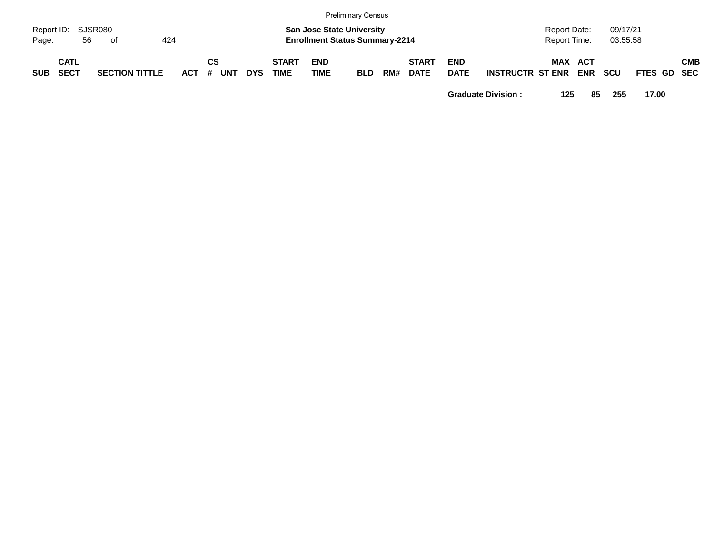|                             | Preliminary Census  |    |                       |     |       |    |            |            |                             |                                                                           |            |     |                             |                           |                         |                              |                   |                      |             |            |
|-----------------------------|---------------------|----|-----------------------|-----|-------|----|------------|------------|-----------------------------|---------------------------------------------------------------------------|------------|-----|-----------------------------|---------------------------|-------------------------|------------------------------|-------------------|----------------------|-------------|------------|
| Report ID: SJSR080<br>Page: |                     | 56 | of                    | 424 |       |    |            |            |                             | <b>San Jose State University</b><br><b>Enrollment Status Summary-2214</b> |            |     |                             |                           |                         | Report Date:<br>Report Time: |                   | 09/17/21<br>03:55:58 |             |            |
| <b>SUB</b>                  | CATL<br><b>SECT</b> |    | <b>SECTION TITTLE</b> |     | ACT # | СS | <b>UNT</b> | <b>DYS</b> | <b>START</b><br><b>TIME</b> | <b>END</b><br><b>TIME</b>                                                 | <b>BLD</b> | RM# | <b>START</b><br><b>DATE</b> | <b>END</b><br><b>DATE</b> | <b>INSTRUCTR ST ENR</b> | <b>MAX</b>                   | ACT<br><b>ENR</b> | <b>SCU</b>           | FTES GD SEC | <b>CMB</b> |

**Graduate Division : 125 85 255 17.00**